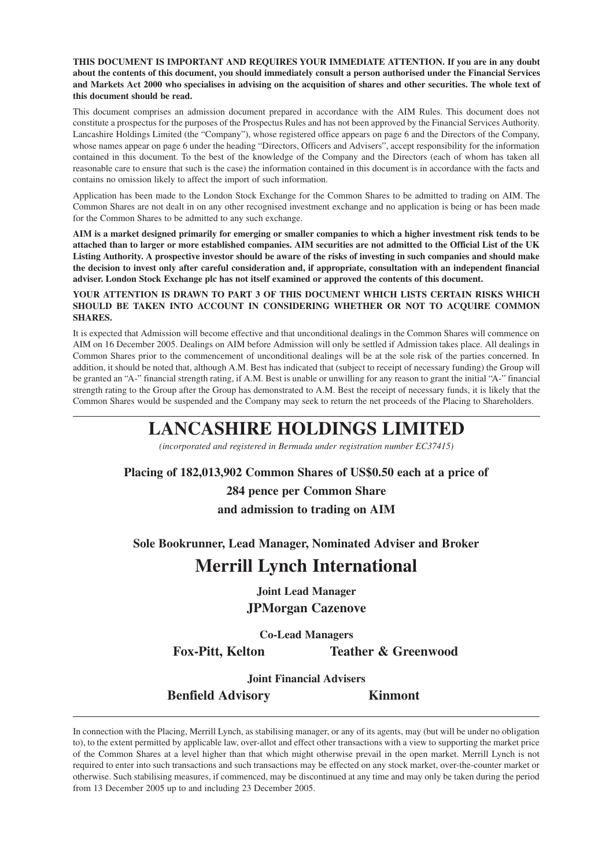**THIS DOCUMENT IS IMPORTANT AND REQUIRES YOUR IMMEDIATE ATTENTION. If you are in any doubt about the contents of this document, you should immediately consult a person authorised under the Financial Services and Markets Act 2000 who specialises in advising on the acquisition of shares and other securities. The whole text of this document should be read.**

This document comprises an admission document prepared in accordance with the AIM Rules. This document does not constitute a prospectus for the purposes of the Prospectus Rules and has not been approved by the Financial Services Authority. Lancashire Holdings Limited (the "Company"), whose registered office appears on page 6 and the Directors of the Company, whose names appear on page 6 under the heading "Directors, Officers and Advisers", accept responsibility for the information contained in this document. To the best of the knowledge of the Company and the Directors (each of whom has taken all reasonable care to ensure that such is the case) the information contained in this document is in accordance with the facts and contains no omission likely to affect the import of such information.

Application has been made to the London Stock Exchange for the Common Shares to be admitted to trading on AIM. The Common Shares are not dealt in on any other recognised investment exchange and no application is being or has been made for the Common Shares to be admitted to any such exchange.

**AIM is a market designed primarily for emerging or smaller companies to which a higher investment risk tends to be attached than to larger or more established companies. AIM securities are not admitted to the Official List of the UK Listing Authority. A prospective investor should be aware of the risks of investing in such companies and should make the decision to invest only after careful consideration and, if appropriate, consultation with an independent financial adviser. London Stock Exchange plc has not itself examined or approved the contents of this document.**

#### **YOUR ATTENTION IS DRAWN TO PART 3 OF THIS DOCUMENT WHICH LISTS CERTAIN RISKS WHICH SHOULD BE TAKEN INTO ACCOUNT IN CONSIDERING WHETHER OR NOT TO ACQUIRE COMMON SHARES.**

It is expected that Admission will become effective and that unconditional dealings in the Common Shares will commence on AIM on 16 December 2005. Dealings on AIM before Admission will only be settled if Admission takes place. All dealings in Common Shares prior to the commencement of unconditional dealings will be at the sole risk of the parties concerned. In addition, it should be noted that, although A.M. Best has indicated that (subject to receipt of necessary funding) the Group will be granted an "A-" financial strength rating, if A.M. Best is unable or unwilling for any reason to grant the initial "A-" financial strength rating to the Group after the Group has demonstrated to A.M. Best the receipt of necessary funds, it is likely that the Common Shares would be suspended and the Company may seek to return the net proceeds of the Placing to Shareholders.

# **LANCASHIRE HOLDINGS LIMITED**

*(incorporated and registered in Bermuda under registration number EC37415)*

**Placing of 182,013,902 Common Shares of US\$0.50 each at a price of 284 pence per Common Share**

# **and admission to trading on AIM**

**Sole Bookrunner, Lead Manager, Nominated Adviser and Broker**

# **Merrill Lynch International**

**Joint Lead Manager JPMorgan Cazenove**

**Co-Lead Managers**

**Fox-Pitt, Kelton Teather & Greenwood**

**Joint Financial Advisers**

**Benfield Advisory Kinmont**

In connection with the Placing, Merrill Lynch, as stabilising manager, or any of its agents, may (but will be under no obligation to), to the extent permitted by applicable law, over-allot and effect other transactions with a view to supporting the market price of the Common Shares at a level higher than that which might otherwise prevail in the open market. Merrill Lynch is not required to enter into such transactions and such transactions may be effected on any stock market, over-the-counter market or otherwise. Such stabilising measures, if commenced, may be discontinued at any time and may only be taken during the period from 13 December 2005 up to and including 23 December 2005.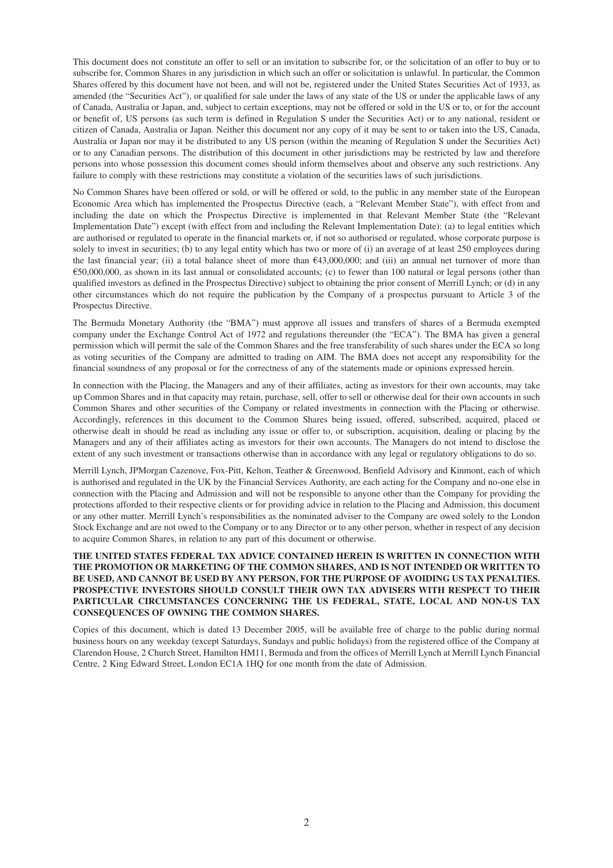This document does not constitute an offer to sell or an invitation to subscribe for, or the solicitation of an offer to buy or to subscribe for, Common Shares in any jurisdiction in which such an offer or solicitation is unlawful. In particular, the Common Shares offered by this document have not been, and will not be, registered under the United States Securities Act of 1933, as amended (the "Securities Act"), or qualified for sale under the laws of any state of the US or under the applicable laws of any of Canada, Australia or Japan, and, subject to certain exceptions, may not be offered or sold in the US or to, or for the account or benefit of, US persons (as such term is defined in Regulation S under the Securities Act) or to any national, resident or citizen of Canada, Australia or Japan. Neither this document nor any copy of it may be sent to or taken into the US, Canada, Australia or Japan nor may it be distributed to any US person (within the meaning of Regulation S under the Securities Act) or to any Canadian persons. The distribution of this document in other jurisdictions may be restricted by law and therefore persons into whose possession this document comes should inform themselves about and observe any such restrictions. Any failure to comply with these restrictions may constitute a violation of the securities laws of such jurisdictions.

No Common Shares have been offered or sold, or will be offered or sold, to the public in any member state of the European Economic Area which has implemented the Prospectus Directive (each, a "Relevant Member State"), with effect from and including the date on which the Prospectus Directive is implemented in that Relevant Member State (the "Relevant Implementation Date") except (with effect from and including the Relevant Implementation Date): (a) to legal entities which are authorised or regulated to operate in the financial markets or, if not so authorised or regulated, whose corporate purpose is solely to invest in securities; (b) to any legal entity which has two or more of (i) an average of at least 250 employees during the last financial year; (ii) a total balance sheet of more than  $\epsilon$ 43,000,000; and (iii) an annual net turnover of more than  $\epsilon$ 50,000,000, as shown in its last annual or consolidated accounts; (c) to fewer than 100 natural or legal persons (other than qualified investors as defined in the Prospectus Directive) subject to obtaining the prior consent of Merrill Lynch; or (d) in any other circumstances which do not require the publication by the Company of a prospectus pursuant to Article 3 of the Prospectus Directive.

The Bermuda Monetary Authority (the "BMA") must approve all issues and transfers of shares of a Bermuda exempted company under the Exchange Control Act of 1972 and regulations thereunder (the "ECA"). The BMA has given a general permission which will permit the sale of the Common Shares and the free transferability of such shares under the ECA so long as voting securities of the Company are admitted to trading on AIM. The BMA does not accept any responsibility for the financial soundness of any proposal or for the correctness of any of the statements made or opinions expressed herein.

In connection with the Placing, the Managers and any of their affiliates, acting as investors for their own accounts, may take up Common Shares and in that capacity may retain, purchase, sell, offer to sell or otherwise deal for their own accounts in such Common Shares and other securities of the Company or related investments in connection with the Placing or otherwise. Accordingly, references in this document to the Common Shares being issued, offered, subscribed, acquired, placed or otherwise dealt in should be read as including any issue or offer to, or subscription, acquisition, dealing or placing by the Managers and any of their affiliates acting as investors for their own accounts. The Managers do not intend to disclose the extent of any such investment or transactions otherwise than in accordance with any legal or regulatory obligations to do so.

Merrill Lynch, JPMorgan Cazenove, Fox-Pitt, Kelton, Teather & Greenwood, Benfield Advisory and Kinmont, each of which is authorised and regulated in the UK by the Financial Services Authority, are each acting for the Company and no-one else in connection with the Placing and Admission and will not be responsible to anyone other than the Company for providing the protections afforded to their respective clients or for providing advice in relation to the Placing and Admission, this document or any other matter. Merrill Lynch's responsibilities as the nominated adviser to the Company are owed solely to the London Stock Exchange and are not owed to the Company or to any Director or to any other person, whether in respect of any decision to acquire Common Shares, in relation to any part of this document or otherwise.

#### **THE UNITED STATES FEDERAL TAX ADVICE CONTAINED HEREIN IS WRITTEN IN CONNECTION WITH THE PROMOTION OR MARKETING OF THE COMMON SHARES, AND IS NOT INTENDED OR WRITTEN TO BE USED, AND CANNOT BE USED BY ANY PERSON, FOR THE PURPOSE OF AVOIDING US TAX PENALTIES. PROSPECTIVE INVESTORS SHOULD CONSULT THEIR OWN TAX ADVISERS WITH RESPECT TO THEIR PARTICULAR CIRCUMSTANCES CONCERNING THE US FEDERAL, STATE, LOCAL AND NON-US TAX CONSEQUENCES OF OWNING THE COMMON SHARES.**

Copies of this document, which is dated 13 December 2005, will be available free of charge to the public during normal business hours on any weekday (except Saturdays, Sundays and public holidays) from the registered office of the Company at Clarendon House, 2 Church Street, Hamilton HM11, Bermuda and from the offices of Merrill Lynch at Merrill Lynch Financial Centre, 2 King Edward Street, London EC1A 1HQ for one month from the date of Admission.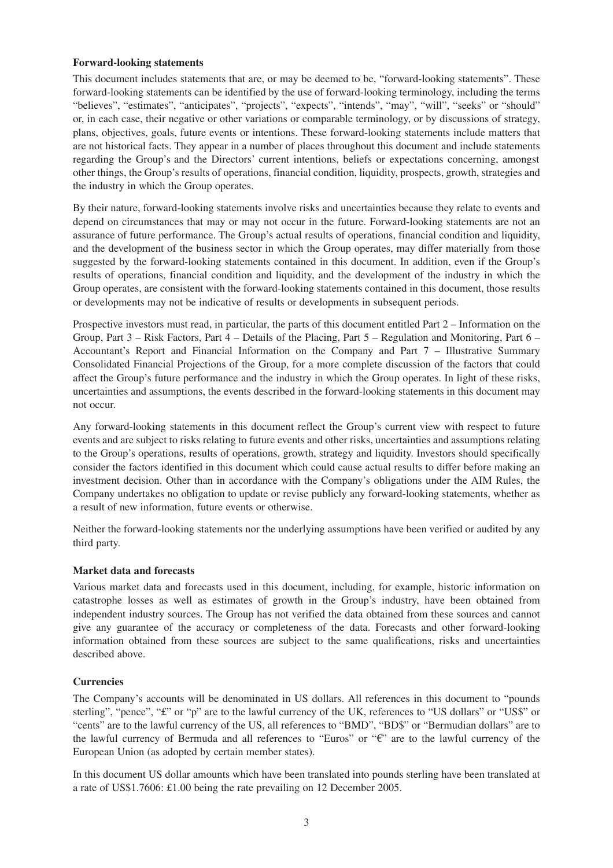#### **Forward-looking statements**

This document includes statements that are, or may be deemed to be, "forward-looking statements". These forward-looking statements can be identified by the use of forward-looking terminology, including the terms "believes", "estimates", "anticipates", "projects", "expects", "intends", "may", "will", "seeks" or "should" or, in each case, their negative or other variations or comparable terminology, or by discussions of strategy, plans, objectives, goals, future events or intentions. These forward-looking statements include matters that are not historical facts. They appear in a number of places throughout this document and include statements regarding the Group's and the Directors' current intentions, beliefs or expectations concerning, amongst other things, the Group's results of operations, financial condition, liquidity, prospects, growth, strategies and the industry in which the Group operates.

By their nature, forward-looking statements involve risks and uncertainties because they relate to events and depend on circumstances that may or may not occur in the future. Forward-looking statements are not an assurance of future performance. The Group's actual results of operations, financial condition and liquidity, and the development of the business sector in which the Group operates, may differ materially from those suggested by the forward-looking statements contained in this document. In addition, even if the Group's results of operations, financial condition and liquidity, and the development of the industry in which the Group operates, are consistent with the forward-looking statements contained in this document, those results or developments may not be indicative of results or developments in subsequent periods.

Prospective investors must read, in particular, the parts of this document entitled Part 2 – Information on the Group, Part 3 – Risk Factors, Part 4 – Details of the Placing, Part 5 – Regulation and Monitoring, Part 6 – Accountant's Report and Financial Information on the Company and Part 7 – Illustrative Summary Consolidated Financial Projections of the Group, for a more complete discussion of the factors that could affect the Group's future performance and the industry in which the Group operates. In light of these risks, uncertainties and assumptions, the events described in the forward-looking statements in this document may not occur.

Any forward-looking statements in this document reflect the Group's current view with respect to future events and are subject to risks relating to future events and other risks, uncertainties and assumptions relating to the Group's operations, results of operations, growth, strategy and liquidity. Investors should specifically consider the factors identified in this document which could cause actual results to differ before making an investment decision. Other than in accordance with the Company's obligations under the AIM Rules, the Company undertakes no obligation to update or revise publicly any forward-looking statements, whether as a result of new information, future events or otherwise.

Neither the forward-looking statements nor the underlying assumptions have been verified or audited by any third party.

# **Market data and forecasts**

Various market data and forecasts used in this document, including, for example, historic information on catastrophe losses as well as estimates of growth in the Group's industry, have been obtained from independent industry sources. The Group has not verified the data obtained from these sources and cannot give any guarantee of the accuracy or completeness of the data. Forecasts and other forward-looking information obtained from these sources are subject to the same qualifications, risks and uncertainties described above.

# **Currencies**

The Company's accounts will be denominated in US dollars. All references in this document to "pounds sterling", "pence", "£" or "p" are to the lawful currency of the UK, references to "US dollars" or "US\$" or "cents" are to the lawful currency of the US, all references to "BMD", "BD\$" or "Bermudian dollars" are to the lawful currency of Bermuda and all references to "Euros" or " $\varepsilon$ " are to the lawful currency of the European Union (as adopted by certain member states).

In this document US dollar amounts which have been translated into pounds sterling have been translated at a rate of US\$1.7606: £1.00 being the rate prevailing on 12 December 2005.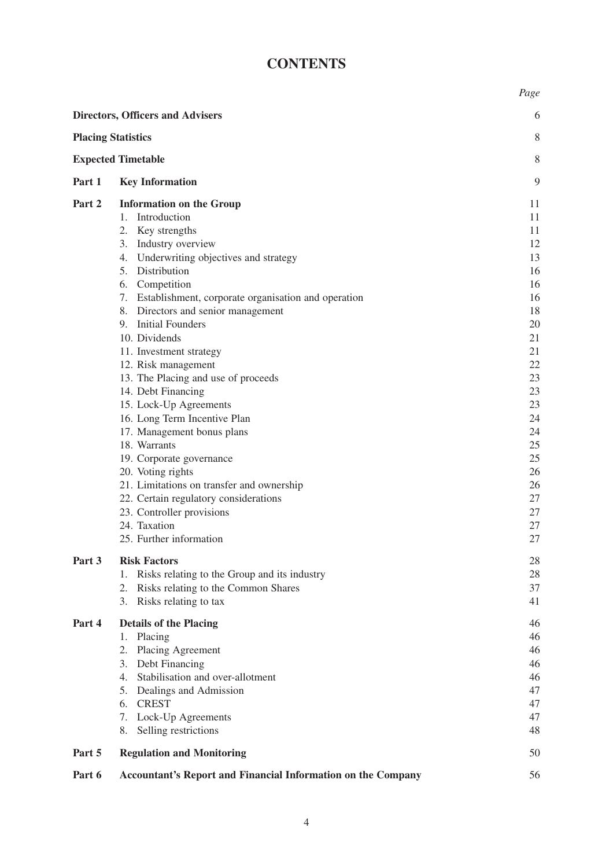# **CONTENTS**

|        |                                                                     | Page     |
|--------|---------------------------------------------------------------------|----------|
|        | <b>Directors, Officers and Advisers</b>                             | 6        |
|        | <b>Placing Statistics</b>                                           | 8        |
|        | <b>Expected Timetable</b>                                           | 8        |
| Part 1 | <b>Key Information</b>                                              | 9        |
| Part 2 | <b>Information on the Group</b>                                     | 11       |
|        | Introduction<br>1.                                                  | 11       |
|        | 2. Key strengths                                                    | 11       |
|        | 3. Industry overview                                                | 12       |
|        | 4. Underwriting objectives and strategy                             | 13       |
|        | 5. Distribution                                                     | 16       |
|        | Competition<br>6.                                                   | 16       |
|        | 7. Establishment, corporate organisation and operation              | 16       |
|        | 8. Directors and senior management                                  | 18       |
|        | 9. Initial Founders                                                 | 20       |
|        | 10. Dividends                                                       | 21       |
|        | 11. Investment strategy                                             | 21       |
|        | 12. Risk management                                                 | 22       |
|        | 13. The Placing and use of proceeds                                 | 23       |
|        | 14. Debt Financing                                                  | 23       |
|        | 15. Lock-Up Agreements                                              | 23       |
|        | 16. Long Term Incentive Plan                                        | 24<br>24 |
|        | 17. Management bonus plans<br>18. Warrants                          | 25       |
|        | 19. Corporate governance                                            | 25       |
|        | 20. Voting rights                                                   | 26       |
|        | 21. Limitations on transfer and ownership                           | 26       |
|        | 22. Certain regulatory considerations                               | 27       |
|        | 23. Controller provisions                                           | 27       |
|        | 24. Taxation                                                        | 27       |
|        | 25. Further information                                             | 27       |
| Part 3 | <b>Risk Factors</b>                                                 | 28       |
|        | Risks relating to the Group and its industry<br>1.                  | 28       |
|        | Risks relating to the Common Shares<br>2.                           | 37       |
|        | 3. Risks relating to tax                                            | 41       |
| Part 4 | <b>Details of the Placing</b>                                       | 46       |
|        | Placing<br>1.                                                       | 46       |
|        | <b>Placing Agreement</b><br>2.                                      | 46       |
|        | 3. Debt Financing                                                   | 46       |
|        | 4. Stabilisation and over-allotment                                 | 46       |
|        | Dealings and Admission<br>5.                                        | 47       |
|        | <b>CREST</b><br>6.                                                  | 47       |
|        | 7.<br>Lock-Up Agreements                                            | 47       |
|        | Selling restrictions<br>8.                                          | 48       |
| Part 5 | <b>Regulation and Monitoring</b>                                    | 50       |
| Part 6 | <b>Accountant's Report and Financial Information on the Company</b> | 56       |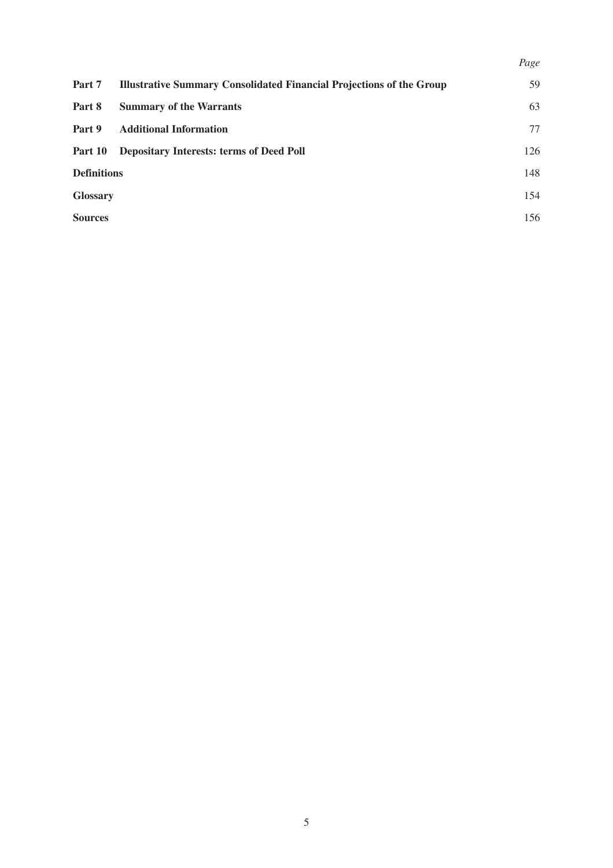|                    |                                                                             | Page |
|--------------------|-----------------------------------------------------------------------------|------|
| Part 7             | <b>Illustrative Summary Consolidated Financial Projections of the Group</b> | 59   |
| Part 8             | <b>Summary of the Warrants</b>                                              | 63   |
| Part 9             | <b>Additional Information</b>                                               | 77   |
| Part 10            | <b>Depositary Interests: terms of Deed Poll</b>                             | 126  |
| <b>Definitions</b> |                                                                             | 148  |
| <b>Glossary</b>    |                                                                             | 154  |
| <b>Sources</b>     |                                                                             | 156  |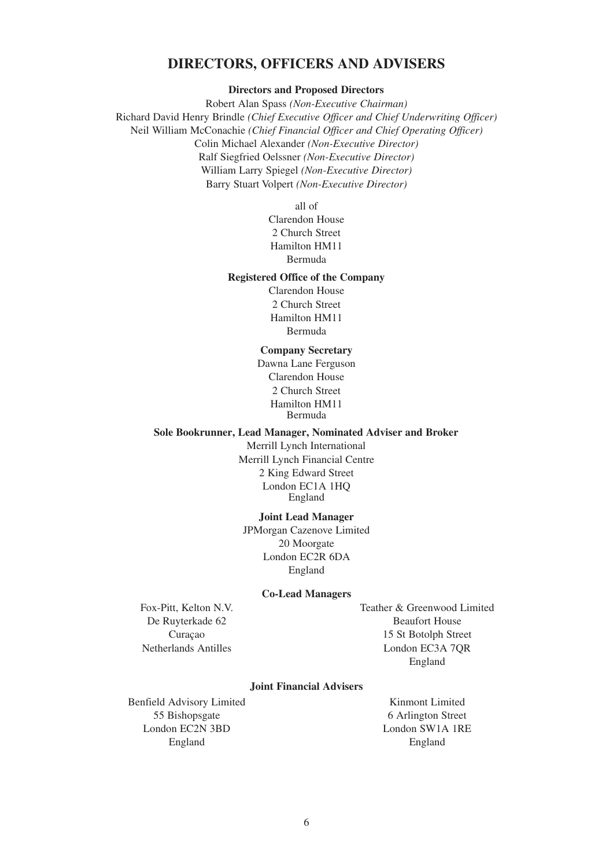# **DIRECTORS, OFFICERS AND ADVISERS**

**Directors and Proposed Directors**

Robert Alan Spass *(Non-Executive Chairman)* Richard David Henry Brindle *(Chief Executive Officer and Chief Underwriting Officer)* Neil William McConachie *(Chief Financial Officer and Chief Operating Officer)* Colin Michael Alexander *(Non-Executive Director)* Ralf Siegfried Oelssner *(Non-Executive Director)* William Larry Spiegel *(Non-Executive Director)* Barry Stuart Volpert *(Non-Executive Director)*

all of

Clarendon House 2 Church Street Hamilton HM11 Bermuda

# **Registered Office of the Company**

Clarendon House 2 Church Street Hamilton HM11 Bermuda

### **Company Secretary**

Dawna Lane Ferguson Clarendon House 2 Church Street Hamilton HM11 Bermuda

### **Sole Bookrunner, Lead Manager, Nominated Adviser and Broker**

Merrill Lynch International Merrill Lynch Financial Centre 2 King Edward Street London EC1A 1HQ England

#### **Joint Lead Manager**

JPMorgan Cazenove Limited 20 Moorgate London EC2R 6DA England

#### **Co-Lead Managers**

Fox-Pitt, Kelton N.V. De Ruyterkade 62 Curaçao Netherlands Antilles

Teather & Greenwood Limited Beaufort House 15 St Botolph Street London EC3A 7QR England

# **Joint Financial Advisers**

Benfield Advisory Limited 55 Bishopsgate London EC2N 3BD England

Kinmont Limited 6 Arlington Street London SW1A 1RE England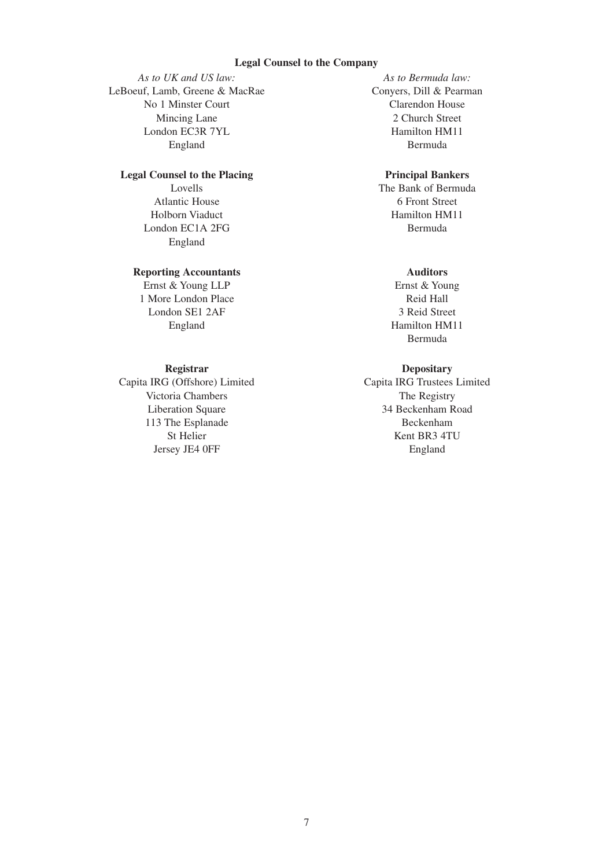### **Legal Counsel to the Company**

*As to UK and US law:* LeBoeuf, Lamb, Greene & MacRae No 1 Minster Court Mincing Lane London EC3R 7YL England

# **Legal Counsel to the Placing**

Lovells Atlantic House Holborn Viaduct London EC1A 2FG England

## **Reporting Accountants**

Ernst & Young LLP 1 More London Place London SE1 2AF England

# **Registrar**

Capita IRG (Offshore) Limited Victoria Chambers Liberation Square 113 The Esplanade St Helier Jersey JE4 0FF

*As to Bermuda law:* Conyers, Dill & Pearman Clarendon House 2 Church Street Hamilton HM11 Bermuda

# **Principal Bankers**

The Bank of Bermuda 6 Front Street Hamilton HM11 Bermuda

# **Auditors**

Ernst & Young Reid Hall 3 Reid Street Hamilton HM11 Bermuda

# **Depositary**

Capita IRG Trustees Limited The Registry 34 Beckenham Road Beckenham Kent BR3 4TU England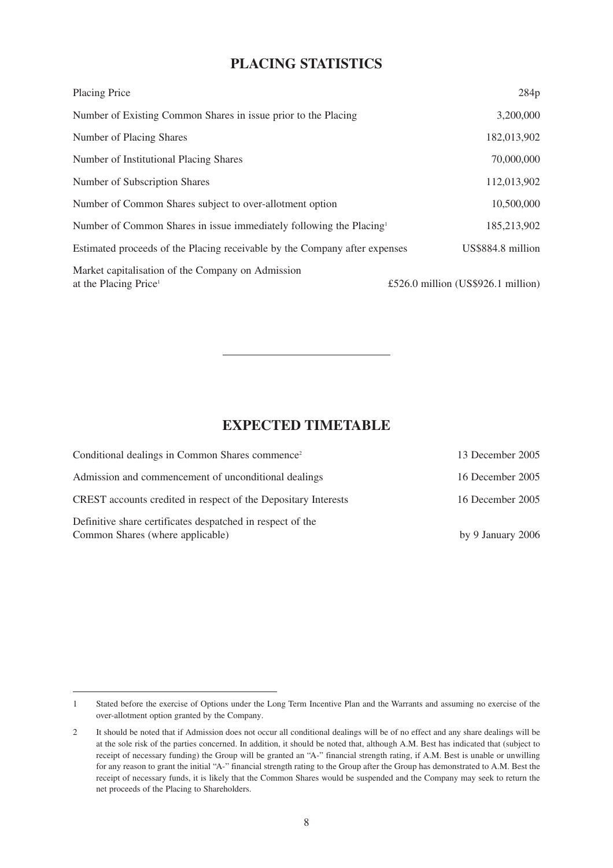# **PLACING STATISTICS**

| Placing Price                                                                          | 284p                               |
|----------------------------------------------------------------------------------------|------------------------------------|
| Number of Existing Common Shares in issue prior to the Placing                         | 3,200,000                          |
| Number of Placing Shares                                                               | 182,013,902                        |
| Number of Institutional Placing Shares                                                 | 70,000,000                         |
| Number of Subscription Shares                                                          | 112,013,902                        |
| Number of Common Shares subject to over-allotment option                               | 10,500,000                         |
| Number of Common Shares in issue immediately following the Placing <sup>1</sup>        | 185,213,902                        |
| Estimated proceeds of the Placing receivable by the Company after expenses             | US\$884.8 million                  |
| Market capitalisation of the Company on Admission<br>at the Placing Price <sup>1</sup> | £526.0 million (US\$926.1 million) |

# **EXPECTED TIMETABLE**

| Conditional dealings in Common Shares commence <sup>2</sup>                                    | 13 December 2005  |
|------------------------------------------------------------------------------------------------|-------------------|
| Admission and commencement of unconditional dealings                                           | 16 December 2005  |
| CREST accounts credited in respect of the Depositary Interests                                 | 16 December 2005  |
| Definitive share certificates despatched in respect of the<br>Common Shares (where applicable) | by 9 January 2006 |

<sup>1</sup> Stated before the exercise of Options under the Long Term Incentive Plan and the Warrants and assuming no exercise of the over-allotment option granted by the Company.

<sup>2</sup> It should be noted that if Admission does not occur all conditional dealings will be of no effect and any share dealings will be at the sole risk of the parties concerned. In addition, it should be noted that, although A.M. Best has indicated that (subject to receipt of necessary funding) the Group will be granted an "A-" financial strength rating, if A.M. Best is unable or unwilling for any reason to grant the initial "A-" financial strength rating to the Group after the Group has demonstrated to A.M. Best the receipt of necessary funds, it is likely that the Common Shares would be suspended and the Company may seek to return the net proceeds of the Placing to Shareholders.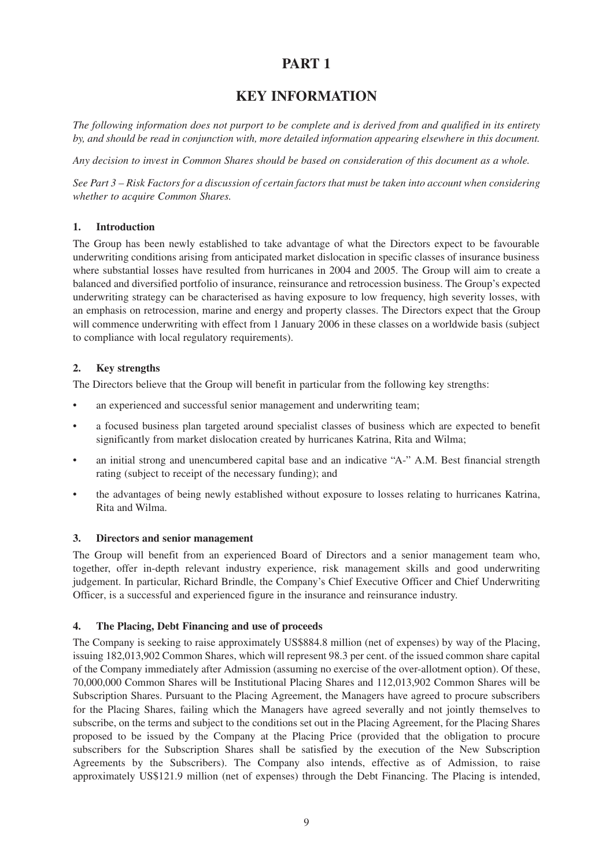# **PART 1**

# **KEY INFORMATION**

*The following information does not purport to be complete and is derived from and qualified in its entirety by, and should be read in conjunction with, more detailed information appearing elsewhere in this document.*

*Any decision to invest in Common Shares should be based on consideration of this document as a whole.*

*See Part 3 – Risk Factors for a discussion of certain factors that must be taken into account when considering whether to acquire Common Shares.*

# **1. Introduction**

The Group has been newly established to take advantage of what the Directors expect to be favourable underwriting conditions arising from anticipated market dislocation in specific classes of insurance business where substantial losses have resulted from hurricanes in 2004 and 2005. The Group will aim to create a balanced and diversified portfolio of insurance, reinsurance and retrocession business. The Group's expected underwriting strategy can be characterised as having exposure to low frequency, high severity losses, with an emphasis on retrocession, marine and energy and property classes. The Directors expect that the Group will commence underwriting with effect from 1 January 2006 in these classes on a worldwide basis (subject to compliance with local regulatory requirements).

# **2. Key strengths**

The Directors believe that the Group will benefit in particular from the following key strengths:

- an experienced and successful senior management and underwriting team;
- a focused business plan targeted around specialist classes of business which are expected to benefit significantly from market dislocation created by hurricanes Katrina, Rita and Wilma;
- an initial strong and unencumbered capital base and an indicative "A-" A.M. Best financial strength rating (subject to receipt of the necessary funding); and
- the advantages of being newly established without exposure to losses relating to hurricanes Katrina, Rita and Wilma.

# **3. Directors and senior management**

The Group will benefit from an experienced Board of Directors and a senior management team who, together, offer in-depth relevant industry experience, risk management skills and good underwriting judgement. In particular, Richard Brindle, the Company's Chief Executive Officer and Chief Underwriting Officer, is a successful and experienced figure in the insurance and reinsurance industry.

# **4. The Placing, Debt Financing and use of proceeds**

The Company is seeking to raise approximately US\$884.8 million (net of expenses) by way of the Placing, issuing 182,013,902 Common Shares, which will represent 98.3 per cent. of the issued common share capital of the Company immediately after Admission (assuming no exercise of the over-allotment option). Of these, 70,000,000 Common Shares will be Institutional Placing Shares and 112,013,902 Common Shares will be Subscription Shares. Pursuant to the Placing Agreement, the Managers have agreed to procure subscribers for the Placing Shares, failing which the Managers have agreed severally and not jointly themselves to subscribe, on the terms and subject to the conditions set out in the Placing Agreement, for the Placing Shares proposed to be issued by the Company at the Placing Price (provided that the obligation to procure subscribers for the Subscription Shares shall be satisfied by the execution of the New Subscription Agreements by the Subscribers). The Company also intends, effective as of Admission, to raise approximately US\$121.9 million (net of expenses) through the Debt Financing. The Placing is intended,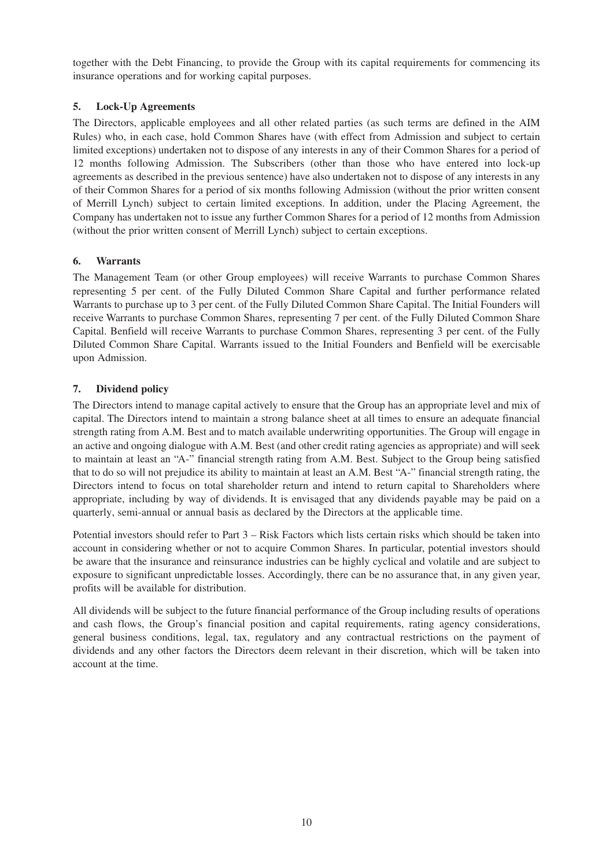together with the Debt Financing, to provide the Group with its capital requirements for commencing its insurance operations and for working capital purposes.

# **5. Lock-Up Agreements**

The Directors, applicable employees and all other related parties (as such terms are defined in the AIM Rules) who, in each case, hold Common Shares have (with effect from Admission and subject to certain limited exceptions) undertaken not to dispose of any interests in any of their Common Shares for a period of 12 months following Admission. The Subscribers (other than those who have entered into lock-up agreements as described in the previous sentence) have also undertaken not to dispose of any interests in any of their Common Shares for a period of six months following Admission (without the prior written consent of Merrill Lynch) subject to certain limited exceptions. In addition, under the Placing Agreement, the Company has undertaken not to issue any further Common Shares for a period of 12 months from Admission (without the prior written consent of Merrill Lynch) subject to certain exceptions.

# **6. Warrants**

The Management Team (or other Group employees) will receive Warrants to purchase Common Shares representing 5 per cent. of the Fully Diluted Common Share Capital and further performance related Warrants to purchase up to 3 per cent. of the Fully Diluted Common Share Capital. The Initial Founders will receive Warrants to purchase Common Shares, representing 7 per cent. of the Fully Diluted Common Share Capital. Benfield will receive Warrants to purchase Common Shares, representing 3 per cent. of the Fully Diluted Common Share Capital. Warrants issued to the Initial Founders and Benfield will be exercisable upon Admission.

# **7. Dividend policy**

The Directors intend to manage capital actively to ensure that the Group has an appropriate level and mix of capital. The Directors intend to maintain a strong balance sheet at all times to ensure an adequate financial strength rating from A.M. Best and to match available underwriting opportunities. The Group will engage in an active and ongoing dialogue with A.M. Best (and other credit rating agencies as appropriate) and will seek to maintain at least an "A-" financial strength rating from A.M. Best. Subject to the Group being satisfied that to do so will not prejudice its ability to maintain at least an A.M. Best "A-" financial strength rating, the Directors intend to focus on total shareholder return and intend to return capital to Shareholders where appropriate, including by way of dividends. It is envisaged that any dividends payable may be paid on a quarterly, semi-annual or annual basis as declared by the Directors at the applicable time.

Potential investors should refer to Part 3 – Risk Factors which lists certain risks which should be taken into account in considering whether or not to acquire Common Shares. In particular, potential investors should be aware that the insurance and reinsurance industries can be highly cyclical and volatile and are subject to exposure to significant unpredictable losses. Accordingly, there can be no assurance that, in any given year, profits will be available for distribution.

All dividends will be subject to the future financial performance of the Group including results of operations and cash flows, the Group's financial position and capital requirements, rating agency considerations, general business conditions, legal, tax, regulatory and any contractual restrictions on the payment of dividends and any other factors the Directors deem relevant in their discretion, which will be taken into account at the time.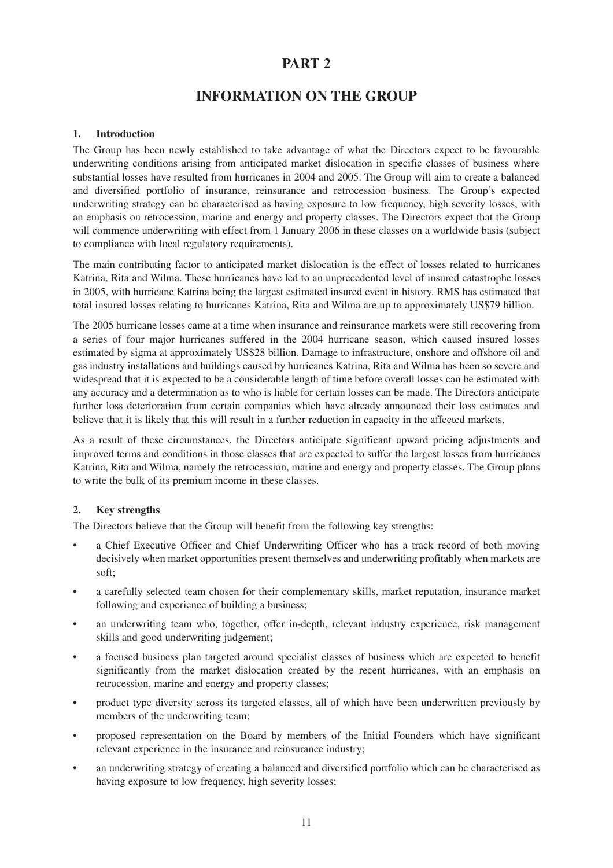# **PART 2**

# **INFORMATION ON THE GROUP**

# **1. Introduction**

The Group has been newly established to take advantage of what the Directors expect to be favourable underwriting conditions arising from anticipated market dislocation in specific classes of business where substantial losses have resulted from hurricanes in 2004 and 2005. The Group will aim to create a balanced and diversified portfolio of insurance, reinsurance and retrocession business. The Group's expected underwriting strategy can be characterised as having exposure to low frequency, high severity losses, with an emphasis on retrocession, marine and energy and property classes. The Directors expect that the Group will commence underwriting with effect from 1 January 2006 in these classes on a worldwide basis (subject to compliance with local regulatory requirements).

The main contributing factor to anticipated market dislocation is the effect of losses related to hurricanes Katrina, Rita and Wilma. These hurricanes have led to an unprecedented level of insured catastrophe losses in 2005, with hurricane Katrina being the largest estimated insured event in history. RMS has estimated that total insured losses relating to hurricanes Katrina, Rita and Wilma are up to approximately US\$79 billion.

The 2005 hurricane losses came at a time when insurance and reinsurance markets were still recovering from a series of four major hurricanes suffered in the 2004 hurricane season, which caused insured losses estimated by sigma at approximately US\$28 billion. Damage to infrastructure, onshore and offshore oil and gas industry installations and buildings caused by hurricanes Katrina, Rita and Wilma has been so severe and widespread that it is expected to be a considerable length of time before overall losses can be estimated with any accuracy and a determination as to who is liable for certain losses can be made. The Directors anticipate further loss deterioration from certain companies which have already announced their loss estimates and believe that it is likely that this will result in a further reduction in capacity in the affected markets.

As a result of these circumstances, the Directors anticipate significant upward pricing adjustments and improved terms and conditions in those classes that are expected to suffer the largest losses from hurricanes Katrina, Rita and Wilma, namely the retrocession, marine and energy and property classes. The Group plans to write the bulk of its premium income in these classes.

# **2. Key strengths**

The Directors believe that the Group will benefit from the following key strengths:

- a Chief Executive Officer and Chief Underwriting Officer who has a track record of both moving decisively when market opportunities present themselves and underwriting profitably when markets are soft;
- a carefully selected team chosen for their complementary skills, market reputation, insurance market following and experience of building a business;
- an underwriting team who, together, offer in-depth, relevant industry experience, risk management skills and good underwriting judgement;
- a focused business plan targeted around specialist classes of business which are expected to benefit significantly from the market dislocation created by the recent hurricanes, with an emphasis on retrocession, marine and energy and property classes;
- product type diversity across its targeted classes, all of which have been underwritten previously by members of the underwriting team;
- proposed representation on the Board by members of the Initial Founders which have significant relevant experience in the insurance and reinsurance industry;
- an underwriting strategy of creating a balanced and diversified portfolio which can be characterised as having exposure to low frequency, high severity losses;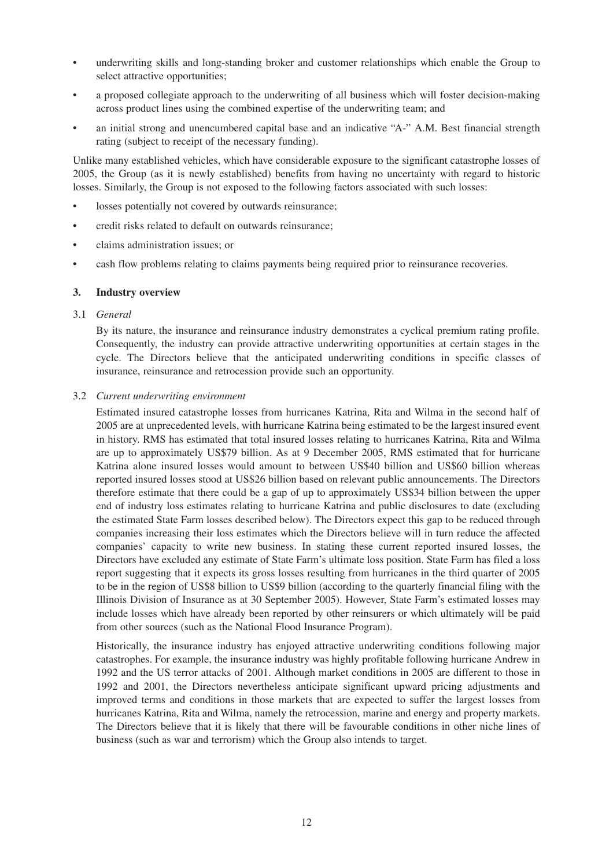- underwriting skills and long-standing broker and customer relationships which enable the Group to select attractive opportunities;
- a proposed collegiate approach to the underwriting of all business which will foster decision-making across product lines using the combined expertise of the underwriting team; and
- an initial strong and unencumbered capital base and an indicative "A-" A.M. Best financial strength rating (subject to receipt of the necessary funding).

Unlike many established vehicles, which have considerable exposure to the significant catastrophe losses of 2005, the Group (as it is newly established) benefits from having no uncertainty with regard to historic losses. Similarly, the Group is not exposed to the following factors associated with such losses:

- losses potentially not covered by outwards reinsurance;
- credit risks related to default on outwards reinsurance:
- claims administration issues; or
- cash flow problems relating to claims payments being required prior to reinsurance recoveries.

#### **3. Industry overview**

#### 3.1 *General*

By its nature, the insurance and reinsurance industry demonstrates a cyclical premium rating profile. Consequently, the industry can provide attractive underwriting opportunities at certain stages in the cycle. The Directors believe that the anticipated underwriting conditions in specific classes of insurance, reinsurance and retrocession provide such an opportunity.

#### 3.2 *Current underwriting environment*

Estimated insured catastrophe losses from hurricanes Katrina, Rita and Wilma in the second half of 2005 are at unprecedented levels, with hurricane Katrina being estimated to be the largest insured event in history. RMS has estimated that total insured losses relating to hurricanes Katrina, Rita and Wilma are up to approximately US\$79 billion. As at 9 December 2005, RMS estimated that for hurricane Katrina alone insured losses would amount to between US\$40 billion and US\$60 billion whereas reported insured losses stood at US\$26 billion based on relevant public announcements. The Directors therefore estimate that there could be a gap of up to approximately US\$34 billion between the upper end of industry loss estimates relating to hurricane Katrina and public disclosures to date (excluding the estimated State Farm losses described below). The Directors expect this gap to be reduced through companies increasing their loss estimates which the Directors believe will in turn reduce the affected companies' capacity to write new business. In stating these current reported insured losses, the Directors have excluded any estimate of State Farm's ultimate loss position. State Farm has filed a loss report suggesting that it expects its gross losses resulting from hurricanes in the third quarter of 2005 to be in the region of US\$8 billion to US\$9 billion (according to the quarterly financial filing with the Illinois Division of Insurance as at 30 September 2005). However, State Farm's estimated losses may include losses which have already been reported by other reinsurers or which ultimately will be paid from other sources (such as the National Flood Insurance Program).

Historically, the insurance industry has enjoyed attractive underwriting conditions following major catastrophes. For example, the insurance industry was highly profitable following hurricane Andrew in 1992 and the US terror attacks of 2001. Although market conditions in 2005 are different to those in 1992 and 2001, the Directors nevertheless anticipate significant upward pricing adjustments and improved terms and conditions in those markets that are expected to suffer the largest losses from hurricanes Katrina, Rita and Wilma, namely the retrocession, marine and energy and property markets. The Directors believe that it is likely that there will be favourable conditions in other niche lines of business (such as war and terrorism) which the Group also intends to target.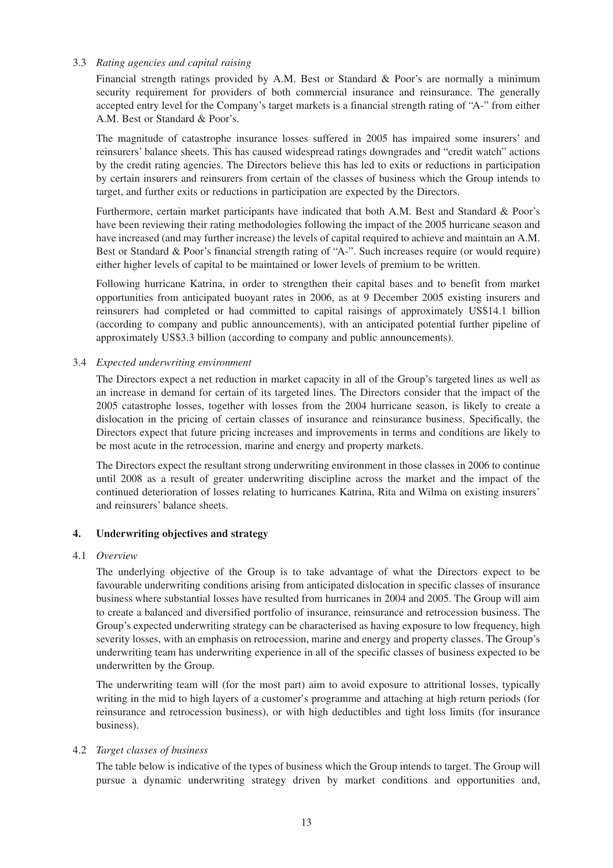#### 3.3 *Rating agencies and capital raising*

Financial strength ratings provided by A.M. Best or Standard & Poor's are normally a minimum security requirement for providers of both commercial insurance and reinsurance. The generally accepted entry level for the Company's target markets is a financial strength rating of "A-" from either A.M. Best or Standard & Poor's.

The magnitude of catastrophe insurance losses suffered in 2005 has impaired some insurers' and reinsurers' balance sheets. This has caused widespread ratings downgrades and "credit watch" actions by the credit rating agencies. The Directors believe this has led to exits or reductions in participation by certain insurers and reinsurers from certain of the classes of business which the Group intends to target, and further exits or reductions in participation are expected by the Directors.

Furthermore, certain market participants have indicated that both A.M. Best and Standard & Poor's have been reviewing their rating methodologies following the impact of the 2005 hurricane season and have increased (and may further increase) the levels of capital required to achieve and maintain an A.M. Best or Standard & Poor's financial strength rating of "A-". Such increases require (or would require) either higher levels of capital to be maintained or lower levels of premium to be written.

Following hurricane Katrina, in order to strengthen their capital bases and to benefit from market opportunities from anticipated buoyant rates in 2006, as at 9 December 2005 existing insurers and reinsurers had completed or had committed to capital raisings of approximately US\$14.1 billion (according to company and public announcements), with an anticipated potential further pipeline of approximately US\$3.3 billion (according to company and public announcements).

### 3.4 *Expected underwriting environment*

The Directors expect a net reduction in market capacity in all of the Group's targeted lines as well as an increase in demand for certain of its targeted lines. The Directors consider that the impact of the 2005 catastrophe losses, together with losses from the 2004 hurricane season, is likely to create a dislocation in the pricing of certain classes of insurance and reinsurance business. Specifically, the Directors expect that future pricing increases and improvements in terms and conditions are likely to be most acute in the retrocession, marine and energy and property markets.

The Directors expect the resultant strong underwriting environment in those classes in 2006 to continue until 2008 as a result of greater underwriting discipline across the market and the impact of the continued deterioration of losses relating to hurricanes Katrina, Rita and Wilma on existing insurers' and reinsurers' balance sheets.

# **4. Underwriting objectives and strategy**

#### 4.1 *Overview*

The underlying objective of the Group is to take advantage of what the Directors expect to be favourable underwriting conditions arising from anticipated dislocation in specific classes of insurance business where substantial losses have resulted from hurricanes in 2004 and 2005. The Group will aim to create a balanced and diversified portfolio of insurance, reinsurance and retrocession business. The Group's expected underwriting strategy can be characterised as having exposure to low frequency, high severity losses, with an emphasis on retrocession, marine and energy and property classes. The Group's underwriting team has underwriting experience in all of the specific classes of business expected to be underwritten by the Group.

The underwriting team will (for the most part) aim to avoid exposure to attritional losses, typically writing in the mid to high layers of a customer's programme and attaching at high return periods (for reinsurance and retrocession business), or with high deductibles and tight loss limits (for insurance business).

#### 4.2 *Target classes of business*

The table below is indicative of the types of business which the Group intends to target. The Group will pursue a dynamic underwriting strategy driven by market conditions and opportunities and,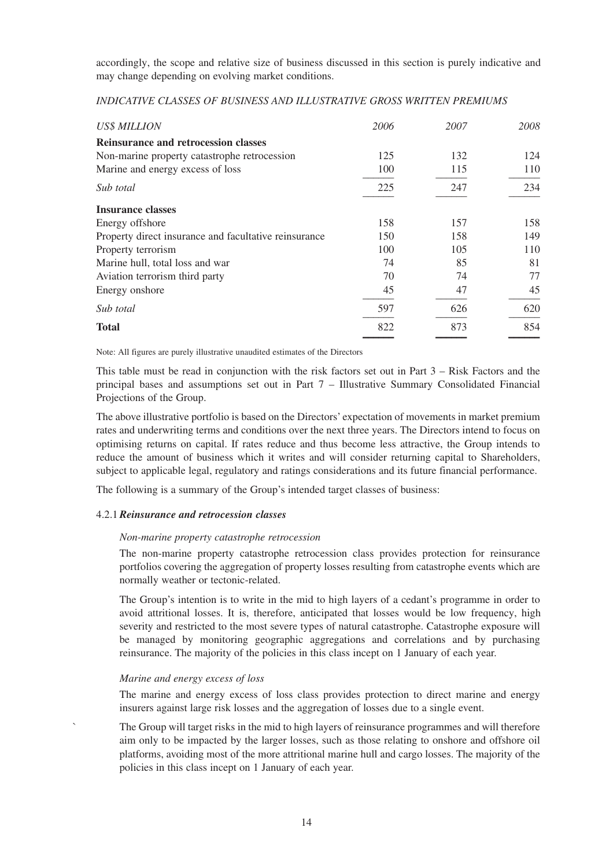accordingly, the scope and relative size of business discussed in this section is purely indicative and may change depending on evolving market conditions.

| INDICATIVE CLASSES OF BOSINESS AND ILLOSTRATIVE GROSS WRITTEN PREMIUMS |      |      |     |
|------------------------------------------------------------------------|------|------|-----|
| $I$ $I$ $C$ $C$ $M$ $I$ $I$ $I$ $O$ $M$                                | ንበበհ | 2007 | zor |

*INDICATIVE CLASSES OF BUSINESS AND ILLUSTRATIVE GROSS WRITTEN PREMIUMS*

| <b>US\$ MILLION</b>                                   | 2006 | 2007 | 2008 |
|-------------------------------------------------------|------|------|------|
| <b>Reinsurance and retrocession classes</b>           |      |      |      |
| Non-marine property catastrophe retrocession          | 125  | 132  | 124  |
| Marine and energy excess of loss                      | 100  | 115  | 110  |
| Sub total                                             | 225  | 247  | 234  |
| <b>Insurance classes</b>                              |      |      |      |
| Energy offshore                                       | 158  | 157  | 158  |
| Property direct insurance and facultative reinsurance | 150  | 158  | 149  |
| Property terrorism                                    | 100  | 105  | 110  |
| Marine hull, total loss and war                       | 74   | 85   | 81   |
| Aviation terrorism third party                        | 70   | 74   | 77   |
| Energy on shore                                       | 45   | 47   | 45   |
| Sub total                                             | 597  | 626  | 620  |
| <b>Total</b>                                          | 822  | 873  | 854  |
|                                                       |      |      |      |

Note: All figures are purely illustrative unaudited estimates of the Directors

This table must be read in conjunction with the risk factors set out in Part 3 – Risk Factors and the principal bases and assumptions set out in Part 7 – Illustrative Summary Consolidated Financial Projections of the Group.

The above illustrative portfolio is based on the Directors' expectation of movements in market premium rates and underwriting terms and conditions over the next three years. The Directors intend to focus on optimising returns on capital. If rates reduce and thus become less attractive, the Group intends to reduce the amount of business which it writes and will consider returning capital to Shareholders, subject to applicable legal, regulatory and ratings considerations and its future financial performance.

The following is a summary of the Group's intended target classes of business:

# 4.2.1*Reinsurance and retrocession classes*

#### *Non-marine property catastrophe retrocession*

The non-marine property catastrophe retrocession class provides protection for reinsurance portfolios covering the aggregation of property losses resulting from catastrophe events which are normally weather or tectonic-related.

The Group's intention is to write in the mid to high layers of a cedant's programme in order to avoid attritional losses. It is, therefore, anticipated that losses would be low frequency, high severity and restricted to the most severe types of natural catastrophe. Catastrophe exposure will be managed by monitoring geographic aggregations and correlations and by purchasing reinsurance. The majority of the policies in this class incept on 1 January of each year.

#### *Marine and energy excess of loss*

The marine and energy excess of loss class provides protection to direct marine and energy insurers against large risk losses and the aggregation of losses due to a single event.

The Group will target risks in the mid to high layers of reinsurance programmes and will therefore aim only to be impacted by the larger losses, such as those relating to onshore and offshore oil platforms, avoiding most of the more attritional marine hull and cargo losses. The majority of the policies in this class incept on 1 January of each year.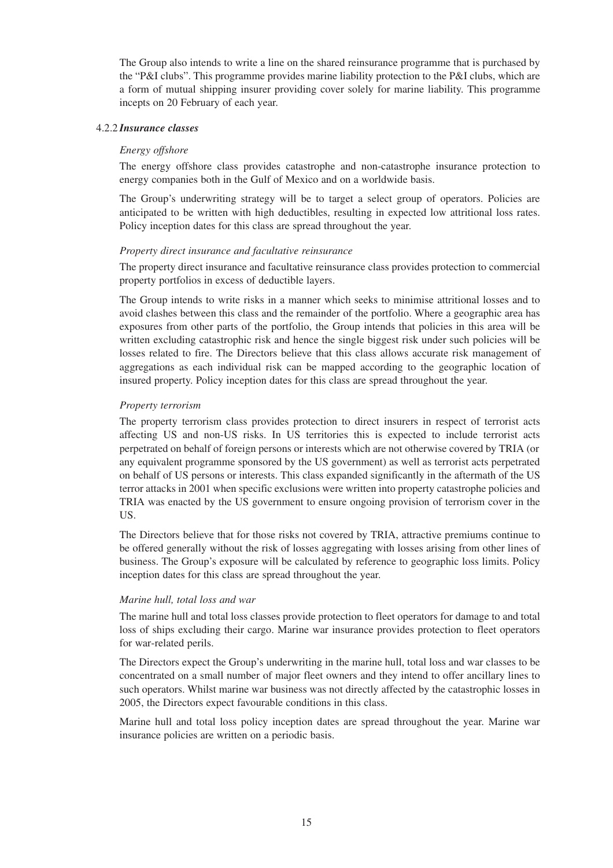The Group also intends to write a line on the shared reinsurance programme that is purchased by the "P&I clubs". This programme provides marine liability protection to the P&I clubs, which are a form of mutual shipping insurer providing cover solely for marine liability. This programme incepts on 20 February of each year.

#### 4.2.2 *Insurance classes*

#### *Energy offshore*

The energy offshore class provides catastrophe and non-catastrophe insurance protection to energy companies both in the Gulf of Mexico and on a worldwide basis.

The Group's underwriting strategy will be to target a select group of operators. Policies are anticipated to be written with high deductibles, resulting in expected low attritional loss rates. Policy inception dates for this class are spread throughout the year.

#### *Property direct insurance and facultative reinsurance*

The property direct insurance and facultative reinsurance class provides protection to commercial property portfolios in excess of deductible layers.

The Group intends to write risks in a manner which seeks to minimise attritional losses and to avoid clashes between this class and the remainder of the portfolio. Where a geographic area has exposures from other parts of the portfolio, the Group intends that policies in this area will be written excluding catastrophic risk and hence the single biggest risk under such policies will be losses related to fire. The Directors believe that this class allows accurate risk management of aggregations as each individual risk can be mapped according to the geographic location of insured property. Policy inception dates for this class are spread throughout the year.

### *Property terrorism*

The property terrorism class provides protection to direct insurers in respect of terrorist acts affecting US and non-US risks. In US territories this is expected to include terrorist acts perpetrated on behalf of foreign persons or interests which are not otherwise covered by TRIA (or any equivalent programme sponsored by the US government) as well as terrorist acts perpetrated on behalf of US persons or interests. This class expanded significantly in the aftermath of the US terror attacks in 2001 when specific exclusions were written into property catastrophe policies and TRIA was enacted by the US government to ensure ongoing provision of terrorism cover in the US.

The Directors believe that for those risks not covered by TRIA, attractive premiums continue to be offered generally without the risk of losses aggregating with losses arising from other lines of business. The Group's exposure will be calculated by reference to geographic loss limits. Policy inception dates for this class are spread throughout the year.

#### *Marine hull, total loss and war*

The marine hull and total loss classes provide protection to fleet operators for damage to and total loss of ships excluding their cargo. Marine war insurance provides protection to fleet operators for war-related perils.

The Directors expect the Group's underwriting in the marine hull, total loss and war classes to be concentrated on a small number of major fleet owners and they intend to offer ancillary lines to such operators. Whilst marine war business was not directly affected by the catastrophic losses in 2005, the Directors expect favourable conditions in this class.

Marine hull and total loss policy inception dates are spread throughout the year. Marine war insurance policies are written on a periodic basis.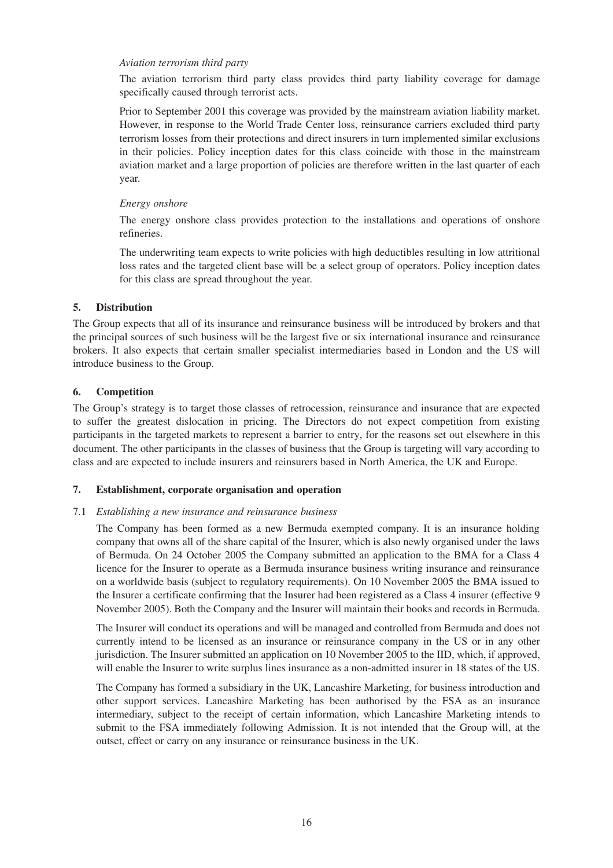#### *Aviation terrorism third party*

The aviation terrorism third party class provides third party liability coverage for damage specifically caused through terrorist acts.

Prior to September 2001 this coverage was provided by the mainstream aviation liability market. However, in response to the World Trade Center loss, reinsurance carriers excluded third party terrorism losses from their protections and direct insurers in turn implemented similar exclusions in their policies. Policy inception dates for this class coincide with those in the mainstream aviation market and a large proportion of policies are therefore written in the last quarter of each year.

## *Energy onshore*

The energy onshore class provides protection to the installations and operations of onshore refineries.

The underwriting team expects to write policies with high deductibles resulting in low attritional loss rates and the targeted client base will be a select group of operators. Policy inception dates for this class are spread throughout the year.

# **5. Distribution**

The Group expects that all of its insurance and reinsurance business will be introduced by brokers and that the principal sources of such business will be the largest five or six international insurance and reinsurance brokers. It also expects that certain smaller specialist intermediaries based in London and the US will introduce business to the Group.

# **6. Competition**

The Group's strategy is to target those classes of retrocession, reinsurance and insurance that are expected to suffer the greatest dislocation in pricing. The Directors do not expect competition from existing participants in the targeted markets to represent a barrier to entry, for the reasons set out elsewhere in this document. The other participants in the classes of business that the Group is targeting will vary according to class and are expected to include insurers and reinsurers based in North America, the UK and Europe.

# **7. Establishment, corporate organisation and operation**

# 7.1 *Establishing a new insurance and reinsurance business*

The Company has been formed as a new Bermuda exempted company. It is an insurance holding company that owns all of the share capital of the Insurer, which is also newly organised under the laws of Bermuda. On 24 October 2005 the Company submitted an application to the BMA for a Class 4 licence for the Insurer to operate as a Bermuda insurance business writing insurance and reinsurance on a worldwide basis (subject to regulatory requirements). On 10 November 2005 the BMA issued to the Insurer a certificate confirming that the Insurer had been registered as a Class 4 insurer (effective 9 November 2005). Both the Company and the Insurer will maintain their books and records in Bermuda.

The Insurer will conduct its operations and will be managed and controlled from Bermuda and does not currently intend to be licensed as an insurance or reinsurance company in the US or in any other jurisdiction. The Insurer submitted an application on 10 November 2005 to the IID, which, if approved, will enable the Insurer to write surplus lines insurance as a non-admitted insurer in 18 states of the US.

The Company has formed a subsidiary in the UK, Lancashire Marketing, for business introduction and other support services. Lancashire Marketing has been authorised by the FSA as an insurance intermediary, subject to the receipt of certain information, which Lancashire Marketing intends to submit to the FSA immediately following Admission. It is not intended that the Group will, at the outset, effect or carry on any insurance or reinsurance business in the UK.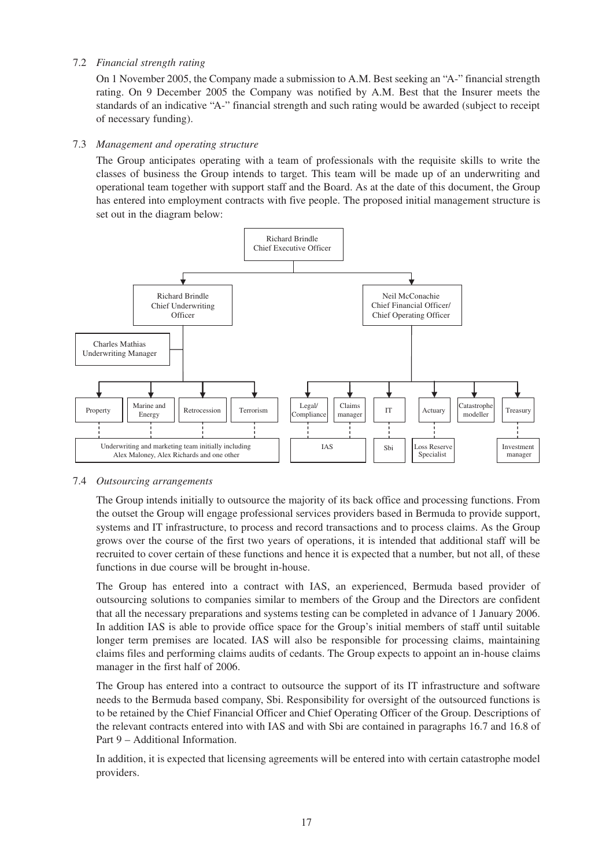# 7.2 *Financial strength rating*

On 1 November 2005, the Company made a submission to A.M. Best seeking an "A-" financial strength rating. On 9 December 2005 the Company was notified by A.M. Best that the Insurer meets the standards of an indicative "A-" financial strength and such rating would be awarded (subject to receipt of necessary funding).

# 7.3 *Management and operating structure*

The Group anticipates operating with a team of professionals with the requisite skills to write the classes of business the Group intends to target. This team will be made up of an underwriting and operational team together with support staff and the Board. As at the date of this document, the Group has entered into employment contracts with five people. The proposed initial management structure is set out in the diagram below:



# 7.4 *Outsourcing arrangements*

The Group intends initially to outsource the majority of its back office and processing functions. From the outset the Group will engage professional services providers based in Bermuda to provide support, systems and IT infrastructure, to process and record transactions and to process claims. As the Group grows over the course of the first two years of operations, it is intended that additional staff will be recruited to cover certain of these functions and hence it is expected that a number, but not all, of these functions in due course will be brought in-house.

The Group has entered into a contract with IAS, an experienced, Bermuda based provider of outsourcing solutions to companies similar to members of the Group and the Directors are confident that all the necessary preparations and systems testing can be completed in advance of 1 January 2006. In addition IAS is able to provide office space for the Group's initial members of staff until suitable longer term premises are located. IAS will also be responsible for processing claims, maintaining claims files and performing claims audits of cedants. The Group expects to appoint an in-house claims manager in the first half of 2006.

The Group has entered into a contract to outsource the support of its IT infrastructure and software needs to the Bermuda based company, Sbi. Responsibility for oversight of the outsourced functions is to be retained by the Chief Financial Officer and Chief Operating Officer of the Group. Descriptions of the relevant contracts entered into with IAS and with Sbi are contained in paragraphs 16.7 and 16.8 of Part 9 – Additional Information.

In addition, it is expected that licensing agreements will be entered into with certain catastrophe model providers.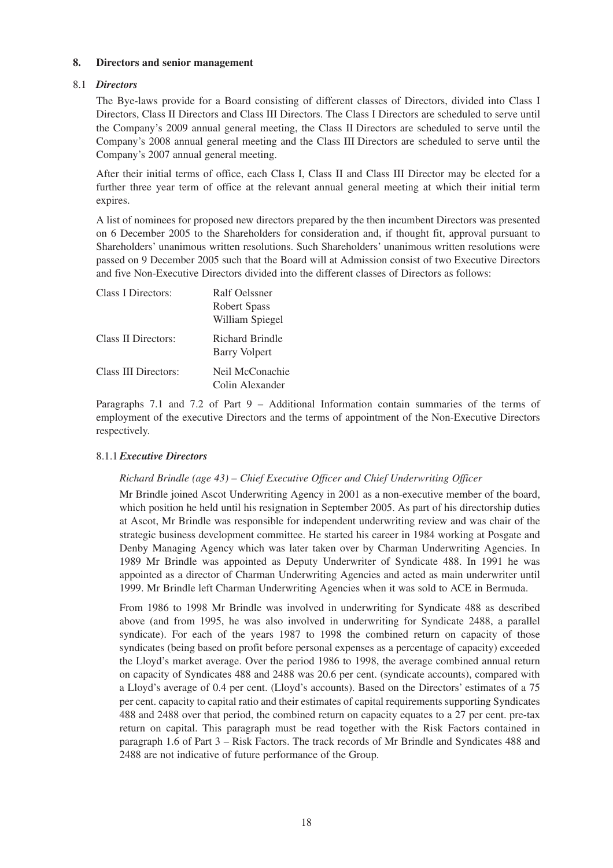### **8. Directors and senior management**

# 8.1 *Directors*

The Bye-laws provide for a Board consisting of different classes of Directors, divided into Class I Directors, Class II Directors and Class III Directors. The Class I Directors are scheduled to serve until the Company's 2009 annual general meeting, the Class II Directors are scheduled to serve until the Company's 2008 annual general meeting and the Class III Directors are scheduled to serve until the Company's 2007 annual general meeting.

After their initial terms of office, each Class I, Class II and Class III Director may be elected for a further three year term of office at the relevant annual general meeting at which their initial term expires.

A list of nominees for proposed new directors prepared by the then incumbent Directors was presented on 6 December 2005 to the Shareholders for consideration and, if thought fit, approval pursuant to Shareholders' unanimous written resolutions. Such Shareholders' unanimous written resolutions were passed on 9 December 2005 such that the Board will at Admission consist of two Executive Directors and five Non-Executive Directors divided into the different classes of Directors as follows:

| Class I Directors:   | Ralf Oelssner                      |
|----------------------|------------------------------------|
|                      | Robert Spass                       |
|                      | William Spiegel                    |
| Class II Directors:  | Richard Brindle<br>Barry Volpert   |
| Class III Directors: | Neil McConachie<br>Colin Alexander |

Paragraphs 7.1 and 7.2 of Part 9 – Additional Information contain summaries of the terms of employment of the executive Directors and the terms of appointment of the Non-Executive Directors respectively.

# 8.1.1*Executive Directors*

# *Richard Brindle (age 43) – Chief Executive Officer and Chief Underwriting Officer*

Mr Brindle joined Ascot Underwriting Agency in 2001 as a non-executive member of the board, which position he held until his resignation in September 2005. As part of his directorship duties at Ascot, Mr Brindle was responsible for independent underwriting review and was chair of the strategic business development committee. He started his career in 1984 working at Posgate and Denby Managing Agency which was later taken over by Charman Underwriting Agencies. In 1989 Mr Brindle was appointed as Deputy Underwriter of Syndicate 488. In 1991 he was appointed as a director of Charman Underwriting Agencies and acted as main underwriter until 1999. Mr Brindle left Charman Underwriting Agencies when it was sold to ACE in Bermuda.

From 1986 to 1998 Mr Brindle was involved in underwriting for Syndicate 488 as described above (and from 1995, he was also involved in underwriting for Syndicate 2488, a parallel syndicate). For each of the years 1987 to 1998 the combined return on capacity of those syndicates (being based on profit before personal expenses as a percentage of capacity) exceeded the Lloyd's market average. Over the period 1986 to 1998, the average combined annual return on capacity of Syndicates 488 and 2488 was 20.6 per cent. (syndicate accounts), compared with a Lloyd's average of 0.4 per cent. (Lloyd's accounts). Based on the Directors' estimates of a 75 per cent. capacity to capital ratio and their estimates of capital requirements supporting Syndicates 488 and 2488 over that period, the combined return on capacity equates to a 27 per cent. pre-tax return on capital. This paragraph must be read together with the Risk Factors contained in paragraph 1.6 of Part 3 – Risk Factors. The track records of Mr Brindle and Syndicates 488 and 2488 are not indicative of future performance of the Group.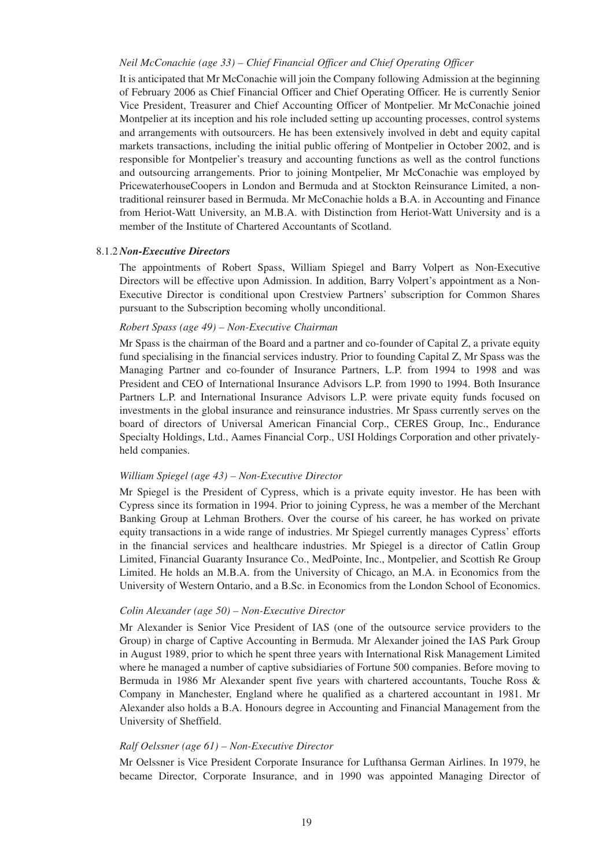#### *Neil McConachie (age 33) – Chief Financial Officer and Chief Operating Officer*

It is anticipated that Mr McConachie will join the Company following Admission at the beginning of February 2006 as Chief Financial Officer and Chief Operating Officer. He is currently Senior Vice President, Treasurer and Chief Accounting Officer of Montpelier. Mr McConachie joined Montpelier at its inception and his role included setting up accounting processes, control systems and arrangements with outsourcers. He has been extensively involved in debt and equity capital markets transactions, including the initial public offering of Montpelier in October 2002, and is responsible for Montpelier's treasury and accounting functions as well as the control functions and outsourcing arrangements. Prior to joining Montpelier, Mr McConachie was employed by PricewaterhouseCoopers in London and Bermuda and at Stockton Reinsurance Limited, a nontraditional reinsurer based in Bermuda. Mr McConachie holds a B.A. in Accounting and Finance from Heriot-Watt University, an M.B.A. with Distinction from Heriot-Watt University and is a member of the Institute of Chartered Accountants of Scotland.

#### 8.1.2 *Non-Executive Directors*

The appointments of Robert Spass, William Spiegel and Barry Volpert as Non-Executive Directors will be effective upon Admission. In addition, Barry Volpert's appointment as a Non-Executive Director is conditional upon Crestview Partners' subscription for Common Shares pursuant to the Subscription becoming wholly unconditional.

#### *Robert Spass (age 49) – Non-Executive Chairman*

Mr Spass is the chairman of the Board and a partner and co-founder of Capital Z, a private equity fund specialising in the financial services industry. Prior to founding Capital Z, Mr Spass was the Managing Partner and co-founder of Insurance Partners, L.P. from 1994 to 1998 and was President and CEO of International Insurance Advisors L.P. from 1990 to 1994. Both Insurance Partners L.P. and International Insurance Advisors L.P. were private equity funds focused on investments in the global insurance and reinsurance industries. Mr Spass currently serves on the board of directors of Universal American Financial Corp., CERES Group, Inc., Endurance Specialty Holdings, Ltd., Aames Financial Corp., USI Holdings Corporation and other privatelyheld companies.

#### *William Spiegel (age 43) – Non-Executive Director*

Mr Spiegel is the President of Cypress, which is a private equity investor. He has been with Cypress since its formation in 1994. Prior to joining Cypress, he was a member of the Merchant Banking Group at Lehman Brothers. Over the course of his career, he has worked on private equity transactions in a wide range of industries. Mr Spiegel currently manages Cypress' efforts in the financial services and healthcare industries. Mr Spiegel is a director of Catlin Group Limited, Financial Guaranty Insurance Co., MedPointe, Inc., Montpelier, and Scottish Re Group Limited. He holds an M.B.A. from the University of Chicago, an M.A. in Economics from the University of Western Ontario, and a B.Sc. in Economics from the London School of Economics.

#### *Colin Alexander (age 50) – Non-Executive Director*

Mr Alexander is Senior Vice President of IAS (one of the outsource service providers to the Group) in charge of Captive Accounting in Bermuda. Mr Alexander joined the IAS Park Group in August 1989, prior to which he spent three years with International Risk Management Limited where he managed a number of captive subsidiaries of Fortune 500 companies. Before moving to Bermuda in 1986 Mr Alexander spent five years with chartered accountants, Touche Ross & Company in Manchester, England where he qualified as a chartered accountant in 1981. Mr Alexander also holds a B.A. Honours degree in Accounting and Financial Management from the University of Sheffield.

#### *Ralf Oelssner (age 61) – Non-Executive Director*

Mr Oelssner is Vice President Corporate Insurance for Lufthansa German Airlines. In 1979, he became Director, Corporate Insurance, and in 1990 was appointed Managing Director of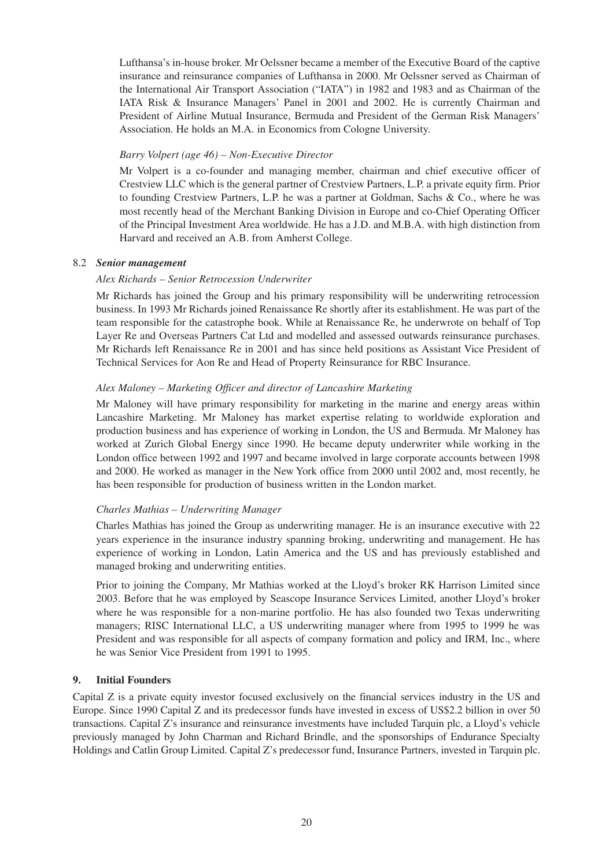Lufthansa's in-house broker. Mr Oelssner became a member of the Executive Board of the captive insurance and reinsurance companies of Lufthansa in 2000. Mr Oelssner served as Chairman of the International Air Transport Association ("IATA") in 1982 and 1983 and as Chairman of the IATA Risk & Insurance Managers' Panel in 2001 and 2002. He is currently Chairman and President of Airline Mutual Insurance, Bermuda and President of the German Risk Managers' Association. He holds an M.A. in Economics from Cologne University.

# *Barry Volpert (age 46) – Non-Executive Director*

Mr Volpert is a co-founder and managing member, chairman and chief executive officer of Crestview LLC which is the general partner of Crestview Partners, L.P. a private equity firm. Prior to founding Crestview Partners, L.P. he was a partner at Goldman, Sachs & Co., where he was most recently head of the Merchant Banking Division in Europe and co-Chief Operating Officer of the Principal Investment Area worldwide. He has a J.D. and M.B.A. with high distinction from Harvard and received an A.B. from Amherst College.

### 8.2 *Senior management*

### *Alex Richards – Senior Retrocession Underwriter*

Mr Richards has joined the Group and his primary responsibility will be underwriting retrocession business. In 1993 Mr Richards joined Renaissance Re shortly after its establishment. He was part of the team responsible for the catastrophe book. While at Renaissance Re, he underwrote on behalf of Top Layer Re and Overseas Partners Cat Ltd and modelled and assessed outwards reinsurance purchases. Mr Richards left Renaissance Re in 2001 and has since held positions as Assistant Vice President of Technical Services for Aon Re and Head of Property Reinsurance for RBC Insurance.

### *Alex Maloney – Marketing Officer and director of Lancashire Marketing*

Mr Maloney will have primary responsibility for marketing in the marine and energy areas within Lancashire Marketing. Mr Maloney has market expertise relating to worldwide exploration and production business and has experience of working in London, the US and Bermuda. Mr Maloney has worked at Zurich Global Energy since 1990. He became deputy underwriter while working in the London office between 1992 and 1997 and became involved in large corporate accounts between 1998 and 2000. He worked as manager in the New York office from 2000 until 2002 and, most recently, he has been responsible for production of business written in the London market.

# *Charles Mathias – Underwriting Manager*

Charles Mathias has joined the Group as underwriting manager. He is an insurance executive with 22 years experience in the insurance industry spanning broking, underwriting and management. He has experience of working in London, Latin America and the US and has previously established and managed broking and underwriting entities.

Prior to joining the Company, Mr Mathias worked at the Lloyd's broker RK Harrison Limited since 2003. Before that he was employed by Seascope Insurance Services Limited, another Lloyd's broker where he was responsible for a non-marine portfolio. He has also founded two Texas underwriting managers; RISC International LLC, a US underwriting manager where from 1995 to 1999 he was President and was responsible for all aspects of company formation and policy and IRM, Inc., where he was Senior Vice President from 1991 to 1995.

# **9. Initial Founders**

Capital Z is a private equity investor focused exclusively on the financial services industry in the US and Europe. Since 1990 Capital Z and its predecessor funds have invested in excess of US\$2.2 billion in over 50 transactions. Capital Z's insurance and reinsurance investments have included Tarquin plc, a Lloyd's vehicle previously managed by John Charman and Richard Brindle, and the sponsorships of Endurance Specialty Holdings and Catlin Group Limited. Capital Z's predecessor fund, Insurance Partners, invested in Tarquin plc.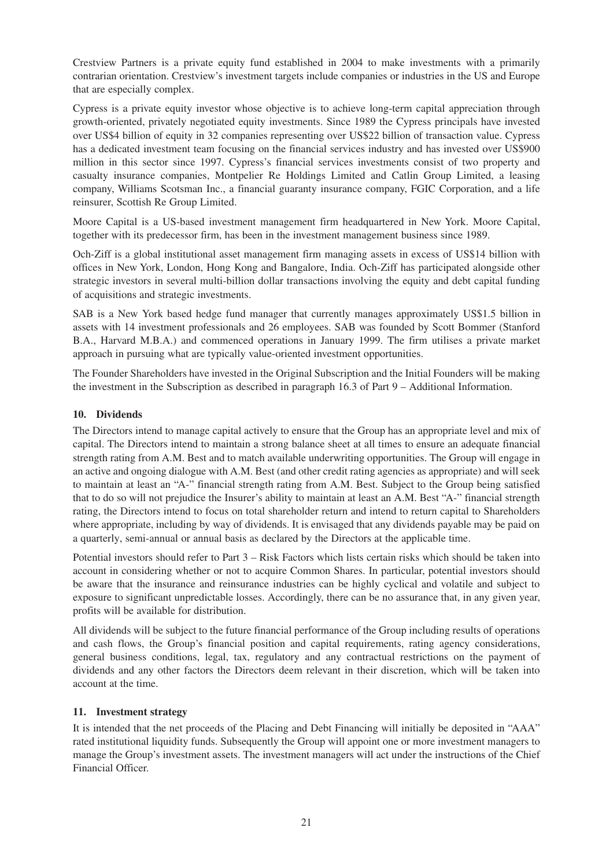Crestview Partners is a private equity fund established in 2004 to make investments with a primarily contrarian orientation. Crestview's investment targets include companies or industries in the US and Europe that are especially complex.

Cypress is a private equity investor whose objective is to achieve long-term capital appreciation through growth-oriented, privately negotiated equity investments. Since 1989 the Cypress principals have invested over US\$4 billion of equity in 32 companies representing over US\$22 billion of transaction value. Cypress has a dedicated investment team focusing on the financial services industry and has invested over US\$900 million in this sector since 1997. Cypress's financial services investments consist of two property and casualty insurance companies, Montpelier Re Holdings Limited and Catlin Group Limited, a leasing company, Williams Scotsman Inc., a financial guaranty insurance company, FGIC Corporation, and a life reinsurer, Scottish Re Group Limited.

Moore Capital is a US-based investment management firm headquartered in New York. Moore Capital, together with its predecessor firm, has been in the investment management business since 1989.

Och-Ziff is a global institutional asset management firm managing assets in excess of US\$14 billion with offices in New York, London, Hong Kong and Bangalore, India. Och-Ziff has participated alongside other strategic investors in several multi-billion dollar transactions involving the equity and debt capital funding of acquisitions and strategic investments.

SAB is a New York based hedge fund manager that currently manages approximately US\$1.5 billion in assets with 14 investment professionals and 26 employees. SAB was founded by Scott Bommer (Stanford B.A., Harvard M.B.A.) and commenced operations in January 1999. The firm utilises a private market approach in pursuing what are typically value-oriented investment opportunities.

The Founder Shareholders have invested in the Original Subscription and the Initial Founders will be making the investment in the Subscription as described in paragraph 16.3 of Part 9 – Additional Information.

# **10. Dividends**

The Directors intend to manage capital actively to ensure that the Group has an appropriate level and mix of capital. The Directors intend to maintain a strong balance sheet at all times to ensure an adequate financial strength rating from A.M. Best and to match available underwriting opportunities. The Group will engage in an active and ongoing dialogue with A.M. Best (and other credit rating agencies as appropriate) and will seek to maintain at least an "A-" financial strength rating from A.M. Best. Subject to the Group being satisfied that to do so will not prejudice the Insurer's ability to maintain at least an A.M. Best "A-" financial strength rating, the Directors intend to focus on total shareholder return and intend to return capital to Shareholders where appropriate, including by way of dividends. It is envisaged that any dividends payable may be paid on a quarterly, semi-annual or annual basis as declared by the Directors at the applicable time.

Potential investors should refer to Part 3 – Risk Factors which lists certain risks which should be taken into account in considering whether or not to acquire Common Shares. In particular, potential investors should be aware that the insurance and reinsurance industries can be highly cyclical and volatile and subject to exposure to significant unpredictable losses. Accordingly, there can be no assurance that, in any given year, profits will be available for distribution.

All dividends will be subject to the future financial performance of the Group including results of operations and cash flows, the Group's financial position and capital requirements, rating agency considerations, general business conditions, legal, tax, regulatory and any contractual restrictions on the payment of dividends and any other factors the Directors deem relevant in their discretion, which will be taken into account at the time.

# **11. Investment strategy**

It is intended that the net proceeds of the Placing and Debt Financing will initially be deposited in "AAA" rated institutional liquidity funds. Subsequently the Group will appoint one or more investment managers to manage the Group's investment assets. The investment managers will act under the instructions of the Chief Financial Officer.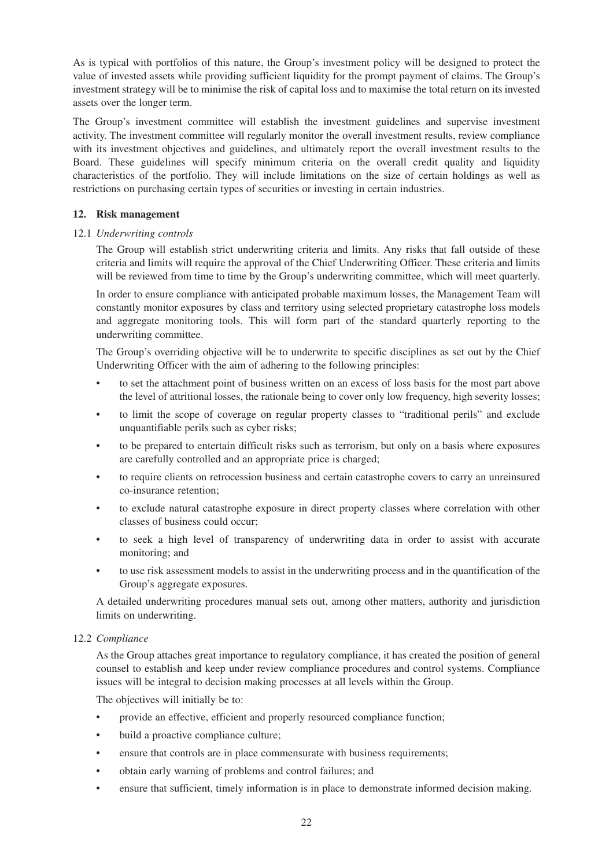As is typical with portfolios of this nature, the Group's investment policy will be designed to protect the value of invested assets while providing sufficient liquidity for the prompt payment of claims. The Group's investment strategy will be to minimise the risk of capital loss and to maximise the total return on its invested assets over the longer term.

The Group's investment committee will establish the investment guidelines and supervise investment activity. The investment committee will regularly monitor the overall investment results, review compliance with its investment objectives and guidelines, and ultimately report the overall investment results to the Board. These guidelines will specify minimum criteria on the overall credit quality and liquidity characteristics of the portfolio. They will include limitations on the size of certain holdings as well as restrictions on purchasing certain types of securities or investing in certain industries.

# **12. Risk management**

# 12.1 *Underwriting controls*

The Group will establish strict underwriting criteria and limits. Any risks that fall outside of these criteria and limits will require the approval of the Chief Underwriting Officer. These criteria and limits will be reviewed from time to time by the Group's underwriting committee, which will meet quarterly.

In order to ensure compliance with anticipated probable maximum losses, the Management Team will constantly monitor exposures by class and territory using selected proprietary catastrophe loss models and aggregate monitoring tools. This will form part of the standard quarterly reporting to the underwriting committee.

The Group's overriding objective will be to underwrite to specific disciplines as set out by the Chief Underwriting Officer with the aim of adhering to the following principles:

- to set the attachment point of business written on an excess of loss basis for the most part above the level of attritional losses, the rationale being to cover only low frequency, high severity losses;
- to limit the scope of coverage on regular property classes to "traditional perils" and exclude unquantifiable perils such as cyber risks;
- to be prepared to entertain difficult risks such as terrorism, but only on a basis where exposures are carefully controlled and an appropriate price is charged;
- to require clients on retrocession business and certain catastrophe covers to carry an unreinsured co-insurance retention;
- to exclude natural catastrophe exposure in direct property classes where correlation with other classes of business could occur;
- to seek a high level of transparency of underwriting data in order to assist with accurate monitoring; and
- to use risk assessment models to assist in the underwriting process and in the quantification of the Group's aggregate exposures.

A detailed underwriting procedures manual sets out, among other matters, authority and jurisdiction limits on underwriting.

# 12.2 *Compliance*

As the Group attaches great importance to regulatory compliance, it has created the position of general counsel to establish and keep under review compliance procedures and control systems. Compliance issues will be integral to decision making processes at all levels within the Group.

The objectives will initially be to:

- provide an effective, efficient and properly resourced compliance function;
- build a proactive compliance culture;
- ensure that controls are in place commensurate with business requirements;
- obtain early warning of problems and control failures; and
- ensure that sufficient, timely information is in place to demonstrate informed decision making.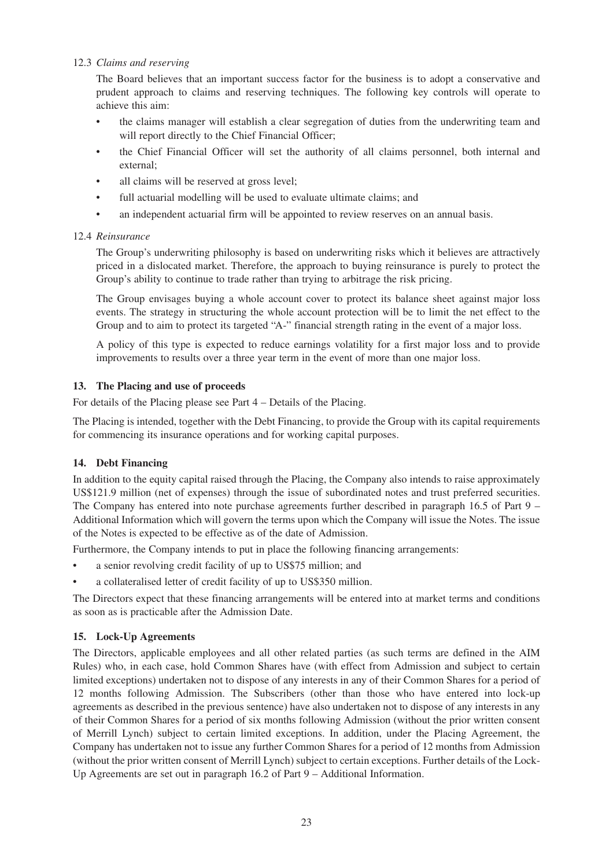# 12.3 *Claims and reserving*

The Board believes that an important success factor for the business is to adopt a conservative and prudent approach to claims and reserving techniques. The following key controls will operate to achieve this aim:

- the claims manager will establish a clear segregation of duties from the underwriting team and will report directly to the Chief Financial Officer;
- the Chief Financial Officer will set the authority of all claims personnel, both internal and external;
- all claims will be reserved at gross level;
- full actuarial modelling will be used to evaluate ultimate claims; and
- an independent actuarial firm will be appointed to review reserves on an annual basis.

# 12.4 *Reinsurance*

The Group's underwriting philosophy is based on underwriting risks which it believes are attractively priced in a dislocated market. Therefore, the approach to buying reinsurance is purely to protect the Group's ability to continue to trade rather than trying to arbitrage the risk pricing.

The Group envisages buying a whole account cover to protect its balance sheet against major loss events. The strategy in structuring the whole account protection will be to limit the net effect to the Group and to aim to protect its targeted "A-" financial strength rating in the event of a major loss.

A policy of this type is expected to reduce earnings volatility for a first major loss and to provide improvements to results over a three year term in the event of more than one major loss.

# **13. The Placing and use of proceeds**

For details of the Placing please see Part 4 – Details of the Placing.

The Placing is intended, together with the Debt Financing, to provide the Group with its capital requirements for commencing its insurance operations and for working capital purposes.

# **14. Debt Financing**

In addition to the equity capital raised through the Placing, the Company also intends to raise approximately US\$121.9 million (net of expenses) through the issue of subordinated notes and trust preferred securities. The Company has entered into note purchase agreements further described in paragraph 16.5 of Part 9 – Additional Information which will govern the terms upon which the Company will issue the Notes. The issue of the Notes is expected to be effective as of the date of Admission.

Furthermore, the Company intends to put in place the following financing arrangements:

- a senior revolving credit facility of up to US\$75 million; and
- a collateralised letter of credit facility of up to US\$350 million.

The Directors expect that these financing arrangements will be entered into at market terms and conditions as soon as is practicable after the Admission Date.

# **15. Lock-Up Agreements**

The Directors, applicable employees and all other related parties (as such terms are defined in the AIM Rules) who, in each case, hold Common Shares have (with effect from Admission and subject to certain limited exceptions) undertaken not to dispose of any interests in any of their Common Shares for a period of 12 months following Admission. The Subscribers (other than those who have entered into lock-up agreements as described in the previous sentence) have also undertaken not to dispose of any interests in any of their Common Shares for a period of six months following Admission (without the prior written consent of Merrill Lynch) subject to certain limited exceptions. In addition, under the Placing Agreement, the Company has undertaken not to issue any further Common Shares for a period of 12 months from Admission (without the prior written consent of Merrill Lynch) subject to certain exceptions. Further details of the Lock-Up Agreements are set out in paragraph 16.2 of Part 9 – Additional Information.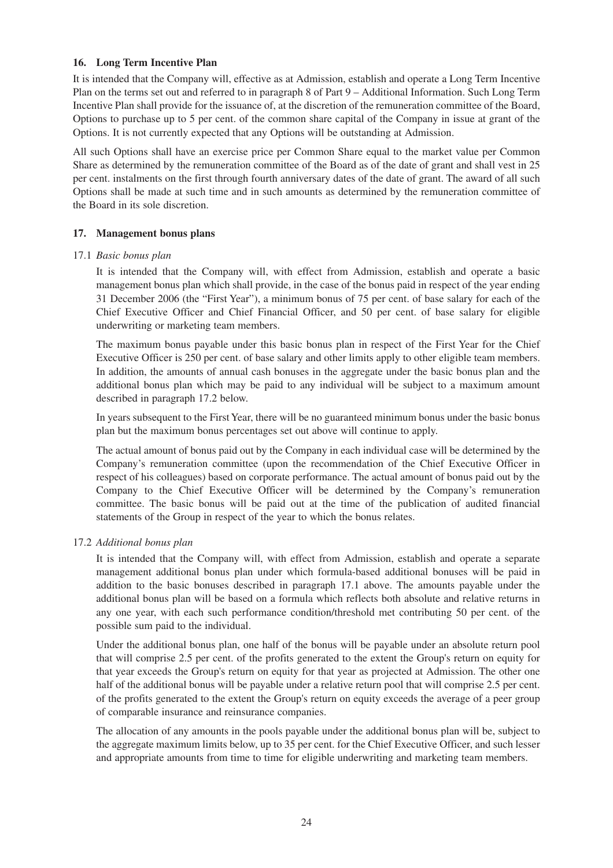### **16. Long Term Incentive Plan**

It is intended that the Company will, effective as at Admission, establish and operate a Long Term Incentive Plan on the terms set out and referred to in paragraph 8 of Part 9 – Additional Information. Such Long Term Incentive Plan shall provide for the issuance of, at the discretion of the remuneration committee of the Board, Options to purchase up to 5 per cent. of the common share capital of the Company in issue at grant of the Options. It is not currently expected that any Options will be outstanding at Admission.

All such Options shall have an exercise price per Common Share equal to the market value per Common Share as determined by the remuneration committee of the Board as of the date of grant and shall vest in 25 per cent. instalments on the first through fourth anniversary dates of the date of grant. The award of all such Options shall be made at such time and in such amounts as determined by the remuneration committee of the Board in its sole discretion.

### **17. Management bonus plans**

### 17.1 *Basic bonus plan*

It is intended that the Company will, with effect from Admission, establish and operate a basic management bonus plan which shall provide, in the case of the bonus paid in respect of the year ending 31 December 2006 (the "First Year"), a minimum bonus of 75 per cent. of base salary for each of the Chief Executive Officer and Chief Financial Officer, and 50 per cent. of base salary for eligible underwriting or marketing team members.

The maximum bonus payable under this basic bonus plan in respect of the First Year for the Chief Executive Officer is 250 per cent. of base salary and other limits apply to other eligible team members. In addition, the amounts of annual cash bonuses in the aggregate under the basic bonus plan and the additional bonus plan which may be paid to any individual will be subject to a maximum amount described in paragraph 17.2 below.

In years subsequent to the First Year, there will be no guaranteed minimum bonus under the basic bonus plan but the maximum bonus percentages set out above will continue to apply.

The actual amount of bonus paid out by the Company in each individual case will be determined by the Company's remuneration committee (upon the recommendation of the Chief Executive Officer in respect of his colleagues) based on corporate performance. The actual amount of bonus paid out by the Company to the Chief Executive Officer will be determined by the Company's remuneration committee. The basic bonus will be paid out at the time of the publication of audited financial statements of the Group in respect of the year to which the bonus relates.

#### 17.2 *Additional bonus plan*

It is intended that the Company will, with effect from Admission, establish and operate a separate management additional bonus plan under which formula-based additional bonuses will be paid in addition to the basic bonuses described in paragraph 17.1 above. The amounts payable under the additional bonus plan will be based on a formula which reflects both absolute and relative returns in any one year, with each such performance condition/threshold met contributing 50 per cent. of the possible sum paid to the individual.

Under the additional bonus plan, one half of the bonus will be payable under an absolute return pool that will comprise 2.5 per cent. of the profits generated to the extent the Group's return on equity for that year exceeds the Group's return on equity for that year as projected at Admission. The other one half of the additional bonus will be payable under a relative return pool that will comprise 2.5 per cent. of the profits generated to the extent the Group's return on equity exceeds the average of a peer group of comparable insurance and reinsurance companies.

The allocation of any amounts in the pools payable under the additional bonus plan will be, subject to the aggregate maximum limits below, up to 35 per cent. for the Chief Executive Officer, and such lesser and appropriate amounts from time to time for eligible underwriting and marketing team members.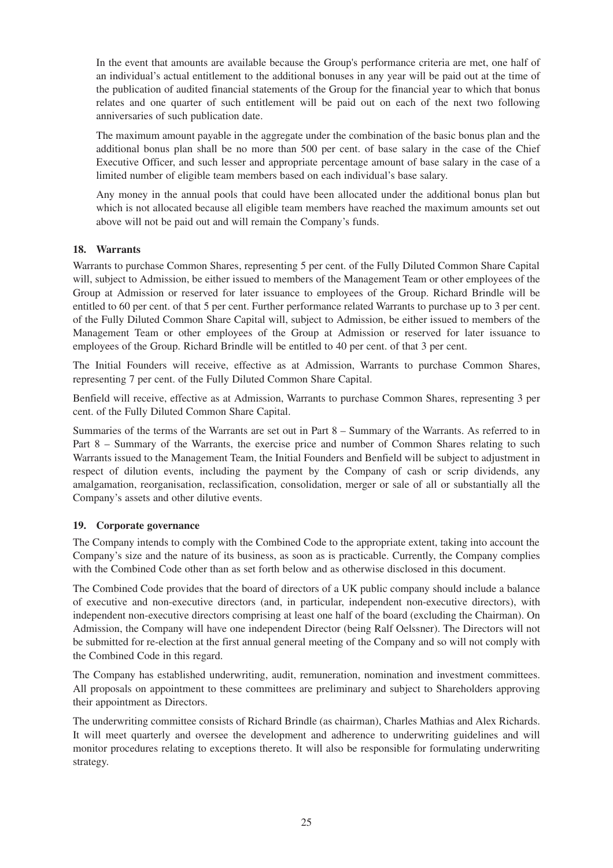In the event that amounts are available because the Group's performance criteria are met, one half of an individual's actual entitlement to the additional bonuses in any year will be paid out at the time of the publication of audited financial statements of the Group for the financial year to which that bonus relates and one quarter of such entitlement will be paid out on each of the next two following anniversaries of such publication date.

The maximum amount payable in the aggregate under the combination of the basic bonus plan and the additional bonus plan shall be no more than 500 per cent. of base salary in the case of the Chief Executive Officer, and such lesser and appropriate percentage amount of base salary in the case of a limited number of eligible team members based on each individual's base salary.

Any money in the annual pools that could have been allocated under the additional bonus plan but which is not allocated because all eligible team members have reached the maximum amounts set out above will not be paid out and will remain the Company's funds.

# **18. Warrants**

Warrants to purchase Common Shares, representing 5 per cent. of the Fully Diluted Common Share Capital will, subject to Admission, be either issued to members of the Management Team or other employees of the Group at Admission or reserved for later issuance to employees of the Group. Richard Brindle will be entitled to 60 per cent. of that 5 per cent. Further performance related Warrants to purchase up to 3 per cent. of the Fully Diluted Common Share Capital will, subject to Admission, be either issued to members of the Management Team or other employees of the Group at Admission or reserved for later issuance to employees of the Group. Richard Brindle will be entitled to 40 per cent. of that 3 per cent.

The Initial Founders will receive, effective as at Admission, Warrants to purchase Common Shares, representing 7 per cent. of the Fully Diluted Common Share Capital.

Benfield will receive, effective as at Admission, Warrants to purchase Common Shares, representing 3 per cent. of the Fully Diluted Common Share Capital.

Summaries of the terms of the Warrants are set out in Part 8 – Summary of the Warrants. As referred to in Part 8 – Summary of the Warrants, the exercise price and number of Common Shares relating to such Warrants issued to the Management Team, the Initial Founders and Benfield will be subject to adjustment in respect of dilution events, including the payment by the Company of cash or scrip dividends, any amalgamation, reorganisation, reclassification, consolidation, merger or sale of all or substantially all the Company's assets and other dilutive events.

# **19. Corporate governance**

The Company intends to comply with the Combined Code to the appropriate extent, taking into account the Company's size and the nature of its business, as soon as is practicable. Currently, the Company complies with the Combined Code other than as set forth below and as otherwise disclosed in this document.

The Combined Code provides that the board of directors of a UK public company should include a balance of executive and non-executive directors (and, in particular, independent non-executive directors), with independent non-executive directors comprising at least one half of the board (excluding the Chairman). On Admission, the Company will have one independent Director (being Ralf Oelssner). The Directors will not be submitted for re-election at the first annual general meeting of the Company and so will not comply with the Combined Code in this regard.

The Company has established underwriting, audit, remuneration, nomination and investment committees. All proposals on appointment to these committees are preliminary and subject to Shareholders approving their appointment as Directors.

The underwriting committee consists of Richard Brindle (as chairman), Charles Mathias and Alex Richards. It will meet quarterly and oversee the development and adherence to underwriting guidelines and will monitor procedures relating to exceptions thereto. It will also be responsible for formulating underwriting strategy.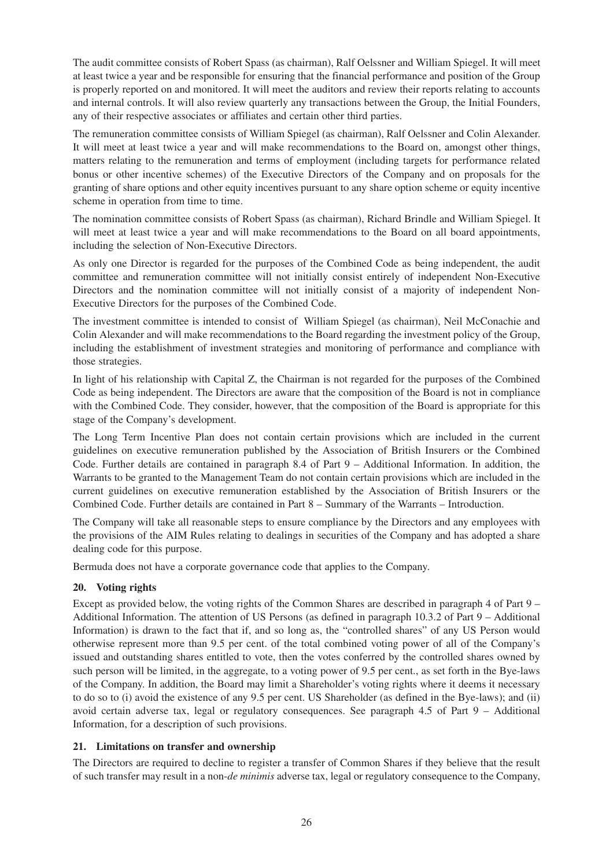The audit committee consists of Robert Spass (as chairman), Ralf Oelssner and William Spiegel. It will meet at least twice a year and be responsible for ensuring that the financial performance and position of the Group is properly reported on and monitored. It will meet the auditors and review their reports relating to accounts and internal controls. It will also review quarterly any transactions between the Group, the Initial Founders, any of their respective associates or affiliates and certain other third parties.

The remuneration committee consists of William Spiegel (as chairman), Ralf Oelssner and Colin Alexander. It will meet at least twice a year and will make recommendations to the Board on, amongst other things, matters relating to the remuneration and terms of employment (including targets for performance related bonus or other incentive schemes) of the Executive Directors of the Company and on proposals for the granting of share options and other equity incentives pursuant to any share option scheme or equity incentive scheme in operation from time to time.

The nomination committee consists of Robert Spass (as chairman), Richard Brindle and William Spiegel. It will meet at least twice a year and will make recommendations to the Board on all board appointments, including the selection of Non-Executive Directors.

As only one Director is regarded for the purposes of the Combined Code as being independent, the audit committee and remuneration committee will not initially consist entirely of independent Non-Executive Directors and the nomination committee will not initially consist of a majority of independent Non-Executive Directors for the purposes of the Combined Code.

The investment committee is intended to consist of William Spiegel (as chairman), Neil McConachie and Colin Alexander and will make recommendations to the Board regarding the investment policy of the Group, including the establishment of investment strategies and monitoring of performance and compliance with those strategies.

In light of his relationship with Capital Z, the Chairman is not regarded for the purposes of the Combined Code as being independent. The Directors are aware that the composition of the Board is not in compliance with the Combined Code. They consider, however, that the composition of the Board is appropriate for this stage of the Company's development.

The Long Term Incentive Plan does not contain certain provisions which are included in the current guidelines on executive remuneration published by the Association of British Insurers or the Combined Code. Further details are contained in paragraph 8.4 of Part 9 – Additional Information. In addition, the Warrants to be granted to the Management Team do not contain certain provisions which are included in the current guidelines on executive remuneration established by the Association of British Insurers or the Combined Code. Further details are contained in Part 8 – Summary of the Warrants – Introduction.

The Company will take all reasonable steps to ensure compliance by the Directors and any employees with the provisions of the AIM Rules relating to dealings in securities of the Company and has adopted a share dealing code for this purpose.

Bermuda does not have a corporate governance code that applies to the Company.

# **20. Voting rights**

Except as provided below, the voting rights of the Common Shares are described in paragraph 4 of Part 9 – Additional Information. The attention of US Persons (as defined in paragraph 10.3.2 of Part 9 – Additional Information) is drawn to the fact that if, and so long as, the "controlled shares" of any US Person would otherwise represent more than 9.5 per cent. of the total combined voting power of all of the Company's issued and outstanding shares entitled to vote, then the votes conferred by the controlled shares owned by such person will be limited, in the aggregate, to a voting power of 9.5 per cent., as set forth in the Bye-laws of the Company. In addition, the Board may limit a Shareholder's voting rights where it deems it necessary to do so to (i) avoid the existence of any 9.5 per cent. US Shareholder (as defined in the Bye-laws); and (ii) avoid certain adverse tax, legal or regulatory consequences. See paragraph 4.5 of Part 9 – Additional Information, for a description of such provisions.

# **21. Limitations on transfer and ownership**

The Directors are required to decline to register a transfer of Common Shares if they believe that the result of such transfer may result in a non-*de minimis* adverse tax, legal or regulatory consequence to the Company,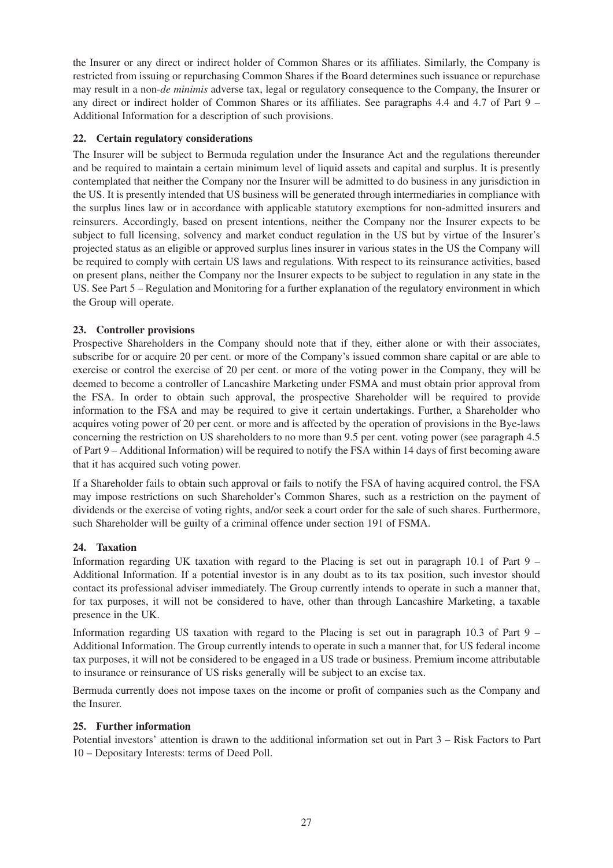the Insurer or any direct or indirect holder of Common Shares or its affiliates. Similarly, the Company is restricted from issuing or repurchasing Common Shares if the Board determines such issuance or repurchase may result in a non-*de minimis* adverse tax, legal or regulatory consequence to the Company, the Insurer or any direct or indirect holder of Common Shares or its affiliates. See paragraphs 4.4 and 4.7 of Part 9 – Additional Information for a description of such provisions.

# **22. Certain regulatory considerations**

The Insurer will be subject to Bermuda regulation under the Insurance Act and the regulations thereunder and be required to maintain a certain minimum level of liquid assets and capital and surplus. It is presently contemplated that neither the Company nor the Insurer will be admitted to do business in any jurisdiction in the US. It is presently intended that US business will be generated through intermediaries in compliance with the surplus lines law or in accordance with applicable statutory exemptions for non-admitted insurers and reinsurers. Accordingly, based on present intentions, neither the Company nor the Insurer expects to be subject to full licensing, solvency and market conduct regulation in the US but by virtue of the Insurer's projected status as an eligible or approved surplus lines insurer in various states in the US the Company will be required to comply with certain US laws and regulations. With respect to its reinsurance activities, based on present plans, neither the Company nor the Insurer expects to be subject to regulation in any state in the US. See Part 5 – Regulation and Monitoring for a further explanation of the regulatory environment in which the Group will operate.

# **23. Controller provisions**

Prospective Shareholders in the Company should note that if they, either alone or with their associates, subscribe for or acquire 20 per cent. or more of the Company's issued common share capital or are able to exercise or control the exercise of 20 per cent. or more of the voting power in the Company, they will be deemed to become a controller of Lancashire Marketing under FSMA and must obtain prior approval from the FSA. In order to obtain such approval, the prospective Shareholder will be required to provide information to the FSA and may be required to give it certain undertakings. Further, a Shareholder who acquires voting power of 20 per cent. or more and is affected by the operation of provisions in the Bye-laws concerning the restriction on US shareholders to no more than 9.5 per cent. voting power (see paragraph 4.5 of Part 9 – Additional Information) will be required to notify the FSA within 14 days of first becoming aware that it has acquired such voting power.

If a Shareholder fails to obtain such approval or fails to notify the FSA of having acquired control, the FSA may impose restrictions on such Shareholder's Common Shares, such as a restriction on the payment of dividends or the exercise of voting rights, and/or seek a court order for the sale of such shares. Furthermore, such Shareholder will be guilty of a criminal offence under section 191 of FSMA.

# **24. Taxation**

Information regarding UK taxation with regard to the Placing is set out in paragraph 10.1 of Part 9 – Additional Information. If a potential investor is in any doubt as to its tax position, such investor should contact its professional adviser immediately. The Group currently intends to operate in such a manner that, for tax purposes, it will not be considered to have, other than through Lancashire Marketing, a taxable presence in the UK.

Information regarding US taxation with regard to the Placing is set out in paragraph 10.3 of Part 9 – Additional Information. The Group currently intends to operate in such a manner that, for US federal income tax purposes, it will not be considered to be engaged in a US trade or business. Premium income attributable to insurance or reinsurance of US risks generally will be subject to an excise tax.

Bermuda currently does not impose taxes on the income or profit of companies such as the Company and the Insurer.

# **25. Further information**

Potential investors' attention is drawn to the additional information set out in Part 3 – Risk Factors to Part 10 – Depositary Interests: terms of Deed Poll.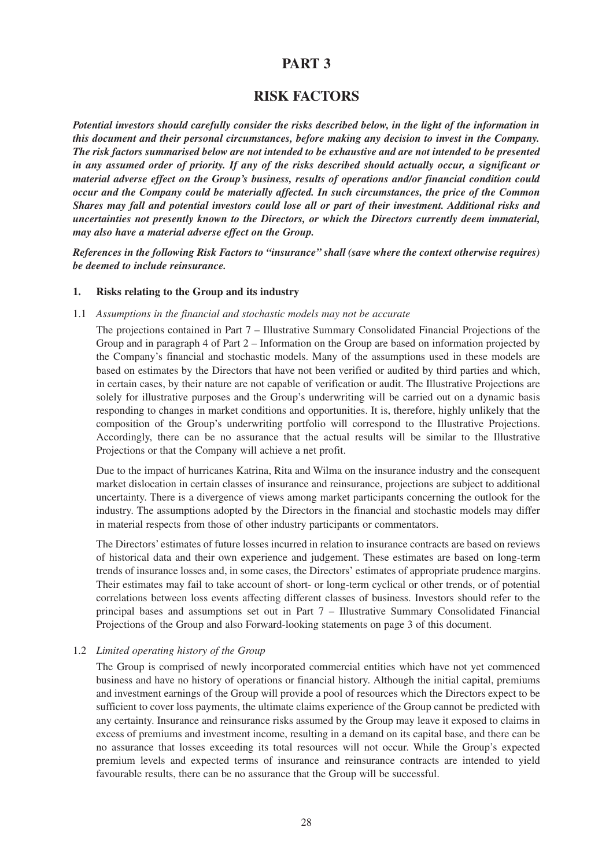# **PART 3**

# **RISK FACTORS**

*Potential investors should carefully consider the risks described below, in the light of the information in this document and their personal circumstances, before making any decision to invest in the Company. The risk factors summarised below are not intended to be exhaustive and are not intended to be presented in any assumed order of priority. If any of the risks described should actually occur, a significant or material adverse effect on the Group's business, results of operations and/or financial condition could occur and the Company could be materially affected. In such circumstances, the price of the Common Shares may fall and potential investors could lose all or part of their investment. Additional risks and uncertainties not presently known to the Directors, or which the Directors currently deem immaterial, may also have a material adverse effect on the Group.*

*References in the following Risk Factors to "insurance" shall (save where the context otherwise requires) be deemed to include reinsurance.*

#### **1. Risks relating to the Group and its industry**

#### 1.1 *Assumptions in the financial and stochastic models may not be accurate*

The projections contained in Part 7 – Illustrative Summary Consolidated Financial Projections of the Group and in paragraph 4 of Part 2 – Information on the Group are based on information projected by the Company's financial and stochastic models. Many of the assumptions used in these models are based on estimates by the Directors that have not been verified or audited by third parties and which, in certain cases, by their nature are not capable of verification or audit. The Illustrative Projections are solely for illustrative purposes and the Group's underwriting will be carried out on a dynamic basis responding to changes in market conditions and opportunities. It is, therefore, highly unlikely that the composition of the Group's underwriting portfolio will correspond to the Illustrative Projections. Accordingly, there can be no assurance that the actual results will be similar to the Illustrative Projections or that the Company will achieve a net profit.

Due to the impact of hurricanes Katrina, Rita and Wilma on the insurance industry and the consequent market dislocation in certain classes of insurance and reinsurance, projections are subject to additional uncertainty. There is a divergence of views among market participants concerning the outlook for the industry. The assumptions adopted by the Directors in the financial and stochastic models may differ in material respects from those of other industry participants or commentators.

The Directors' estimates of future losses incurred in relation to insurance contracts are based on reviews of historical data and their own experience and judgement. These estimates are based on long-term trends of insurance losses and, in some cases, the Directors' estimates of appropriate prudence margins. Their estimates may fail to take account of short- or long-term cyclical or other trends, or of potential correlations between loss events affecting different classes of business. Investors should refer to the principal bases and assumptions set out in Part 7 – Illustrative Summary Consolidated Financial Projections of the Group and also Forward-looking statements on page 3 of this document.

#### 1.2 *Limited operating history of the Group*

The Group is comprised of newly incorporated commercial entities which have not yet commenced business and have no history of operations or financial history. Although the initial capital, premiums and investment earnings of the Group will provide a pool of resources which the Directors expect to be sufficient to cover loss payments, the ultimate claims experience of the Group cannot be predicted with any certainty. Insurance and reinsurance risks assumed by the Group may leave it exposed to claims in excess of premiums and investment income, resulting in a demand on its capital base, and there can be no assurance that losses exceeding its total resources will not occur. While the Group's expected premium levels and expected terms of insurance and reinsurance contracts are intended to yield favourable results, there can be no assurance that the Group will be successful.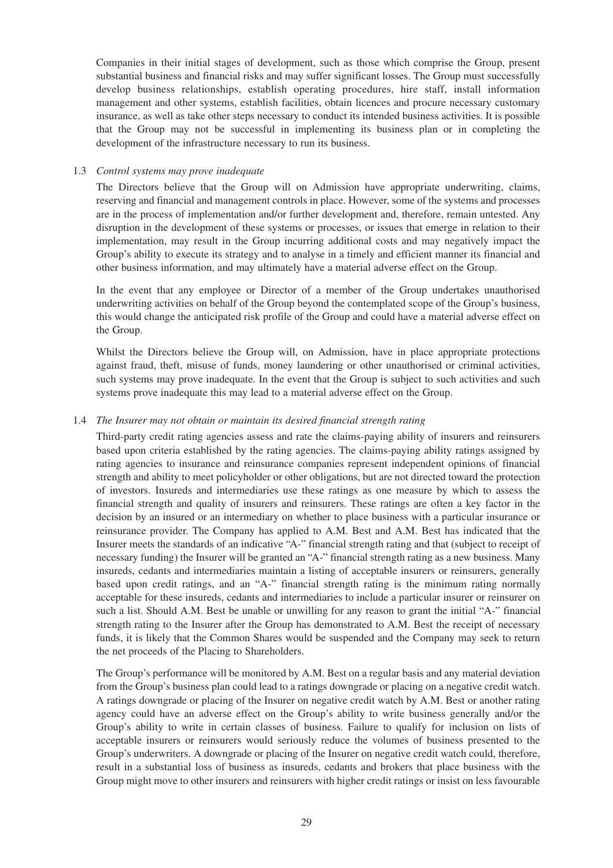Companies in their initial stages of development, such as those which comprise the Group, present substantial business and financial risks and may suffer significant losses. The Group must successfully develop business relationships, establish operating procedures, hire staff, install information management and other systems, establish facilities, obtain licences and procure necessary customary insurance, as well as take other steps necessary to conduct its intended business activities. It is possible that the Group may not be successful in implementing its business plan or in completing the development of the infrastructure necessary to run its business.

## 1.3 *Control systems may prove inadequate*

The Directors believe that the Group will on Admission have appropriate underwriting, claims, reserving and financial and management controls in place. However, some of the systems and processes are in the process of implementation and/or further development and, therefore, remain untested. Any disruption in the development of these systems or processes, or issues that emerge in relation to their implementation, may result in the Group incurring additional costs and may negatively impact the Group's ability to execute its strategy and to analyse in a timely and efficient manner its financial and other business information, and may ultimately have a material adverse effect on the Group.

In the event that any employee or Director of a member of the Group undertakes unauthorised underwriting activities on behalf of the Group beyond the contemplated scope of the Group's business, this would change the anticipated risk profile of the Group and could have a material adverse effect on the Group.

Whilst the Directors believe the Group will, on Admission, have in place appropriate protections against fraud, theft, misuse of funds, money laundering or other unauthorised or criminal activities, such systems may prove inadequate. In the event that the Group is subject to such activities and such systems prove inadequate this may lead to a material adverse effect on the Group.

### 1.4 *The Insurer may not obtain or maintain its desired financial strength rating*

Third-party credit rating agencies assess and rate the claims-paying ability of insurers and reinsurers based upon criteria established by the rating agencies. The claims-paying ability ratings assigned by rating agencies to insurance and reinsurance companies represent independent opinions of financial strength and ability to meet policyholder or other obligations, but are not directed toward the protection of investors. Insureds and intermediaries use these ratings as one measure by which to assess the financial strength and quality of insurers and reinsurers. These ratings are often a key factor in the decision by an insured or an intermediary on whether to place business with a particular insurance or reinsurance provider. The Company has applied to A.M. Best and A.M. Best has indicated that the Insurer meets the standards of an indicative "A-" financial strength rating and that (subject to receipt of necessary funding) the Insurer will be granted an "A-" financial strength rating as a new business. Many insureds, cedants and intermediaries maintain a listing of acceptable insurers or reinsurers, generally based upon credit ratings, and an "A-" financial strength rating is the minimum rating normally acceptable for these insureds, cedants and intermediaries to include a particular insurer or reinsurer on such a list. Should A.M. Best be unable or unwilling for any reason to grant the initial "A-" financial strength rating to the Insurer after the Group has demonstrated to A.M. Best the receipt of necessary funds, it is likely that the Common Shares would be suspended and the Company may seek to return the net proceeds of the Placing to Shareholders.

The Group's performance will be monitored by A.M. Best on a regular basis and any material deviation from the Group's business plan could lead to a ratings downgrade or placing on a negative credit watch. A ratings downgrade or placing of the Insurer on negative credit watch by A.M. Best or another rating agency could have an adverse effect on the Group's ability to write business generally and/or the Group's ability to write in certain classes of business. Failure to qualify for inclusion on lists of acceptable insurers or reinsurers would seriously reduce the volumes of business presented to the Group's underwriters. A downgrade or placing of the Insurer on negative credit watch could, therefore, result in a substantial loss of business as insureds, cedants and brokers that place business with the Group might move to other insurers and reinsurers with higher credit ratings or insist on less favourable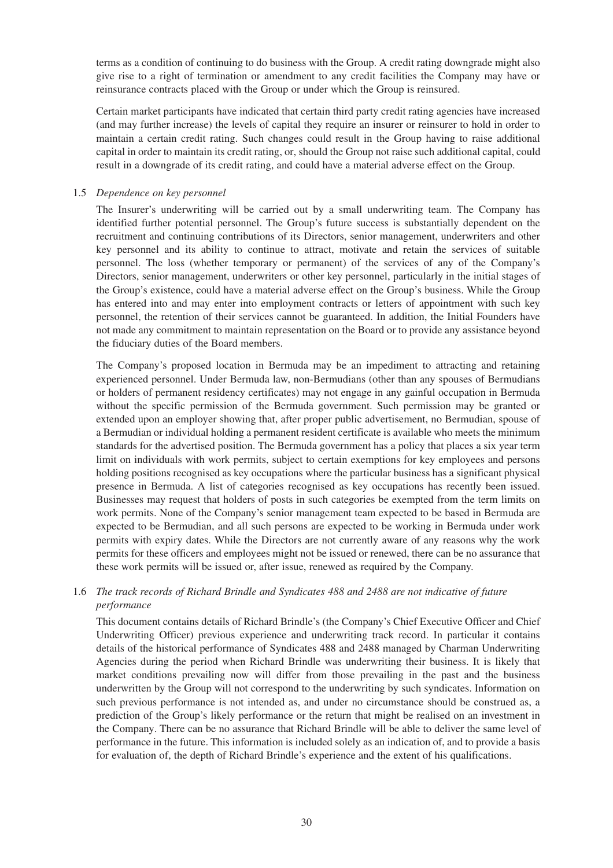terms as a condition of continuing to do business with the Group. A credit rating downgrade might also give rise to a right of termination or amendment to any credit facilities the Company may have or reinsurance contracts placed with the Group or under which the Group is reinsured.

Certain market participants have indicated that certain third party credit rating agencies have increased (and may further increase) the levels of capital they require an insurer or reinsurer to hold in order to maintain a certain credit rating. Such changes could result in the Group having to raise additional capital in order to maintain its credit rating, or, should the Group not raise such additional capital, could result in a downgrade of its credit rating, and could have a material adverse effect on the Group.

## 1.5 *Dependence on key personnel*

The Insurer's underwriting will be carried out by a small underwriting team. The Company has identified further potential personnel. The Group's future success is substantially dependent on the recruitment and continuing contributions of its Directors, senior management, underwriters and other key personnel and its ability to continue to attract, motivate and retain the services of suitable personnel. The loss (whether temporary or permanent) of the services of any of the Company's Directors, senior management, underwriters or other key personnel, particularly in the initial stages of the Group's existence, could have a material adverse effect on the Group's business. While the Group has entered into and may enter into employment contracts or letters of appointment with such key personnel, the retention of their services cannot be guaranteed. In addition, the Initial Founders have not made any commitment to maintain representation on the Board or to provide any assistance beyond the fiduciary duties of the Board members.

The Company's proposed location in Bermuda may be an impediment to attracting and retaining experienced personnel. Under Bermuda law, non-Bermudians (other than any spouses of Bermudians or holders of permanent residency certificates) may not engage in any gainful occupation in Bermuda without the specific permission of the Bermuda government. Such permission may be granted or extended upon an employer showing that, after proper public advertisement, no Bermudian, spouse of a Bermudian or individual holding a permanent resident certificate is available who meets the minimum standards for the advertised position. The Bermuda government has a policy that places a six year term limit on individuals with work permits, subject to certain exemptions for key employees and persons holding positions recognised as key occupations where the particular business has a significant physical presence in Bermuda. A list of categories recognised as key occupations has recently been issued. Businesses may request that holders of posts in such categories be exempted from the term limits on work permits. None of the Company's senior management team expected to be based in Bermuda are expected to be Bermudian, and all such persons are expected to be working in Bermuda under work permits with expiry dates. While the Directors are not currently aware of any reasons why the work permits for these officers and employees might not be issued or renewed, there can be no assurance that these work permits will be issued or, after issue, renewed as required by the Company.

# 1.6 *The track records of Richard Brindle and Syndicates 488 and 2488 are not indicative of future performance*

This document contains details of Richard Brindle's (the Company's Chief Executive Officer and Chief Underwriting Officer) previous experience and underwriting track record. In particular it contains details of the historical performance of Syndicates 488 and 2488 managed by Charman Underwriting Agencies during the period when Richard Brindle was underwriting their business. It is likely that market conditions prevailing now will differ from those prevailing in the past and the business underwritten by the Group will not correspond to the underwriting by such syndicates. Information on such previous performance is not intended as, and under no circumstance should be construed as, a prediction of the Group's likely performance or the return that might be realised on an investment in the Company. There can be no assurance that Richard Brindle will be able to deliver the same level of performance in the future. This information is included solely as an indication of, and to provide a basis for evaluation of, the depth of Richard Brindle's experience and the extent of his qualifications.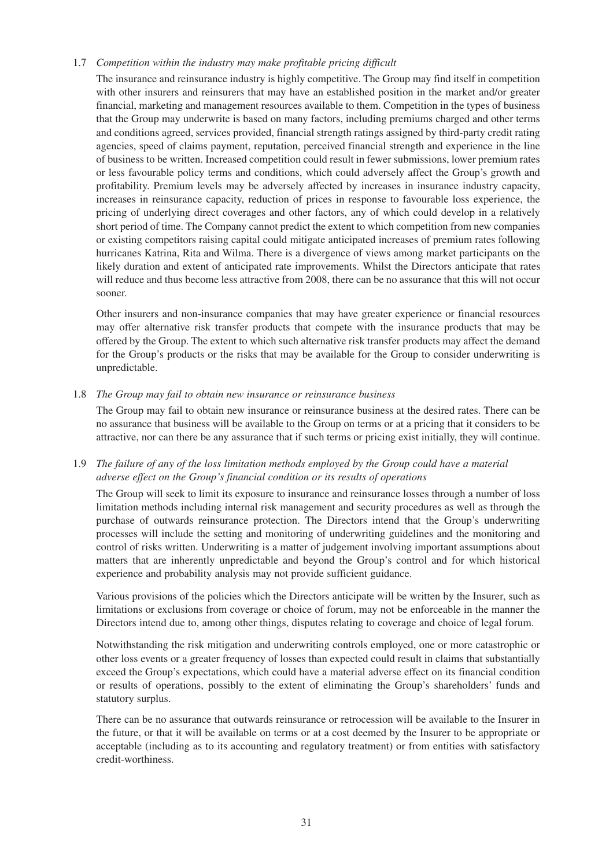# 1.7 *Competition within the industry may make profitable pricing difficult*

The insurance and reinsurance industry is highly competitive. The Group may find itself in competition with other insurers and reinsurers that may have an established position in the market and/or greater financial, marketing and management resources available to them. Competition in the types of business that the Group may underwrite is based on many factors, including premiums charged and other terms and conditions agreed, services provided, financial strength ratings assigned by third-party credit rating agencies, speed of claims payment, reputation, perceived financial strength and experience in the line of business to be written. Increased competition could result in fewer submissions, lower premium rates or less favourable policy terms and conditions, which could adversely affect the Group's growth and profitability. Premium levels may be adversely affected by increases in insurance industry capacity, increases in reinsurance capacity, reduction of prices in response to favourable loss experience, the pricing of underlying direct coverages and other factors, any of which could develop in a relatively short period of time. The Company cannot predict the extent to which competition from new companies or existing competitors raising capital could mitigate anticipated increases of premium rates following hurricanes Katrina, Rita and Wilma. There is a divergence of views among market participants on the likely duration and extent of anticipated rate improvements. Whilst the Directors anticipate that rates will reduce and thus become less attractive from 2008, there can be no assurance that this will not occur sooner.

Other insurers and non-insurance companies that may have greater experience or financial resources may offer alternative risk transfer products that compete with the insurance products that may be offered by the Group. The extent to which such alternative risk transfer products may affect the demand for the Group's products or the risks that may be available for the Group to consider underwriting is unpredictable.

#### 1.8 *The Group may fail to obtain new insurance or reinsurance business*

The Group may fail to obtain new insurance or reinsurance business at the desired rates. There can be no assurance that business will be available to the Group on terms or at a pricing that it considers to be attractive, nor can there be any assurance that if such terms or pricing exist initially, they will continue.

# 1.9 *The failure of any of the loss limitation methods employed by the Group could have a material adverse effect on the Group's financial condition or its results of operations*

The Group will seek to limit its exposure to insurance and reinsurance losses through a number of loss limitation methods including internal risk management and security procedures as well as through the purchase of outwards reinsurance protection. The Directors intend that the Group's underwriting processes will include the setting and monitoring of underwriting guidelines and the monitoring and control of risks written. Underwriting is a matter of judgement involving important assumptions about matters that are inherently unpredictable and beyond the Group's control and for which historical experience and probability analysis may not provide sufficient guidance.

Various provisions of the policies which the Directors anticipate will be written by the Insurer, such as limitations or exclusions from coverage or choice of forum, may not be enforceable in the manner the Directors intend due to, among other things, disputes relating to coverage and choice of legal forum.

Notwithstanding the risk mitigation and underwriting controls employed, one or more catastrophic or other loss events or a greater frequency of losses than expected could result in claims that substantially exceed the Group's expectations, which could have a material adverse effect on its financial condition or results of operations, possibly to the extent of eliminating the Group's shareholders' funds and statutory surplus.

There can be no assurance that outwards reinsurance or retrocession will be available to the Insurer in the future, or that it will be available on terms or at a cost deemed by the Insurer to be appropriate or acceptable (including as to its accounting and regulatory treatment) or from entities with satisfactory credit-worthiness.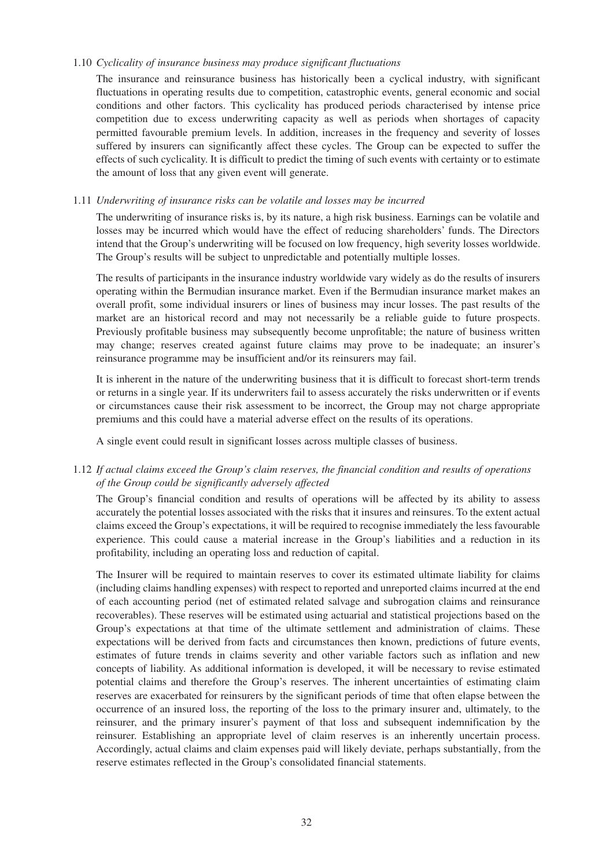#### 1.10 *Cyclicality of insurance business may produce significant fluctuations*

The insurance and reinsurance business has historically been a cyclical industry, with significant fluctuations in operating results due to competition, catastrophic events, general economic and social conditions and other factors. This cyclicality has produced periods characterised by intense price competition due to excess underwriting capacity as well as periods when shortages of capacity permitted favourable premium levels. In addition, increases in the frequency and severity of losses suffered by insurers can significantly affect these cycles. The Group can be expected to suffer the effects of such cyclicality. It is difficult to predict the timing of such events with certainty or to estimate the amount of loss that any given event will generate.

# 1.11 *Underwriting of insurance risks can be volatile and losses may be incurred*

The underwriting of insurance risks is, by its nature, a high risk business. Earnings can be volatile and losses may be incurred which would have the effect of reducing shareholders' funds. The Directors intend that the Group's underwriting will be focused on low frequency, high severity losses worldwide. The Group's results will be subject to unpredictable and potentially multiple losses.

The results of participants in the insurance industry worldwide vary widely as do the results of insurers operating within the Bermudian insurance market. Even if the Bermudian insurance market makes an overall profit, some individual insurers or lines of business may incur losses. The past results of the market are an historical record and may not necessarily be a reliable guide to future prospects. Previously profitable business may subsequently become unprofitable; the nature of business written may change; reserves created against future claims may prove to be inadequate; an insurer's reinsurance programme may be insufficient and/or its reinsurers may fail.

It is inherent in the nature of the underwriting business that it is difficult to forecast short-term trends or returns in a single year. If its underwriters fail to assess accurately the risks underwritten or if events or circumstances cause their risk assessment to be incorrect, the Group may not charge appropriate premiums and this could have a material adverse effect on the results of its operations.

A single event could result in significant losses across multiple classes of business.

# 1.12 *If actual claims exceed the Group's claim reserves, the financial condition and results of operations of the Group could be significantly adversely affected*

The Group's financial condition and results of operations will be affected by its ability to assess accurately the potential losses associated with the risks that it insures and reinsures. To the extent actual claims exceed the Group's expectations, it will be required to recognise immediately the less favourable experience. This could cause a material increase in the Group's liabilities and a reduction in its profitability, including an operating loss and reduction of capital.

The Insurer will be required to maintain reserves to cover its estimated ultimate liability for claims (including claims handling expenses) with respect to reported and unreported claims incurred at the end of each accounting period (net of estimated related salvage and subrogation claims and reinsurance recoverables). These reserves will be estimated using actuarial and statistical projections based on the Group's expectations at that time of the ultimate settlement and administration of claims. These expectations will be derived from facts and circumstances then known, predictions of future events, estimates of future trends in claims severity and other variable factors such as inflation and new concepts of liability. As additional information is developed, it will be necessary to revise estimated potential claims and therefore the Group's reserves. The inherent uncertainties of estimating claim reserves are exacerbated for reinsurers by the significant periods of time that often elapse between the occurrence of an insured loss, the reporting of the loss to the primary insurer and, ultimately, to the reinsurer, and the primary insurer's payment of that loss and subsequent indemnification by the reinsurer. Establishing an appropriate level of claim reserves is an inherently uncertain process. Accordingly, actual claims and claim expenses paid will likely deviate, perhaps substantially, from the reserve estimates reflected in the Group's consolidated financial statements.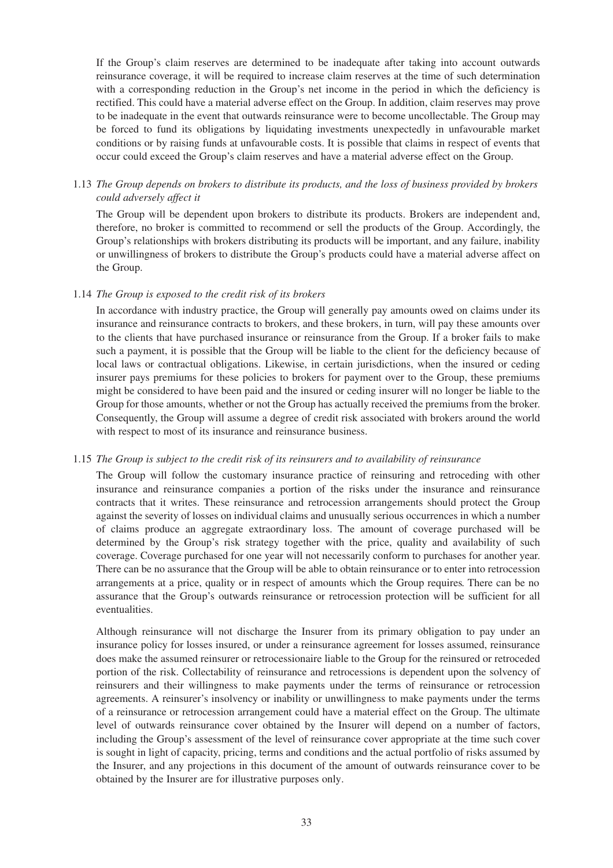If the Group's claim reserves are determined to be inadequate after taking into account outwards reinsurance coverage, it will be required to increase claim reserves at the time of such determination with a corresponding reduction in the Group's net income in the period in which the deficiency is rectified. This could have a material adverse effect on the Group. In addition, claim reserves may prove to be inadequate in the event that outwards reinsurance were to become uncollectable. The Group may be forced to fund its obligations by liquidating investments unexpectedly in unfavourable market conditions or by raising funds at unfavourable costs. It is possible that claims in respect of events that occur could exceed the Group's claim reserves and have a material adverse effect on the Group.

# 1.13 *The Group depends on brokers to distribute its products, and the loss of business provided by brokers could adversely affect it*

The Group will be dependent upon brokers to distribute its products. Brokers are independent and, therefore, no broker is committed to recommend or sell the products of the Group. Accordingly, the Group's relationships with brokers distributing its products will be important, and any failure, inability or unwillingness of brokers to distribute the Group's products could have a material adverse affect on the Group.

#### 1.14 *The Group is exposed to the credit risk of its brokers*

In accordance with industry practice, the Group will generally pay amounts owed on claims under its insurance and reinsurance contracts to brokers, and these brokers, in turn, will pay these amounts over to the clients that have purchased insurance or reinsurance from the Group. If a broker fails to make such a payment, it is possible that the Group will be liable to the client for the deficiency because of local laws or contractual obligations. Likewise, in certain jurisdictions, when the insured or ceding insurer pays premiums for these policies to brokers for payment over to the Group, these premiums might be considered to have been paid and the insured or ceding insurer will no longer be liable to the Group for those amounts, whether or not the Group has actually received the premiums from the broker. Consequently, the Group will assume a degree of credit risk associated with brokers around the world with respect to most of its insurance and reinsurance business.

#### 1.15 *The Group is subject to the credit risk of its reinsurers and to availability of reinsurance*

The Group will follow the customary insurance practice of reinsuring and retroceding with other insurance and reinsurance companies a portion of the risks under the insurance and reinsurance contracts that it writes. These reinsurance and retrocession arrangements should protect the Group against the severity of losses on individual claims and unusually serious occurrences in which a number of claims produce an aggregate extraordinary loss. The amount of coverage purchased will be determined by the Group's risk strategy together with the price, quality and availability of such coverage. Coverage purchased for one year will not necessarily conform to purchases for another year. There can be no assurance that the Group will be able to obtain reinsurance or to enter into retrocession arrangements at a price, quality or in respect of amounts which the Group requires. There can be no assurance that the Group's outwards reinsurance or retrocession protection will be sufficient for all eventualities.

Although reinsurance will not discharge the Insurer from its primary obligation to pay under an insurance policy for losses insured, or under a reinsurance agreement for losses assumed, reinsurance does make the assumed reinsurer or retrocessionaire liable to the Group for the reinsured or retroceded portion of the risk. Collectability of reinsurance and retrocessions is dependent upon the solvency of reinsurers and their willingness to make payments under the terms of reinsurance or retrocession agreements. A reinsurer's insolvency or inability or unwillingness to make payments under the terms of a reinsurance or retrocession arrangement could have a material effect on the Group. The ultimate level of outwards reinsurance cover obtained by the Insurer will depend on a number of factors, including the Group's assessment of the level of reinsurance cover appropriate at the time such cover is sought in light of capacity, pricing, terms and conditions and the actual portfolio of risks assumed by the Insurer, and any projections in this document of the amount of outwards reinsurance cover to be obtained by the Insurer are for illustrative purposes only.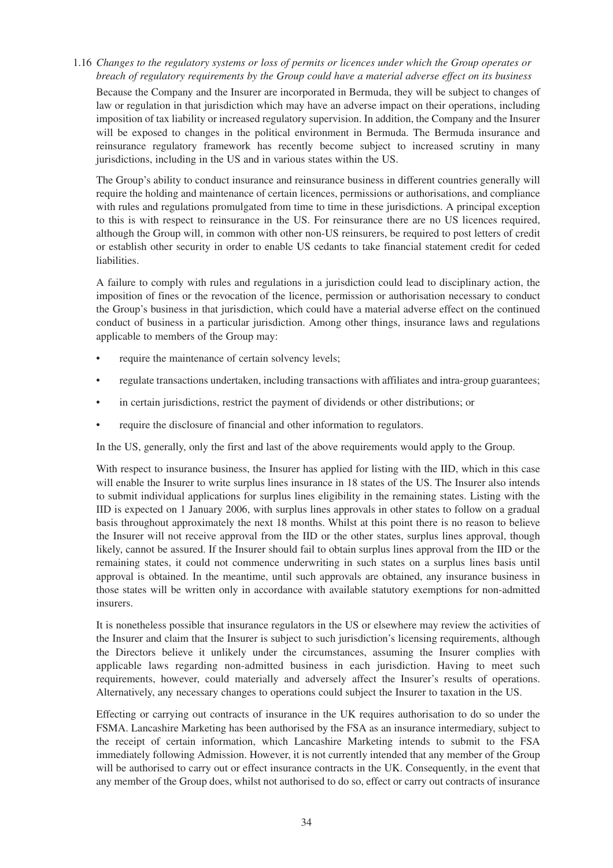1.16 *Changes to the regulatory systems or loss of permits or licences under which the Group operates or breach of regulatory requirements by the Group could have a material adverse effect on its business*

Because the Company and the Insurer are incorporated in Bermuda, they will be subject to changes of law or regulation in that jurisdiction which may have an adverse impact on their operations, including imposition of tax liability or increased regulatory supervision. In addition, the Company and the Insurer will be exposed to changes in the political environment in Bermuda. The Bermuda insurance and reinsurance regulatory framework has recently become subject to increased scrutiny in many jurisdictions, including in the US and in various states within the US.

The Group's ability to conduct insurance and reinsurance business in different countries generally will require the holding and maintenance of certain licences, permissions or authorisations, and compliance with rules and regulations promulgated from time to time in these jurisdictions. A principal exception to this is with respect to reinsurance in the US. For reinsurance there are no US licences required, although the Group will, in common with other non-US reinsurers, be required to post letters of credit or establish other security in order to enable US cedants to take financial statement credit for ceded liabilities.

A failure to comply with rules and regulations in a jurisdiction could lead to disciplinary action, the imposition of fines or the revocation of the licence, permission or authorisation necessary to conduct the Group's business in that jurisdiction, which could have a material adverse effect on the continued conduct of business in a particular jurisdiction. Among other things, insurance laws and regulations applicable to members of the Group may:

- require the maintenance of certain solvency levels;
- regulate transactions undertaken, including transactions with affiliates and intra-group guarantees;
- in certain jurisdictions, restrict the payment of dividends or other distributions; or
- require the disclosure of financial and other information to regulators.

In the US, generally, only the first and last of the above requirements would apply to the Group.

With respect to insurance business, the Insurer has applied for listing with the IID, which in this case will enable the Insurer to write surplus lines insurance in 18 states of the US. The Insurer also intends to submit individual applications for surplus lines eligibility in the remaining states. Listing with the IID is expected on 1 January 2006, with surplus lines approvals in other states to follow on a gradual basis throughout approximately the next 18 months. Whilst at this point there is no reason to believe the Insurer will not receive approval from the IID or the other states, surplus lines approval, though likely, cannot be assured. If the Insurer should fail to obtain surplus lines approval from the IID or the remaining states, it could not commence underwriting in such states on a surplus lines basis until approval is obtained. In the meantime, until such approvals are obtained, any insurance business in those states will be written only in accordance with available statutory exemptions for non-admitted insurers.

It is nonetheless possible that insurance regulators in the US or elsewhere may review the activities of the Insurer and claim that the Insurer is subject to such jurisdiction's licensing requirements, although the Directors believe it unlikely under the circumstances, assuming the Insurer complies with applicable laws regarding non-admitted business in each jurisdiction. Having to meet such requirements, however, could materially and adversely affect the Insurer's results of operations. Alternatively, any necessary changes to operations could subject the Insurer to taxation in the US.

Effecting or carrying out contracts of insurance in the UK requires authorisation to do so under the FSMA. Lancashire Marketing has been authorised by the FSA as an insurance intermediary, subject to the receipt of certain information, which Lancashire Marketing intends to submit to the FSA immediately following Admission. However, it is not currently intended that any member of the Group will be authorised to carry out or effect insurance contracts in the UK. Consequently, in the event that any member of the Group does, whilst not authorised to do so, effect or carry out contracts of insurance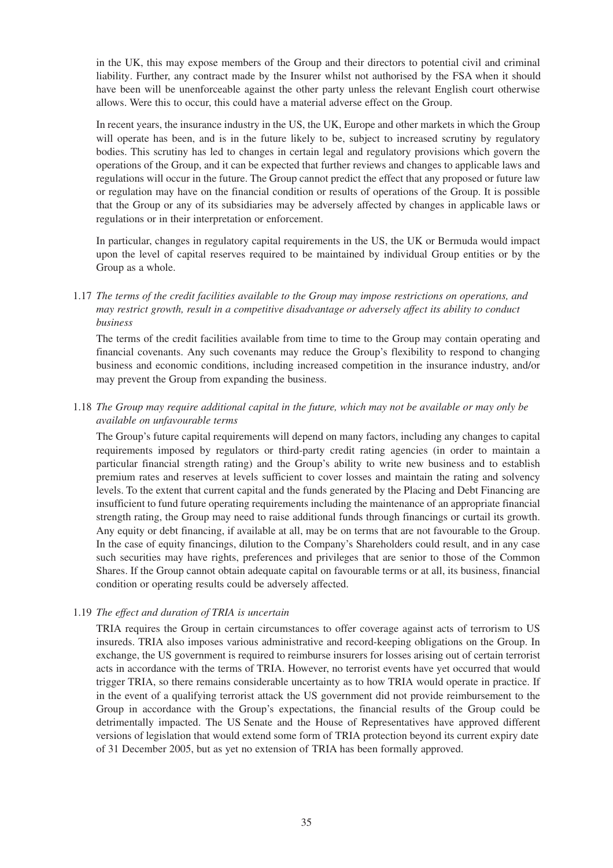in the UK, this may expose members of the Group and their directors to potential civil and criminal liability. Further, any contract made by the Insurer whilst not authorised by the FSA when it should have been will be unenforceable against the other party unless the relevant English court otherwise allows. Were this to occur, this could have a material adverse effect on the Group.

In recent years, the insurance industry in the US, the UK, Europe and other markets in which the Group will operate has been, and is in the future likely to be, subject to increased scrutiny by regulatory bodies. This scrutiny has led to changes in certain legal and regulatory provisions which govern the operations of the Group, and it can be expected that further reviews and changes to applicable laws and regulations will occur in the future. The Group cannot predict the effect that any proposed or future law or regulation may have on the financial condition or results of operations of the Group. It is possible that the Group or any of its subsidiaries may be adversely affected by changes in applicable laws or regulations or in their interpretation or enforcement.

In particular, changes in regulatory capital requirements in the US, the UK or Bermuda would impact upon the level of capital reserves required to be maintained by individual Group entities or by the Group as a whole.

1.17 *The terms of the credit facilities available to the Group may impose restrictions on operations, and may restrict growth, result in a competitive disadvantage or adversely affect its ability to conduct business*

The terms of the credit facilities available from time to time to the Group may contain operating and financial covenants. Any such covenants may reduce the Group's flexibility to respond to changing business and economic conditions, including increased competition in the insurance industry, and/or may prevent the Group from expanding the business.

1.18 *The Group may require additional capital in the future, which may not be available or may only be available on unfavourable terms*

The Group's future capital requirements will depend on many factors, including any changes to capital requirements imposed by regulators or third-party credit rating agencies (in order to maintain a particular financial strength rating) and the Group's ability to write new business and to establish premium rates and reserves at levels sufficient to cover losses and maintain the rating and solvency levels. To the extent that current capital and the funds generated by the Placing and Debt Financing are insufficient to fund future operating requirements including the maintenance of an appropriate financial strength rating, the Group may need to raise additional funds through financings or curtail its growth. Any equity or debt financing, if available at all, may be on terms that are not favourable to the Group. In the case of equity financings, dilution to the Company's Shareholders could result, and in any case such securities may have rights, preferences and privileges that are senior to those of the Common Shares. If the Group cannot obtain adequate capital on favourable terms or at all, its business, financial condition or operating results could be adversely affected.

#### 1.19 *The effect and duration of TRIA is uncertain*

TRIA requires the Group in certain circumstances to offer coverage against acts of terrorism to US insureds. TRIA also imposes various administrative and record-keeping obligations on the Group. In exchange, the US government is required to reimburse insurers for losses arising out of certain terrorist acts in accordance with the terms of TRIA. However, no terrorist events have yet occurred that would trigger TRIA, so there remains considerable uncertainty as to how TRIA would operate in practice. If in the event of a qualifying terrorist attack the US government did not provide reimbursement to the Group in accordance with the Group's expectations, the financial results of the Group could be detrimentally impacted. The US Senate and the House of Representatives have approved different versions of legislation that would extend some form of TRIA protection beyond its current expiry date of 31 December 2005, but as yet no extension of TRIA has been formally approved.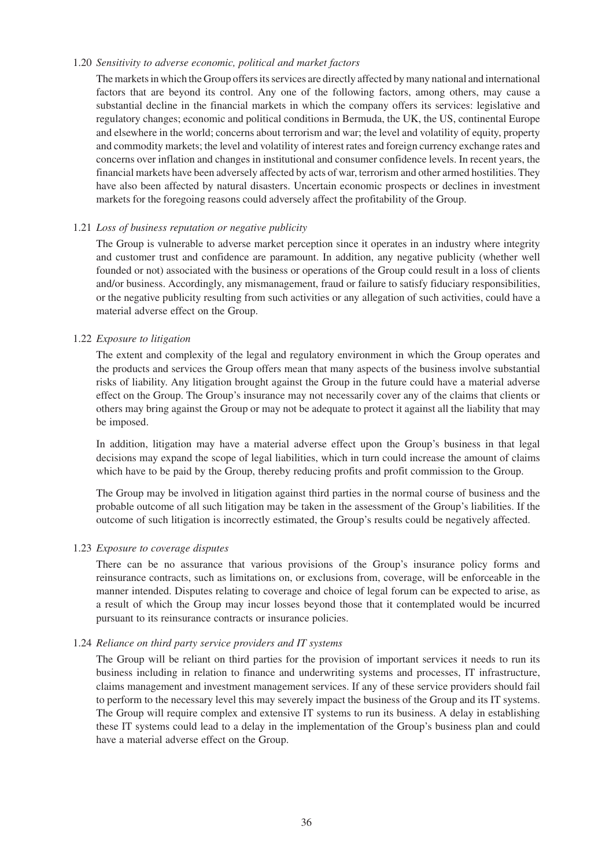#### 1.20 *Sensitivity to adverse economic, political and market factors*

The markets in which the Group offers its services are directly affected by many national and international factors that are beyond its control. Any one of the following factors, among others, may cause a substantial decline in the financial markets in which the company offers its services: legislative and regulatory changes; economic and political conditions in Bermuda, the UK, the US, continental Europe and elsewhere in the world; concerns about terrorism and war; the level and volatility of equity, property and commodity markets; the level and volatility of interest rates and foreign currency exchange rates and concerns over inflation and changes in institutional and consumer confidence levels. In recent years, the financial markets have been adversely affected by acts of war, terrorism and other armed hostilities. They have also been affected by natural disasters. Uncertain economic prospects or declines in investment markets for the foregoing reasons could adversely affect the profitability of the Group.

### 1.21 *Loss of business reputation or negative publicity*

The Group is vulnerable to adverse market perception since it operates in an industry where integrity and customer trust and confidence are paramount. In addition, any negative publicity (whether well founded or not) associated with the business or operations of the Group could result in a loss of clients and/or business. Accordingly, any mismanagement, fraud or failure to satisfy fiduciary responsibilities, or the negative publicity resulting from such activities or any allegation of such activities, could have a material adverse effect on the Group.

### 1.22 *Exposure to litigation*

The extent and complexity of the legal and regulatory environment in which the Group operates and the products and services the Group offers mean that many aspects of the business involve substantial risks of liability. Any litigation brought against the Group in the future could have a material adverse effect on the Group. The Group's insurance may not necessarily cover any of the claims that clients or others may bring against the Group or may not be adequate to protect it against all the liability that may be imposed.

In addition, litigation may have a material adverse effect upon the Group's business in that legal decisions may expand the scope of legal liabilities, which in turn could increase the amount of claims which have to be paid by the Group, thereby reducing profits and profit commission to the Group.

The Group may be involved in litigation against third parties in the normal course of business and the probable outcome of all such litigation may be taken in the assessment of the Group's liabilities. If the outcome of such litigation is incorrectly estimated, the Group's results could be negatively affected.

#### 1.23 *Exposure to coverage disputes*

There can be no assurance that various provisions of the Group's insurance policy forms and reinsurance contracts, such as limitations on, or exclusions from, coverage, will be enforceable in the manner intended. Disputes relating to coverage and choice of legal forum can be expected to arise, as a result of which the Group may incur losses beyond those that it contemplated would be incurred pursuant to its reinsurance contracts or insurance policies.

#### 1.24 *Reliance on third party service providers and IT systems*

The Group will be reliant on third parties for the provision of important services it needs to run its business including in relation to finance and underwriting systems and processes, IT infrastructure, claims management and investment management services. If any of these service providers should fail to perform to the necessary level this may severely impact the business of the Group and its IT systems. The Group will require complex and extensive IT systems to run its business. A delay in establishing these IT systems could lead to a delay in the implementation of the Group's business plan and could have a material adverse effect on the Group.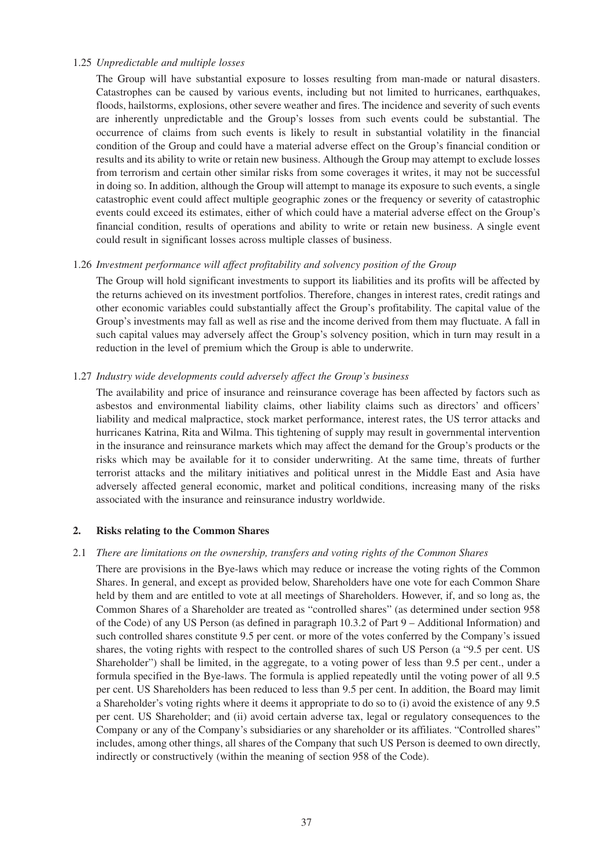#### 1.25 *Unpredictable and multiple losses*

The Group will have substantial exposure to losses resulting from man-made or natural disasters. Catastrophes can be caused by various events, including but not limited to hurricanes, earthquakes, floods, hailstorms, explosions, other severe weather and fires. The incidence and severity of such events are inherently unpredictable and the Group's losses from such events could be substantial. The occurrence of claims from such events is likely to result in substantial volatility in the financial condition of the Group and could have a material adverse effect on the Group's financial condition or results and its ability to write or retain new business. Although the Group may attempt to exclude losses from terrorism and certain other similar risks from some coverages it writes, it may not be successful in doing so. In addition, although the Group will attempt to manage its exposure to such events, a single catastrophic event could affect multiple geographic zones or the frequency or severity of catastrophic events could exceed its estimates, either of which could have a material adverse effect on the Group's financial condition, results of operations and ability to write or retain new business. A single event could result in significant losses across multiple classes of business.

### 1.26 *Investment performance will affect profitability and solvency position of the Group*

The Group will hold significant investments to support its liabilities and its profits will be affected by the returns achieved on its investment portfolios. Therefore, changes in interest rates, credit ratings and other economic variables could substantially affect the Group's profitability. The capital value of the Group's investments may fall as well as rise and the income derived from them may fluctuate. A fall in such capital values may adversely affect the Group's solvency position, which in turn may result in a reduction in the level of premium which the Group is able to underwrite.

# 1.27 *Industry wide developments could adversely affect the Group's business*

The availability and price of insurance and reinsurance coverage has been affected by factors such as asbestos and environmental liability claims, other liability claims such as directors' and officers' liability and medical malpractice, stock market performance, interest rates, the US terror attacks and hurricanes Katrina, Rita and Wilma. This tightening of supply may result in governmental intervention in the insurance and reinsurance markets which may affect the demand for the Group's products or the risks which may be available for it to consider underwriting. At the same time, threats of further terrorist attacks and the military initiatives and political unrest in the Middle East and Asia have adversely affected general economic, market and political conditions, increasing many of the risks associated with the insurance and reinsurance industry worldwide.

#### **2. Risks relating to the Common Shares**

#### 2.1 *There are limitations on the ownership, transfers and voting rights of the Common Shares*

There are provisions in the Bye-laws which may reduce or increase the voting rights of the Common Shares. In general, and except as provided below, Shareholders have one vote for each Common Share held by them and are entitled to vote at all meetings of Shareholders. However, if, and so long as, the Common Shares of a Shareholder are treated as "controlled shares" (as determined under section 958 of the Code) of any US Person (as defined in paragraph 10.3.2 of Part 9 – Additional Information) and such controlled shares constitute 9.5 per cent. or more of the votes conferred by the Company's issued shares, the voting rights with respect to the controlled shares of such US Person (a "9.5 per cent. US Shareholder") shall be limited, in the aggregate, to a voting power of less than 9.5 per cent., under a formula specified in the Bye-laws. The formula is applied repeatedly until the voting power of all 9.5 per cent. US Shareholders has been reduced to less than 9.5 per cent. In addition, the Board may limit a Shareholder's voting rights where it deems it appropriate to do so to (i) avoid the existence of any 9.5 per cent. US Shareholder; and (ii) avoid certain adverse tax, legal or regulatory consequences to the Company or any of the Company's subsidiaries or any shareholder or its affiliates. "Controlled shares" includes, among other things, all shares of the Company that such US Person is deemed to own directly, indirectly or constructively (within the meaning of section 958 of the Code).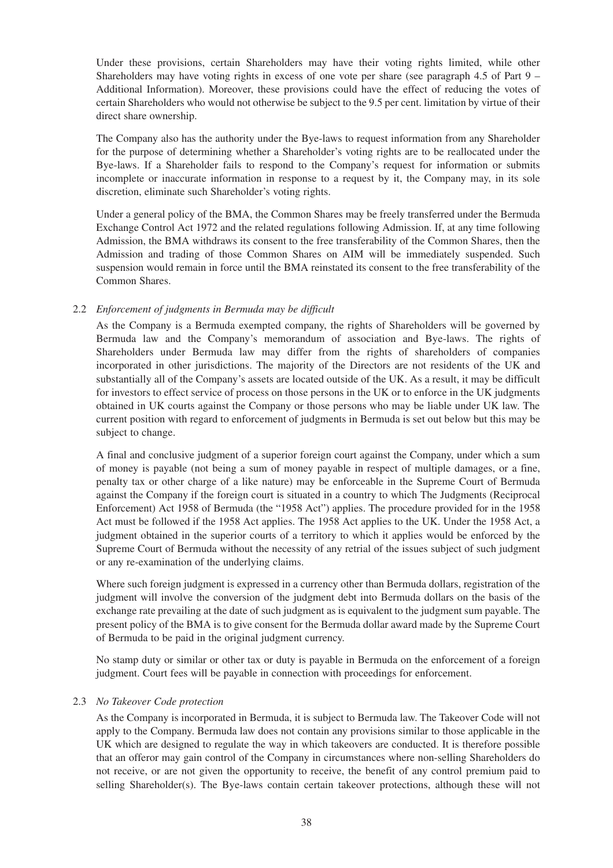Under these provisions, certain Shareholders may have their voting rights limited, while other Shareholders may have voting rights in excess of one vote per share (see paragraph 4.5 of Part  $9 -$ Additional Information). Moreover, these provisions could have the effect of reducing the votes of certain Shareholders who would not otherwise be subject to the 9.5 per cent. limitation by virtue of their direct share ownership.

The Company also has the authority under the Bye-laws to request information from any Shareholder for the purpose of determining whether a Shareholder's voting rights are to be reallocated under the Bye-laws. If a Shareholder fails to respond to the Company's request for information or submits incomplete or inaccurate information in response to a request by it, the Company may, in its sole discretion, eliminate such Shareholder's voting rights.

Under a general policy of the BMA, the Common Shares may be freely transferred under the Bermuda Exchange Control Act 1972 and the related regulations following Admission. If, at any time following Admission, the BMA withdraws its consent to the free transferability of the Common Shares, then the Admission and trading of those Common Shares on AIM will be immediately suspended. Such suspension would remain in force until the BMA reinstated its consent to the free transferability of the Common Shares.

# 2.2 *Enforcement of judgments in Bermuda may be difficult*

As the Company is a Bermuda exempted company, the rights of Shareholders will be governed by Bermuda law and the Company's memorandum of association and Bye-laws. The rights of Shareholders under Bermuda law may differ from the rights of shareholders of companies incorporated in other jurisdictions. The majority of the Directors are not residents of the UK and substantially all of the Company's assets are located outside of the UK. As a result, it may be difficult for investors to effect service of process on those persons in the UK or to enforce in the UK judgments obtained in UK courts against the Company or those persons who may be liable under UK law. The current position with regard to enforcement of judgments in Bermuda is set out below but this may be subject to change.

A final and conclusive judgment of a superior foreign court against the Company, under which a sum of money is payable (not being a sum of money payable in respect of multiple damages, or a fine, penalty tax or other charge of a like nature) may be enforceable in the Supreme Court of Bermuda against the Company if the foreign court is situated in a country to which The Judgments (Reciprocal Enforcement) Act 1958 of Bermuda (the "1958 Act") applies. The procedure provided for in the 1958 Act must be followed if the 1958 Act applies. The 1958 Act applies to the UK. Under the 1958 Act, a judgment obtained in the superior courts of a territory to which it applies would be enforced by the Supreme Court of Bermuda without the necessity of any retrial of the issues subject of such judgment or any re-examination of the underlying claims.

Where such foreign judgment is expressed in a currency other than Bermuda dollars, registration of the judgment will involve the conversion of the judgment debt into Bermuda dollars on the basis of the exchange rate prevailing at the date of such judgment as is equivalent to the judgment sum payable. The present policy of the BMA is to give consent for the Bermuda dollar award made by the Supreme Court of Bermuda to be paid in the original judgment currency.

No stamp duty or similar or other tax or duty is payable in Bermuda on the enforcement of a foreign judgment. Court fees will be payable in connection with proceedings for enforcement.

# 2.3 *No Takeover Code protection*

As the Company is incorporated in Bermuda, it is subject to Bermuda law. The Takeover Code will not apply to the Company. Bermuda law does not contain any provisions similar to those applicable in the UK which are designed to regulate the way in which takeovers are conducted. It is therefore possible that an offeror may gain control of the Company in circumstances where non-selling Shareholders do not receive, or are not given the opportunity to receive, the benefit of any control premium paid to selling Shareholder(s). The Bye-laws contain certain takeover protections, although these will not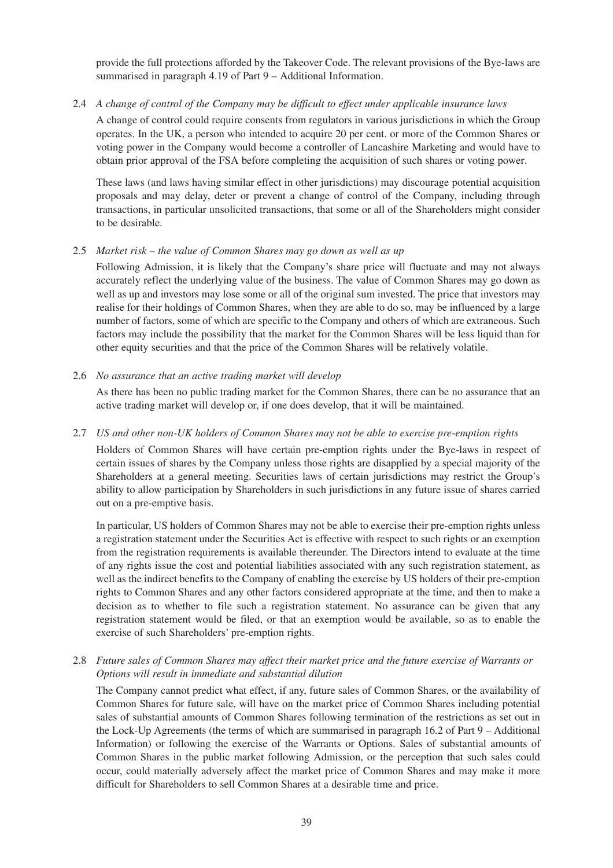provide the full protections afforded by the Takeover Code. The relevant provisions of the Bye-laws are summarised in paragraph 4.19 of Part 9 – Additional Information.

## 2.4 *A change of control of the Company may be difficult to effect under applicable insurance laws*

A change of control could require consents from regulators in various jurisdictions in which the Group operates. In the UK, a person who intended to acquire 20 per cent. or more of the Common Shares or voting power in the Company would become a controller of Lancashire Marketing and would have to obtain prior approval of the FSA before completing the acquisition of such shares or voting power.

These laws (and laws having similar effect in other jurisdictions) may discourage potential acquisition proposals and may delay, deter or prevent a change of control of the Company, including through transactions, in particular unsolicited transactions, that some or all of the Shareholders might consider to be desirable.

### 2.5 *Market risk – the value of Common Shares may go down as well as up*

Following Admission, it is likely that the Company's share price will fluctuate and may not always accurately reflect the underlying value of the business. The value of Common Shares may go down as well as up and investors may lose some or all of the original sum invested. The price that investors may realise for their holdings of Common Shares, when they are able to do so, may be influenced by a large number of factors, some of which are specific to the Company and others of which are extraneous. Such factors may include the possibility that the market for the Common Shares will be less liquid than for other equity securities and that the price of the Common Shares will be relatively volatile.

### 2.6 *No assurance that an active trading market will develop*

As there has been no public trading market for the Common Shares, there can be no assurance that an active trading market will develop or, if one does develop, that it will be maintained.

### 2.7 *US and other non-UK holders of Common Shares may not be able to exercise pre-emption rights*

Holders of Common Shares will have certain pre-emption rights under the Bye-laws in respect of certain issues of shares by the Company unless those rights are disapplied by a special majority of the Shareholders at a general meeting. Securities laws of certain jurisdictions may restrict the Group's ability to allow participation by Shareholders in such jurisdictions in any future issue of shares carried out on a pre-emptive basis.

In particular, US holders of Common Shares may not be able to exercise their pre-emption rights unless a registration statement under the Securities Act is effective with respect to such rights or an exemption from the registration requirements is available thereunder. The Directors intend to evaluate at the time of any rights issue the cost and potential liabilities associated with any such registration statement, as well as the indirect benefits to the Company of enabling the exercise by US holders of their pre-emption rights to Common Shares and any other factors considered appropriate at the time, and then to make a decision as to whether to file such a registration statement. No assurance can be given that any registration statement would be filed, or that an exemption would be available, so as to enable the exercise of such Shareholders' pre-emption rights.

# 2.8 *Future sales of Common Shares may affect their market price and the future exercise of Warrants or Options will result in immediate and substantial dilution*

The Company cannot predict what effect, if any, future sales of Common Shares, or the availability of Common Shares for future sale, will have on the market price of Common Shares including potential sales of substantial amounts of Common Shares following termination of the restrictions as set out in the Lock-Up Agreements (the terms of which are summarised in paragraph 16.2 of Part 9 – Additional Information) or following the exercise of the Warrants or Options. Sales of substantial amounts of Common Shares in the public market following Admission, or the perception that such sales could occur, could materially adversely affect the market price of Common Shares and may make it more difficult for Shareholders to sell Common Shares at a desirable time and price.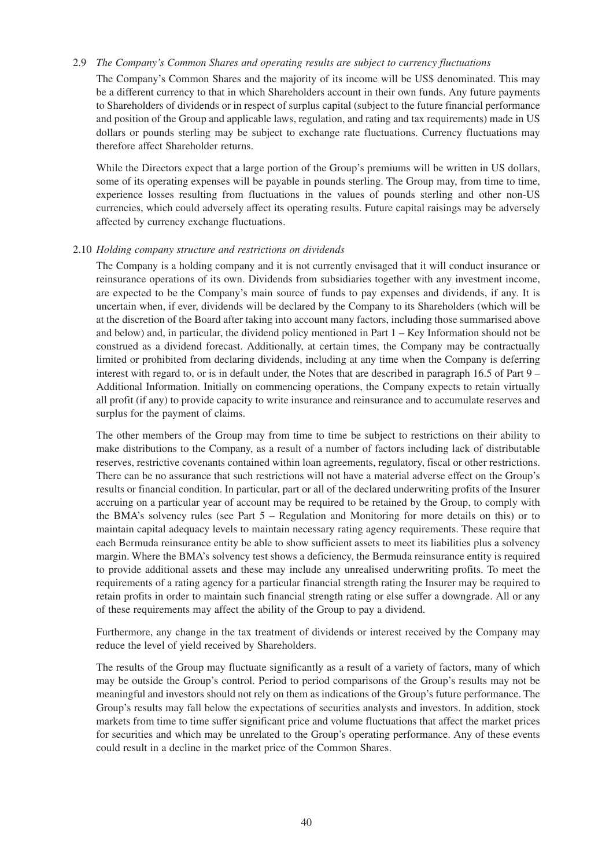#### 2.9 *The Company's Common Shares and operating results are subject to currency fluctuations*

The Company's Common Shares and the majority of its income will be US\$ denominated. This may be a different currency to that in which Shareholders account in their own funds. Any future payments to Shareholders of dividends or in respect of surplus capital (subject to the future financial performance and position of the Group and applicable laws, regulation, and rating and tax requirements) made in US dollars or pounds sterling may be subject to exchange rate fluctuations. Currency fluctuations may therefore affect Shareholder returns.

While the Directors expect that a large portion of the Group's premiums will be written in US dollars, some of its operating expenses will be payable in pounds sterling. The Group may, from time to time, experience losses resulting from fluctuations in the values of pounds sterling and other non-US currencies, which could adversely affect its operating results. Future capital raisings may be adversely affected by currency exchange fluctuations.

#### 2.10 *Holding company structure and restrictions on dividends*

The Company is a holding company and it is not currently envisaged that it will conduct insurance or reinsurance operations of its own. Dividends from subsidiaries together with any investment income, are expected to be the Company's main source of funds to pay expenses and dividends, if any. It is uncertain when, if ever, dividends will be declared by the Company to its Shareholders (which will be at the discretion of the Board after taking into account many factors, including those summarised above and below) and, in particular, the dividend policy mentioned in Part 1 – Key Information should not be construed as a dividend forecast. Additionally, at certain times, the Company may be contractually limited or prohibited from declaring dividends, including at any time when the Company is deferring interest with regard to, or is in default under, the Notes that are described in paragraph 16.5 of Part 9 – Additional Information. Initially on commencing operations, the Company expects to retain virtually all profit (if any) to provide capacity to write insurance and reinsurance and to accumulate reserves and surplus for the payment of claims.

The other members of the Group may from time to time be subject to restrictions on their ability to make distributions to the Company, as a result of a number of factors including lack of distributable reserves, restrictive covenants contained within loan agreements, regulatory, fiscal or other restrictions. There can be no assurance that such restrictions will not have a material adverse effect on the Group's results or financial condition. In particular, part or all of the declared underwriting profits of the Insurer accruing on a particular year of account may be required to be retained by the Group, to comply with the BMA's solvency rules (see Part 5 – Regulation and Monitoring for more details on this) or to maintain capital adequacy levels to maintain necessary rating agency requirements. These require that each Bermuda reinsurance entity be able to show sufficient assets to meet its liabilities plus a solvency margin. Where the BMA's solvency test shows a deficiency, the Bermuda reinsurance entity is required to provide additional assets and these may include any unrealised underwriting profits. To meet the requirements of a rating agency for a particular financial strength rating the Insurer may be required to retain profits in order to maintain such financial strength rating or else suffer a downgrade. All or any of these requirements may affect the ability of the Group to pay a dividend.

Furthermore, any change in the tax treatment of dividends or interest received by the Company may reduce the level of yield received by Shareholders.

The results of the Group may fluctuate significantly as a result of a variety of factors, many of which may be outside the Group's control. Period to period comparisons of the Group's results may not be meaningful and investors should not rely on them as indications of the Group's future performance. The Group's results may fall below the expectations of securities analysts and investors. In addition, stock markets from time to time suffer significant price and volume fluctuations that affect the market prices for securities and which may be unrelated to the Group's operating performance. Any of these events could result in a decline in the market price of the Common Shares.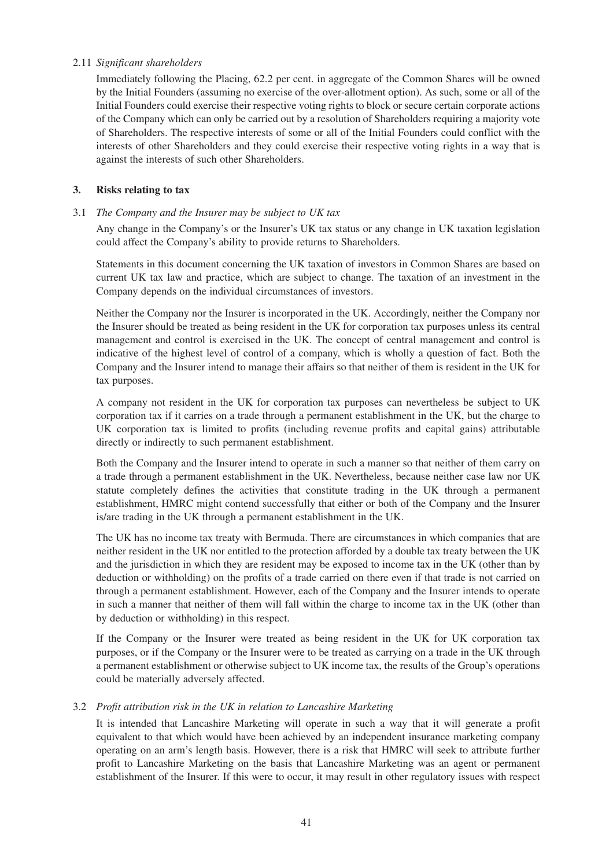### 2.11 *Significant shareholders*

Immediately following the Placing, 62.2 per cent. in aggregate of the Common Shares will be owned by the Initial Founders (assuming no exercise of the over-allotment option). As such, some or all of the Initial Founders could exercise their respective voting rights to block or secure certain corporate actions of the Company which can only be carried out by a resolution of Shareholders requiring a majority vote of Shareholders. The respective interests of some or all of the Initial Founders could conflict with the interests of other Shareholders and they could exercise their respective voting rights in a way that is against the interests of such other Shareholders.

## **3. Risks relating to tax**

### 3.1 *The Company and the Insurer may be subject to UK tax*

Any change in the Company's or the Insurer's UK tax status or any change in UK taxation legislation could affect the Company's ability to provide returns to Shareholders.

Statements in this document concerning the UK taxation of investors in Common Shares are based on current UK tax law and practice, which are subject to change. The taxation of an investment in the Company depends on the individual circumstances of investors.

Neither the Company nor the Insurer is incorporated in the UK. Accordingly, neither the Company nor the Insurer should be treated as being resident in the UK for corporation tax purposes unless its central management and control is exercised in the UK. The concept of central management and control is indicative of the highest level of control of a company, which is wholly a question of fact. Both the Company and the Insurer intend to manage their affairs so that neither of them is resident in the UK for tax purposes.

A company not resident in the UK for corporation tax purposes can nevertheless be subject to UK corporation tax if it carries on a trade through a permanent establishment in the UK, but the charge to UK corporation tax is limited to profits (including revenue profits and capital gains) attributable directly or indirectly to such permanent establishment.

Both the Company and the Insurer intend to operate in such a manner so that neither of them carry on a trade through a permanent establishment in the UK. Nevertheless, because neither case law nor UK statute completely defines the activities that constitute trading in the UK through a permanent establishment, HMRC might contend successfully that either or both of the Company and the Insurer is/are trading in the UK through a permanent establishment in the UK.

The UK has no income tax treaty with Bermuda. There are circumstances in which companies that are neither resident in the UK nor entitled to the protection afforded by a double tax treaty between the UK and the jurisdiction in which they are resident may be exposed to income tax in the UK (other than by deduction or withholding) on the profits of a trade carried on there even if that trade is not carried on through a permanent establishment. However, each of the Company and the Insurer intends to operate in such a manner that neither of them will fall within the charge to income tax in the UK (other than by deduction or withholding) in this respect.

If the Company or the Insurer were treated as being resident in the UK for UK corporation tax purposes, or if the Company or the Insurer were to be treated as carrying on a trade in the UK through a permanent establishment or otherwise subject to UK income tax, the results of the Group's operations could be materially adversely affected.

# 3.2 *Profit attribution risk in the UK in relation to Lancashire Marketing*

It is intended that Lancashire Marketing will operate in such a way that it will generate a profit equivalent to that which would have been achieved by an independent insurance marketing company operating on an arm's length basis. However, there is a risk that HMRC will seek to attribute further profit to Lancashire Marketing on the basis that Lancashire Marketing was an agent or permanent establishment of the Insurer. If this were to occur, it may result in other regulatory issues with respect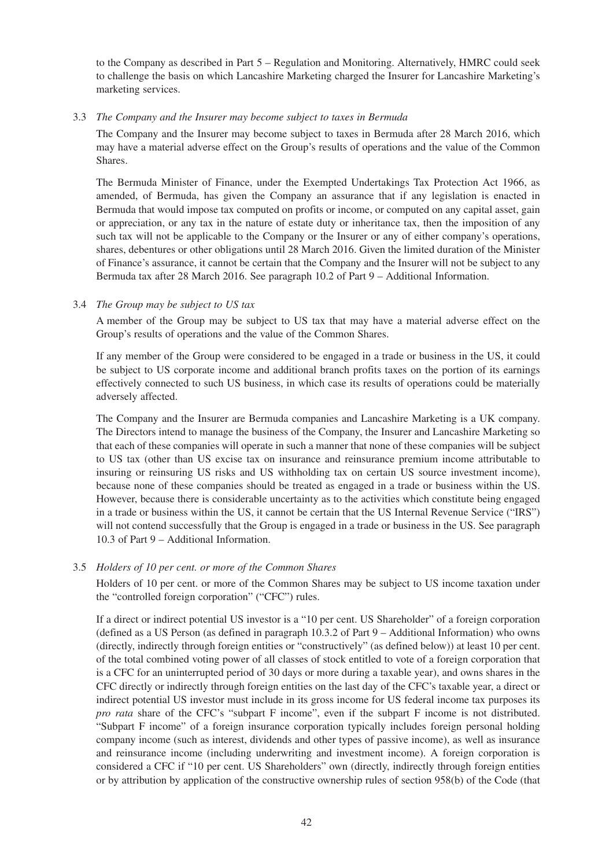to the Company as described in Part 5 – Regulation and Monitoring. Alternatively, HMRC could seek to challenge the basis on which Lancashire Marketing charged the Insurer for Lancashire Marketing's marketing services.

### 3.3 *The Company and the Insurer may become subject to taxes in Bermuda*

The Company and the Insurer may become subject to taxes in Bermuda after 28 March 2016, which may have a material adverse effect on the Group's results of operations and the value of the Common Shares.

The Bermuda Minister of Finance, under the Exempted Undertakings Tax Protection Act 1966, as amended, of Bermuda, has given the Company an assurance that if any legislation is enacted in Bermuda that would impose tax computed on profits or income, or computed on any capital asset, gain or appreciation, or any tax in the nature of estate duty or inheritance tax, then the imposition of any such tax will not be applicable to the Company or the Insurer or any of either company's operations, shares, debentures or other obligations until 28 March 2016. Given the limited duration of the Minister of Finance's assurance, it cannot be certain that the Company and the Insurer will not be subject to any Bermuda tax after 28 March 2016. See paragraph 10.2 of Part 9 – Additional Information.

### 3.4 *The Group may be subject to US tax*

A member of the Group may be subject to US tax that may have a material adverse effect on the Group's results of operations and the value of the Common Shares.

If any member of the Group were considered to be engaged in a trade or business in the US, it could be subject to US corporate income and additional branch profits taxes on the portion of its earnings effectively connected to such US business, in which case its results of operations could be materially adversely affected.

The Company and the Insurer are Bermuda companies and Lancashire Marketing is a UK company. The Directors intend to manage the business of the Company, the Insurer and Lancashire Marketing so that each of these companies will operate in such a manner that none of these companies will be subject to US tax (other than US excise tax on insurance and reinsurance premium income attributable to insuring or reinsuring US risks and US withholding tax on certain US source investment income), because none of these companies should be treated as engaged in a trade or business within the US. However, because there is considerable uncertainty as to the activities which constitute being engaged in a trade or business within the US, it cannot be certain that the US Internal Revenue Service ("IRS") will not contend successfully that the Group is engaged in a trade or business in the US. See paragraph 10.3 of Part 9 – Additional Information.

# 3.5 *Holders of 10 per cent. or more of the Common Shares*

Holders of 10 per cent. or more of the Common Shares may be subject to US income taxation under the "controlled foreign corporation" ("CFC") rules.

If a direct or indirect potential US investor is a "10 per cent. US Shareholder" of a foreign corporation (defined as a US Person (as defined in paragraph 10.3.2 of Part 9 – Additional Information) who owns (directly, indirectly through foreign entities or "constructively" (as defined below)) at least 10 per cent. of the total combined voting power of all classes of stock entitled to vote of a foreign corporation that is a CFC for an uninterrupted period of 30 days or more during a taxable year), and owns shares in the CFC directly or indirectly through foreign entities on the last day of the CFC's taxable year, a direct or indirect potential US investor must include in its gross income for US federal income tax purposes its *pro rata* share of the CFC's "subpart F income", even if the subpart F income is not distributed. "Subpart F income" of a foreign insurance corporation typically includes foreign personal holding company income (such as interest, dividends and other types of passive income), as well as insurance and reinsurance income (including underwriting and investment income). A foreign corporation is considered a CFC if "10 per cent. US Shareholders" own (directly, indirectly through foreign entities or by attribution by application of the constructive ownership rules of section 958(b) of the Code (that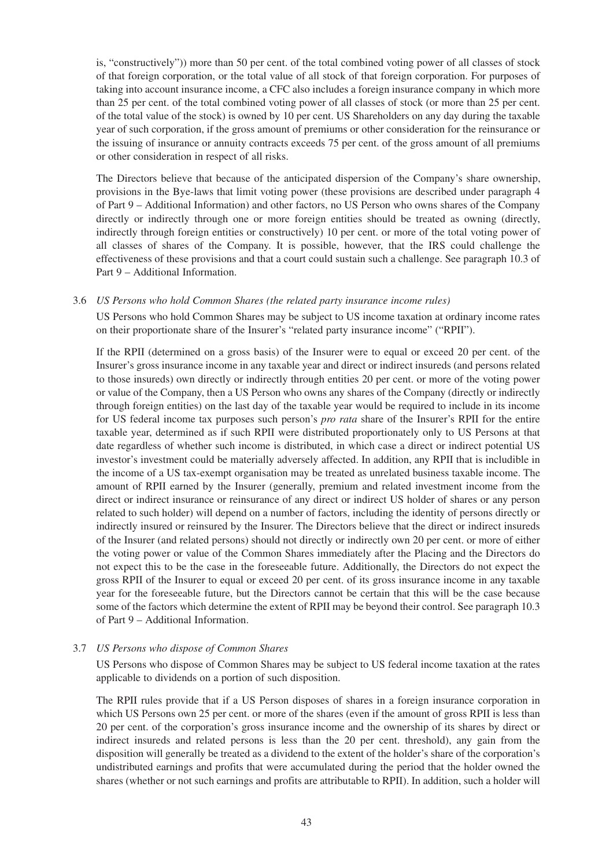is, "constructively")) more than 50 per cent. of the total combined voting power of all classes of stock of that foreign corporation, or the total value of all stock of that foreign corporation. For purposes of taking into account insurance income, a CFC also includes a foreign insurance company in which more than 25 per cent. of the total combined voting power of all classes of stock (or more than 25 per cent. of the total value of the stock) is owned by 10 per cent. US Shareholders on any day during the taxable year of such corporation, if the gross amount of premiums or other consideration for the reinsurance or the issuing of insurance or annuity contracts exceeds 75 per cent. of the gross amount of all premiums or other consideration in respect of all risks.

The Directors believe that because of the anticipated dispersion of the Company's share ownership, provisions in the Bye-laws that limit voting power (these provisions are described under paragraph 4 of Part 9 – Additional Information) and other factors, no US Person who owns shares of the Company directly or indirectly through one or more foreign entities should be treated as owning (directly, indirectly through foreign entities or constructively) 10 per cent. or more of the total voting power of all classes of shares of the Company. It is possible, however, that the IRS could challenge the effectiveness of these provisions and that a court could sustain such a challenge. See paragraph 10.3 of Part 9 – Additional Information.

#### 3.6 *US Persons who hold Common Shares (the related party insurance income rules)*

US Persons who hold Common Shares may be subject to US income taxation at ordinary income rates on their proportionate share of the Insurer's "related party insurance income" ("RPII").

If the RPII (determined on a gross basis) of the Insurer were to equal or exceed 20 per cent. of the Insurer's gross insurance income in any taxable year and direct or indirect insureds (and persons related to those insureds) own directly or indirectly through entities 20 per cent. or more of the voting power or value of the Company, then a US Person who owns any shares of the Company (directly or indirectly through foreign entities) on the last day of the taxable year would be required to include in its income for US federal income tax purposes such person's *pro rata* share of the Insurer's RPII for the entire taxable year, determined as if such RPII were distributed proportionately only to US Persons at that date regardless of whether such income is distributed, in which case a direct or indirect potential US investor's investment could be materially adversely affected. In addition, any RPII that is includible in the income of a US tax-exempt organisation may be treated as unrelated business taxable income. The amount of RPII earned by the Insurer (generally, premium and related investment income from the direct or indirect insurance or reinsurance of any direct or indirect US holder of shares or any person related to such holder) will depend on a number of factors, including the identity of persons directly or indirectly insured or reinsured by the Insurer. The Directors believe that the direct or indirect insureds of the Insurer (and related persons) should not directly or indirectly own 20 per cent. or more of either the voting power or value of the Common Shares immediately after the Placing and the Directors do not expect this to be the case in the foreseeable future. Additionally, the Directors do not expect the gross RPII of the Insurer to equal or exceed 20 per cent. of its gross insurance income in any taxable year for the foreseeable future, but the Directors cannot be certain that this will be the case because some of the factors which determine the extent of RPII may be beyond their control. See paragraph 10.3 of Part 9 – Additional Information.

# 3.7 *US Persons who dispose of Common Shares*

US Persons who dispose of Common Shares may be subject to US federal income taxation at the rates applicable to dividends on a portion of such disposition.

The RPII rules provide that if a US Person disposes of shares in a foreign insurance corporation in which US Persons own 25 per cent. or more of the shares (even if the amount of gross RPII is less than 20 per cent. of the corporation's gross insurance income and the ownership of its shares by direct or indirect insureds and related persons is less than the 20 per cent. threshold), any gain from the disposition will generally be treated as a dividend to the extent of the holder's share of the corporation's undistributed earnings and profits that were accumulated during the period that the holder owned the shares (whether or not such earnings and profits are attributable to RPII). In addition, such a holder will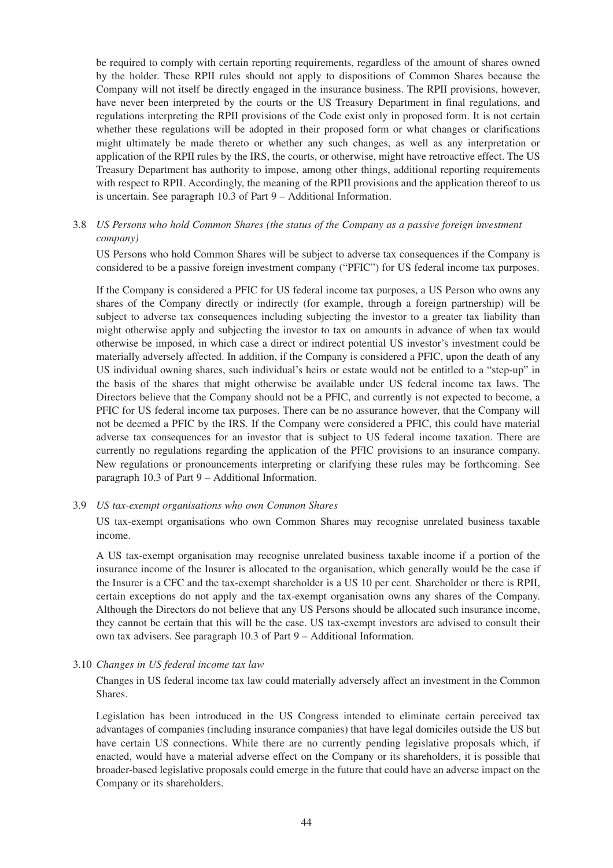be required to comply with certain reporting requirements, regardless of the amount of shares owned by the holder. These RPII rules should not apply to dispositions of Common Shares because the Company will not itself be directly engaged in the insurance business. The RPII provisions, however, have never been interpreted by the courts or the US Treasury Department in final regulations, and regulations interpreting the RPII provisions of the Code exist only in proposed form. It is not certain whether these regulations will be adopted in their proposed form or what changes or clarifications might ultimately be made thereto or whether any such changes, as well as any interpretation or application of the RPII rules by the IRS, the courts, or otherwise, might have retroactive effect. The US Treasury Department has authority to impose, among other things, additional reporting requirements with respect to RPII. Accordingly, the meaning of the RPII provisions and the application thereof to us is uncertain. See paragraph 10.3 of Part 9 – Additional Information.

## 3.8 *US Persons who hold Common Shares (the status of the Company as a passive foreign investment company)*

US Persons who hold Common Shares will be subject to adverse tax consequences if the Company is considered to be a passive foreign investment company ("PFIC") for US federal income tax purposes.

If the Company is considered a PFIC for US federal income tax purposes, a US Person who owns any shares of the Company directly or indirectly (for example, through a foreign partnership) will be subject to adverse tax consequences including subjecting the investor to a greater tax liability than might otherwise apply and subjecting the investor to tax on amounts in advance of when tax would otherwise be imposed, in which case a direct or indirect potential US investor's investment could be materially adversely affected. In addition, if the Company is considered a PFIC, upon the death of any US individual owning shares, such individual's heirs or estate would not be entitled to a "step-up" in the basis of the shares that might otherwise be available under US federal income tax laws. The Directors believe that the Company should not be a PFIC, and currently is not expected to become, a PFIC for US federal income tax purposes. There can be no assurance however, that the Company will not be deemed a PFIC by the IRS. If the Company were considered a PFIC, this could have material adverse tax consequences for an investor that is subject to US federal income taxation. There are currently no regulations regarding the application of the PFIC provisions to an insurance company. New regulations or pronouncements interpreting or clarifying these rules may be forthcoming. See paragraph 10.3 of Part 9 – Additional Information.

#### 3.9 *US tax-exempt organisations who own Common Shares*

US tax-exempt organisations who own Common Shares may recognise unrelated business taxable income.

A US tax-exempt organisation may recognise unrelated business taxable income if a portion of the insurance income of the Insurer is allocated to the organisation, which generally would be the case if the Insurer is a CFC and the tax-exempt shareholder is a US 10 per cent. Shareholder or there is RPII, certain exceptions do not apply and the tax-exempt organisation owns any shares of the Company. Although the Directors do not believe that any US Persons should be allocated such insurance income, they cannot be certain that this will be the case. US tax-exempt investors are advised to consult their own tax advisers. See paragraph 10.3 of Part 9 – Additional Information.

#### 3.10 *Changes in US federal income tax law*

Changes in US federal income tax law could materially adversely affect an investment in the Common Shares.

Legislation has been introduced in the US Congress intended to eliminate certain perceived tax advantages of companies (including insurance companies) that have legal domiciles outside the US but have certain US connections. While there are no currently pending legislative proposals which, if enacted, would have a material adverse effect on the Company or its shareholders, it is possible that broader-based legislative proposals could emerge in the future that could have an adverse impact on the Company or its shareholders.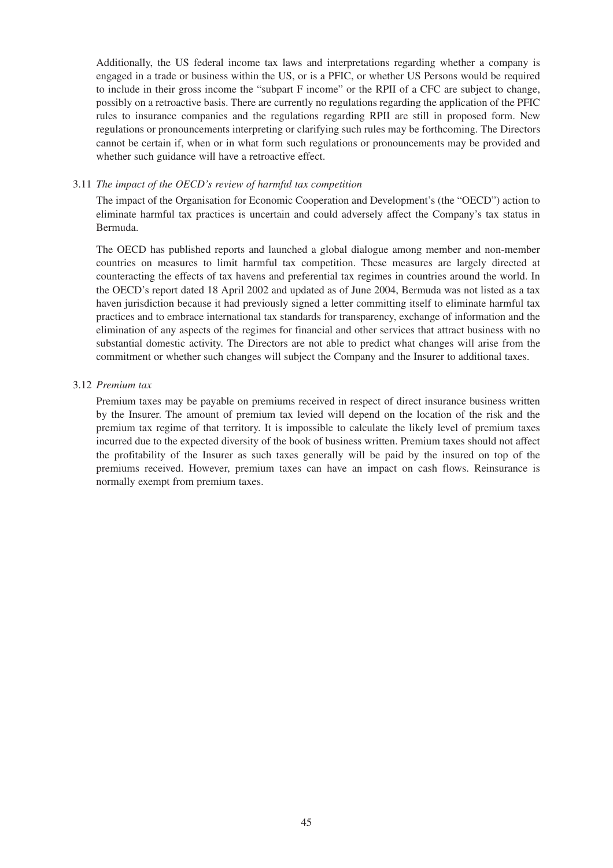Additionally, the US federal income tax laws and interpretations regarding whether a company is engaged in a trade or business within the US, or is a PFIC, or whether US Persons would be required to include in their gross income the "subpart F income" or the RPII of a CFC are subject to change, possibly on a retroactive basis. There are currently no regulations regarding the application of the PFIC rules to insurance companies and the regulations regarding RPII are still in proposed form. New regulations or pronouncements interpreting or clarifying such rules may be forthcoming. The Directors cannot be certain if, when or in what form such regulations or pronouncements may be provided and whether such guidance will have a retroactive effect.

#### 3.11 *The impact of the OECD's review of harmful tax competition*

The impact of the Organisation for Economic Cooperation and Development's (the "OECD") action to eliminate harmful tax practices is uncertain and could adversely affect the Company's tax status in Bermuda.

The OECD has published reports and launched a global dialogue among member and non-member countries on measures to limit harmful tax competition. These measures are largely directed at counteracting the effects of tax havens and preferential tax regimes in countries around the world. In the OECD's report dated 18 April 2002 and updated as of June 2004, Bermuda was not listed as a tax haven jurisdiction because it had previously signed a letter committing itself to eliminate harmful tax practices and to embrace international tax standards for transparency, exchange of information and the elimination of any aspects of the regimes for financial and other services that attract business with no substantial domestic activity. The Directors are not able to predict what changes will arise from the commitment or whether such changes will subject the Company and the Insurer to additional taxes.

#### 3.12 *Premium tax*

Premium taxes may be payable on premiums received in respect of direct insurance business written by the Insurer. The amount of premium tax levied will depend on the location of the risk and the premium tax regime of that territory. It is impossible to calculate the likely level of premium taxes incurred due to the expected diversity of the book of business written. Premium taxes should not affect the profitability of the Insurer as such taxes generally will be paid by the insured on top of the premiums received. However, premium taxes can have an impact on cash flows. Reinsurance is normally exempt from premium taxes.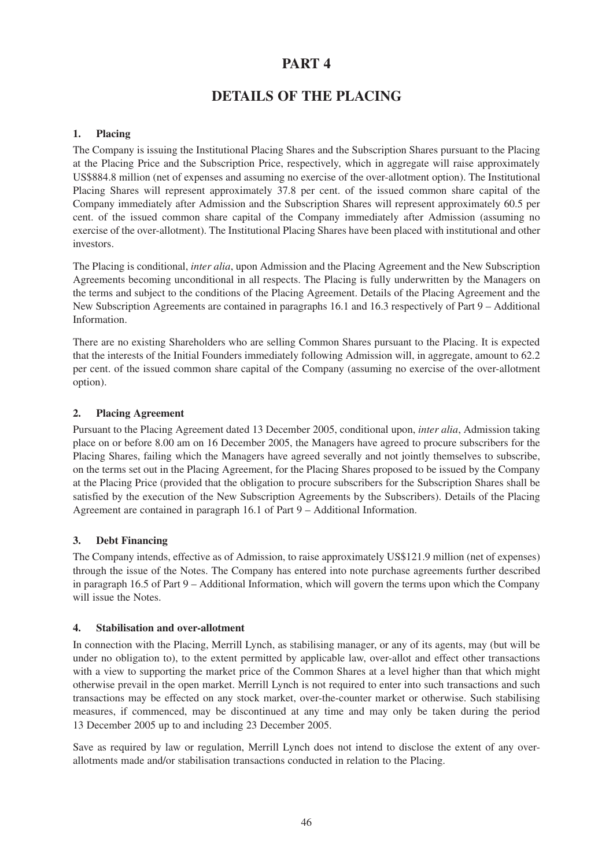# **PART 4**

# **DETAILS OF THE PLACING**

# **1. Placing**

The Company is issuing the Institutional Placing Shares and the Subscription Shares pursuant to the Placing at the Placing Price and the Subscription Price, respectively, which in aggregate will raise approximately US\$884.8 million (net of expenses and assuming no exercise of the over-allotment option). The Institutional Placing Shares will represent approximately 37.8 per cent. of the issued common share capital of the Company immediately after Admission and the Subscription Shares will represent approximately 60.5 per cent. of the issued common share capital of the Company immediately after Admission (assuming no exercise of the over-allotment). The Institutional Placing Shares have been placed with institutional and other investors.

The Placing is conditional, *inter alia*, upon Admission and the Placing Agreement and the New Subscription Agreements becoming unconditional in all respects. The Placing is fully underwritten by the Managers on the terms and subject to the conditions of the Placing Agreement. Details of the Placing Agreement and the New Subscription Agreements are contained in paragraphs 16.1 and 16.3 respectively of Part 9 – Additional Information.

There are no existing Shareholders who are selling Common Shares pursuant to the Placing. It is expected that the interests of the Initial Founders immediately following Admission will, in aggregate, amount to 62.2 per cent. of the issued common share capital of the Company (assuming no exercise of the over-allotment option).

# **2. Placing Agreement**

Pursuant to the Placing Agreement dated 13 December 2005, conditional upon, *inter alia*, Admission taking place on or before 8.00 am on 16 December 2005, the Managers have agreed to procure subscribers for the Placing Shares, failing which the Managers have agreed severally and not jointly themselves to subscribe, on the terms set out in the Placing Agreement, for the Placing Shares proposed to be issued by the Company at the Placing Price (provided that the obligation to procure subscribers for the Subscription Shares shall be satisfied by the execution of the New Subscription Agreements by the Subscribers). Details of the Placing Agreement are contained in paragraph 16.1 of Part 9 – Additional Information.

# **3. Debt Financing**

The Company intends, effective as of Admission, to raise approximately US\$121.9 million (net of expenses) through the issue of the Notes. The Company has entered into note purchase agreements further described in paragraph 16.5 of Part 9 – Additional Information, which will govern the terms upon which the Company will issue the Notes.

# **4. Stabilisation and over-allotment**

In connection with the Placing, Merrill Lynch, as stabilising manager, or any of its agents, may (but will be under no obligation to), to the extent permitted by applicable law, over-allot and effect other transactions with a view to supporting the market price of the Common Shares at a level higher than that which might otherwise prevail in the open market. Merrill Lynch is not required to enter into such transactions and such transactions may be effected on any stock market, over-the-counter market or otherwise. Such stabilising measures, if commenced, may be discontinued at any time and may only be taken during the period 13 December 2005 up to and including 23 December 2005.

Save as required by law or regulation, Merrill Lynch does not intend to disclose the extent of any overallotments made and/or stabilisation transactions conducted in relation to the Placing.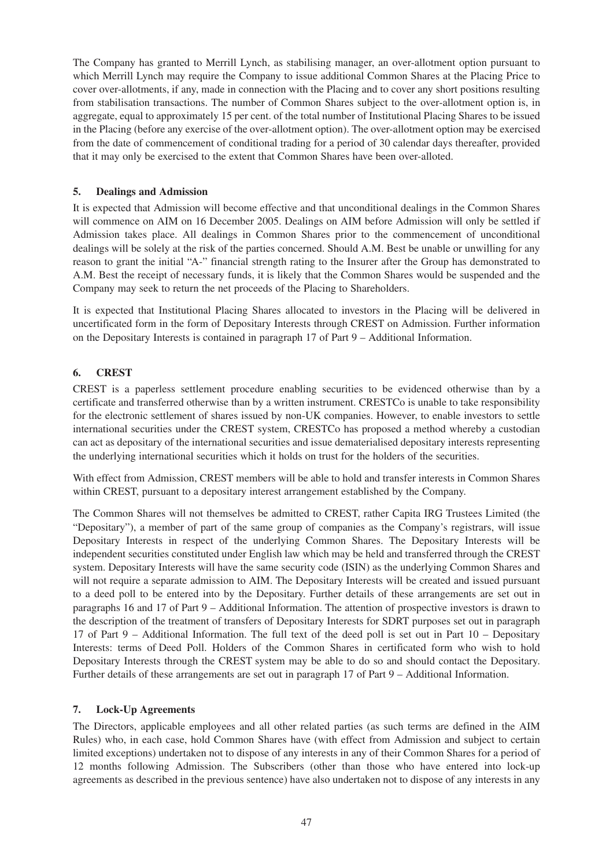The Company has granted to Merrill Lynch, as stabilising manager, an over-allotment option pursuant to which Merrill Lynch may require the Company to issue additional Common Shares at the Placing Price to cover over-allotments, if any, made in connection with the Placing and to cover any short positions resulting from stabilisation transactions. The number of Common Shares subject to the over-allotment option is, in aggregate, equal to approximately 15 per cent. of the total number of Institutional Placing Shares to be issued in the Placing (before any exercise of the over-allotment option). The over-allotment option may be exercised from the date of commencement of conditional trading for a period of 30 calendar days thereafter, provided that it may only be exercised to the extent that Common Shares have been over-alloted.

# **5. Dealings and Admission**

It is expected that Admission will become effective and that unconditional dealings in the Common Shares will commence on AIM on 16 December 2005. Dealings on AIM before Admission will only be settled if Admission takes place. All dealings in Common Shares prior to the commencement of unconditional dealings will be solely at the risk of the parties concerned. Should A.M. Best be unable or unwilling for any reason to grant the initial "A-" financial strength rating to the Insurer after the Group has demonstrated to A.M. Best the receipt of necessary funds, it is likely that the Common Shares would be suspended and the Company may seek to return the net proceeds of the Placing to Shareholders.

It is expected that Institutional Placing Shares allocated to investors in the Placing will be delivered in uncertificated form in the form of Depositary Interests through CREST on Admission. Further information on the Depositary Interests is contained in paragraph 17 of Part 9 – Additional Information.

# **6. CREST**

CREST is a paperless settlement procedure enabling securities to be evidenced otherwise than by a certificate and transferred otherwise than by a written instrument. CRESTCo is unable to take responsibility for the electronic settlement of shares issued by non-UK companies. However, to enable investors to settle international securities under the CREST system, CRESTCo has proposed a method whereby a custodian can act as depositary of the international securities and issue dematerialised depositary interests representing the underlying international securities which it holds on trust for the holders of the securities.

With effect from Admission, CREST members will be able to hold and transfer interests in Common Shares within CREST, pursuant to a depositary interest arrangement established by the Company.

The Common Shares will not themselves be admitted to CREST, rather Capita IRG Trustees Limited (the "Depositary"), a member of part of the same group of companies as the Company's registrars, will issue Depositary Interests in respect of the underlying Common Shares. The Depositary Interests will be independent securities constituted under English law which may be held and transferred through the CREST system. Depositary Interests will have the same security code (ISIN) as the underlying Common Shares and will not require a separate admission to AIM. The Depositary Interests will be created and issued pursuant to a deed poll to be entered into by the Depositary. Further details of these arrangements are set out in paragraphs 16 and 17 of Part 9 – Additional Information. The attention of prospective investors is drawn to the description of the treatment of transfers of Depositary Interests for SDRT purposes set out in paragraph 17 of Part 9 – Additional Information. The full text of the deed poll is set out in Part 10 – Depositary Interests: terms of Deed Poll. Holders of the Common Shares in certificated form who wish to hold Depositary Interests through the CREST system may be able to do so and should contact the Depositary. Further details of these arrangements are set out in paragraph 17 of Part 9 – Additional Information.

# **7. Lock-Up Agreements**

The Directors, applicable employees and all other related parties (as such terms are defined in the AIM Rules) who, in each case, hold Common Shares have (with effect from Admission and subject to certain limited exceptions) undertaken not to dispose of any interests in any of their Common Shares for a period of 12 months following Admission. The Subscribers (other than those who have entered into lock-up agreements as described in the previous sentence) have also undertaken not to dispose of any interests in any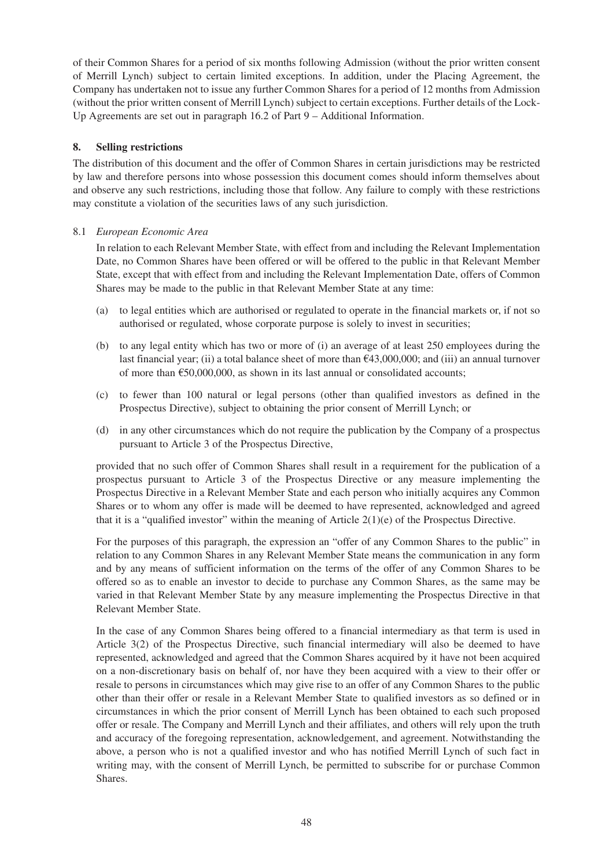of their Common Shares for a period of six months following Admission (without the prior written consent of Merrill Lynch) subject to certain limited exceptions. In addition, under the Placing Agreement, the Company has undertaken not to issue any further Common Shares for a period of 12 months from Admission (without the prior written consent of Merrill Lynch) subject to certain exceptions. Further details of the Lock-Up Agreements are set out in paragraph 16.2 of Part 9 – Additional Information.

# **8. Selling restrictions**

The distribution of this document and the offer of Common Shares in certain jurisdictions may be restricted by law and therefore persons into whose possession this document comes should inform themselves about and observe any such restrictions, including those that follow. Any failure to comply with these restrictions may constitute a violation of the securities laws of any such jurisdiction.

# 8.1 *European Economic Area*

In relation to each Relevant Member State, with effect from and including the Relevant Implementation Date, no Common Shares have been offered or will be offered to the public in that Relevant Member State, except that with effect from and including the Relevant Implementation Date, offers of Common Shares may be made to the public in that Relevant Member State at any time:

- (a) to legal entities which are authorised or regulated to operate in the financial markets or, if not so authorised or regulated, whose corporate purpose is solely to invest in securities;
- (b) to any legal entity which has two or more of (i) an average of at least 250 employees during the last financial year; (ii) a total balance sheet of more than  $\epsilon$ 43,000,000; and (iii) an annual turnover of more than  $\epsilon$ 50,000,000, as shown in its last annual or consolidated accounts;
- (c) to fewer than 100 natural or legal persons (other than qualified investors as defined in the Prospectus Directive), subject to obtaining the prior consent of Merrill Lynch; or
- (d) in any other circumstances which do not require the publication by the Company of a prospectus pursuant to Article 3 of the Prospectus Directive,

provided that no such offer of Common Shares shall result in a requirement for the publication of a prospectus pursuant to Article 3 of the Prospectus Directive or any measure implementing the Prospectus Directive in a Relevant Member State and each person who initially acquires any Common Shares or to whom any offer is made will be deemed to have represented, acknowledged and agreed that it is a "qualified investor" within the meaning of Article  $2(1)(e)$  of the Prospectus Directive.

For the purposes of this paragraph, the expression an "offer of any Common Shares to the public" in relation to any Common Shares in any Relevant Member State means the communication in any form and by any means of sufficient information on the terms of the offer of any Common Shares to be offered so as to enable an investor to decide to purchase any Common Shares, as the same may be varied in that Relevant Member State by any measure implementing the Prospectus Directive in that Relevant Member State.

In the case of any Common Shares being offered to a financial intermediary as that term is used in Article 3(2) of the Prospectus Directive, such financial intermediary will also be deemed to have represented, acknowledged and agreed that the Common Shares acquired by it have not been acquired on a non-discretionary basis on behalf of, nor have they been acquired with a view to their offer or resale to persons in circumstances which may give rise to an offer of any Common Shares to the public other than their offer or resale in a Relevant Member State to qualified investors as so defined or in circumstances in which the prior consent of Merrill Lynch has been obtained to each such proposed offer or resale. The Company and Merrill Lynch and their affiliates, and others will rely upon the truth and accuracy of the foregoing representation, acknowledgement, and agreement. Notwithstanding the above, a person who is not a qualified investor and who has notified Merrill Lynch of such fact in writing may, with the consent of Merrill Lynch, be permitted to subscribe for or purchase Common Shares.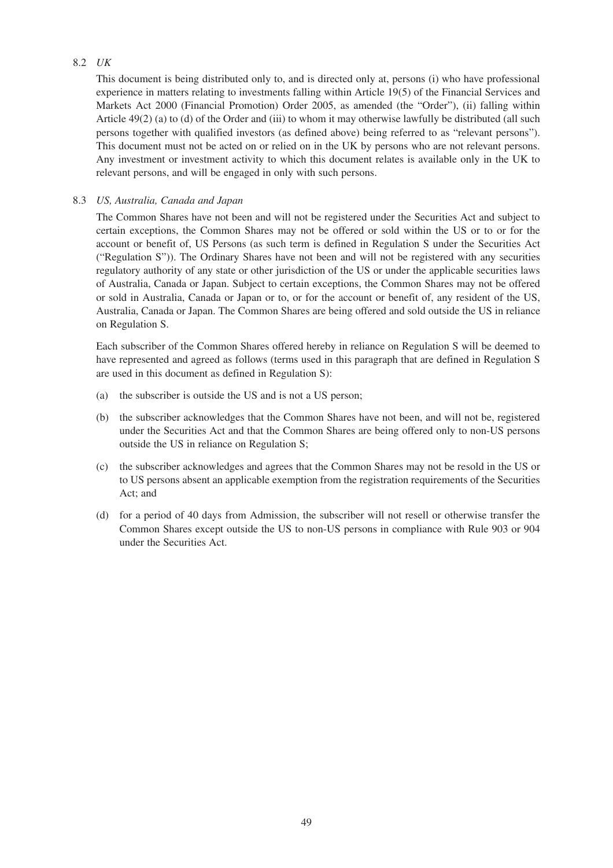# 8.2 *UK*

This document is being distributed only to, and is directed only at, persons (i) who have professional experience in matters relating to investments falling within Article 19(5) of the Financial Services and Markets Act 2000 (Financial Promotion) Order 2005, as amended (the "Order"), (ii) falling within Article 49(2) (a) to (d) of the Order and (iii) to whom it may otherwise lawfully be distributed (all such persons together with qualified investors (as defined above) being referred to as "relevant persons"). This document must not be acted on or relied on in the UK by persons who are not relevant persons. Any investment or investment activity to which this document relates is available only in the UK to relevant persons, and will be engaged in only with such persons.

# 8.3 *US, Australia, Canada and Japan*

The Common Shares have not been and will not be registered under the Securities Act and subject to certain exceptions, the Common Shares may not be offered or sold within the US or to or for the account or benefit of, US Persons (as such term is defined in Regulation S under the Securities Act ("Regulation S")). The Ordinary Shares have not been and will not be registered with any securities regulatory authority of any state or other jurisdiction of the US or under the applicable securities laws of Australia, Canada or Japan. Subject to certain exceptions, the Common Shares may not be offered or sold in Australia, Canada or Japan or to, or for the account or benefit of, any resident of the US, Australia, Canada or Japan. The Common Shares are being offered and sold outside the US in reliance on Regulation S.

Each subscriber of the Common Shares offered hereby in reliance on Regulation S will be deemed to have represented and agreed as follows (terms used in this paragraph that are defined in Regulation S are used in this document as defined in Regulation S):

- (a) the subscriber is outside the US and is not a US person;
- (b) the subscriber acknowledges that the Common Shares have not been, and will not be, registered under the Securities Act and that the Common Shares are being offered only to non-US persons outside the US in reliance on Regulation S;
- (c) the subscriber acknowledges and agrees that the Common Shares may not be resold in the US or to US persons absent an applicable exemption from the registration requirements of the Securities Act; and
- (d) for a period of 40 days from Admission, the subscriber will not resell or otherwise transfer the Common Shares except outside the US to non-US persons in compliance with Rule 903 or 904 under the Securities Act.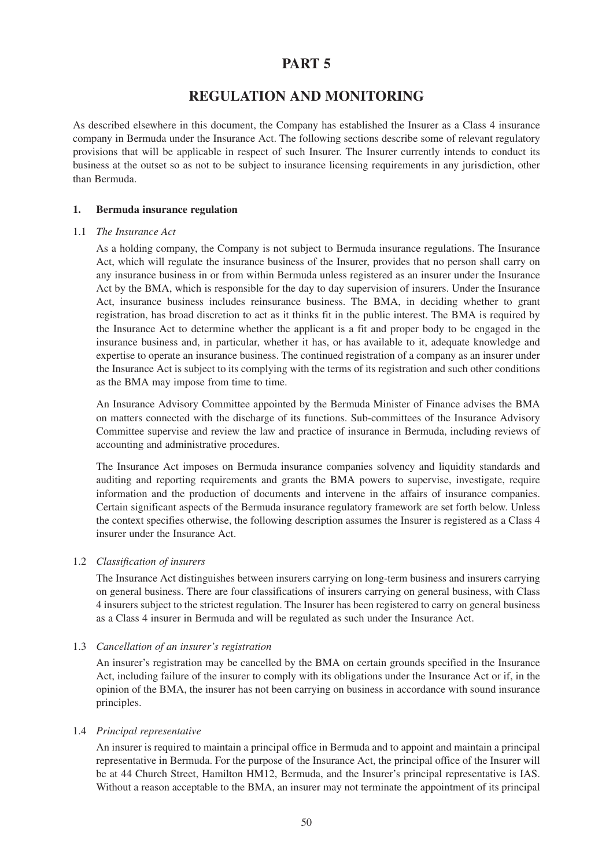# **PART 5**

# **REGULATION AND MONITORING**

As described elsewhere in this document, the Company has established the Insurer as a Class 4 insurance company in Bermuda under the Insurance Act. The following sections describe some of relevant regulatory provisions that will be applicable in respect of such Insurer. The Insurer currently intends to conduct its business at the outset so as not to be subject to insurance licensing requirements in any jurisdiction, other than Bermuda.

### **1. Bermuda insurance regulation**

#### 1.1 *The Insurance Act*

As a holding company, the Company is not subject to Bermuda insurance regulations. The Insurance Act, which will regulate the insurance business of the Insurer, provides that no person shall carry on any insurance business in or from within Bermuda unless registered as an insurer under the Insurance Act by the BMA, which is responsible for the day to day supervision of insurers. Under the Insurance Act, insurance business includes reinsurance business. The BMA, in deciding whether to grant registration, has broad discretion to act as it thinks fit in the public interest. The BMA is required by the Insurance Act to determine whether the applicant is a fit and proper body to be engaged in the insurance business and, in particular, whether it has, or has available to it, adequate knowledge and expertise to operate an insurance business. The continued registration of a company as an insurer under the Insurance Act is subject to its complying with the terms of its registration and such other conditions as the BMA may impose from time to time.

An Insurance Advisory Committee appointed by the Bermuda Minister of Finance advises the BMA on matters connected with the discharge of its functions. Sub-committees of the Insurance Advisory Committee supervise and review the law and practice of insurance in Bermuda, including reviews of accounting and administrative procedures.

The Insurance Act imposes on Bermuda insurance companies solvency and liquidity standards and auditing and reporting requirements and grants the BMA powers to supervise, investigate, require information and the production of documents and intervene in the affairs of insurance companies. Certain significant aspects of the Bermuda insurance regulatory framework are set forth below. Unless the context specifies otherwise, the following description assumes the Insurer is registered as a Class 4 insurer under the Insurance Act.

# 1.2 *Classification of insurers*

The Insurance Act distinguishes between insurers carrying on long-term business and insurers carrying on general business. There are four classifications of insurers carrying on general business, with Class 4 insurers subject to the strictest regulation. The Insurer has been registered to carry on general business as a Class 4 insurer in Bermuda and will be regulated as such under the Insurance Act.

# 1.3 *Cancellation of an insurer's registration*

An insurer's registration may be cancelled by the BMA on certain grounds specified in the Insurance Act, including failure of the insurer to comply with its obligations under the Insurance Act or if, in the opinion of the BMA, the insurer has not been carrying on business in accordance with sound insurance principles.

# 1.4 *Principal representative*

An insurer is required to maintain a principal office in Bermuda and to appoint and maintain a principal representative in Bermuda. For the purpose of the Insurance Act, the principal office of the Insurer will be at 44 Church Street, Hamilton HM12, Bermuda, and the Insurer's principal representative is IAS. Without a reason acceptable to the BMA, an insurer may not terminate the appointment of its principal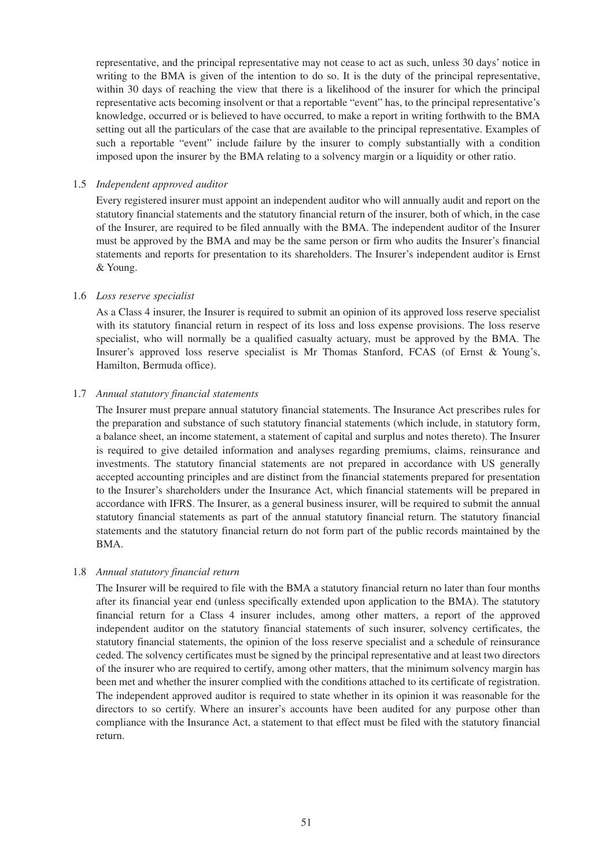representative, and the principal representative may not cease to act as such, unless 30 days' notice in writing to the BMA is given of the intention to do so. It is the duty of the principal representative, within 30 days of reaching the view that there is a likelihood of the insurer for which the principal representative acts becoming insolvent or that a reportable "event" has, to the principal representative's knowledge, occurred or is believed to have occurred, to make a report in writing forthwith to the BMA setting out all the particulars of the case that are available to the principal representative. Examples of such a reportable "event" include failure by the insurer to comply substantially with a condition imposed upon the insurer by the BMA relating to a solvency margin or a liquidity or other ratio.

### 1.5 *Independent approved auditor*

Every registered insurer must appoint an independent auditor who will annually audit and report on the statutory financial statements and the statutory financial return of the insurer, both of which, in the case of the Insurer, are required to be filed annually with the BMA. The independent auditor of the Insurer must be approved by the BMA and may be the same person or firm who audits the Insurer's financial statements and reports for presentation to its shareholders. The Insurer's independent auditor is Ernst & Young.

### 1.6 *Loss reserve specialist*

As a Class 4 insurer, the Insurer is required to submit an opinion of its approved loss reserve specialist with its statutory financial return in respect of its loss and loss expense provisions. The loss reserve specialist, who will normally be a qualified casualty actuary, must be approved by the BMA. The Insurer's approved loss reserve specialist is Mr Thomas Stanford, FCAS (of Ernst & Young's, Hamilton, Bermuda office).

### 1.7 *Annual statutory financial statements*

The Insurer must prepare annual statutory financial statements. The Insurance Act prescribes rules for the preparation and substance of such statutory financial statements (which include, in statutory form, a balance sheet, an income statement, a statement of capital and surplus and notes thereto). The Insurer is required to give detailed information and analyses regarding premiums, claims, reinsurance and investments. The statutory financial statements are not prepared in accordance with US generally accepted accounting principles and are distinct from the financial statements prepared for presentation to the Insurer's shareholders under the Insurance Act, which financial statements will be prepared in accordance with IFRS. The Insurer, as a general business insurer, will be required to submit the annual statutory financial statements as part of the annual statutory financial return. The statutory financial statements and the statutory financial return do not form part of the public records maintained by the BMA.

# 1.8 *Annual statutory financial return*

The Insurer will be required to file with the BMA a statutory financial return no later than four months after its financial year end (unless specifically extended upon application to the BMA). The statutory financial return for a Class 4 insurer includes, among other matters, a report of the approved independent auditor on the statutory financial statements of such insurer, solvency certificates, the statutory financial statements, the opinion of the loss reserve specialist and a schedule of reinsurance ceded. The solvency certificates must be signed by the principal representative and at least two directors of the insurer who are required to certify, among other matters, that the minimum solvency margin has been met and whether the insurer complied with the conditions attached to its certificate of registration. The independent approved auditor is required to state whether in its opinion it was reasonable for the directors to so certify. Where an insurer's accounts have been audited for any purpose other than compliance with the Insurance Act, a statement to that effect must be filed with the statutory financial return.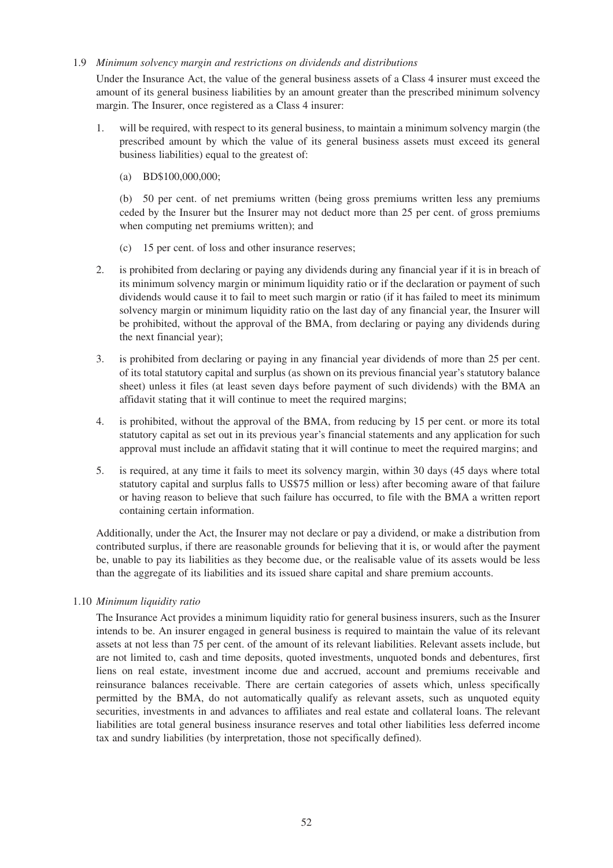### 1.9 *Minimum solvency margin and restrictions on dividends and distributions*

Under the Insurance Act, the value of the general business assets of a Class 4 insurer must exceed the amount of its general business liabilities by an amount greater than the prescribed minimum solvency margin. The Insurer, once registered as a Class 4 insurer:

- 1. will be required, with respect to its general business, to maintain a minimum solvency margin (the prescribed amount by which the value of its general business assets must exceed its general business liabilities) equal to the greatest of:
	- (a) BD\$100,000,000;

(b) 50 per cent. of net premiums written (being gross premiums written less any premiums ceded by the Insurer but the Insurer may not deduct more than 25 per cent. of gross premiums when computing net premiums written); and

- (c) 15 per cent. of loss and other insurance reserves;
- 2. is prohibited from declaring or paying any dividends during any financial year if it is in breach of its minimum solvency margin or minimum liquidity ratio or if the declaration or payment of such dividends would cause it to fail to meet such margin or ratio (if it has failed to meet its minimum solvency margin or minimum liquidity ratio on the last day of any financial year, the Insurer will be prohibited, without the approval of the BMA, from declaring or paying any dividends during the next financial year);
- 3. is prohibited from declaring or paying in any financial year dividends of more than 25 per cent. of its total statutory capital and surplus (as shown on its previous financial year's statutory balance sheet) unless it files (at least seven days before payment of such dividends) with the BMA an affidavit stating that it will continue to meet the required margins;
- 4. is prohibited, without the approval of the BMA, from reducing by 15 per cent. or more its total statutory capital as set out in its previous year's financial statements and any application for such approval must include an affidavit stating that it will continue to meet the required margins; and
- 5. is required, at any time it fails to meet its solvency margin, within 30 days (45 days where total statutory capital and surplus falls to US\$75 million or less) after becoming aware of that failure or having reason to believe that such failure has occurred, to file with the BMA a written report containing certain information.

Additionally, under the Act, the Insurer may not declare or pay a dividend, or make a distribution from contributed surplus, if there are reasonable grounds for believing that it is, or would after the payment be, unable to pay its liabilities as they become due, or the realisable value of its assets would be less than the aggregate of its liabilities and its issued share capital and share premium accounts.

# 1.10 *Minimum liquidity ratio*

The Insurance Act provides a minimum liquidity ratio for general business insurers, such as the Insurer intends to be. An insurer engaged in general business is required to maintain the value of its relevant assets at not less than 75 per cent. of the amount of its relevant liabilities. Relevant assets include, but are not limited to, cash and time deposits, quoted investments, unquoted bonds and debentures, first liens on real estate, investment income due and accrued, account and premiums receivable and reinsurance balances receivable. There are certain categories of assets which, unless specifically permitted by the BMA, do not automatically qualify as relevant assets, such as unquoted equity securities, investments in and advances to affiliates and real estate and collateral loans. The relevant liabilities are total general business insurance reserves and total other liabilities less deferred income tax and sundry liabilities (by interpretation, those not specifically defined).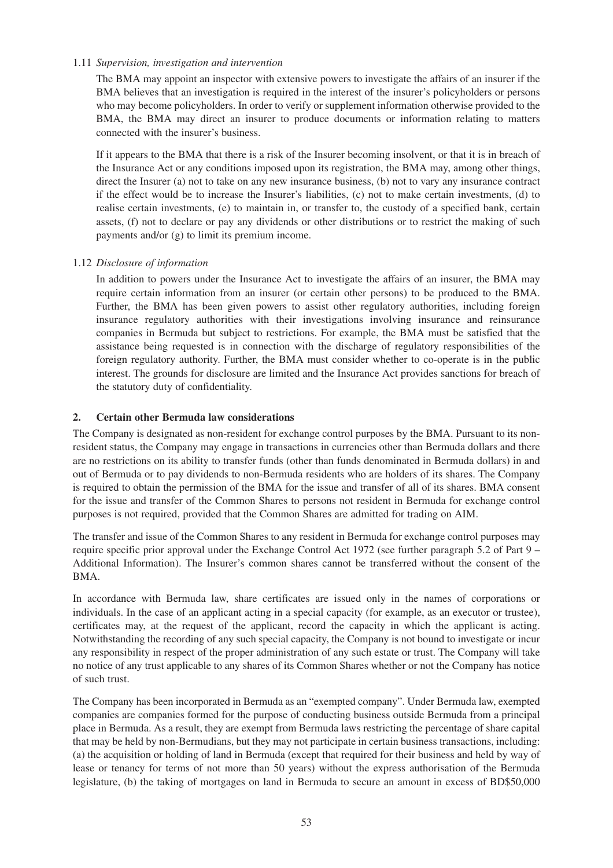### 1.11 *Supervision, investigation and intervention*

The BMA may appoint an inspector with extensive powers to investigate the affairs of an insurer if the BMA believes that an investigation is required in the interest of the insurer's policyholders or persons who may become policyholders. In order to verify or supplement information otherwise provided to the BMA, the BMA may direct an insurer to produce documents or information relating to matters connected with the insurer's business.

If it appears to the BMA that there is a risk of the Insurer becoming insolvent, or that it is in breach of the Insurance Act or any conditions imposed upon its registration, the BMA may, among other things, direct the Insurer (a) not to take on any new insurance business, (b) not to vary any insurance contract if the effect would be to increase the Insurer's liabilities, (c) not to make certain investments, (d) to realise certain investments, (e) to maintain in, or transfer to, the custody of a specified bank, certain assets, (f) not to declare or pay any dividends or other distributions or to restrict the making of such payments and/or (g) to limit its premium income.

# 1.12 *Disclosure of information*

In addition to powers under the Insurance Act to investigate the affairs of an insurer, the BMA may require certain information from an insurer (or certain other persons) to be produced to the BMA. Further, the BMA has been given powers to assist other regulatory authorities, including foreign insurance regulatory authorities with their investigations involving insurance and reinsurance companies in Bermuda but subject to restrictions. For example, the BMA must be satisfied that the assistance being requested is in connection with the discharge of regulatory responsibilities of the foreign regulatory authority. Further, the BMA must consider whether to co-operate is in the public interest. The grounds for disclosure are limited and the Insurance Act provides sanctions for breach of the statutory duty of confidentiality.

### **2. Certain other Bermuda law considerations**

The Company is designated as non-resident for exchange control purposes by the BMA. Pursuant to its nonresident status, the Company may engage in transactions in currencies other than Bermuda dollars and there are no restrictions on its ability to transfer funds (other than funds denominated in Bermuda dollars) in and out of Bermuda or to pay dividends to non-Bermuda residents who are holders of its shares. The Company is required to obtain the permission of the BMA for the issue and transfer of all of its shares. BMA consent for the issue and transfer of the Common Shares to persons not resident in Bermuda for exchange control purposes is not required, provided that the Common Shares are admitted for trading on AIM.

The transfer and issue of the Common Shares to any resident in Bermuda for exchange control purposes may require specific prior approval under the Exchange Control Act 1972 (see further paragraph 5.2 of Part 9 – Additional Information). The Insurer's common shares cannot be transferred without the consent of the BMA.

In accordance with Bermuda law, share certificates are issued only in the names of corporations or individuals. In the case of an applicant acting in a special capacity (for example, as an executor or trustee), certificates may, at the request of the applicant, record the capacity in which the applicant is acting. Notwithstanding the recording of any such special capacity, the Company is not bound to investigate or incur any responsibility in respect of the proper administration of any such estate or trust. The Company will take no notice of any trust applicable to any shares of its Common Shares whether or not the Company has notice of such trust.

The Company has been incorporated in Bermuda as an "exempted company". Under Bermuda law, exempted companies are companies formed for the purpose of conducting business outside Bermuda from a principal place in Bermuda. As a result, they are exempt from Bermuda laws restricting the percentage of share capital that may be held by non-Bermudians, but they may not participate in certain business transactions, including: (a) the acquisition or holding of land in Bermuda (except that required for their business and held by way of lease or tenancy for terms of not more than 50 years) without the express authorisation of the Bermuda legislature, (b) the taking of mortgages on land in Bermuda to secure an amount in excess of BD\$50,000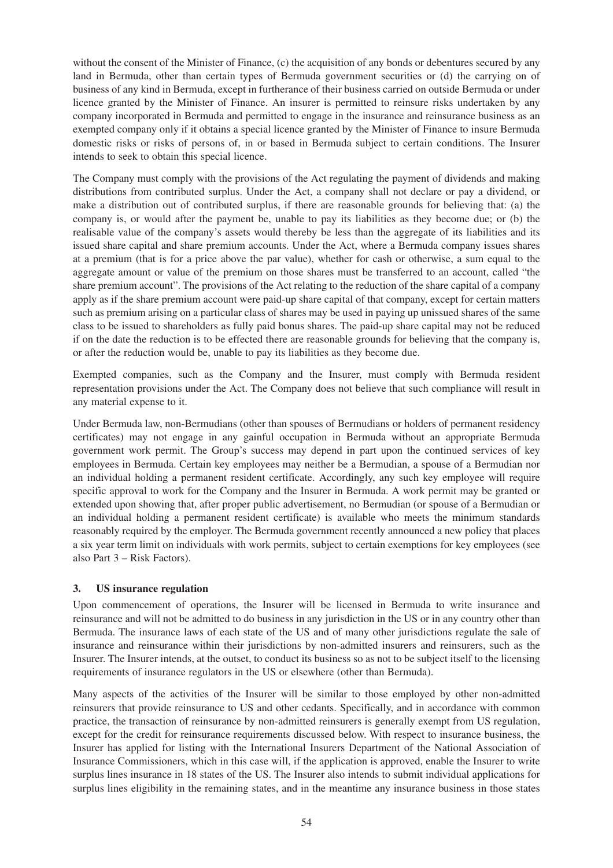without the consent of the Minister of Finance, (c) the acquisition of any bonds or debentures secured by any land in Bermuda, other than certain types of Bermuda government securities or (d) the carrying on of business of any kind in Bermuda, except in furtherance of their business carried on outside Bermuda or under licence granted by the Minister of Finance. An insurer is permitted to reinsure risks undertaken by any company incorporated in Bermuda and permitted to engage in the insurance and reinsurance business as an exempted company only if it obtains a special licence granted by the Minister of Finance to insure Bermuda domestic risks or risks of persons of, in or based in Bermuda subject to certain conditions. The Insurer intends to seek to obtain this special licence.

The Company must comply with the provisions of the Act regulating the payment of dividends and making distributions from contributed surplus. Under the Act, a company shall not declare or pay a dividend, or make a distribution out of contributed surplus, if there are reasonable grounds for believing that: (a) the company is, or would after the payment be, unable to pay its liabilities as they become due; or (b) the realisable value of the company's assets would thereby be less than the aggregate of its liabilities and its issued share capital and share premium accounts. Under the Act, where a Bermuda company issues shares at a premium (that is for a price above the par value), whether for cash or otherwise, a sum equal to the aggregate amount or value of the premium on those shares must be transferred to an account, called "the share premium account". The provisions of the Act relating to the reduction of the share capital of a company apply as if the share premium account were paid-up share capital of that company, except for certain matters such as premium arising on a particular class of shares may be used in paying up unissued shares of the same class to be issued to shareholders as fully paid bonus shares. The paid-up share capital may not be reduced if on the date the reduction is to be effected there are reasonable grounds for believing that the company is, or after the reduction would be, unable to pay its liabilities as they become due.

Exempted companies, such as the Company and the Insurer, must comply with Bermuda resident representation provisions under the Act. The Company does not believe that such compliance will result in any material expense to it.

Under Bermuda law, non-Bermudians (other than spouses of Bermudians or holders of permanent residency certificates) may not engage in any gainful occupation in Bermuda without an appropriate Bermuda government work permit. The Group's success may depend in part upon the continued services of key employees in Bermuda. Certain key employees may neither be a Bermudian, a spouse of a Bermudian nor an individual holding a permanent resident certificate. Accordingly, any such key employee will require specific approval to work for the Company and the Insurer in Bermuda. A work permit may be granted or extended upon showing that, after proper public advertisement, no Bermudian (or spouse of a Bermudian or an individual holding a permanent resident certificate) is available who meets the minimum standards reasonably required by the employer. The Bermuda government recently announced a new policy that places a six year term limit on individuals with work permits, subject to certain exemptions for key employees (see also Part 3 – Risk Factors).

# **3. US insurance regulation**

Upon commencement of operations, the Insurer will be licensed in Bermuda to write insurance and reinsurance and will not be admitted to do business in any jurisdiction in the US or in any country other than Bermuda. The insurance laws of each state of the US and of many other jurisdictions regulate the sale of insurance and reinsurance within their jurisdictions by non-admitted insurers and reinsurers, such as the Insurer. The Insurer intends, at the outset, to conduct its business so as not to be subject itself to the licensing requirements of insurance regulators in the US or elsewhere (other than Bermuda).

Many aspects of the activities of the Insurer will be similar to those employed by other non-admitted reinsurers that provide reinsurance to US and other cedants. Specifically, and in accordance with common practice, the transaction of reinsurance by non-admitted reinsurers is generally exempt from US regulation, except for the credit for reinsurance requirements discussed below. With respect to insurance business, the Insurer has applied for listing with the International Insurers Department of the National Association of Insurance Commissioners, which in this case will, if the application is approved, enable the Insurer to write surplus lines insurance in 18 states of the US. The Insurer also intends to submit individual applications for surplus lines eligibility in the remaining states, and in the meantime any insurance business in those states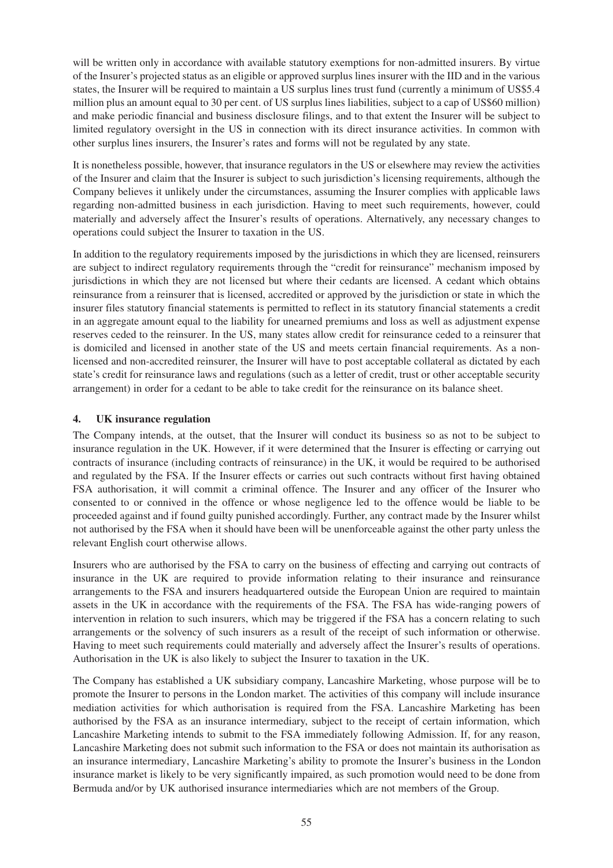will be written only in accordance with available statutory exemptions for non-admitted insurers. By virtue of the Insurer's projected status as an eligible or approved surplus lines insurer with the IID and in the various states, the Insurer will be required to maintain a US surplus lines trust fund (currently a minimum of US\$5.4 million plus an amount equal to 30 per cent. of US surplus lines liabilities, subject to a cap of US\$60 million) and make periodic financial and business disclosure filings, and to that extent the Insurer will be subject to limited regulatory oversight in the US in connection with its direct insurance activities. In common with other surplus lines insurers, the Insurer's rates and forms will not be regulated by any state.

It is nonetheless possible, however, that insurance regulators in the US or elsewhere may review the activities of the Insurer and claim that the Insurer is subject to such jurisdiction's licensing requirements, although the Company believes it unlikely under the circumstances, assuming the Insurer complies with applicable laws regarding non-admitted business in each jurisdiction. Having to meet such requirements, however, could materially and adversely affect the Insurer's results of operations. Alternatively, any necessary changes to operations could subject the Insurer to taxation in the US.

In addition to the regulatory requirements imposed by the jurisdictions in which they are licensed, reinsurers are subject to indirect regulatory requirements through the "credit for reinsurance" mechanism imposed by jurisdictions in which they are not licensed but where their cedants are licensed. A cedant which obtains reinsurance from a reinsurer that is licensed, accredited or approved by the jurisdiction or state in which the insurer files statutory financial statements is permitted to reflect in its statutory financial statements a credit in an aggregate amount equal to the liability for unearned premiums and loss as well as adjustment expense reserves ceded to the reinsurer. In the US, many states allow credit for reinsurance ceded to a reinsurer that is domiciled and licensed in another state of the US and meets certain financial requirements. As a nonlicensed and non-accredited reinsurer, the Insurer will have to post acceptable collateral as dictated by each state's credit for reinsurance laws and regulations (such as a letter of credit, trust or other acceptable security arrangement) in order for a cedant to be able to take credit for the reinsurance on its balance sheet.

# **4. UK insurance regulation**

The Company intends, at the outset, that the Insurer will conduct its business so as not to be subject to insurance regulation in the UK. However, if it were determined that the Insurer is effecting or carrying out contracts of insurance (including contracts of reinsurance) in the UK, it would be required to be authorised and regulated by the FSA. If the Insurer effects or carries out such contracts without first having obtained FSA authorisation, it will commit a criminal offence. The Insurer and any officer of the Insurer who consented to or connived in the offence or whose negligence led to the offence would be liable to be proceeded against and if found guilty punished accordingly. Further, any contract made by the Insurer whilst not authorised by the FSA when it should have been will be unenforceable against the other party unless the relevant English court otherwise allows.

Insurers who are authorised by the FSA to carry on the business of effecting and carrying out contracts of insurance in the UK are required to provide information relating to their insurance and reinsurance arrangements to the FSA and insurers headquartered outside the European Union are required to maintain assets in the UK in accordance with the requirements of the FSA. The FSA has wide-ranging powers of intervention in relation to such insurers, which may be triggered if the FSA has a concern relating to such arrangements or the solvency of such insurers as a result of the receipt of such information or otherwise. Having to meet such requirements could materially and adversely affect the Insurer's results of operations. Authorisation in the UK is also likely to subject the Insurer to taxation in the UK.

The Company has established a UK subsidiary company, Lancashire Marketing, whose purpose will be to promote the Insurer to persons in the London market. The activities of this company will include insurance mediation activities for which authorisation is required from the FSA. Lancashire Marketing has been authorised by the FSA as an insurance intermediary, subject to the receipt of certain information, which Lancashire Marketing intends to submit to the FSA immediately following Admission. If, for any reason, Lancashire Marketing does not submit such information to the FSA or does not maintain its authorisation as an insurance intermediary, Lancashire Marketing's ability to promote the Insurer's business in the London insurance market is likely to be very significantly impaired, as such promotion would need to be done from Bermuda and/or by UK authorised insurance intermediaries which are not members of the Group.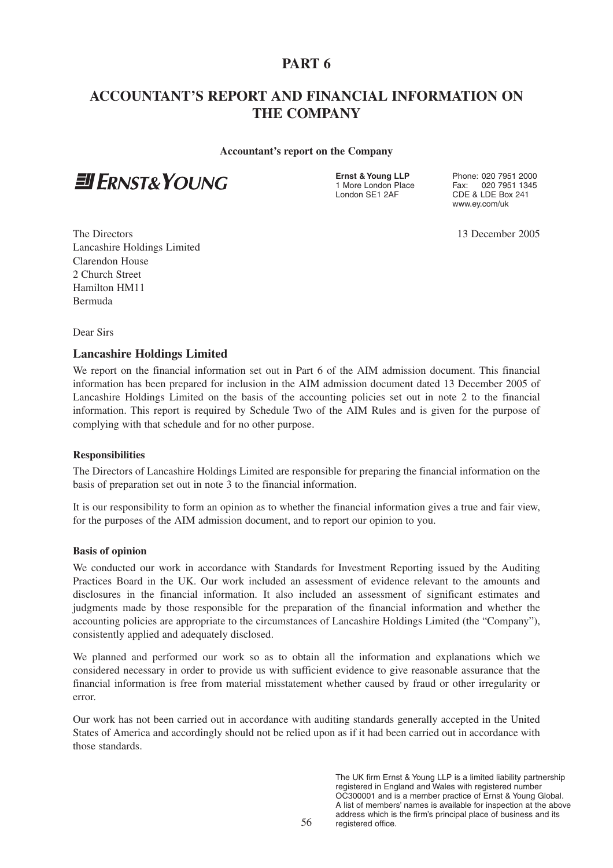# **PART 6**

# **ACCOUNTANT'S REPORT AND FINANCIAL INFORMATION ON THE COMPANY**

**Accountant's report on the Company**



**Ernst & Young LLP** Phone: 020 7951 2000<br>1 More London Place Fax: 020 7951 1345 1 More London Place Fax: 020 7951 1345<br>
1 ondon SE1 2AE CDE & LDE Box 241 CDE & LDE Box 241 www.ey.com/uk

The Directors 13 December 2005 Lancashire Holdings Limited Clarendon House 2 Church Street Hamilton HM11 Bermuda

Dear Sirs

# **Lancashire Holdings Limited**

We report on the financial information set out in Part 6 of the AIM admission document. This financial information has been prepared for inclusion in the AIM admission document dated 13 December 2005 of Lancashire Holdings Limited on the basis of the accounting policies set out in note 2 to the financial information. This report is required by Schedule Two of the AIM Rules and is given for the purpose of complying with that schedule and for no other purpose.

#### **Responsibilities**

The Directors of Lancashire Holdings Limited are responsible for preparing the financial information on the basis of preparation set out in note 3 to the financial information.

It is our responsibility to form an opinion as to whether the financial information gives a true and fair view, for the purposes of the AIM admission document, and to report our opinion to you.

#### **Basis of opinion**

We conducted our work in accordance with Standards for Investment Reporting issued by the Auditing Practices Board in the UK. Our work included an assessment of evidence relevant to the amounts and disclosures in the financial information. It also included an assessment of significant estimates and judgments made by those responsible for the preparation of the financial information and whether the accounting policies are appropriate to the circumstances of Lancashire Holdings Limited (the "Company"), consistently applied and adequately disclosed.

We planned and performed our work so as to obtain all the information and explanations which we considered necessary in order to provide us with sufficient evidence to give reasonable assurance that the financial information is free from material misstatement whether caused by fraud or other irregularity or error.

Our work has not been carried out in accordance with auditing standards generally accepted in the United States of America and accordingly should not be relied upon as if it had been carried out in accordance with those standards.

> The UK firm Ernst & Young LLP is a limited liability partnership registered in England and Wales with registered number OC300001 and is a member practice of Ernst & Young Global. A list of members' names is available for inspection at the above address which is the firm's principal place of business and its registered office.

56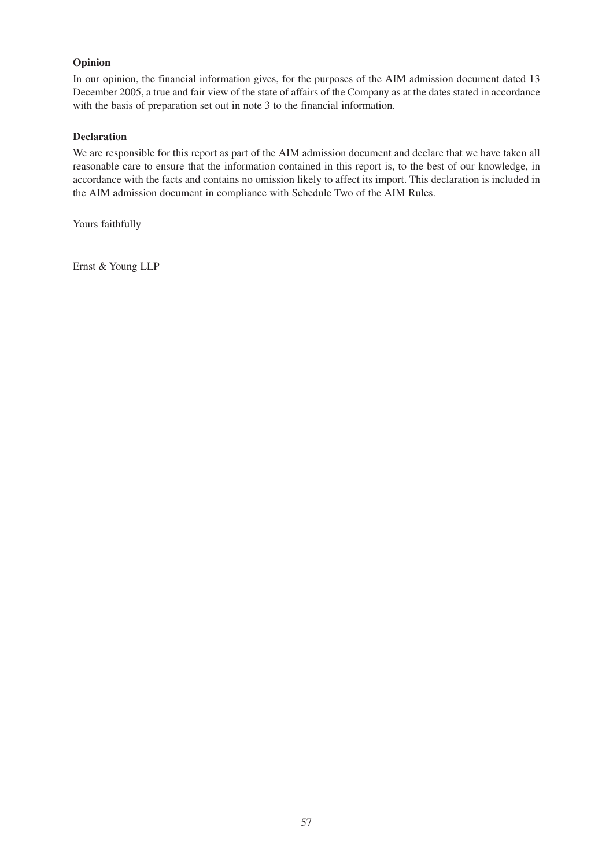# **Opinion**

In our opinion, the financial information gives, for the purposes of the AIM admission document dated 13 December 2005, a true and fair view of the state of affairs of the Company as at the dates stated in accordance with the basis of preparation set out in note 3 to the financial information.

# **Declaration**

We are responsible for this report as part of the AIM admission document and declare that we have taken all reasonable care to ensure that the information contained in this report is, to the best of our knowledge, in accordance with the facts and contains no omission likely to affect its import. This declaration is included in the AIM admission document in compliance with Schedule Two of the AIM Rules.

Yours faithfully

Ernst & Young LLP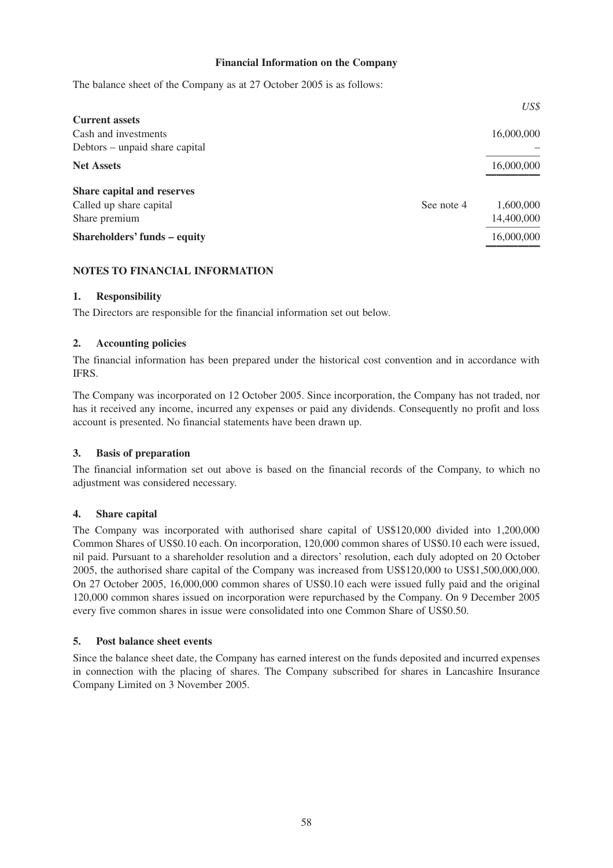## **Financial Information on the Company**

The balance sheet of the Company as at 27 October 2005 is as follows:

|            | US\$       |
|------------|------------|
|            |            |
|            | 16,000,000 |
|            |            |
|            | 16,000,000 |
|            |            |
| See note 4 | 1,600,000  |
|            | 14,400,000 |
|            | 16,000,000 |
|            |            |

# **NOTES TO FINANCIAL INFORMATION**

### **1. Responsibility**

The Directors are responsible for the financial information set out below.

### **2. Accounting policies**

The financial information has been prepared under the historical cost convention and in accordance with IFRS.

The Company was incorporated on 12 October 2005. Since incorporation, the Company has not traded, nor has it received any income, incurred any expenses or paid any dividends. Consequently no profit and loss account is presented. No financial statements have been drawn up.

#### **3. Basis of preparation**

The financial information set out above is based on the financial records of the Company, to which no adjustment was considered necessary.

# **4. Share capital**

The Company was incorporated with authorised share capital of US\$120,000 divided into 1,200,000 Common Shares of US\$0.10 each. On incorporation, 120,000 common shares of US\$0.10 each were issued, nil paid. Pursuant to a shareholder resolution and a directors' resolution, each duly adopted on 20 October 2005, the authorised share capital of the Company was increased from US\$120,000 to US\$1,500,000,000. On 27 October 2005, 16,000,000 common shares of US\$0.10 each were issued fully paid and the original 120,000 common shares issued on incorporation were repurchased by the Company. On 9 December 2005 every five common shares in issue were consolidated into one Common Share of US\$0.50.

#### **5. Post balance sheet events**

Since the balance sheet date, the Company has earned interest on the funds deposited and incurred expenses in connection with the placing of shares. The Company subscribed for shares in Lancashire Insurance Company Limited on 3 November 2005.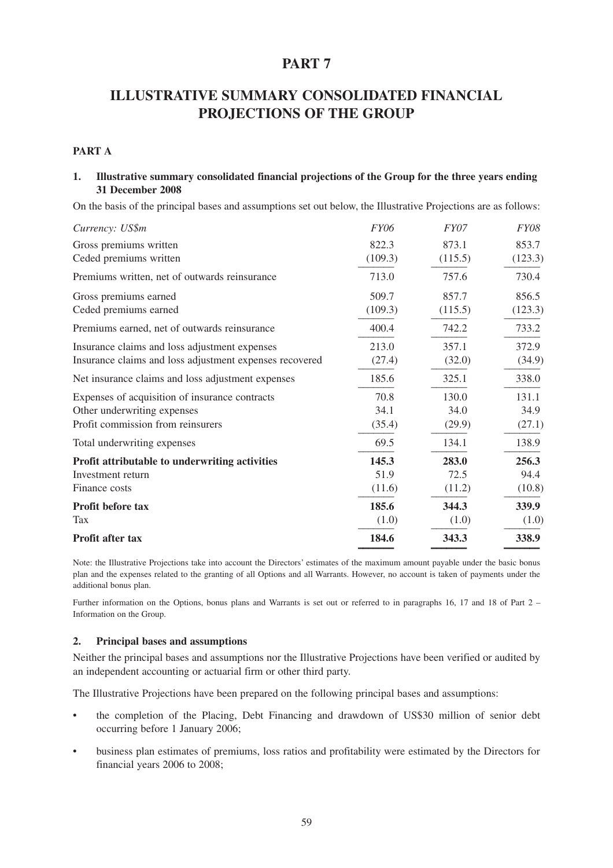# **PART 7**

# **ILLUSTRATIVE SUMMARY CONSOLIDATED FINANCIAL PROJECTIONS OF THE GROUP**

### **PART A**

### **1. Illustrative summary consolidated financial projections of the Group for the three years ending 31 December 2008**

On the basis of the principal bases and assumptions set out below, the Illustrative Projections are as follows:

| Currency: US\$m                                         | <b>FY06</b> | FY07    | <b>FY08</b> |
|---------------------------------------------------------|-------------|---------|-------------|
| Gross premiums written                                  | 822.3       | 873.1   | 853.7       |
| Ceded premiums written                                  | (109.3)     | (115.5) | (123.3)     |
| Premiums written, net of outwards reinsurance           | 713.0       | 757.6   | 730.4       |
| Gross premiums earned                                   | 509.7       | 857.7   | 856.5       |
| Ceded premiums earned                                   | (109.3)     | (115.5) | (123.3)     |
| Premiums earned, net of outwards reinsurance            | 400.4       | 742.2   | 733.2       |
| Insurance claims and loss adjustment expenses           | 213.0       | 357.1   | 372.9       |
| Insurance claims and loss adjustment expenses recovered | (27.4)      | (32.0)  | (34.9)      |
| Net insurance claims and loss adjustment expenses       | 185.6       | 325.1   | 338.0       |
| Expenses of acquisition of insurance contracts          | 70.8        | 130.0   | 131.1       |
| Other underwriting expenses                             | 34.1        | 34.0    | 34.9        |
| Profit commission from reinsurers                       | (35.4)      | (29.9)  | (27.1)      |
| Total underwriting expenses                             | 69.5        | 134.1   | 138.9       |
| Profit attributable to underwriting activities          | 145.3       | 283.0   | 256.3       |
| Investment return                                       | 51.9        | 72.5    | 94.4        |
| Finance costs                                           | (11.6)      | (11.2)  | (10.8)      |
| Profit before tax                                       | 185.6       | 344.3   | 339.9       |
| <b>Tax</b>                                              | (1.0)       | (1.0)   | (1.0)       |
| <b>Profit after tax</b>                                 | 184.6       | 343.3   | 338.9       |

Note: the Illustrative Projections take into account the Directors' estimates of the maximum amount payable under the basic bonus plan and the expenses related to the granting of all Options and all Warrants. However, no account is taken of payments under the additional bonus plan.

Further information on the Options, bonus plans and Warrants is set out or referred to in paragraphs 16, 17 and 18 of Part 2 – Information on the Group.

#### **2. Principal bases and assumptions**

Neither the principal bases and assumptions nor the Illustrative Projections have been verified or audited by an independent accounting or actuarial firm or other third party.

The Illustrative Projections have been prepared on the following principal bases and assumptions:

- the completion of the Placing, Debt Financing and drawdown of US\$30 million of senior debt occurring before 1 January 2006;
- business plan estimates of premiums, loss ratios and profitability were estimated by the Directors for financial years 2006 to 2008;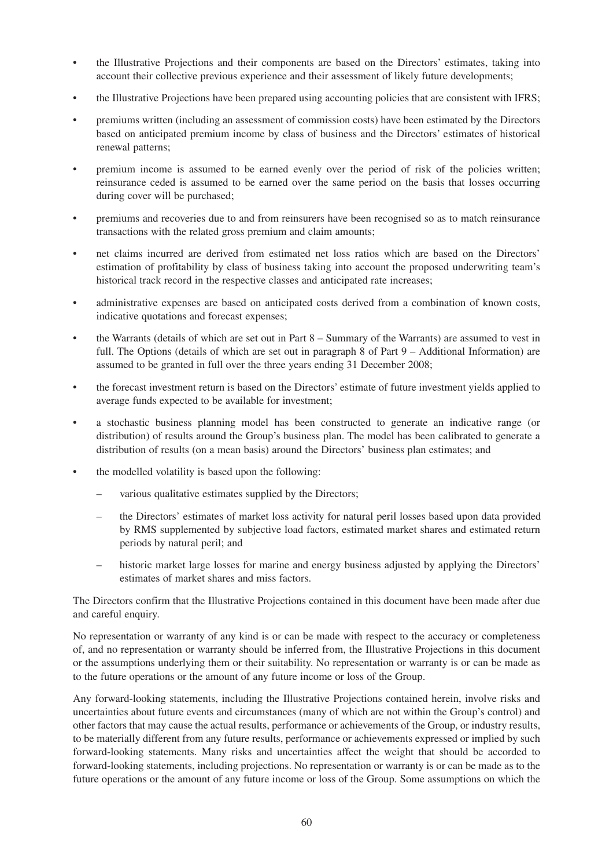- the Illustrative Projections and their components are based on the Directors' estimates, taking into account their collective previous experience and their assessment of likely future developments;
- the Illustrative Projections have been prepared using accounting policies that are consistent with IFRS;
- premiums written (including an assessment of commission costs) have been estimated by the Directors based on anticipated premium income by class of business and the Directors' estimates of historical renewal patterns;
- premium income is assumed to be earned evenly over the period of risk of the policies written; reinsurance ceded is assumed to be earned over the same period on the basis that losses occurring during cover will be purchased;
- premiums and recoveries due to and from reinsurers have been recognised so as to match reinsurance transactions with the related gross premium and claim amounts;
- net claims incurred are derived from estimated net loss ratios which are based on the Directors' estimation of profitability by class of business taking into account the proposed underwriting team's historical track record in the respective classes and anticipated rate increases;
- administrative expenses are based on anticipated costs derived from a combination of known costs, indicative quotations and forecast expenses;
- the Warrants (details of which are set out in Part  $8 -$  Summary of the Warrants) are assumed to vest in full. The Options (details of which are set out in paragraph 8 of Part 9 – Additional Information) are assumed to be granted in full over the three years ending 31 December 2008;
- the forecast investment return is based on the Directors' estimate of future investment yields applied to average funds expected to be available for investment;
- a stochastic business planning model has been constructed to generate an indicative range (or distribution) of results around the Group's business plan. The model has been calibrated to generate a distribution of results (on a mean basis) around the Directors' business plan estimates; and
- the modelled volatility is based upon the following:
	- various qualitative estimates supplied by the Directors;
	- the Directors' estimates of market loss activity for natural peril losses based upon data provided by RMS supplemented by subjective load factors, estimated market shares and estimated return periods by natural peril; and
	- historic market large losses for marine and energy business adjusted by applying the Directors' estimates of market shares and miss factors.

The Directors confirm that the Illustrative Projections contained in this document have been made after due and careful enquiry.

No representation or warranty of any kind is or can be made with respect to the accuracy or completeness of, and no representation or warranty should be inferred from, the Illustrative Projections in this document or the assumptions underlying them or their suitability. No representation or warranty is or can be made as to the future operations or the amount of any future income or loss of the Group.

Any forward-looking statements, including the Illustrative Projections contained herein, involve risks and uncertainties about future events and circumstances (many of which are not within the Group's control) and other factors that may cause the actual results, performance or achievements of the Group, or industry results, to be materially different from any future results, performance or achievements expressed or implied by such forward-looking statements. Many risks and uncertainties affect the weight that should be accorded to forward-looking statements, including projections. No representation or warranty is or can be made as to the future operations or the amount of any future income or loss of the Group. Some assumptions on which the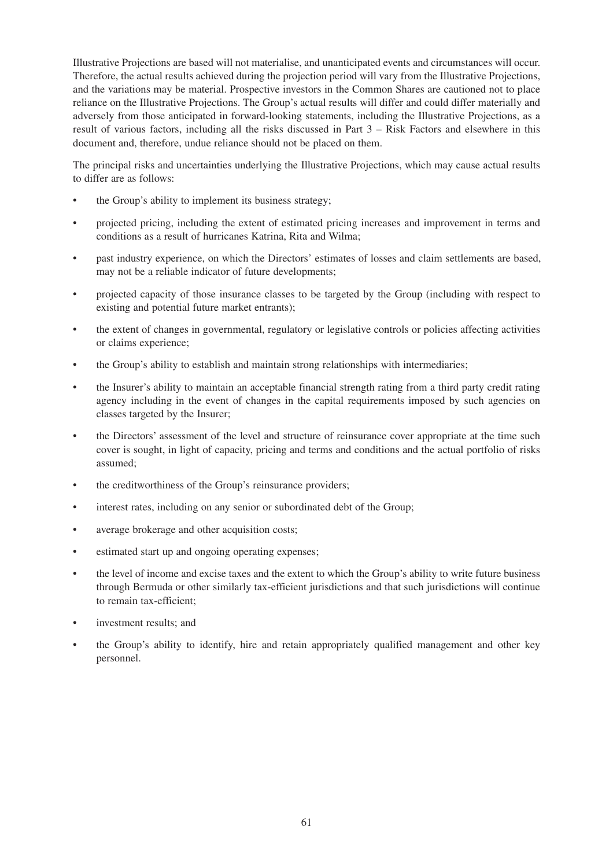Illustrative Projections are based will not materialise, and unanticipated events and circumstances will occur. Therefore, the actual results achieved during the projection period will vary from the Illustrative Projections, and the variations may be material. Prospective investors in the Common Shares are cautioned not to place reliance on the Illustrative Projections. The Group's actual results will differ and could differ materially and adversely from those anticipated in forward-looking statements, including the Illustrative Projections, as a result of various factors, including all the risks discussed in Part 3 – Risk Factors and elsewhere in this document and, therefore, undue reliance should not be placed on them.

The principal risks and uncertainties underlying the Illustrative Projections, which may cause actual results to differ are as follows:

- the Group's ability to implement its business strategy;
- projected pricing, including the extent of estimated pricing increases and improvement in terms and conditions as a result of hurricanes Katrina, Rita and Wilma;
- past industry experience, on which the Directors' estimates of losses and claim settlements are based, may not be a reliable indicator of future developments;
- projected capacity of those insurance classes to be targeted by the Group (including with respect to existing and potential future market entrants);
- the extent of changes in governmental, regulatory or legislative controls or policies affecting activities or claims experience;
- the Group's ability to establish and maintain strong relationships with intermediaries;
- the Insurer's ability to maintain an acceptable financial strength rating from a third party credit rating agency including in the event of changes in the capital requirements imposed by such agencies on classes targeted by the Insurer;
- the Directors' assessment of the level and structure of reinsurance cover appropriate at the time such cover is sought, in light of capacity, pricing and terms and conditions and the actual portfolio of risks assumed;
- the creditworthiness of the Group's reinsurance providers;
- interest rates, including on any senior or subordinated debt of the Group;
- average brokerage and other acquisition costs;
- estimated start up and ongoing operating expenses;
- the level of income and excise taxes and the extent to which the Group's ability to write future business through Bermuda or other similarly tax-efficient jurisdictions and that such jurisdictions will continue to remain tax-efficient;
- investment results: and
- the Group's ability to identify, hire and retain appropriately qualified management and other key personnel.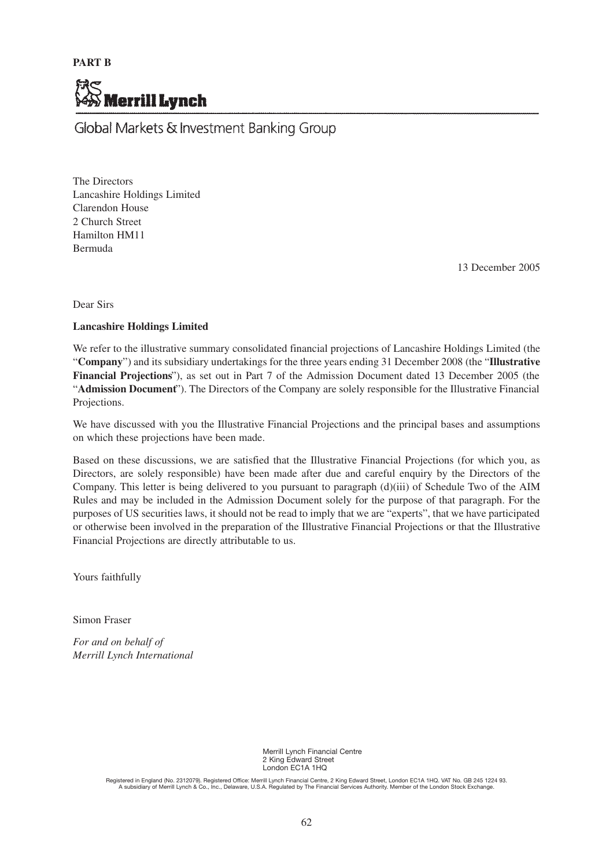

Global Markets & Investment Banking Group

The Directors Lancashire Holdings Limited Clarendon House 2 Church Street Hamilton HM11 Bermuda

13 December 2005

Dear Sirs

### **Lancashire Holdings Limited**

We refer to the illustrative summary consolidated financial projections of Lancashire Holdings Limited (the "**Company**") and its subsidiary undertakings for the three years ending 31 December 2008 (the "**Illustrative Financial Projections**"), as set out in Part 7 of the Admission Document dated 13 December 2005 (the "**Admission Document**"). The Directors of the Company are solely responsible for the Illustrative Financial Projections.

We have discussed with you the Illustrative Financial Projections and the principal bases and assumptions on which these projections have been made.

Based on these discussions, we are satisfied that the Illustrative Financial Projections (for which you, as Directors, are solely responsible) have been made after due and careful enquiry by the Directors of the Company. This letter is being delivered to you pursuant to paragraph (d)(iii) of Schedule Two of the AIM Rules and may be included in the Admission Document solely for the purpose of that paragraph. For the purposes of US securities laws, it should not be read to imply that we are "experts", that we have participated or otherwise been involved in the preparation of the Illustrative Financial Projections or that the Illustrative Financial Projections are directly attributable to us.

Yours faithfully

Simon Fraser

*For and on behalf of Merrill Lynch International*

> Merrill Lynch Financial Centre 2 King Edward Street London EC1A 1HQ

Registered in England (No. 2312079). Registered Office: Merrill Lynch Financial Centre, 2 King Edward Street, London EC1A 1HQ. VAT No. GB 245 1224 93.<br>A subsidiary of Merrill Lynch & Co., Inc., Delaware, U.S.A. Regulated b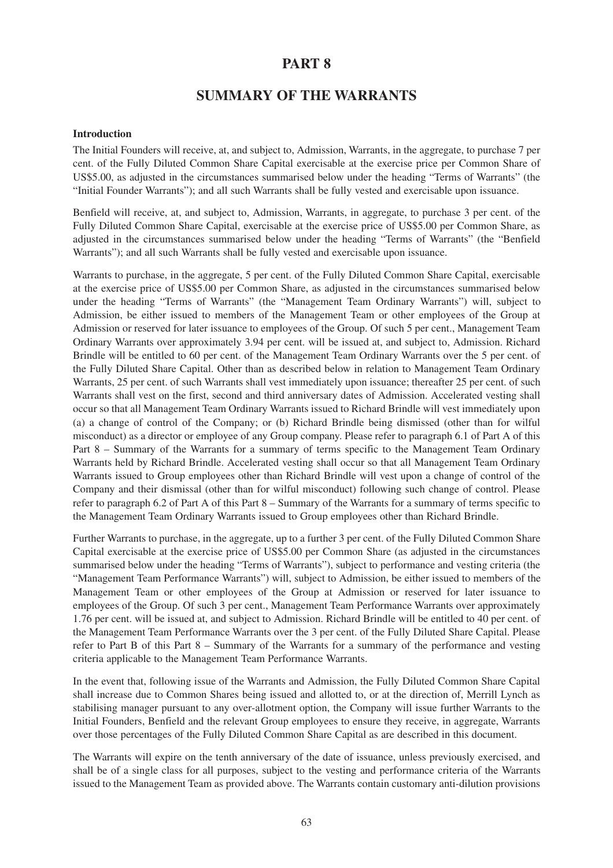# **PART 8**

# **SUMMARY OF THE WARRANTS**

## **Introduction**

The Initial Founders will receive, at, and subject to, Admission, Warrants, in the aggregate, to purchase 7 per cent. of the Fully Diluted Common Share Capital exercisable at the exercise price per Common Share of US\$5.00, as adjusted in the circumstances summarised below under the heading "Terms of Warrants" (the "Initial Founder Warrants"); and all such Warrants shall be fully vested and exercisable upon issuance.

Benfield will receive, at, and subject to, Admission, Warrants, in aggregate, to purchase 3 per cent. of the Fully Diluted Common Share Capital, exercisable at the exercise price of US\$5.00 per Common Share, as adjusted in the circumstances summarised below under the heading "Terms of Warrants" (the "Benfield Warrants"); and all such Warrants shall be fully vested and exercisable upon issuance.

Warrants to purchase, in the aggregate, 5 per cent. of the Fully Diluted Common Share Capital, exercisable at the exercise price of US\$5.00 per Common Share, as adjusted in the circumstances summarised below under the heading "Terms of Warrants" (the "Management Team Ordinary Warrants") will, subject to Admission, be either issued to members of the Management Team or other employees of the Group at Admission or reserved for later issuance to employees of the Group. Of such 5 per cent., Management Team Ordinary Warrants over approximately 3.94 per cent. will be issued at, and subject to, Admission. Richard Brindle will be entitled to 60 per cent. of the Management Team Ordinary Warrants over the 5 per cent. of the Fully Diluted Share Capital. Other than as described below in relation to Management Team Ordinary Warrants, 25 per cent. of such Warrants shall vest immediately upon issuance; thereafter 25 per cent. of such Warrants shall vest on the first, second and third anniversary dates of Admission. Accelerated vesting shall occur so that all Management Team Ordinary Warrants issued to Richard Brindle will vest immediately upon (a) a change of control of the Company; or (b) Richard Brindle being dismissed (other than for wilful misconduct) as a director or employee of any Group company. Please refer to paragraph 6.1 of Part A of this Part 8 – Summary of the Warrants for a summary of terms specific to the Management Team Ordinary Warrants held by Richard Brindle. Accelerated vesting shall occur so that all Management Team Ordinary Warrants issued to Group employees other than Richard Brindle will vest upon a change of control of the Company and their dismissal (other than for wilful misconduct) following such change of control. Please refer to paragraph 6.2 of Part A of this Part 8 – Summary of the Warrants for a summary of terms specific to the Management Team Ordinary Warrants issued to Group employees other than Richard Brindle.

Further Warrants to purchase, in the aggregate, up to a further 3 per cent. of the Fully Diluted Common Share Capital exercisable at the exercise price of US\$5.00 per Common Share (as adjusted in the circumstances summarised below under the heading "Terms of Warrants"), subject to performance and vesting criteria (the "Management Team Performance Warrants") will, subject to Admission, be either issued to members of the Management Team or other employees of the Group at Admission or reserved for later issuance to employees of the Group. Of such 3 per cent., Management Team Performance Warrants over approximately 1.76 per cent. will be issued at, and subject to Admission. Richard Brindle will be entitled to 40 per cent. of the Management Team Performance Warrants over the 3 per cent. of the Fully Diluted Share Capital. Please refer to Part B of this Part 8 – Summary of the Warrants for a summary of the performance and vesting criteria applicable to the Management Team Performance Warrants.

In the event that, following issue of the Warrants and Admission, the Fully Diluted Common Share Capital shall increase due to Common Shares being issued and allotted to, or at the direction of, Merrill Lynch as stabilising manager pursuant to any over-allotment option, the Company will issue further Warrants to the Initial Founders, Benfield and the relevant Group employees to ensure they receive, in aggregate, Warrants over those percentages of the Fully Diluted Common Share Capital as are described in this document.

The Warrants will expire on the tenth anniversary of the date of issuance, unless previously exercised, and shall be of a single class for all purposes, subject to the vesting and performance criteria of the Warrants issued to the Management Team as provided above. The Warrants contain customary anti-dilution provisions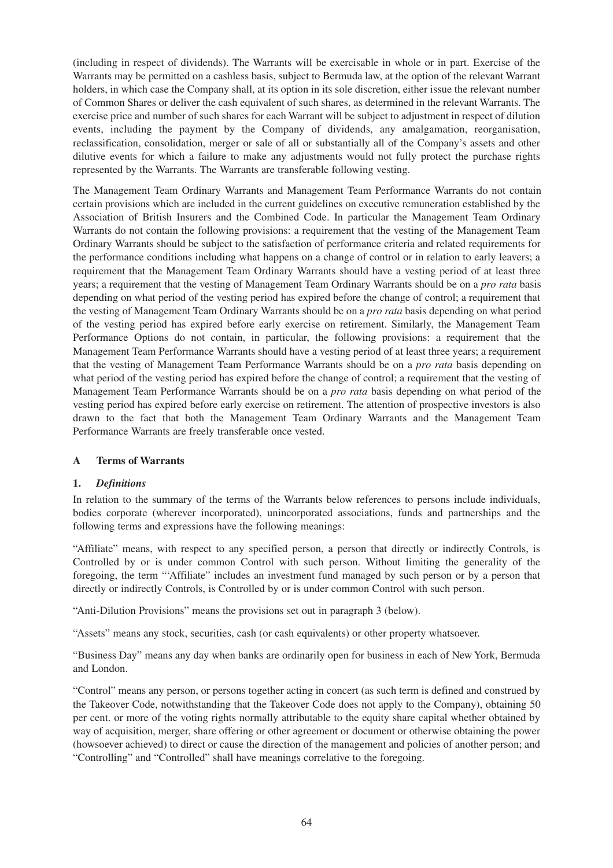(including in respect of dividends). The Warrants will be exercisable in whole or in part. Exercise of the Warrants may be permitted on a cashless basis, subject to Bermuda law, at the option of the relevant Warrant holders, in which case the Company shall, at its option in its sole discretion, either issue the relevant number of Common Shares or deliver the cash equivalent of such shares, as determined in the relevant Warrants. The exercise price and number of such shares for each Warrant will be subject to adjustment in respect of dilution events, including the payment by the Company of dividends, any amalgamation, reorganisation, reclassification, consolidation, merger or sale of all or substantially all of the Company's assets and other dilutive events for which a failure to make any adjustments would not fully protect the purchase rights represented by the Warrants. The Warrants are transferable following vesting.

The Management Team Ordinary Warrants and Management Team Performance Warrants do not contain certain provisions which are included in the current guidelines on executive remuneration established by the Association of British Insurers and the Combined Code. In particular the Management Team Ordinary Warrants do not contain the following provisions: a requirement that the vesting of the Management Team Ordinary Warrants should be subject to the satisfaction of performance criteria and related requirements for the performance conditions including what happens on a change of control or in relation to early leavers; a requirement that the Management Team Ordinary Warrants should have a vesting period of at least three years; a requirement that the vesting of Management Team Ordinary Warrants should be on a *pro rata* basis depending on what period of the vesting period has expired before the change of control; a requirement that the vesting of Management Team Ordinary Warrants should be on a *pro rata* basis depending on what period of the vesting period has expired before early exercise on retirement. Similarly, the Management Team Performance Options do not contain, in particular, the following provisions: a requirement that the Management Team Performance Warrants should have a vesting period of at least three years; a requirement that the vesting of Management Team Performance Warrants should be on a *pro rata* basis depending on what period of the vesting period has expired before the change of control; a requirement that the vesting of Management Team Performance Warrants should be on a *pro rata* basis depending on what period of the vesting period has expired before early exercise on retirement. The attention of prospective investors is also drawn to the fact that both the Management Team Ordinary Warrants and the Management Team Performance Warrants are freely transferable once vested.

# **A Terms of Warrants**

# **1.** *Definitions*

In relation to the summary of the terms of the Warrants below references to persons include individuals, bodies corporate (wherever incorporated), unincorporated associations, funds and partnerships and the following terms and expressions have the following meanings:

"Affiliate" means, with respect to any specified person, a person that directly or indirectly Controls, is Controlled by or is under common Control with such person. Without limiting the generality of the foregoing, the term "'Affiliate" includes an investment fund managed by such person or by a person that directly or indirectly Controls, is Controlled by or is under common Control with such person.

"Anti-Dilution Provisions" means the provisions set out in paragraph 3 (below).

"Assets" means any stock, securities, cash (or cash equivalents) or other property whatsoever.

"Business Day" means any day when banks are ordinarily open for business in each of New York, Bermuda and London.

"Control" means any person, or persons together acting in concert (as such term is defined and construed by the Takeover Code, notwithstanding that the Takeover Code does not apply to the Company), obtaining 50 per cent. or more of the voting rights normally attributable to the equity share capital whether obtained by way of acquisition, merger, share offering or other agreement or document or otherwise obtaining the power (howsoever achieved) to direct or cause the direction of the management and policies of another person; and "Controlling" and "Controlled" shall have meanings correlative to the foregoing.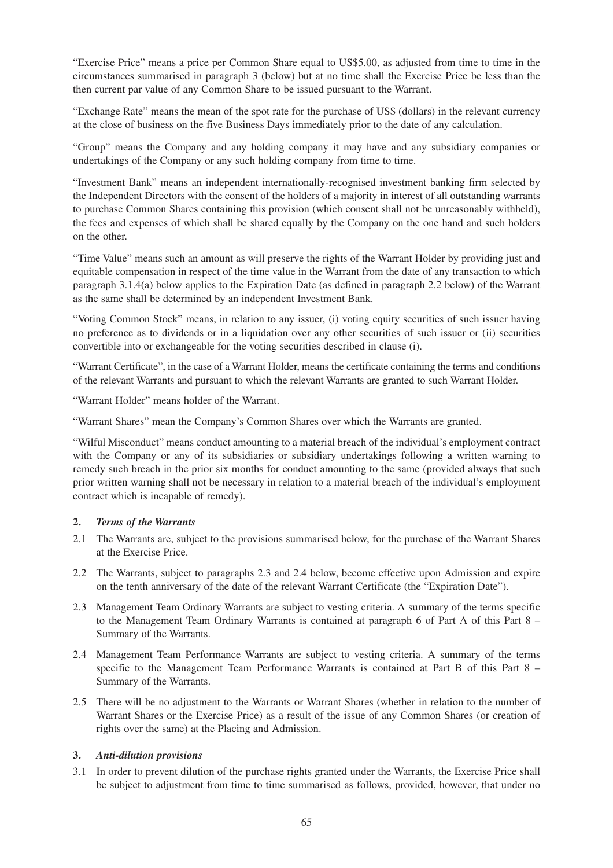"Exercise Price" means a price per Common Share equal to US\$5.00, as adjusted from time to time in the circumstances summarised in paragraph 3 (below) but at no time shall the Exercise Price be less than the then current par value of any Common Share to be issued pursuant to the Warrant.

"Exchange Rate" means the mean of the spot rate for the purchase of US\$ (dollars) in the relevant currency at the close of business on the five Business Days immediately prior to the date of any calculation.

"Group" means the Company and any holding company it may have and any subsidiary companies or undertakings of the Company or any such holding company from time to time.

"Investment Bank" means an independent internationally-recognised investment banking firm selected by the Independent Directors with the consent of the holders of a majority in interest of all outstanding warrants to purchase Common Shares containing this provision (which consent shall not be unreasonably withheld), the fees and expenses of which shall be shared equally by the Company on the one hand and such holders on the other.

"Time Value" means such an amount as will preserve the rights of the Warrant Holder by providing just and equitable compensation in respect of the time value in the Warrant from the date of any transaction to which paragraph 3.1.4(a) below applies to the Expiration Date (as defined in paragraph 2.2 below) of the Warrant as the same shall be determined by an independent Investment Bank.

"Voting Common Stock" means, in relation to any issuer, (i) voting equity securities of such issuer having no preference as to dividends or in a liquidation over any other securities of such issuer or (ii) securities convertible into or exchangeable for the voting securities described in clause (i).

"Warrant Certificate", in the case of a Warrant Holder, means the certificate containing the terms and conditions of the relevant Warrants and pursuant to which the relevant Warrants are granted to such Warrant Holder.

"Warrant Holder" means holder of the Warrant.

"Warrant Shares" mean the Company's Common Shares over which the Warrants are granted.

"Wilful Misconduct" means conduct amounting to a material breach of the individual's employment contract with the Company or any of its subsidiaries or subsidiary undertakings following a written warning to remedy such breach in the prior six months for conduct amounting to the same (provided always that such prior written warning shall not be necessary in relation to a material breach of the individual's employment contract which is incapable of remedy).

#### **2.** *Terms of the Warrants*

- 2.1 The Warrants are, subject to the provisions summarised below, for the purchase of the Warrant Shares at the Exercise Price.
- 2.2 The Warrants, subject to paragraphs 2.3 and 2.4 below, become effective upon Admission and expire on the tenth anniversary of the date of the relevant Warrant Certificate (the "Expiration Date").
- 2.3 Management Team Ordinary Warrants are subject to vesting criteria. A summary of the terms specific to the Management Team Ordinary Warrants is contained at paragraph 6 of Part A of this Part 8 – Summary of the Warrants.
- 2.4 Management Team Performance Warrants are subject to vesting criteria. A summary of the terms specific to the Management Team Performance Warrants is contained at Part B of this Part 8 – Summary of the Warrants.
- 2.5 There will be no adjustment to the Warrants or Warrant Shares (whether in relation to the number of Warrant Shares or the Exercise Price) as a result of the issue of any Common Shares (or creation of rights over the same) at the Placing and Admission.

# **3.** *Anti-dilution provisions*

3.1 In order to prevent dilution of the purchase rights granted under the Warrants, the Exercise Price shall be subject to adjustment from time to time summarised as follows, provided, however, that under no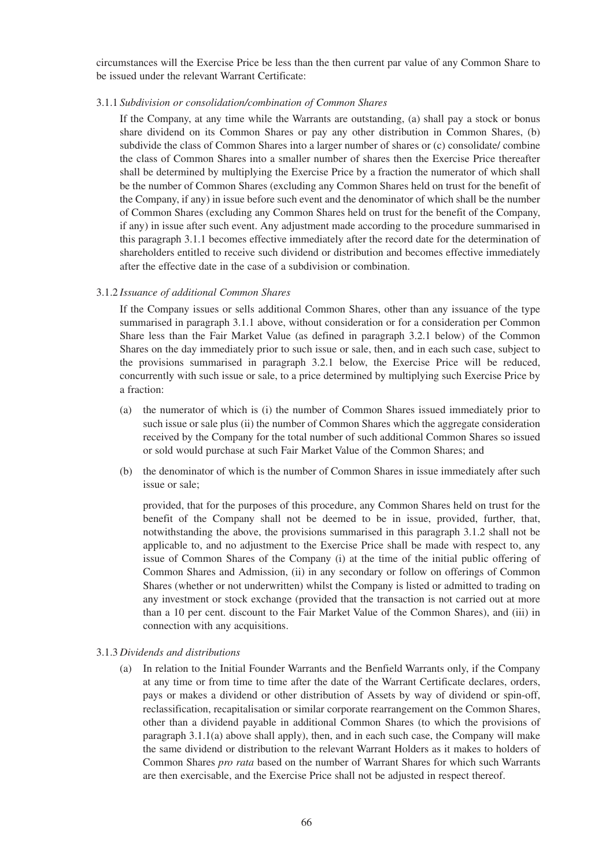circumstances will the Exercise Price be less than the then current par value of any Common Share to be issued under the relevant Warrant Certificate:

3.1.1 *Subdivision or consolidation/combination of Common Shares*

If the Company, at any time while the Warrants are outstanding, (a) shall pay a stock or bonus share dividend on its Common Shares or pay any other distribution in Common Shares, (b) subdivide the class of Common Shares into a larger number of shares or (c) consolidate/ combine the class of Common Shares into a smaller number of shares then the Exercise Price thereafter shall be determined by multiplying the Exercise Price by a fraction the numerator of which shall be the number of Common Shares (excluding any Common Shares held on trust for the benefit of the Company, if any) in issue before such event and the denominator of which shall be the number of Common Shares (excluding any Common Shares held on trust for the benefit of the Company, if any) in issue after such event. Any adjustment made according to the procedure summarised in this paragraph 3.1.1 becomes effective immediately after the record date for the determination of shareholders entitled to receive such dividend or distribution and becomes effective immediately after the effective date in the case of a subdivision or combination.

### 3.1.2 *Issuance of additional Common Shares*

If the Company issues or sells additional Common Shares, other than any issuance of the type summarised in paragraph 3.1.1 above, without consideration or for a consideration per Common Share less than the Fair Market Value (as defined in paragraph 3.2.1 below) of the Common Shares on the day immediately prior to such issue or sale, then, and in each such case, subject to the provisions summarised in paragraph 3.2.1 below, the Exercise Price will be reduced, concurrently with such issue or sale, to a price determined by multiplying such Exercise Price by a fraction:

- (a) the numerator of which is (i) the number of Common Shares issued immediately prior to such issue or sale plus (ii) the number of Common Shares which the aggregate consideration received by the Company for the total number of such additional Common Shares so issued or sold would purchase at such Fair Market Value of the Common Shares; and
- (b) the denominator of which is the number of Common Shares in issue immediately after such issue or sale;

provided, that for the purposes of this procedure, any Common Shares held on trust for the benefit of the Company shall not be deemed to be in issue, provided, further, that, notwithstanding the above, the provisions summarised in this paragraph 3.1.2 shall not be applicable to, and no adjustment to the Exercise Price shall be made with respect to, any issue of Common Shares of the Company (i) at the time of the initial public offering of Common Shares and Admission, (ii) in any secondary or follow on offerings of Common Shares (whether or not underwritten) whilst the Company is listed or admitted to trading on any investment or stock exchange (provided that the transaction is not carried out at more than a 10 per cent. discount to the Fair Market Value of the Common Shares), and (iii) in connection with any acquisitions.

#### 3.1.3 *Dividends and distributions*

(a) In relation to the Initial Founder Warrants and the Benfield Warrants only, if the Company at any time or from time to time after the date of the Warrant Certificate declares, orders, pays or makes a dividend or other distribution of Assets by way of dividend or spin-off, reclassification, recapitalisation or similar corporate rearrangement on the Common Shares, other than a dividend payable in additional Common Shares (to which the provisions of paragraph 3.1.1(a) above shall apply), then, and in each such case, the Company will make the same dividend or distribution to the relevant Warrant Holders as it makes to holders of Common Shares *pro rata* based on the number of Warrant Shares for which such Warrants are then exercisable, and the Exercise Price shall not be adjusted in respect thereof.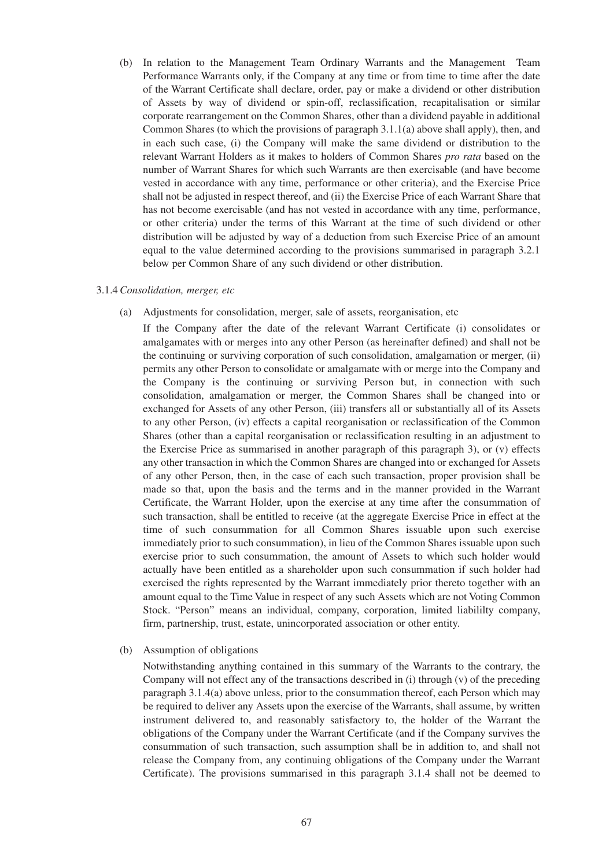(b) In relation to the Management Team Ordinary Warrants and the Management Team Performance Warrants only, if the Company at any time or from time to time after the date of the Warrant Certificate shall declare, order, pay or make a dividend or other distribution of Assets by way of dividend or spin-off, reclassification, recapitalisation or similar corporate rearrangement on the Common Shares, other than a dividend payable in additional Common Shares (to which the provisions of paragraph 3.1.1(a) above shall apply), then, and in each such case, (i) the Company will make the same dividend or distribution to the relevant Warrant Holders as it makes to holders of Common Shares *pro rata* based on the number of Warrant Shares for which such Warrants are then exercisable (and have become vested in accordance with any time, performance or other criteria), and the Exercise Price shall not be adjusted in respect thereof, and (ii) the Exercise Price of each Warrant Share that has not become exercisable (and has not vested in accordance with any time, performance, or other criteria) under the terms of this Warrant at the time of such dividend or other distribution will be adjusted by way of a deduction from such Exercise Price of an amount equal to the value determined according to the provisions summarised in paragraph 3.2.1 below per Common Share of any such dividend or other distribution.

#### 3.1.4*Consolidation, merger, etc*

- (a) Adjustments for consolidation, merger, sale of assets, reorganisation, etc
	- If the Company after the date of the relevant Warrant Certificate (i) consolidates or amalgamates with or merges into any other Person (as hereinafter defined) and shall not be the continuing or surviving corporation of such consolidation, amalgamation or merger, (ii) permits any other Person to consolidate or amalgamate with or merge into the Company and the Company is the continuing or surviving Person but, in connection with such consolidation, amalgamation or merger, the Common Shares shall be changed into or exchanged for Assets of any other Person, (iii) transfers all or substantially all of its Assets to any other Person, (iv) effects a capital reorganisation or reclassification of the Common Shares (other than a capital reorganisation or reclassification resulting in an adjustment to the Exercise Price as summarised in another paragraph of this paragraph 3), or (v) effects any other transaction in which the Common Shares are changed into or exchanged for Assets of any other Person, then, in the case of each such transaction, proper provision shall be made so that, upon the basis and the terms and in the manner provided in the Warrant Certificate, the Warrant Holder, upon the exercise at any time after the consummation of such transaction, shall be entitled to receive (at the aggregate Exercise Price in effect at the time of such consummation for all Common Shares issuable upon such exercise immediately prior to such consummation), in lieu of the Common Shares issuable upon such exercise prior to such consummation, the amount of Assets to which such holder would actually have been entitled as a shareholder upon such consummation if such holder had exercised the rights represented by the Warrant immediately prior thereto together with an amount equal to the Time Value in respect of any such Assets which are not Voting Common Stock. "Person" means an individual, company, corporation, limited liabililty company, firm, partnership, trust, estate, unincorporated association or other entity.
- (b) Assumption of obligations

Notwithstanding anything contained in this summary of the Warrants to the contrary, the Company will not effect any of the transactions described in (i) through  $(v)$  of the preceding paragraph 3.1.4(a) above unless, prior to the consummation thereof, each Person which may be required to deliver any Assets upon the exercise of the Warrants, shall assume, by written instrument delivered to, and reasonably satisfactory to, the holder of the Warrant the obligations of the Company under the Warrant Certificate (and if the Company survives the consummation of such transaction, such assumption shall be in addition to, and shall not release the Company from, any continuing obligations of the Company under the Warrant Certificate). The provisions summarised in this paragraph 3.1.4 shall not be deemed to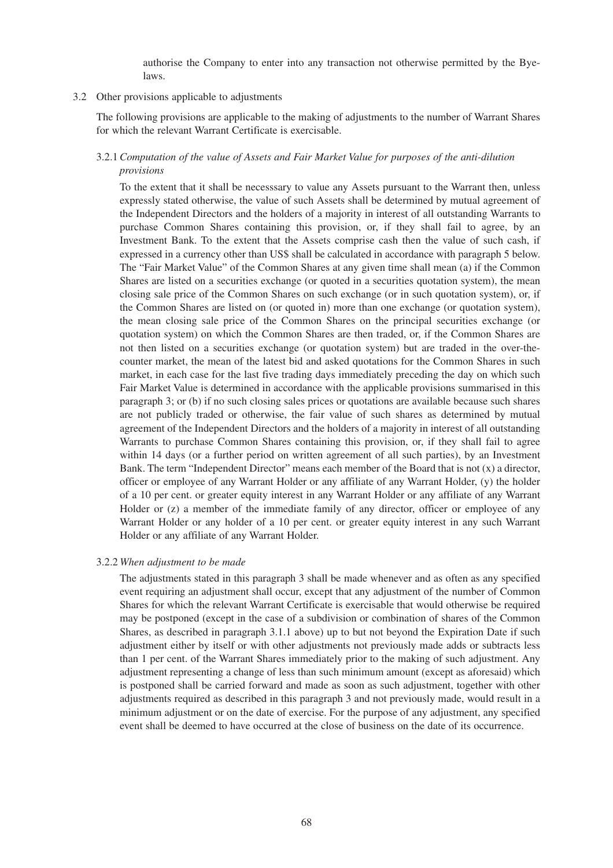authorise the Company to enter into any transaction not otherwise permitted by the Byelaws.

#### 3.2 Other provisions applicable to adjustments

The following provisions are applicable to the making of adjustments to the number of Warrant Shares for which the relevant Warrant Certificate is exercisable.

# 3.2.1*Computation of the value of Assets and Fair Market Value for purposes of the anti-dilution provisions*

To the extent that it shall be necesssary to value any Assets pursuant to the Warrant then, unless expressly stated otherwise, the value of such Assets shall be determined by mutual agreement of the Independent Directors and the holders of a majority in interest of all outstanding Warrants to purchase Common Shares containing this provision, or, if they shall fail to agree, by an Investment Bank. To the extent that the Assets comprise cash then the value of such cash, if expressed in a currency other than US\$ shall be calculated in accordance with paragraph 5 below. The "Fair Market Value" of the Common Shares at any given time shall mean (a) if the Common Shares are listed on a securities exchange (or quoted in a securities quotation system), the mean closing sale price of the Common Shares on such exchange (or in such quotation system), or, if the Common Shares are listed on (or quoted in) more than one exchange (or quotation system), the mean closing sale price of the Common Shares on the principal securities exchange (or quotation system) on which the Common Shares are then traded, or, if the Common Shares are not then listed on a securities exchange (or quotation system) but are traded in the over-thecounter market, the mean of the latest bid and asked quotations for the Common Shares in such market, in each case for the last five trading days immediately preceding the day on which such Fair Market Value is determined in accordance with the applicable provisions summarised in this paragraph 3; or (b) if no such closing sales prices or quotations are available because such shares are not publicly traded or otherwise, the fair value of such shares as determined by mutual agreement of the Independent Directors and the holders of a majority in interest of all outstanding Warrants to purchase Common Shares containing this provision, or, if they shall fail to agree within 14 days (or a further period on written agreement of all such parties), by an Investment Bank. The term "Independent Director" means each member of the Board that is not (x) a director, officer or employee of any Warrant Holder or any affiliate of any Warrant Holder, (y) the holder of a 10 per cent. or greater equity interest in any Warrant Holder or any affiliate of any Warrant Holder or (z) a member of the immediate family of any director, officer or employee of any Warrant Holder or any holder of a 10 per cent. or greater equity interest in any such Warrant Holder or any affiliate of any Warrant Holder.

#### 3.2.2 *When adjustment to be made*

The adjustments stated in this paragraph 3 shall be made whenever and as often as any specified event requiring an adjustment shall occur, except that any adjustment of the number of Common Shares for which the relevant Warrant Certificate is exercisable that would otherwise be required may be postponed (except in the case of a subdivision or combination of shares of the Common Shares, as described in paragraph 3.1.1 above) up to but not beyond the Expiration Date if such adjustment either by itself or with other adjustments not previously made adds or subtracts less than 1 per cent. of the Warrant Shares immediately prior to the making of such adjustment. Any adjustment representing a change of less than such minimum amount (except as aforesaid) which is postponed shall be carried forward and made as soon as such adjustment, together with other adjustments required as described in this paragraph 3 and not previously made, would result in a minimum adjustment or on the date of exercise. For the purpose of any adjustment, any specified event shall be deemed to have occurred at the close of business on the date of its occurrence.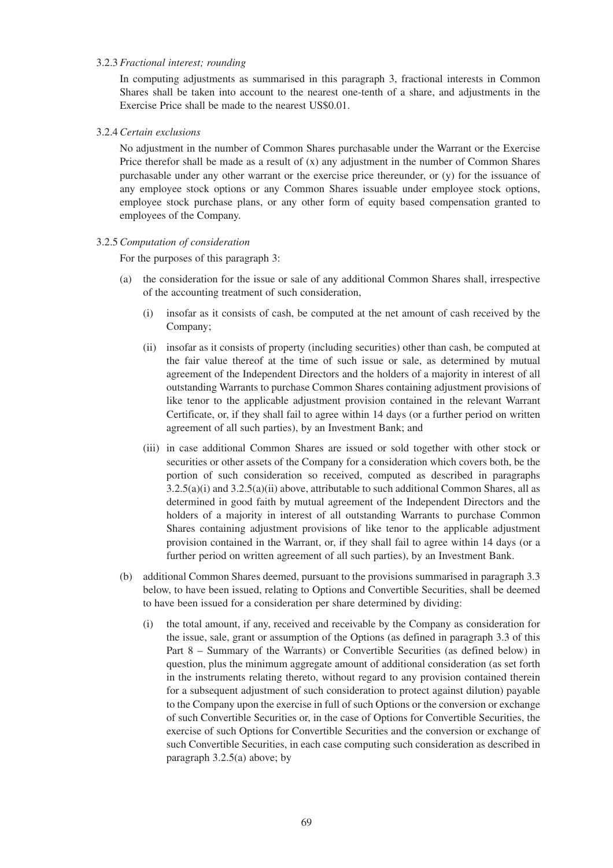#### 3.2.3 *Fractional interest; rounding*

In computing adjustments as summarised in this paragraph 3, fractional interests in Common Shares shall be taken into account to the nearest one-tenth of a share, and adjustments in the Exercise Price shall be made to the nearest US\$0.01.

#### 3.2.4*Certain exclusions*

No adjustment in the number of Common Shares purchasable under the Warrant or the Exercise Price therefor shall be made as a result of  $(x)$  any adjustment in the number of Common Shares purchasable under any other warrant or the exercise price thereunder, or (y) for the issuance of any employee stock options or any Common Shares issuable under employee stock options, employee stock purchase plans, or any other form of equity based compensation granted to employees of the Company.

### 3.2.5*Computation of consideration*

For the purposes of this paragraph 3:

- (a) the consideration for the issue or sale of any additional Common Shares shall, irrespective of the accounting treatment of such consideration,
	- (i) insofar as it consists of cash, be computed at the net amount of cash received by the Company;
	- (ii) insofar as it consists of property (including securities) other than cash, be computed at the fair value thereof at the time of such issue or sale, as determined by mutual agreement of the Independent Directors and the holders of a majority in interest of all outstanding Warrants to purchase Common Shares containing adjustment provisions of like tenor to the applicable adjustment provision contained in the relevant Warrant Certificate, or, if they shall fail to agree within 14 days (or a further period on written agreement of all such parties), by an Investment Bank; and
	- (iii) in case additional Common Shares are issued or sold together with other stock or securities or other assets of the Company for a consideration which covers both, be the portion of such consideration so received, computed as described in paragraphs 3.2.5(a)(i) and 3.2.5(a)(ii) above, attributable to such additional Common Shares, all as determined in good faith by mutual agreement of the Independent Directors and the holders of a majority in interest of all outstanding Warrants to purchase Common Shares containing adjustment provisions of like tenor to the applicable adjustment provision contained in the Warrant, or, if they shall fail to agree within 14 days (or a further period on written agreement of all such parties), by an Investment Bank.
- (b) additional Common Shares deemed, pursuant to the provisions summarised in paragraph 3.3 below, to have been issued, relating to Options and Convertible Securities, shall be deemed to have been issued for a consideration per share determined by dividing:
	- (i) the total amount, if any, received and receivable by the Company as consideration for the issue, sale, grant or assumption of the Options (as defined in paragraph 3.3 of this Part 8 – Summary of the Warrants) or Convertible Securities (as defined below) in question, plus the minimum aggregate amount of additional consideration (as set forth in the instruments relating thereto, without regard to any provision contained therein for a subsequent adjustment of such consideration to protect against dilution) payable to the Company upon the exercise in full of such Options or the conversion or exchange of such Convertible Securities or, in the case of Options for Convertible Securities, the exercise of such Options for Convertible Securities and the conversion or exchange of such Convertible Securities, in each case computing such consideration as described in paragraph 3.2.5(a) above; by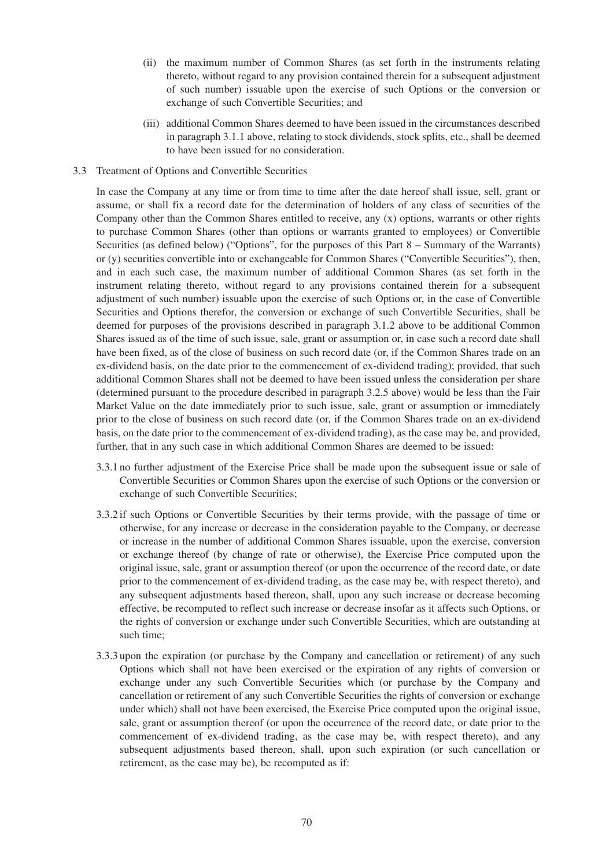- (ii) the maximum number of Common Shares (as set forth in the instruments relating thereto, without regard to any provision contained therein for a subsequent adjustment of such number) issuable upon the exercise of such Options or the conversion or exchange of such Convertible Securities; and
- (iii) additional Common Shares deemed to have been issued in the circumstances described in paragraph 3.1.1 above, relating to stock dividends, stock splits, etc., shall be deemed to have been issued for no consideration.

#### 3.3 Treatment of Options and Convertible Securities

In case the Company at any time or from time to time after the date hereof shall issue, sell, grant or assume, or shall fix a record date for the determination of holders of any class of securities of the Company other than the Common Shares entitled to receive, any (x) options, warrants or other rights to purchase Common Shares (other than options or warrants granted to employees) or Convertible Securities (as defined below) ("Options", for the purposes of this Part 8 – Summary of the Warrants) or (y) securities convertible into or exchangeable for Common Shares ("Convertible Securities"), then, and in each such case, the maximum number of additional Common Shares (as set forth in the instrument relating thereto, without regard to any provisions contained therein for a subsequent adjustment of such number) issuable upon the exercise of such Options or, in the case of Convertible Securities and Options therefor, the conversion or exchange of such Convertible Securities, shall be deemed for purposes of the provisions described in paragraph 3.1.2 above to be additional Common Shares issued as of the time of such issue, sale, grant or assumption or, in case such a record date shall have been fixed, as of the close of business on such record date (or, if the Common Shares trade on an ex-dividend basis, on the date prior to the commencement of ex-dividend trading); provided, that such additional Common Shares shall not be deemed to have been issued unless the consideration per share (determined pursuant to the procedure described in paragraph 3.2.5 above) would be less than the Fair Market Value on the date immediately prior to such issue, sale, grant or assumption or immediately prior to the close of business on such record date (or, if the Common Shares trade on an ex-dividend basis, on the date prior to the commencement of ex-dividend trading), as the case may be, and provided, further, that in any such case in which additional Common Shares are deemed to be issued:

- 3.3.1 no further adjustment of the Exercise Price shall be made upon the subsequent issue or sale of Convertible Securities or Common Shares upon the exercise of such Options or the conversion or exchange of such Convertible Securities;
- 3.3.2 if such Options or Convertible Securities by their terms provide, with the passage of time or otherwise, for any increase or decrease in the consideration payable to the Company, or decrease or increase in the number of additional Common Shares issuable, upon the exercise, conversion or exchange thereof (by change of rate or otherwise), the Exercise Price computed upon the original issue, sale, grant or assumption thereof (or upon the occurrence of the record date, or date prior to the commencement of ex-dividend trading, as the case may be, with respect thereto), and any subsequent adjustments based thereon, shall, upon any such increase or decrease becoming effective, be recomputed to reflect such increase or decrease insofar as it affects such Options, or the rights of conversion or exchange under such Convertible Securities, which are outstanding at such time;
- 3.3.3 upon the expiration (or purchase by the Company and cancellation or retirement) of any such Options which shall not have been exercised or the expiration of any rights of conversion or exchange under any such Convertible Securities which (or purchase by the Company and cancellation or retirement of any such Convertible Securities the rights of conversion or exchange under which) shall not have been exercised, the Exercise Price computed upon the original issue, sale, grant or assumption thereof (or upon the occurrence of the record date, or date prior to the commencement of ex-dividend trading, as the case may be, with respect thereto), and any subsequent adjustments based thereon, shall, upon such expiration (or such cancellation or retirement, as the case may be), be recomputed as if: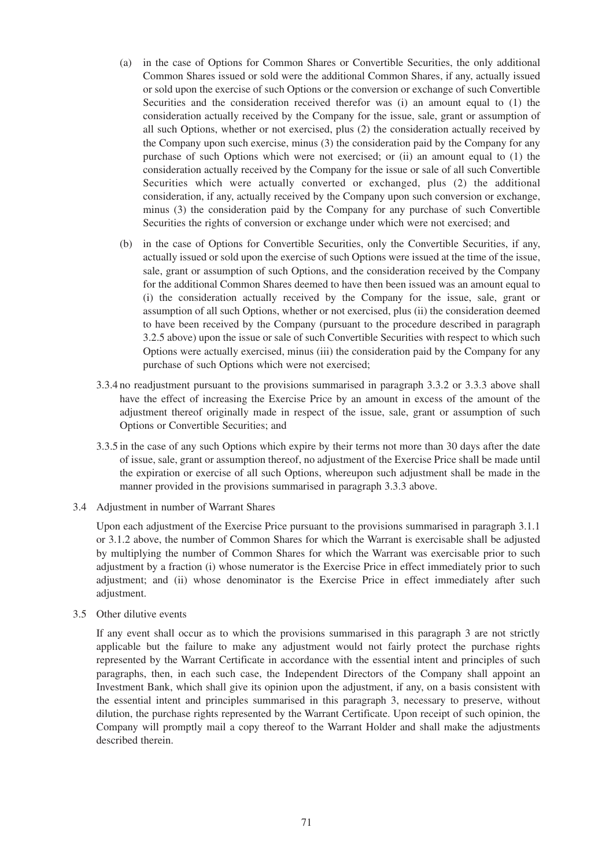- (a) in the case of Options for Common Shares or Convertible Securities, the only additional Common Shares issued or sold were the additional Common Shares, if any, actually issued or sold upon the exercise of such Options or the conversion or exchange of such Convertible Securities and the consideration received therefor was (i) an amount equal to (1) the consideration actually received by the Company for the issue, sale, grant or assumption of all such Options, whether or not exercised, plus (2) the consideration actually received by the Company upon such exercise, minus (3) the consideration paid by the Company for any purchase of such Options which were not exercised; or (ii) an amount equal to (1) the consideration actually received by the Company for the issue or sale of all such Convertible Securities which were actually converted or exchanged, plus (2) the additional consideration, if any, actually received by the Company upon such conversion or exchange, minus (3) the consideration paid by the Company for any purchase of such Convertible Securities the rights of conversion or exchange under which were not exercised; and
- (b) in the case of Options for Convertible Securities, only the Convertible Securities, if any, actually issued or sold upon the exercise of such Options were issued at the time of the issue, sale, grant or assumption of such Options, and the consideration received by the Company for the additional Common Shares deemed to have then been issued was an amount equal to (i) the consideration actually received by the Company for the issue, sale, grant or assumption of all such Options, whether or not exercised, plus (ii) the consideration deemed to have been received by the Company (pursuant to the procedure described in paragraph 3.2.5 above) upon the issue or sale of such Convertible Securities with respect to which such Options were actually exercised, minus (iii) the consideration paid by the Company for any purchase of such Options which were not exercised;
- 3.3.4 no readjustment pursuant to the provisions summarised in paragraph 3.3.2 or 3.3.3 above shall have the effect of increasing the Exercise Price by an amount in excess of the amount of the adjustment thereof originally made in respect of the issue, sale, grant or assumption of such Options or Convertible Securities; and
- 3.3.5 in the case of any such Options which expire by their terms not more than 30 days after the date of issue, sale, grant or assumption thereof, no adjustment of the Exercise Price shall be made until the expiration or exercise of all such Options, whereupon such adjustment shall be made in the manner provided in the provisions summarised in paragraph 3.3.3 above.
- 3.4 Adjustment in number of Warrant Shares

Upon each adjustment of the Exercise Price pursuant to the provisions summarised in paragraph 3.1.1 or 3.1.2 above, the number of Common Shares for which the Warrant is exercisable shall be adjusted by multiplying the number of Common Shares for which the Warrant was exercisable prior to such adjustment by a fraction (i) whose numerator is the Exercise Price in effect immediately prior to such adjustment; and (ii) whose denominator is the Exercise Price in effect immediately after such adjustment.

3.5 Other dilutive events

If any event shall occur as to which the provisions summarised in this paragraph 3 are not strictly applicable but the failure to make any adjustment would not fairly protect the purchase rights represented by the Warrant Certificate in accordance with the essential intent and principles of such paragraphs, then, in each such case, the Independent Directors of the Company shall appoint an Investment Bank, which shall give its opinion upon the adjustment, if any, on a basis consistent with the essential intent and principles summarised in this paragraph 3, necessary to preserve, without dilution, the purchase rights represented by the Warrant Certificate. Upon receipt of such opinion, the Company will promptly mail a copy thereof to the Warrant Holder and shall make the adjustments described therein.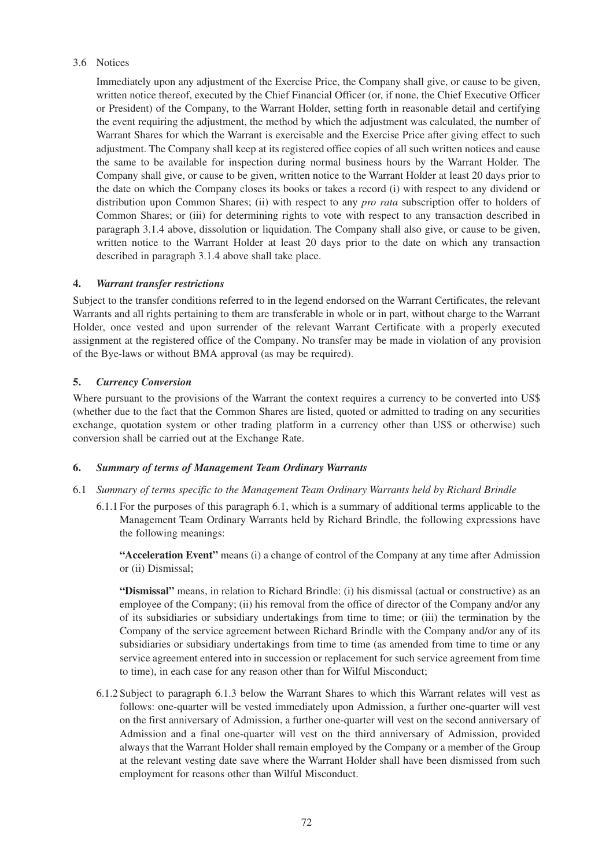# 3.6 Notices

Immediately upon any adjustment of the Exercise Price, the Company shall give, or cause to be given, written notice thereof, executed by the Chief Financial Officer (or, if none, the Chief Executive Officer or President) of the Company, to the Warrant Holder, setting forth in reasonable detail and certifying the event requiring the adjustment, the method by which the adjustment was calculated, the number of Warrant Shares for which the Warrant is exercisable and the Exercise Price after giving effect to such adjustment. The Company shall keep at its registered office copies of all such written notices and cause the same to be available for inspection during normal business hours by the Warrant Holder. The Company shall give, or cause to be given, written notice to the Warrant Holder at least 20 days prior to the date on which the Company closes its books or takes a record (i) with respect to any dividend or distribution upon Common Shares; (ii) with respect to any *pro rata* subscription offer to holders of Common Shares; or (iii) for determining rights to vote with respect to any transaction described in paragraph 3.1.4 above, dissolution or liquidation. The Company shall also give, or cause to be given, written notice to the Warrant Holder at least 20 days prior to the date on which any transaction described in paragraph 3.1.4 above shall take place.

# **4.** *Warrant transfer restrictions*

Subject to the transfer conditions referred to in the legend endorsed on the Warrant Certificates, the relevant Warrants and all rights pertaining to them are transferable in whole or in part, without charge to the Warrant Holder, once vested and upon surrender of the relevant Warrant Certificate with a properly executed assignment at the registered office of the Company. No transfer may be made in violation of any provision of the Bye-laws or without BMA approval (as may be required).

# **5.** *Currency Conversion*

Where pursuant to the provisions of the Warrant the context requires a currency to be converted into US\$ (whether due to the fact that the Common Shares are listed, quoted or admitted to trading on any securities exchange, quotation system or other trading platform in a currency other than US\$ or otherwise) such conversion shall be carried out at the Exchange Rate.

# **6.** *Summary of terms of Management Team Ordinary Warrants*

# 6.1 *Summary of terms specific to the Management Team Ordinary Warrants held by Richard Brindle*

6.1.1 For the purposes of this paragraph 6.1, which is a summary of additional terms applicable to the Management Team Ordinary Warrants held by Richard Brindle, the following expressions have the following meanings:

**"Acceleration Event"** means (i) a change of control of the Company at any time after Admission or (ii) Dismissal;

**"Dismissal"** means, in relation to Richard Brindle: (i) his dismissal (actual or constructive) as an employee of the Company; (ii) his removal from the office of director of the Company and/or any of its subsidiaries or subsidiary undertakings from time to time; or (iii) the termination by the Company of the service agreement between Richard Brindle with the Company and/or any of its subsidiaries or subsidiary undertakings from time to time (as amended from time to time or any service agreement entered into in succession or replacement for such service agreement from time to time), in each case for any reason other than for Wilful Misconduct;

6.1.2 Subject to paragraph 6.1.3 below the Warrant Shares to which this Warrant relates will vest as follows: one-quarter will be vested immediately upon Admission, a further one-quarter will vest on the first anniversary of Admission, a further one-quarter will vest on the second anniversary of Admission and a final one-quarter will vest on the third anniversary of Admission, provided always that the Warrant Holder shall remain employed by the Company or a member of the Group at the relevant vesting date save where the Warrant Holder shall have been dismissed from such employment for reasons other than Wilful Misconduct.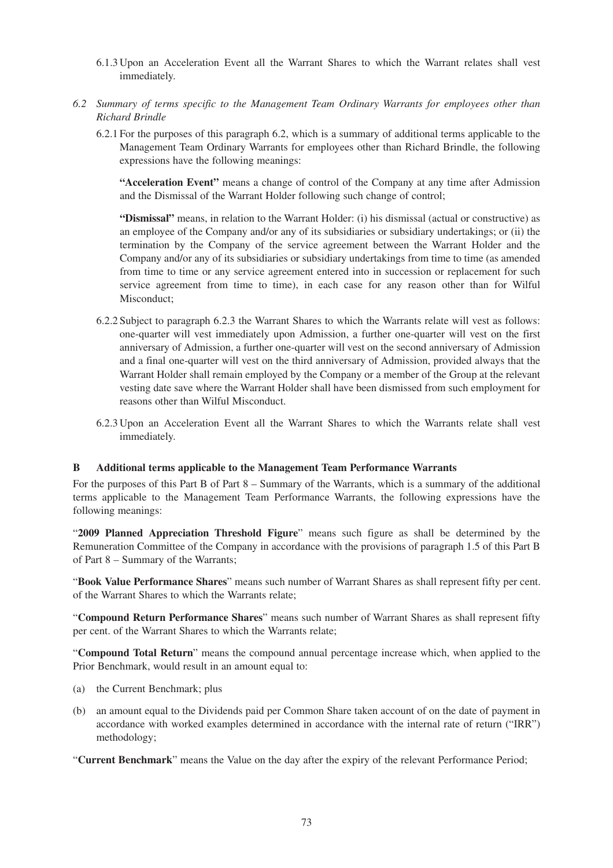- 6.1.3 Upon an Acceleration Event all the Warrant Shares to which the Warrant relates shall vest immediately.
- *6.2 Summary of terms specific to the Management Team Ordinary Warrants for employees other than Richard Brindle*
	- 6.2.1 For the purposes of this paragraph 6.2, which is a summary of additional terms applicable to the Management Team Ordinary Warrants for employees other than Richard Brindle, the following expressions have the following meanings:

**"Acceleration Event"** means a change of control of the Company at any time after Admission and the Dismissal of the Warrant Holder following such change of control;

**"Dismissal"** means, in relation to the Warrant Holder: (i) his dismissal (actual or constructive) as an employee of the Company and/or any of its subsidiaries or subsidiary undertakings; or (ii) the termination by the Company of the service agreement between the Warrant Holder and the Company and/or any of its subsidiaries or subsidiary undertakings from time to time (as amended from time to time or any service agreement entered into in succession or replacement for such service agreement from time to time), in each case for any reason other than for Wilful Misconduct;

- 6.2.2 Subject to paragraph 6.2.3 the Warrant Shares to which the Warrants relate will vest as follows: one-quarter will vest immediately upon Admission, a further one-quarter will vest on the first anniversary of Admission, a further one-quarter will vest on the second anniversary of Admission and a final one-quarter will vest on the third anniversary of Admission, provided always that the Warrant Holder shall remain employed by the Company or a member of the Group at the relevant vesting date save where the Warrant Holder shall have been dismissed from such employment for reasons other than Wilful Misconduct.
- 6.2.3 Upon an Acceleration Event all the Warrant Shares to which the Warrants relate shall vest immediately.

### **B Additional terms applicable to the Management Team Performance Warrants**

For the purposes of this Part B of Part 8 – Summary of the Warrants, which is a summary of the additional terms applicable to the Management Team Performance Warrants, the following expressions have the following meanings:

"**2009 Planned Appreciation Threshold Figure**" means such figure as shall be determined by the Remuneration Committee of the Company in accordance with the provisions of paragraph 1.5 of this Part B of Part 8 – Summary of the Warrants;

"**Book Value Performance Shares**" means such number of Warrant Shares as shall represent fifty per cent. of the Warrant Shares to which the Warrants relate;

"**Compound Return Performance Shares**" means such number of Warrant Shares as shall represent fifty per cent. of the Warrant Shares to which the Warrants relate;

"**Compound Total Return**" means the compound annual percentage increase which, when applied to the Prior Benchmark, would result in an amount equal to:

- (a) the Current Benchmark; plus
- (b) an amount equal to the Dividends paid per Common Share taken account of on the date of payment in accordance with worked examples determined in accordance with the internal rate of return ("IRR") methodology;

"**Current Benchmark**" means the Value on the day after the expiry of the relevant Performance Period;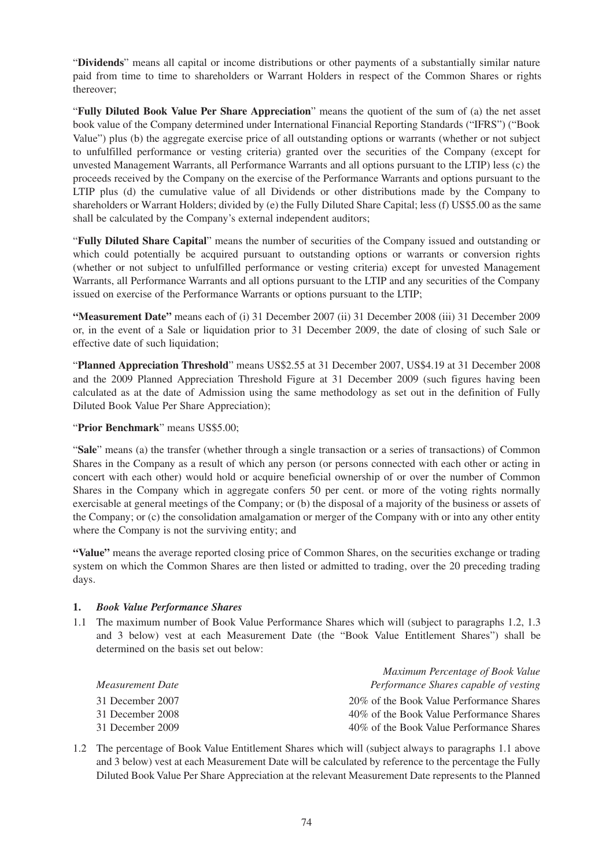"**Dividends**" means all capital or income distributions or other payments of a substantially similar nature paid from time to time to shareholders or Warrant Holders in respect of the Common Shares or rights thereover;

"**Fully Diluted Book Value Per Share Appreciation**" means the quotient of the sum of (a) the net asset book value of the Company determined under International Financial Reporting Standards ("IFRS") ("Book Value") plus (b) the aggregate exercise price of all outstanding options or warrants (whether or not subject to unfulfilled performance or vesting criteria) granted over the securities of the Company (except for unvested Management Warrants, all Performance Warrants and all options pursuant to the LTIP) less (c) the proceeds received by the Company on the exercise of the Performance Warrants and options pursuant to the LTIP plus (d) the cumulative value of all Dividends or other distributions made by the Company to shareholders or Warrant Holders; divided by (e) the Fully Diluted Share Capital; less (f) US\$5.00 as the same shall be calculated by the Company's external independent auditors;

"**Fully Diluted Share Capital**" means the number of securities of the Company issued and outstanding or which could potentially be acquired pursuant to outstanding options or warrants or conversion rights (whether or not subject to unfulfilled performance or vesting criteria) except for unvested Management Warrants, all Performance Warrants and all options pursuant to the LTIP and any securities of the Company issued on exercise of the Performance Warrants or options pursuant to the LTIP;

**"Measurement Date"** means each of (i) 31 December 2007 (ii) 31 December 2008 (iii) 31 December 2009 or, in the event of a Sale or liquidation prior to 31 December 2009, the date of closing of such Sale or effective date of such liquidation;

"**Planned Appreciation Threshold**" means US\$2.55 at 31 December 2007, US\$4.19 at 31 December 2008 and the 2009 Planned Appreciation Threshold Figure at 31 December 2009 (such figures having been calculated as at the date of Admission using the same methodology as set out in the definition of Fully Diluted Book Value Per Share Appreciation);

"**Prior Benchmark**" means US\$5.00;

"**Sale**" means (a) the transfer (whether through a single transaction or a series of transactions) of Common Shares in the Company as a result of which any person (or persons connected with each other or acting in concert with each other) would hold or acquire beneficial ownership of or over the number of Common Shares in the Company which in aggregate confers 50 per cent. or more of the voting rights normally exercisable at general meetings of the Company; or (b) the disposal of a majority of the business or assets of the Company; or (c) the consolidation amalgamation or merger of the Company with or into any other entity where the Company is not the surviving entity; and

**"Value"** means the average reported closing price of Common Shares, on the securities exchange or trading system on which the Common Shares are then listed or admitted to trading, over the 20 preceding trading days.

# **1.** *Book Value Performance Shares*

1.1 The maximum number of Book Value Performance Shares which will (subject to paragraphs 1.2, 1.3 and 3 below) vest at each Measurement Date (the "Book Value Entitlement Shares") shall be determined on the basis set out below:

|                  | Maximum Percentage of Book Value          |
|------------------|-------------------------------------------|
| Measurement Date | Performance Shares capable of vesting     |
| 31 December 2007 | 20% of the Book Value Performance Shares  |
| 31 December 2008 | 40% of the Book Value Performance Shares  |
| 31 December 2009 | 40\% of the Book Value Performance Shares |

1.2 The percentage of Book Value Entitlement Shares which will (subject always to paragraphs 1.1 above and 3 below) vest at each Measurement Date will be calculated by reference to the percentage the Fully Diluted Book Value Per Share Appreciation at the relevant Measurement Date represents to the Planned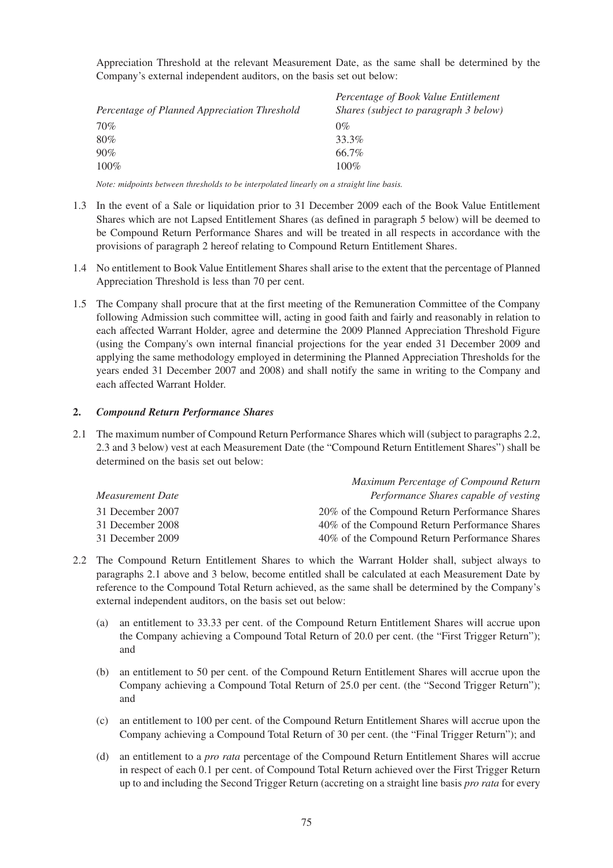Appreciation Threshold at the relevant Measurement Date, as the same shall be determined by the Company's external independent auditors, on the basis set out below:

| Percentage of Planned Appreciation Threshold | Percentage of Book Value Entitlement<br>Shares (subject to paragraph 3 below) |
|----------------------------------------------|-------------------------------------------------------------------------------|
| 70%                                          | $0\%$                                                                         |
| 80%                                          | 33.3%                                                                         |
| 90%                                          | 66.7%                                                                         |
| $100\%$                                      | $100\%$                                                                       |

*Note: midpoints between thresholds to be interpolated linearly on a straight line basis.*

- 1.3 In the event of a Sale or liquidation prior to 31 December 2009 each of the Book Value Entitlement Shares which are not Lapsed Entitlement Shares (as defined in paragraph 5 below) will be deemed to be Compound Return Performance Shares and will be treated in all respects in accordance with the provisions of paragraph 2 hereof relating to Compound Return Entitlement Shares.
- 1.4 No entitlement to Book Value Entitlement Shares shall arise to the extent that the percentage of Planned Appreciation Threshold is less than 70 per cent.
- 1.5 The Company shall procure that at the first meeting of the Remuneration Committee of the Company following Admission such committee will, acting in good faith and fairly and reasonably in relation to each affected Warrant Holder, agree and determine the 2009 Planned Appreciation Threshold Figure (using the Company's own internal financial projections for the year ended 31 December 2009 and applying the same methodology employed in determining the Planned Appreciation Thresholds for the years ended 31 December 2007 and 2008) and shall notify the same in writing to the Company and each affected Warrant Holder.

# **2.** *Compound Return Performance Shares*

2.1 The maximum number of Compound Return Performance Shares which will (subject to paragraphs 2.2, 2.3 and 3 below) vest at each Measurement Date (the "Compound Return Entitlement Shares") shall be determined on the basis set out below:

| Maximum Percentage of Compound Return         |
|-----------------------------------------------|
| Performance Shares capable of vesting         |
| 20% of the Compound Return Performance Shares |
| 40% of the Compound Return Performance Shares |
| 40% of the Compound Return Performance Shares |
|                                               |

- 2.2 The Compound Return Entitlement Shares to which the Warrant Holder shall, subject always to paragraphs 2.1 above and 3 below, become entitled shall be calculated at each Measurement Date by reference to the Compound Total Return achieved, as the same shall be determined by the Company's external independent auditors, on the basis set out below:
	- (a) an entitlement to 33.33 per cent. of the Compound Return Entitlement Shares will accrue upon the Company achieving a Compound Total Return of 20.0 per cent. (the "First Trigger Return"); and
	- (b) an entitlement to 50 per cent. of the Compound Return Entitlement Shares will accrue upon the Company achieving a Compound Total Return of 25.0 per cent. (the "Second Trigger Return"); and
	- (c) an entitlement to 100 per cent. of the Compound Return Entitlement Shares will accrue upon the Company achieving a Compound Total Return of 30 per cent. (the "Final Trigger Return"); and
	- (d) an entitlement to a *pro rata* percentage of the Compound Return Entitlement Shares will accrue in respect of each 0.1 per cent. of Compound Total Return achieved over the First Trigger Return up to and including the Second Trigger Return (accreting on a straight line basis *pro rata* for every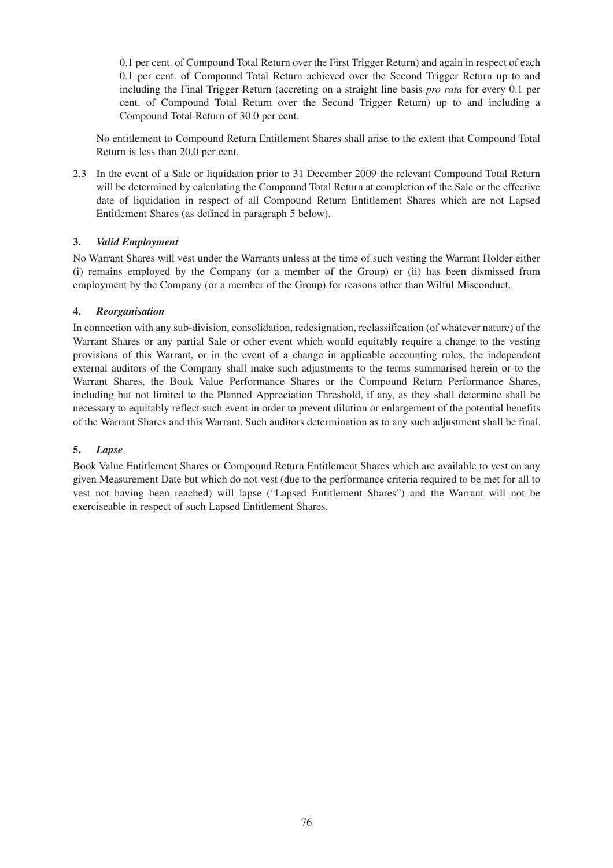0.1 per cent. of Compound Total Return over the First Trigger Return) and again in respect of each 0.1 per cent. of Compound Total Return achieved over the Second Trigger Return up to and including the Final Trigger Return (accreting on a straight line basis *pro rata* for every 0.1 per cent. of Compound Total Return over the Second Trigger Return) up to and including a Compound Total Return of 30.0 per cent.

No entitlement to Compound Return Entitlement Shares shall arise to the extent that Compound Total Return is less than 20.0 per cent.

2.3 In the event of a Sale or liquidation prior to 31 December 2009 the relevant Compound Total Return will be determined by calculating the Compound Total Return at completion of the Sale or the effective date of liquidation in respect of all Compound Return Entitlement Shares which are not Lapsed Entitlement Shares (as defined in paragraph 5 below).

# **3.** *Valid Employment*

No Warrant Shares will vest under the Warrants unless at the time of such vesting the Warrant Holder either (i) remains employed by the Company (or a member of the Group) or (ii) has been dismissed from employment by the Company (or a member of the Group) for reasons other than Wilful Misconduct.

# **4.** *Reorganisation*

In connection with any sub-division, consolidation, redesignation, reclassification (of whatever nature) of the Warrant Shares or any partial Sale or other event which would equitably require a change to the vesting provisions of this Warrant, or in the event of a change in applicable accounting rules, the independent external auditors of the Company shall make such adjustments to the terms summarised herein or to the Warrant Shares, the Book Value Performance Shares or the Compound Return Performance Shares, including but not limited to the Planned Appreciation Threshold, if any, as they shall determine shall be necessary to equitably reflect such event in order to prevent dilution or enlargement of the potential benefits of the Warrant Shares and this Warrant. Such auditors determination as to any such adjustment shall be final.

# **5.** *Lapse*

Book Value Entitlement Shares or Compound Return Entitlement Shares which are available to vest on any given Measurement Date but which do not vest (due to the performance criteria required to be met for all to vest not having been reached) will lapse ("Lapsed Entitlement Shares") and the Warrant will not be exerciseable in respect of such Lapsed Entitlement Shares.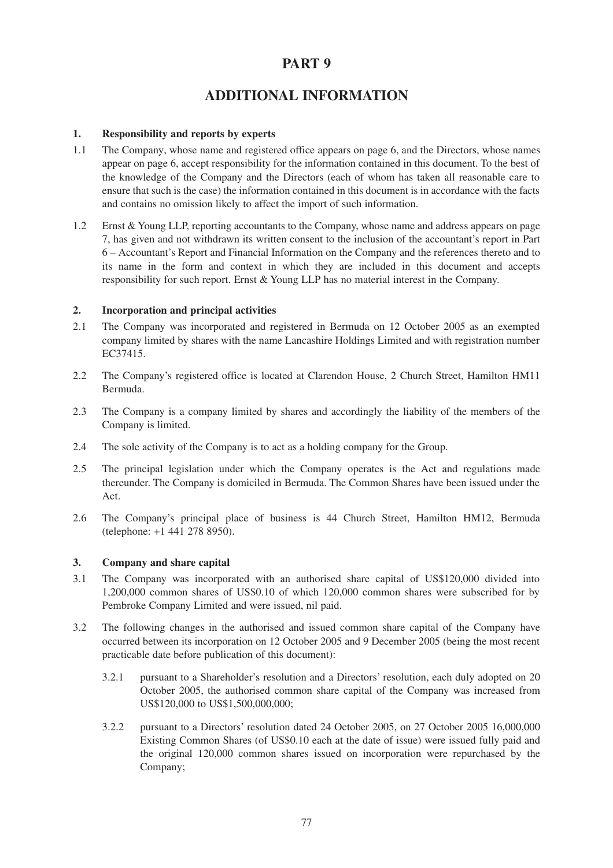# **PART 9**

# **ADDITIONAL INFORMATION**

# **1. Responsibility and reports by experts**

- 1.1 The Company, whose name and registered office appears on page 6, and the Directors, whose names appear on page 6, accept responsibility for the information contained in this document. To the best of the knowledge of the Company and the Directors (each of whom has taken all reasonable care to ensure that such is the case) the information contained in this document is in accordance with the facts and contains no omission likely to affect the import of such information.
- 1.2 Ernst & Young LLP, reporting accountants to the Company, whose name and address appears on page 7, has given and not withdrawn its written consent to the inclusion of the accountant's report in Part 6 – Accountant's Report and Financial Information on the Company and the references thereto and to its name in the form and context in which they are included in this document and accepts responsibility for such report. Ernst & Young LLP has no material interest in the Company.

# **2. Incorporation and principal activities**

- 2.1 The Company was incorporated and registered in Bermuda on 12 October 2005 as an exempted company limited by shares with the name Lancashire Holdings Limited and with registration number EC37415.
- 2.2 The Company's registered office is located at Clarendon House, 2 Church Street, Hamilton HM11 Bermuda.
- 2.3 The Company is a company limited by shares and accordingly the liability of the members of the Company is limited.
- 2.4 The sole activity of the Company is to act as a holding company for the Group.
- 2.5 The principal legislation under which the Company operates is the Act and regulations made thereunder. The Company is domiciled in Bermuda. The Common Shares have been issued under the Act.
- 2.6 The Company's principal place of business is 44 Church Street, Hamilton HM12, Bermuda (telephone: +1 441 278 8950).

# **3. Company and share capital**

- 3.1 The Company was incorporated with an authorised share capital of US\$120,000 divided into 1,200,000 common shares of US\$0.10 of which 120,000 common shares were subscribed for by Pembroke Company Limited and were issued, nil paid.
- 3.2 The following changes in the authorised and issued common share capital of the Company have occurred between its incorporation on 12 October 2005 and 9 December 2005 (being the most recent practicable date before publication of this document):
	- 3.2.1 pursuant to a Shareholder's resolution and a Directors' resolution, each duly adopted on 20 October 2005, the authorised common share capital of the Company was increased from US\$120,000 to US\$1,500,000,000;
	- 3.2.2 pursuant to a Directors' resolution dated 24 October 2005, on 27 October 2005 16,000,000 Existing Common Shares (of US\$0.10 each at the date of issue) were issued fully paid and the original 120,000 common shares issued on incorporation were repurchased by the Company;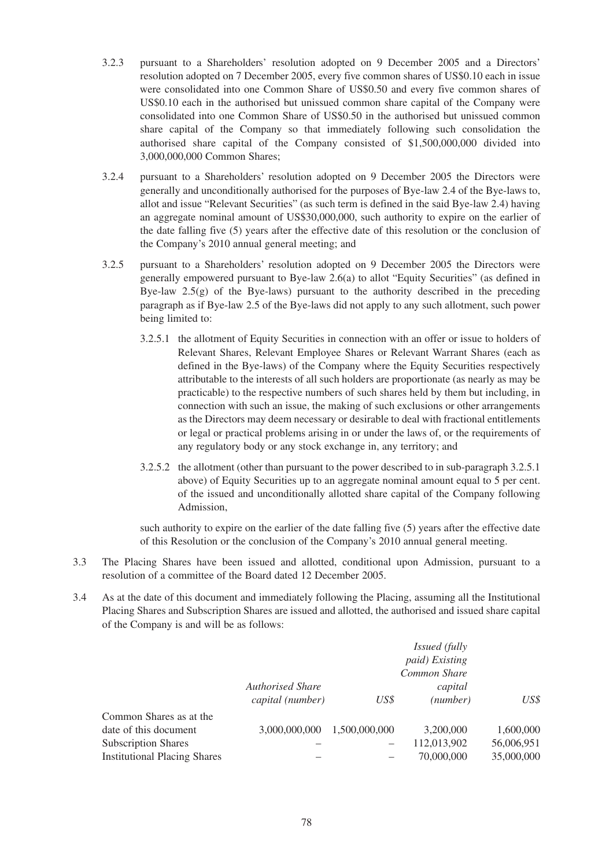- 3.2.3 pursuant to a Shareholders' resolution adopted on 9 December 2005 and a Directors' resolution adopted on 7 December 2005, every five common shares of US\$0.10 each in issue were consolidated into one Common Share of US\$0.50 and every five common shares of US\$0.10 each in the authorised but unissued common share capital of the Company were consolidated into one Common Share of US\$0.50 in the authorised but unissued common share capital of the Company so that immediately following such consolidation the authorised share capital of the Company consisted of \$1,500,000,000 divided into 3,000,000,000 Common Shares;
- 3.2.4 pursuant to a Shareholders' resolution adopted on 9 December 2005 the Directors were generally and unconditionally authorised for the purposes of Bye-law 2.4 of the Bye-laws to, allot and issue "Relevant Securities" (as such term is defined in the said Bye-law 2.4) having an aggregate nominal amount of US\$30,000,000, such authority to expire on the earlier of the date falling five (5) years after the effective date of this resolution or the conclusion of the Company's 2010 annual general meeting; and
- 3.2.5 pursuant to a Shareholders' resolution adopted on 9 December 2005 the Directors were generally empowered pursuant to Bye-law 2.6(a) to allot "Equity Securities" (as defined in Bye-law  $2.5(g)$  of the Bye-laws) pursuant to the authority described in the preceding paragraph as if Bye-law 2.5 of the Bye-laws did not apply to any such allotment, such power being limited to:
	- 3.2.5.1 the allotment of Equity Securities in connection with an offer or issue to holders of Relevant Shares, Relevant Employee Shares or Relevant Warrant Shares (each as defined in the Bye-laws) of the Company where the Equity Securities respectively attributable to the interests of all such holders are proportionate (as nearly as may be practicable) to the respective numbers of such shares held by them but including, in connection with such an issue, the making of such exclusions or other arrangements as the Directors may deem necessary or desirable to deal with fractional entitlements or legal or practical problems arising in or under the laws of, or the requirements of any regulatory body or any stock exchange in, any territory; and
	- 3.2.5.2 the allotment (other than pursuant to the power described to in sub-paragraph 3.2.5.1 above) of Equity Securities up to an aggregate nominal amount equal to 5 per cent. of the issued and unconditionally allotted share capital of the Company following Admission,

such authority to expire on the earlier of the date falling five (5) years after the effective date of this Resolution or the conclusion of the Company's 2010 annual general meeting.

- 3.3 The Placing Shares have been issued and allotted, conditional upon Admission, pursuant to a resolution of a committee of the Board dated 12 December 2005.
- 3.4 As at the date of this document and immediately following the Placing, assuming all the Institutional Placing Shares and Subscription Shares are issued and allotted, the authorised and issued share capital of the Company is and will be as follows:

|                                     |                  |               | <i>Issued</i> (fully |            |
|-------------------------------------|------------------|---------------|----------------------|------------|
|                                     |                  |               | paid) Existing       |            |
|                                     |                  |               | Common Share         |            |
|                                     | Authorised Share |               | capital              |            |
|                                     | capital (number) | US\$          | (number)             | US\$       |
| Common Shares as at the             |                  |               |                      |            |
| date of this document               | 3,000,000,000    | 1,500,000,000 | 3,200,000            | 1,600,000  |
| <b>Subscription Shares</b>          |                  |               | 112,013,902          | 56,006,951 |
| <b>Institutional Placing Shares</b> |                  |               | 70,000,000           | 35,000,000 |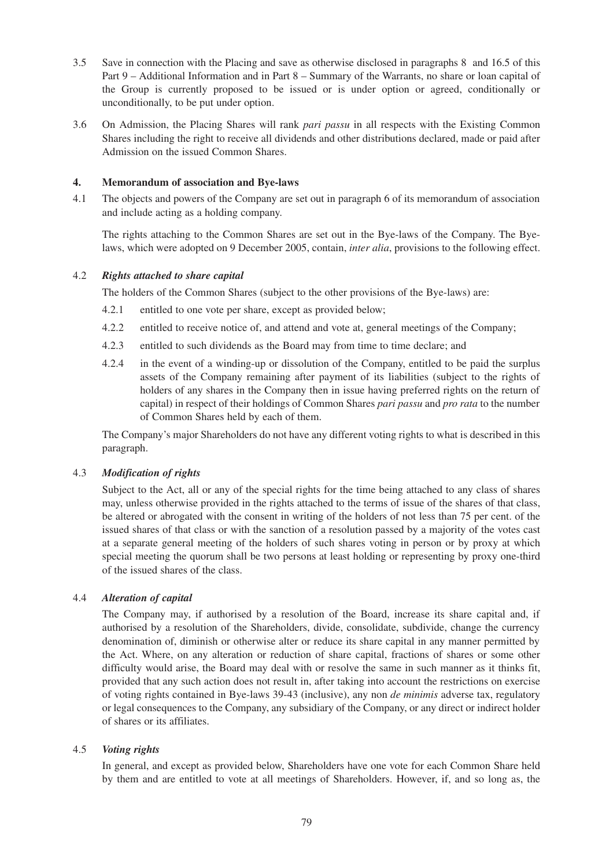- 3.5 Save in connection with the Placing and save as otherwise disclosed in paragraphs 8 and 16.5 of this Part 9 – Additional Information and in Part 8 – Summary of the Warrants, no share or loan capital of the Group is currently proposed to be issued or is under option or agreed, conditionally or unconditionally, to be put under option.
- 3.6 On Admission, the Placing Shares will rank *pari passu* in all respects with the Existing Common Shares including the right to receive all dividends and other distributions declared, made or paid after Admission on the issued Common Shares.

# **4. Memorandum of association and Bye-laws**

4.1 The objects and powers of the Company are set out in paragraph 6 of its memorandum of association and include acting as a holding company.

The rights attaching to the Common Shares are set out in the Bye-laws of the Company. The Byelaws, which were adopted on 9 December 2005, contain, *inter alia*, provisions to the following effect.

# 4.2 *Rights attached to share capital*

The holders of the Common Shares (subject to the other provisions of the Bye-laws) are:

- 4.2.1 entitled to one vote per share, except as provided below;
- 4.2.2 entitled to receive notice of, and attend and vote at, general meetings of the Company;
- 4.2.3 entitled to such dividends as the Board may from time to time declare; and
- 4.2.4 in the event of a winding-up or dissolution of the Company, entitled to be paid the surplus assets of the Company remaining after payment of its liabilities (subject to the rights of holders of any shares in the Company then in issue having preferred rights on the return of capital) in respect of their holdings of Common Shares *pari passu* and *pro rata* to the number of Common Shares held by each of them.

The Company's major Shareholders do not have any different voting rights to what is described in this paragraph.

### 4.3 *Modification of rights*

Subject to the Act, all or any of the special rights for the time being attached to any class of shares may, unless otherwise provided in the rights attached to the terms of issue of the shares of that class, be altered or abrogated with the consent in writing of the holders of not less than 75 per cent. of the issued shares of that class or with the sanction of a resolution passed by a majority of the votes cast at a separate general meeting of the holders of such shares voting in person or by proxy at which special meeting the quorum shall be two persons at least holding or representing by proxy one-third of the issued shares of the class.

### 4.4 *Alteration of capital*

The Company may, if authorised by a resolution of the Board, increase its share capital and, if authorised by a resolution of the Shareholders, divide, consolidate, subdivide, change the currency denomination of, diminish or otherwise alter or reduce its share capital in any manner permitted by the Act. Where, on any alteration or reduction of share capital, fractions of shares or some other difficulty would arise, the Board may deal with or resolve the same in such manner as it thinks fit, provided that any such action does not result in, after taking into account the restrictions on exercise of voting rights contained in Bye-laws 39-43 (inclusive), any non *de minimis* adverse tax, regulatory or legal consequences to the Company, any subsidiary of the Company, or any direct or indirect holder of shares or its affiliates.

### 4.5 *Voting rights*

In general, and except as provided below, Shareholders have one vote for each Common Share held by them and are entitled to vote at all meetings of Shareholders. However, if, and so long as, the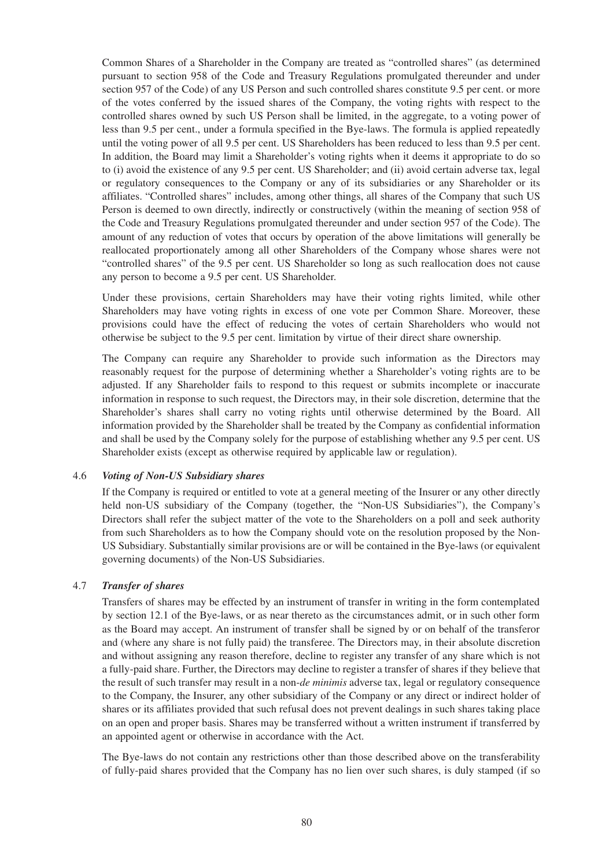Common Shares of a Shareholder in the Company are treated as "controlled shares" (as determined pursuant to section 958 of the Code and Treasury Regulations promulgated thereunder and under section 957 of the Code) of any US Person and such controlled shares constitute 9.5 per cent. or more of the votes conferred by the issued shares of the Company, the voting rights with respect to the controlled shares owned by such US Person shall be limited, in the aggregate, to a voting power of less than 9.5 per cent., under a formula specified in the Bye-laws. The formula is applied repeatedly until the voting power of all 9.5 per cent. US Shareholders has been reduced to less than 9.5 per cent. In addition, the Board may limit a Shareholder's voting rights when it deems it appropriate to do so to (i) avoid the existence of any 9.5 per cent. US Shareholder; and (ii) avoid certain adverse tax, legal or regulatory consequences to the Company or any of its subsidiaries or any Shareholder or its affiliates. "Controlled shares" includes, among other things, all shares of the Company that such US Person is deemed to own directly, indirectly or constructively (within the meaning of section 958 of the Code and Treasury Regulations promulgated thereunder and under section 957 of the Code). The amount of any reduction of votes that occurs by operation of the above limitations will generally be reallocated proportionately among all other Shareholders of the Company whose shares were not "controlled shares" of the 9.5 per cent. US Shareholder so long as such reallocation does not cause any person to become a 9.5 per cent. US Shareholder.

Under these provisions, certain Shareholders may have their voting rights limited, while other Shareholders may have voting rights in excess of one vote per Common Share. Moreover, these provisions could have the effect of reducing the votes of certain Shareholders who would not otherwise be subject to the 9.5 per cent. limitation by virtue of their direct share ownership.

The Company can require any Shareholder to provide such information as the Directors may reasonably request for the purpose of determining whether a Shareholder's voting rights are to be adjusted. If any Shareholder fails to respond to this request or submits incomplete or inaccurate information in response to such request, the Directors may, in their sole discretion, determine that the Shareholder's shares shall carry no voting rights until otherwise determined by the Board. All information provided by the Shareholder shall be treated by the Company as confidential information and shall be used by the Company solely for the purpose of establishing whether any 9.5 per cent. US Shareholder exists (except as otherwise required by applicable law or regulation).

### 4.6 *Voting of Non-US Subsidiary shares*

If the Company is required or entitled to vote at a general meeting of the Insurer or any other directly held non-US subsidiary of the Company (together, the "Non-US Subsidiaries"), the Company's Directors shall refer the subject matter of the vote to the Shareholders on a poll and seek authority from such Shareholders as to how the Company should vote on the resolution proposed by the Non-US Subsidiary. Substantially similar provisions are or will be contained in the Bye-laws (or equivalent governing documents) of the Non-US Subsidiaries.

# 4.7 *Transfer of shares*

Transfers of shares may be effected by an instrument of transfer in writing in the form contemplated by section 12.1 of the Bye-laws, or as near thereto as the circumstances admit, or in such other form as the Board may accept. An instrument of transfer shall be signed by or on behalf of the transferor and (where any share is not fully paid) the transferee. The Directors may, in their absolute discretion and without assigning any reason therefore, decline to register any transfer of any share which is not a fully-paid share. Further, the Directors may decline to register a transfer of shares if they believe that the result of such transfer may result in a non-*de minimis* adverse tax, legal or regulatory consequence to the Company, the Insurer, any other subsidiary of the Company or any direct or indirect holder of shares or its affiliates provided that such refusal does not prevent dealings in such shares taking place on an open and proper basis. Shares may be transferred without a written instrument if transferred by an appointed agent or otherwise in accordance with the Act.

The Bye-laws do not contain any restrictions other than those described above on the transferability of fully-paid shares provided that the Company has no lien over such shares, is duly stamped (if so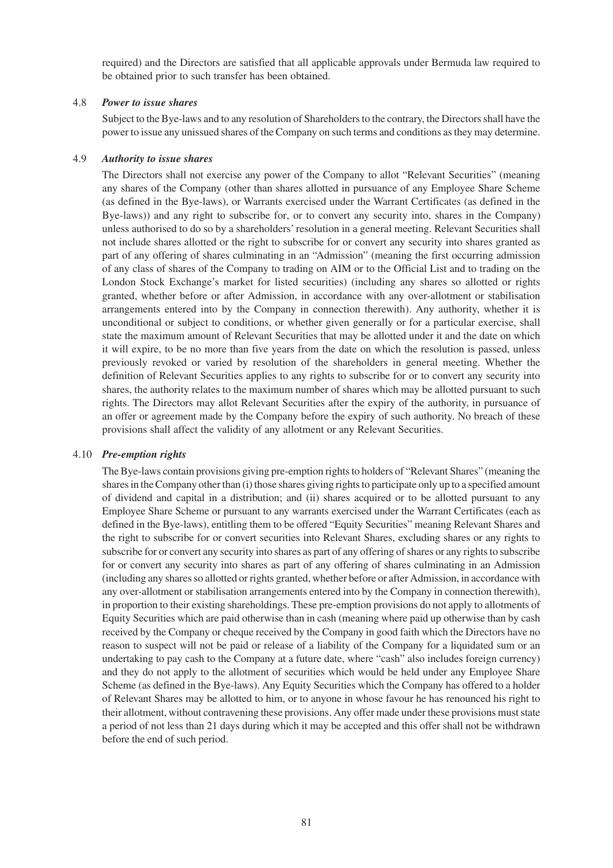required) and the Directors are satisfied that all applicable approvals under Bermuda law required to be obtained prior to such transfer has been obtained.

# 4.8 *Power to issue shares*

Subject to the Bye-laws and to any resolution of Shareholders to the contrary, the Directors shall have the power to issue any unissued shares of the Company on such terms and conditions as they may determine.

# 4.9 *Authority to issue shares*

The Directors shall not exercise any power of the Company to allot "Relevant Securities" (meaning any shares of the Company (other than shares allotted in pursuance of any Employee Share Scheme (as defined in the Bye-laws), or Warrants exercised under the Warrant Certificates (as defined in the Bye-laws)) and any right to subscribe for, or to convert any security into, shares in the Company) unless authorised to do so by a shareholders' resolution in a general meeting. Relevant Securities shall not include shares allotted or the right to subscribe for or convert any security into shares granted as part of any offering of shares culminating in an "Admission" (meaning the first occurring admission of any class of shares of the Company to trading on AIM or to the Official List and to trading on the London Stock Exchange's market for listed securities) (including any shares so allotted or rights granted, whether before or after Admission, in accordance with any over-allotment or stabilisation arrangements entered into by the Company in connection therewith). Any authority, whether it is unconditional or subject to conditions, or whether given generally or for a particular exercise, shall state the maximum amount of Relevant Securities that may be allotted under it and the date on which it will expire, to be no more than five years from the date on which the resolution is passed, unless previously revoked or varied by resolution of the shareholders in general meeting. Whether the definition of Relevant Securities applies to any rights to subscribe for or to convert any security into shares, the authority relates to the maximum number of shares which may be allotted pursuant to such rights. The Directors may allot Relevant Securities after the expiry of the authority, in pursuance of an offer or agreement made by the Company before the expiry of such authority. No breach of these provisions shall affect the validity of any allotment or any Relevant Securities.

### 4.10 *Pre-emption rights*

The Bye-laws contain provisions giving pre-emption rights to holders of "Relevant Shares" (meaning the shares in the Company other than (i) those shares giving rights to participate only up to a specified amount of dividend and capital in a distribution; and (ii) shares acquired or to be allotted pursuant to any Employee Share Scheme or pursuant to any warrants exercised under the Warrant Certificates (each as defined in the Bye-laws), entitling them to be offered "Equity Securities" meaning Relevant Shares and the right to subscribe for or convert securities into Relevant Shares, excluding shares or any rights to subscribe for or convert any security into shares as part of any offering of shares or any rights to subscribe for or convert any security into shares as part of any offering of shares culminating in an Admission (including any shares so allotted or rights granted, whether before or after Admission, in accordance with any over-allotment or stabilisation arrangements entered into by the Company in connection therewith), in proportion to their existing shareholdings. These pre-emption provisions do not apply to allotments of Equity Securities which are paid otherwise than in cash (meaning where paid up otherwise than by cash received by the Company or cheque received by the Company in good faith which the Directors have no reason to suspect will not be paid or release of a liability of the Company for a liquidated sum or an undertaking to pay cash to the Company at a future date, where "cash" also includes foreign currency) and they do not apply to the allotment of securities which would be held under any Employee Share Scheme (as defined in the Bye-laws). Any Equity Securities which the Company has offered to a holder of Relevant Shares may be allotted to him, or to anyone in whose favour he has renounced his right to their allotment, without contravening these provisions. Any offer made under these provisions must state a period of not less than 21 days during which it may be accepted and this offer shall not be withdrawn before the end of such period.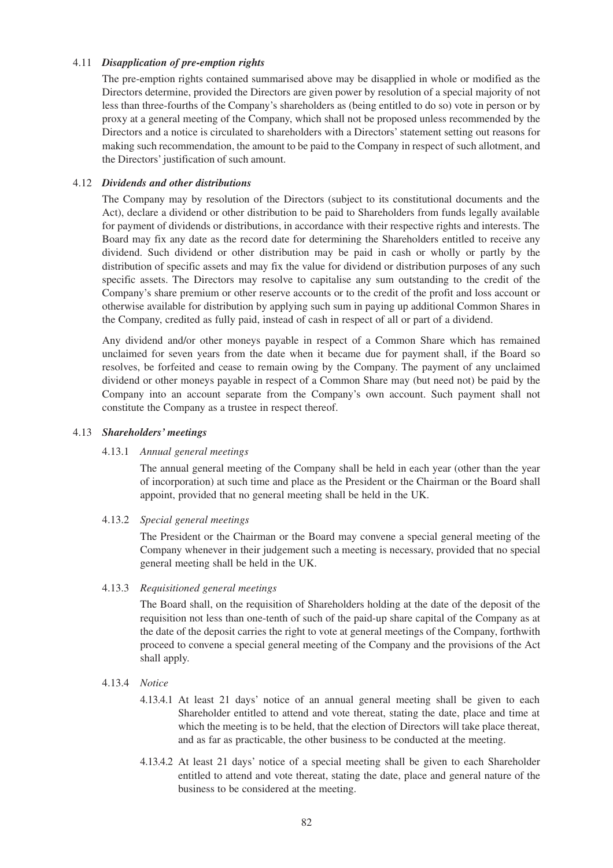# 4.11 *Disapplication of pre-emption rights*

The pre-emption rights contained summarised above may be disapplied in whole or modified as the Directors determine, provided the Directors are given power by resolution of a special majority of not less than three-fourths of the Company's shareholders as (being entitled to do so) vote in person or by proxy at a general meeting of the Company, which shall not be proposed unless recommended by the Directors and a notice is circulated to shareholders with a Directors' statement setting out reasons for making such recommendation, the amount to be paid to the Company in respect of such allotment, and the Directors' justification of such amount.

# 4.12 *Dividends and other distributions*

The Company may by resolution of the Directors (subject to its constitutional documents and the Act), declare a dividend or other distribution to be paid to Shareholders from funds legally available for payment of dividends or distributions, in accordance with their respective rights and interests. The Board may fix any date as the record date for determining the Shareholders entitled to receive any dividend. Such dividend or other distribution may be paid in cash or wholly or partly by the distribution of specific assets and may fix the value for dividend or distribution purposes of any such specific assets. The Directors may resolve to capitalise any sum outstanding to the credit of the Company's share premium or other reserve accounts or to the credit of the profit and loss account or otherwise available for distribution by applying such sum in paying up additional Common Shares in the Company, credited as fully paid, instead of cash in respect of all or part of a dividend.

Any dividend and/or other moneys payable in respect of a Common Share which has remained unclaimed for seven years from the date when it became due for payment shall, if the Board so resolves, be forfeited and cease to remain owing by the Company. The payment of any unclaimed dividend or other moneys payable in respect of a Common Share may (but need not) be paid by the Company into an account separate from the Company's own account. Such payment shall not constitute the Company as a trustee in respect thereof.

### 4.13 *Shareholders' meetings*

### 4.13.1 *Annual general meetings*

The annual general meeting of the Company shall be held in each year (other than the year of incorporation) at such time and place as the President or the Chairman or the Board shall appoint, provided that no general meeting shall be held in the UK.

### 4.13.2 *Special general meetings*

The President or the Chairman or the Board may convene a special general meeting of the Company whenever in their judgement such a meeting is necessary, provided that no special general meeting shall be held in the UK.

### 4.13.3 *Requisitioned general meetings*

The Board shall, on the requisition of Shareholders holding at the date of the deposit of the requisition not less than one-tenth of such of the paid-up share capital of the Company as at the date of the deposit carries the right to vote at general meetings of the Company, forthwith proceed to convene a special general meeting of the Company and the provisions of the Act shall apply.

### 4.13.4 *Notice*

- 4.13.4.1 At least 21 days' notice of an annual general meeting shall be given to each Shareholder entitled to attend and vote thereat, stating the date, place and time at which the meeting is to be held, that the election of Directors will take place thereat, and as far as practicable, the other business to be conducted at the meeting.
- 4.13.4.2 At least 21 days' notice of a special meeting shall be given to each Shareholder entitled to attend and vote thereat, stating the date, place and general nature of the business to be considered at the meeting.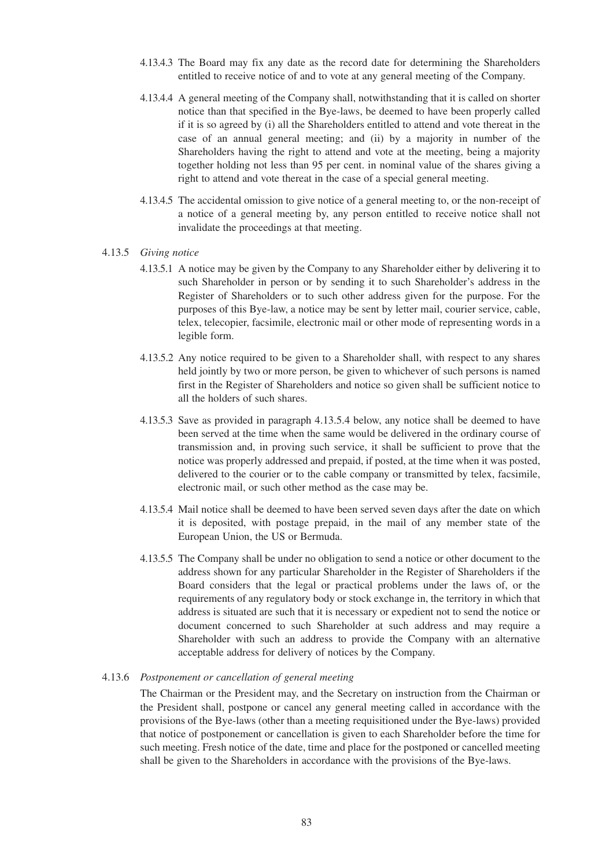- 4.13.4.3 The Board may fix any date as the record date for determining the Shareholders entitled to receive notice of and to vote at any general meeting of the Company.
- 4.13.4.4 A general meeting of the Company shall, notwithstanding that it is called on shorter notice than that specified in the Bye-laws, be deemed to have been properly called if it is so agreed by (i) all the Shareholders entitled to attend and vote thereat in the case of an annual general meeting; and (ii) by a majority in number of the Shareholders having the right to attend and vote at the meeting, being a majority together holding not less than 95 per cent. in nominal value of the shares giving a right to attend and vote thereat in the case of a special general meeting.
- 4.13.4.5 The accidental omission to give notice of a general meeting to, or the non-receipt of a notice of a general meeting by, any person entitled to receive notice shall not invalidate the proceedings at that meeting.

#### 4.13.5 *Giving notice*

- 4.13.5.1 A notice may be given by the Company to any Shareholder either by delivering it to such Shareholder in person or by sending it to such Shareholder's address in the Register of Shareholders or to such other address given for the purpose. For the purposes of this Bye-law, a notice may be sent by letter mail, courier service, cable, telex, telecopier, facsimile, electronic mail or other mode of representing words in a legible form.
- 4.13.5.2 Any notice required to be given to a Shareholder shall, with respect to any shares held jointly by two or more person, be given to whichever of such persons is named first in the Register of Shareholders and notice so given shall be sufficient notice to all the holders of such shares.
- 4.13.5.3 Save as provided in paragraph 4.13.5.4 below, any notice shall be deemed to have been served at the time when the same would be delivered in the ordinary course of transmission and, in proving such service, it shall be sufficient to prove that the notice was properly addressed and prepaid, if posted, at the time when it was posted, delivered to the courier or to the cable company or transmitted by telex, facsimile, electronic mail, or such other method as the case may be.
- 4.13.5.4 Mail notice shall be deemed to have been served seven days after the date on which it is deposited, with postage prepaid, in the mail of any member state of the European Union, the US or Bermuda.
- 4.13.5.5 The Company shall be under no obligation to send a notice or other document to the address shown for any particular Shareholder in the Register of Shareholders if the Board considers that the legal or practical problems under the laws of, or the requirements of any regulatory body or stock exchange in, the territory in which that address is situated are such that it is necessary or expedient not to send the notice or document concerned to such Shareholder at such address and may require a Shareholder with such an address to provide the Company with an alternative acceptable address for delivery of notices by the Company.

#### 4.13.6 *Postponement or cancellation of general meeting*

The Chairman or the President may, and the Secretary on instruction from the Chairman or the President shall, postpone or cancel any general meeting called in accordance with the provisions of the Bye-laws (other than a meeting requisitioned under the Bye-laws) provided that notice of postponement or cancellation is given to each Shareholder before the time for such meeting. Fresh notice of the date, time and place for the postponed or cancelled meeting shall be given to the Shareholders in accordance with the provisions of the Bye-laws.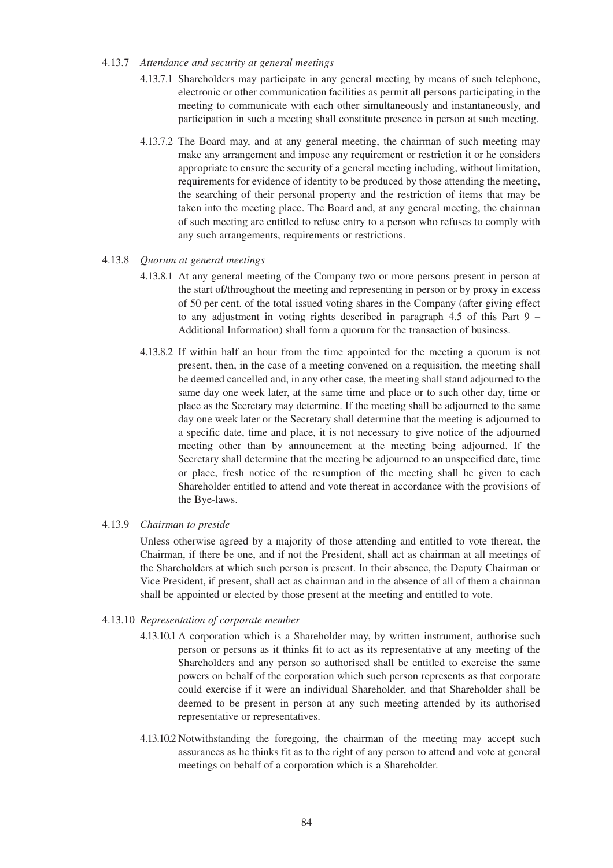#### 4.13.7 *Attendance and security at general meetings*

- 4.13.7.1 Shareholders may participate in any general meeting by means of such telephone, electronic or other communication facilities as permit all persons participating in the meeting to communicate with each other simultaneously and instantaneously, and participation in such a meeting shall constitute presence in person at such meeting.
- 4.13.7.2 The Board may, and at any general meeting, the chairman of such meeting may make any arrangement and impose any requirement or restriction it or he considers appropriate to ensure the security of a general meeting including, without limitation, requirements for evidence of identity to be produced by those attending the meeting, the searching of their personal property and the restriction of items that may be taken into the meeting place. The Board and, at any general meeting, the chairman of such meeting are entitled to refuse entry to a person who refuses to comply with any such arrangements, requirements or restrictions.

### 4.13.8 *Quorum at general meetings*

- 4.13.8.1 At any general meeting of the Company two or more persons present in person at the start of/throughout the meeting and representing in person or by proxy in excess of 50 per cent. of the total issued voting shares in the Company (after giving effect to any adjustment in voting rights described in paragraph 4.5 of this Part 9 – Additional Information) shall form a quorum for the transaction of business.
- 4.13.8.2 If within half an hour from the time appointed for the meeting a quorum is not present, then, in the case of a meeting convened on a requisition, the meeting shall be deemed cancelled and, in any other case, the meeting shall stand adjourned to the same day one week later, at the same time and place or to such other day, time or place as the Secretary may determine. If the meeting shall be adjourned to the same day one week later or the Secretary shall determine that the meeting is adjourned to a specific date, time and place, it is not necessary to give notice of the adjourned meeting other than by announcement at the meeting being adjourned. If the Secretary shall determine that the meeting be adjourned to an unspecified date, time or place, fresh notice of the resumption of the meeting shall be given to each Shareholder entitled to attend and vote thereat in accordance with the provisions of the Bye-laws.

### 4.13.9 *Chairman to preside*

Unless otherwise agreed by a majority of those attending and entitled to vote thereat, the Chairman, if there be one, and if not the President, shall act as chairman at all meetings of the Shareholders at which such person is present. In their absence, the Deputy Chairman or Vice President, if present, shall act as chairman and in the absence of all of them a chairman shall be appointed or elected by those present at the meeting and entitled to vote.

# 4.13.10 *Representation of corporate member*

- 4.13.10.1 A corporation which is a Shareholder may, by written instrument, authorise such person or persons as it thinks fit to act as its representative at any meeting of the Shareholders and any person so authorised shall be entitled to exercise the same powers on behalf of the corporation which such person represents as that corporate could exercise if it were an individual Shareholder, and that Shareholder shall be deemed to be present in person at any such meeting attended by its authorised representative or representatives.
- 4.13.10.2 Notwithstanding the foregoing, the chairman of the meeting may accept such assurances as he thinks fit as to the right of any person to attend and vote at general meetings on behalf of a corporation which is a Shareholder.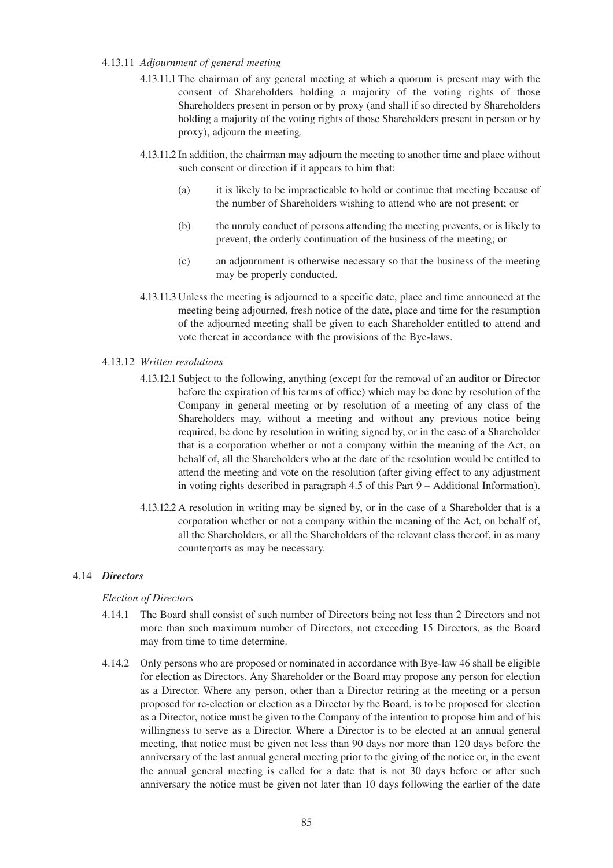# 4.13.11 *Adjournment of general meeting*

- 4.13.11.1 The chairman of any general meeting at which a quorum is present may with the consent of Shareholders holding a majority of the voting rights of those Shareholders present in person or by proxy (and shall if so directed by Shareholders holding a majority of the voting rights of those Shareholders present in person or by proxy), adjourn the meeting.
- 4.13.11.2 In addition, the chairman may adjourn the meeting to another time and place without such consent or direction if it appears to him that:
	- (a) it is likely to be impracticable to hold or continue that meeting because of the number of Shareholders wishing to attend who are not present; or
	- (b) the unruly conduct of persons attending the meeting prevents, or is likely to prevent, the orderly continuation of the business of the meeting; or
	- (c) an adjournment is otherwise necessary so that the business of the meeting may be properly conducted.
- 4.13.11.3 Unless the meeting is adjourned to a specific date, place and time announced at the meeting being adjourned, fresh notice of the date, place and time for the resumption of the adjourned meeting shall be given to each Shareholder entitled to attend and vote thereat in accordance with the provisions of the Bye-laws.

# 4.13.12 *Written resolutions*

- 4.13.12.1 Subject to the following, anything (except for the removal of an auditor or Director before the expiration of his terms of office) which may be done by resolution of the Company in general meeting or by resolution of a meeting of any class of the Shareholders may, without a meeting and without any previous notice being required, be done by resolution in writing signed by, or in the case of a Shareholder that is a corporation whether or not a company within the meaning of the Act, on behalf of, all the Shareholders who at the date of the resolution would be entitled to attend the meeting and vote on the resolution (after giving effect to any adjustment in voting rights described in paragraph 4.5 of this Part 9 – Additional Information).
- 4.13.12.2 A resolution in writing may be signed by, or in the case of a Shareholder that is a corporation whether or not a company within the meaning of the Act, on behalf of, all the Shareholders, or all the Shareholders of the relevant class thereof, in as many counterparts as may be necessary.

### 4.14 *Directors*

### *Election of Directors*

- 4.14.1 The Board shall consist of such number of Directors being not less than 2 Directors and not more than such maximum number of Directors, not exceeding 15 Directors, as the Board may from time to time determine.
- 4.14.2 Only persons who are proposed or nominated in accordance with Bye-law 46 shall be eligible for election as Directors. Any Shareholder or the Board may propose any person for election as a Director. Where any person, other than a Director retiring at the meeting or a person proposed for re-election or election as a Director by the Board, is to be proposed for election as a Director, notice must be given to the Company of the intention to propose him and of his willingness to serve as a Director. Where a Director is to be elected at an annual general meeting, that notice must be given not less than 90 days nor more than 120 days before the anniversary of the last annual general meeting prior to the giving of the notice or, in the event the annual general meeting is called for a date that is not 30 days before or after such anniversary the notice must be given not later than 10 days following the earlier of the date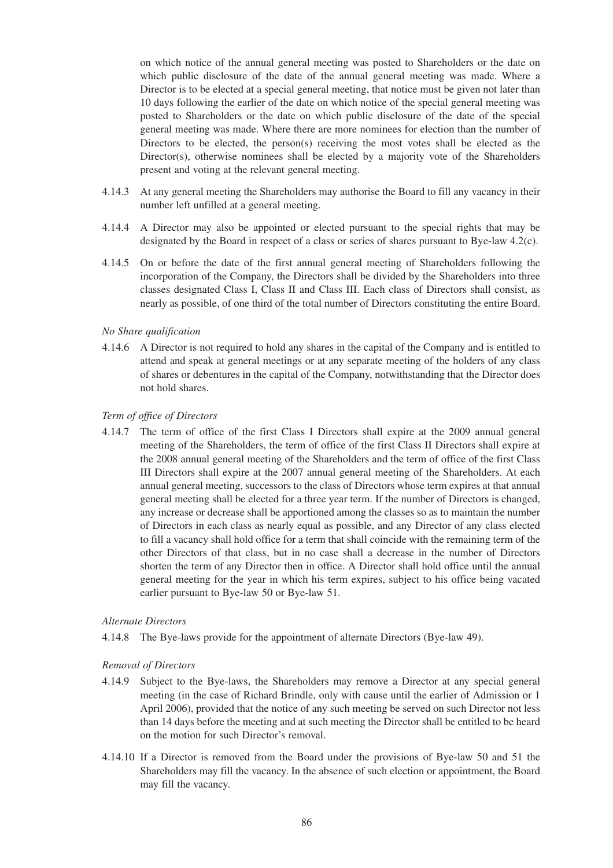on which notice of the annual general meeting was posted to Shareholders or the date on which public disclosure of the date of the annual general meeting was made. Where a Director is to be elected at a special general meeting, that notice must be given not later than 10 days following the earlier of the date on which notice of the special general meeting was posted to Shareholders or the date on which public disclosure of the date of the special general meeting was made. Where there are more nominees for election than the number of Directors to be elected, the person(s) receiving the most votes shall be elected as the Director(s), otherwise nominees shall be elected by a majority vote of the Shareholders present and voting at the relevant general meeting.

- 4.14.3 At any general meeting the Shareholders may authorise the Board to fill any vacancy in their number left unfilled at a general meeting.
- 4.14.4 A Director may also be appointed or elected pursuant to the special rights that may be designated by the Board in respect of a class or series of shares pursuant to Bye-law 4.2(c).
- 4.14.5 On or before the date of the first annual general meeting of Shareholders following the incorporation of the Company, the Directors shall be divided by the Shareholders into three classes designated Class I, Class II and Class III. Each class of Directors shall consist, as nearly as possible, of one third of the total number of Directors constituting the entire Board.

#### *No Share qualification*

4.14.6 A Director is not required to hold any shares in the capital of the Company and is entitled to attend and speak at general meetings or at any separate meeting of the holders of any class of shares or debentures in the capital of the Company, notwithstanding that the Director does not hold shares.

#### *Term of office of Directors*

4.14.7 The term of office of the first Class I Directors shall expire at the 2009 annual general meeting of the Shareholders, the term of office of the first Class II Directors shall expire at the 2008 annual general meeting of the Shareholders and the term of office of the first Class III Directors shall expire at the 2007 annual general meeting of the Shareholders. At each annual general meeting, successors to the class of Directors whose term expires at that annual general meeting shall be elected for a three year term. If the number of Directors is changed, any increase or decrease shall be apportioned among the classes so as to maintain the number of Directors in each class as nearly equal as possible, and any Director of any class elected to fill a vacancy shall hold office for a term that shall coincide with the remaining term of the other Directors of that class, but in no case shall a decrease in the number of Directors shorten the term of any Director then in office. A Director shall hold office until the annual general meeting for the year in which his term expires, subject to his office being vacated earlier pursuant to Bye-law 50 or Bye-law 51.

#### *Alternate Directors*

4.14.8 The Bye-laws provide for the appointment of alternate Directors (Bye-law 49).

#### *Removal of Directors*

- 4.14.9 Subject to the Bye-laws, the Shareholders may remove a Director at any special general meeting (in the case of Richard Brindle, only with cause until the earlier of Admission or 1 April 2006), provided that the notice of any such meeting be served on such Director not less than 14 days before the meeting and at such meeting the Director shall be entitled to be heard on the motion for such Director's removal.
- 4.14.10 If a Director is removed from the Board under the provisions of Bye-law 50 and 51 the Shareholders may fill the vacancy. In the absence of such election or appointment, the Board may fill the vacancy.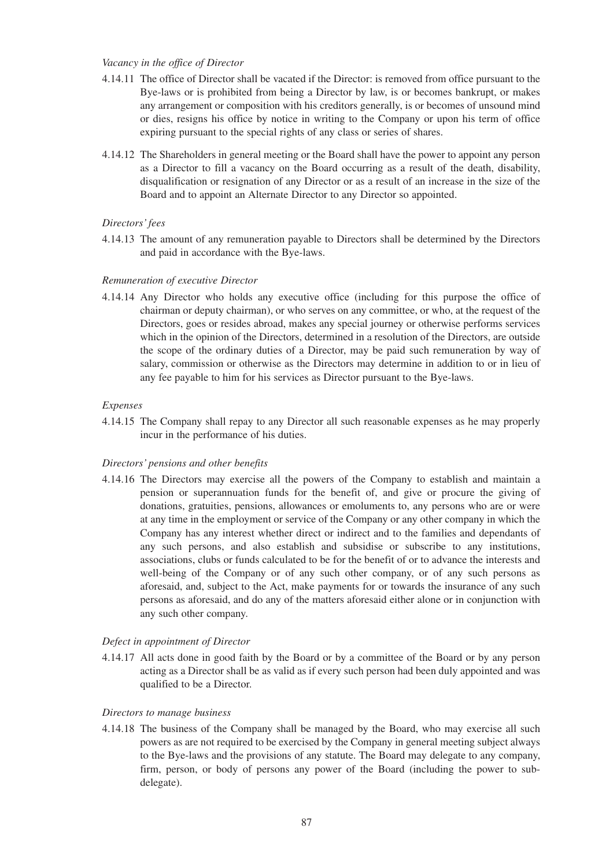# *Vacancy in the office of Director*

- 4.14.11 The office of Director shall be vacated if the Director: is removed from office pursuant to the Bye-laws or is prohibited from being a Director by law, is or becomes bankrupt, or makes any arrangement or composition with his creditors generally, is or becomes of unsound mind or dies, resigns his office by notice in writing to the Company or upon his term of office expiring pursuant to the special rights of any class or series of shares.
- 4.14.12 The Shareholders in general meeting or the Board shall have the power to appoint any person as a Director to fill a vacancy on the Board occurring as a result of the death, disability, disqualification or resignation of any Director or as a result of an increase in the size of the Board and to appoint an Alternate Director to any Director so appointed.

#### *Directors' fees*

4.14.13 The amount of any remuneration payable to Directors shall be determined by the Directors and paid in accordance with the Bye-laws.

#### *Remuneration of executive Director*

4.14.14 Any Director who holds any executive office (including for this purpose the office of chairman or deputy chairman), or who serves on any committee, or who, at the request of the Directors, goes or resides abroad, makes any special journey or otherwise performs services which in the opinion of the Directors, determined in a resolution of the Directors, are outside the scope of the ordinary duties of a Director, may be paid such remuneration by way of salary, commission or otherwise as the Directors may determine in addition to or in lieu of any fee payable to him for his services as Director pursuant to the Bye-laws.

#### *Expenses*

4.14.15 The Company shall repay to any Director all such reasonable expenses as he may properly incur in the performance of his duties.

#### *Directors' pensions and other benefits*

4.14.16 The Directors may exercise all the powers of the Company to establish and maintain a pension or superannuation funds for the benefit of, and give or procure the giving of donations, gratuities, pensions, allowances or emoluments to, any persons who are or were at any time in the employment or service of the Company or any other company in which the Company has any interest whether direct or indirect and to the families and dependants of any such persons, and also establish and subsidise or subscribe to any institutions, associations, clubs or funds calculated to be for the benefit of or to advance the interests and well-being of the Company or of any such other company, or of any such persons as aforesaid, and, subject to the Act, make payments for or towards the insurance of any such persons as aforesaid, and do any of the matters aforesaid either alone or in conjunction with any such other company.

# *Defect in appointment of Director*

4.14.17 All acts done in good faith by the Board or by a committee of the Board or by any person acting as a Director shall be as valid as if every such person had been duly appointed and was qualified to be a Director.

#### *Directors to manage business*

4.14.18 The business of the Company shall be managed by the Board, who may exercise all such powers as are not required to be exercised by the Company in general meeting subject always to the Bye-laws and the provisions of any statute. The Board may delegate to any company, firm, person, or body of persons any power of the Board (including the power to subdelegate).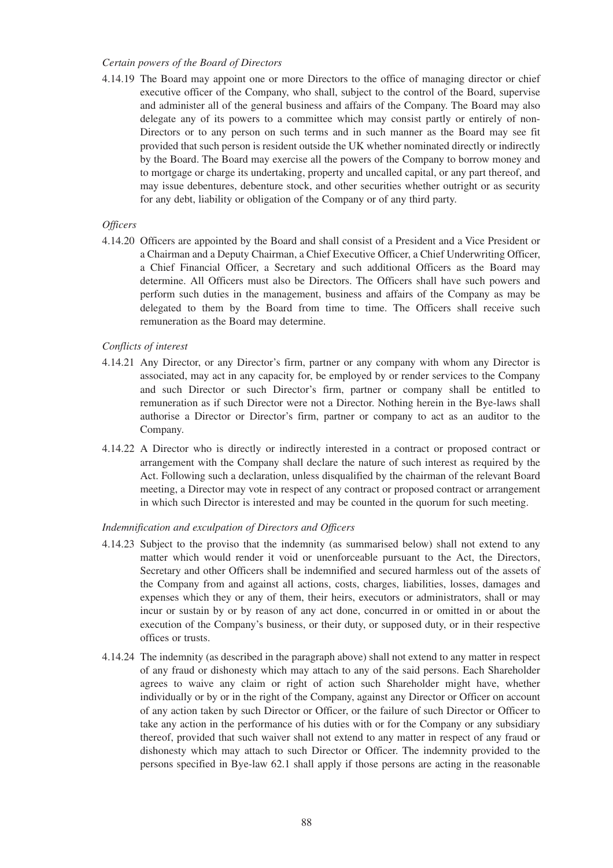### *Certain powers of the Board of Directors*

4.14.19 The Board may appoint one or more Directors to the office of managing director or chief executive officer of the Company, who shall, subject to the control of the Board, supervise and administer all of the general business and affairs of the Company. The Board may also delegate any of its powers to a committee which may consist partly or entirely of non-Directors or to any person on such terms and in such manner as the Board may see fit provided that such person is resident outside the UK whether nominated directly or indirectly by the Board. The Board may exercise all the powers of the Company to borrow money and to mortgage or charge its undertaking, property and uncalled capital, or any part thereof, and may issue debentures, debenture stock, and other securities whether outright or as security for any debt, liability or obligation of the Company or of any third party.

# *Officers*

4.14.20 Officers are appointed by the Board and shall consist of a President and a Vice President or a Chairman and a Deputy Chairman, a Chief Executive Officer, a Chief Underwriting Officer, a Chief Financial Officer, a Secretary and such additional Officers as the Board may determine. All Officers must also be Directors. The Officers shall have such powers and perform such duties in the management, business and affairs of the Company as may be delegated to them by the Board from time to time. The Officers shall receive such remuneration as the Board may determine.

# *Conflicts of interest*

- 4.14.21 Any Director, or any Director's firm, partner or any company with whom any Director is associated, may act in any capacity for, be employed by or render services to the Company and such Director or such Director's firm, partner or company shall be entitled to remuneration as if such Director were not a Director. Nothing herein in the Bye-laws shall authorise a Director or Director's firm, partner or company to act as an auditor to the Company.
- 4.14.22 A Director who is directly or indirectly interested in a contract or proposed contract or arrangement with the Company shall declare the nature of such interest as required by the Act. Following such a declaration, unless disqualified by the chairman of the relevant Board meeting, a Director may vote in respect of any contract or proposed contract or arrangement in which such Director is interested and may be counted in the quorum for such meeting.

# *Indemnification and exculpation of Directors and Officers*

- 4.14.23 Subject to the proviso that the indemnity (as summarised below) shall not extend to any matter which would render it void or unenforceable pursuant to the Act, the Directors, Secretary and other Officers shall be indemnified and secured harmless out of the assets of the Company from and against all actions, costs, charges, liabilities, losses, damages and expenses which they or any of them, their heirs, executors or administrators, shall or may incur or sustain by or by reason of any act done, concurred in or omitted in or about the execution of the Company's business, or their duty, or supposed duty, or in their respective offices or trusts.
- 4.14.24 The indemnity (as described in the paragraph above) shall not extend to any matter in respect of any fraud or dishonesty which may attach to any of the said persons. Each Shareholder agrees to waive any claim or right of action such Shareholder might have, whether individually or by or in the right of the Company, against any Director or Officer on account of any action taken by such Director or Officer, or the failure of such Director or Officer to take any action in the performance of his duties with or for the Company or any subsidiary thereof, provided that such waiver shall not extend to any matter in respect of any fraud or dishonesty which may attach to such Director or Officer. The indemnity provided to the persons specified in Bye-law 62.1 shall apply if those persons are acting in the reasonable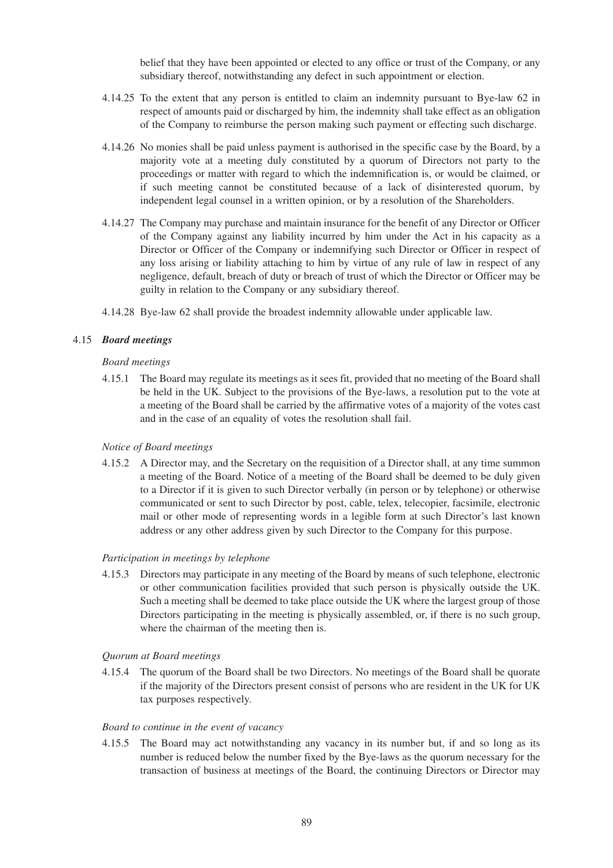belief that they have been appointed or elected to any office or trust of the Company, or any subsidiary thereof, notwithstanding any defect in such appointment or election.

- 4.14.25 To the extent that any person is entitled to claim an indemnity pursuant to Bye-law 62 in respect of amounts paid or discharged by him, the indemnity shall take effect as an obligation of the Company to reimburse the person making such payment or effecting such discharge.
- 4.14.26 No monies shall be paid unless payment is authorised in the specific case by the Board, by a majority vote at a meeting duly constituted by a quorum of Directors not party to the proceedings or matter with regard to which the indemnification is, or would be claimed, or if such meeting cannot be constituted because of a lack of disinterested quorum, by independent legal counsel in a written opinion, or by a resolution of the Shareholders.
- 4.14.27 The Company may purchase and maintain insurance for the benefit of any Director or Officer of the Company against any liability incurred by him under the Act in his capacity as a Director or Officer of the Company or indemnifying such Director or Officer in respect of any loss arising or liability attaching to him by virtue of any rule of law in respect of any negligence, default, breach of duty or breach of trust of which the Director or Officer may be guilty in relation to the Company or any subsidiary thereof.
- 4.14.28 Bye-law 62 shall provide the broadest indemnity allowable under applicable law.

#### 4.15 *Board meetings*

#### *Board meetings*

4.15.1 The Board may regulate its meetings as it sees fit, provided that no meeting of the Board shall be held in the UK. Subject to the provisions of the Bye-laws, a resolution put to the vote at a meeting of the Board shall be carried by the affirmative votes of a majority of the votes cast and in the case of an equality of votes the resolution shall fail.

#### *Notice of Board meetings*

4.15.2 A Director may, and the Secretary on the requisition of a Director shall, at any time summon a meeting of the Board. Notice of a meeting of the Board shall be deemed to be duly given to a Director if it is given to such Director verbally (in person or by telephone) or otherwise communicated or sent to such Director by post, cable, telex, telecopier, facsimile, electronic mail or other mode of representing words in a legible form at such Director's last known address or any other address given by such Director to the Company for this purpose.

#### *Participation in meetings by telephone*

4.15.3 Directors may participate in any meeting of the Board by means of such telephone, electronic or other communication facilities provided that such person is physically outside the UK. Such a meeting shall be deemed to take place outside the UK where the largest group of those Directors participating in the meeting is physically assembled, or, if there is no such group, where the chairman of the meeting then is.

#### *Quorum at Board meetings*

4.15.4 The quorum of the Board shall be two Directors. No meetings of the Board shall be quorate if the majority of the Directors present consist of persons who are resident in the UK for UK tax purposes respectively.

### *Board to continue in the event of vacancy*

4.15.5 The Board may act notwithstanding any vacancy in its number but, if and so long as its number is reduced below the number fixed by the Bye-laws as the quorum necessary for the transaction of business at meetings of the Board, the continuing Directors or Director may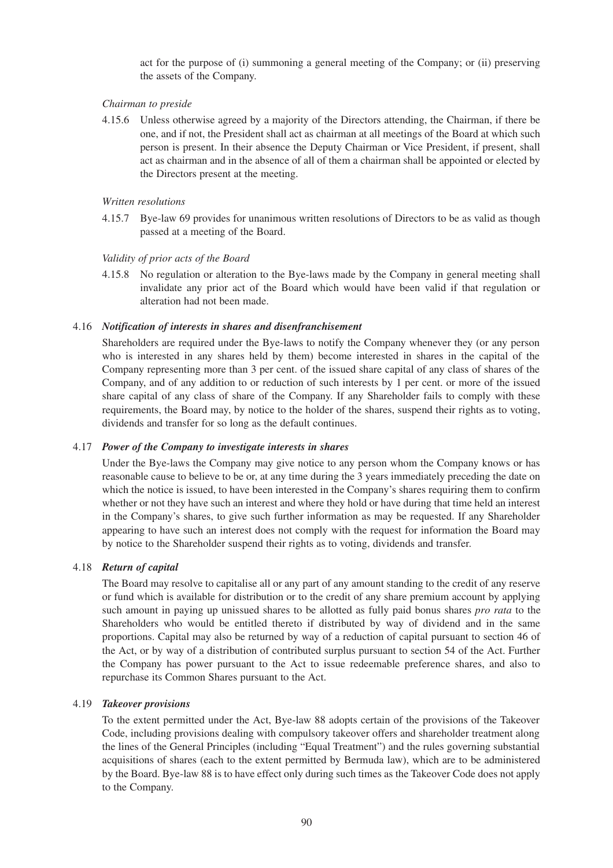act for the purpose of (i) summoning a general meeting of the Company; or (ii) preserving the assets of the Company.

# *Chairman to preside*

4.15.6 Unless otherwise agreed by a majority of the Directors attending, the Chairman, if there be one, and if not, the President shall act as chairman at all meetings of the Board at which such person is present. In their absence the Deputy Chairman or Vice President, if present, shall act as chairman and in the absence of all of them a chairman shall be appointed or elected by the Directors present at the meeting.

# *Written resolutions*

4.15.7 Bye-law 69 provides for unanimous written resolutions of Directors to be as valid as though passed at a meeting of the Board.

# *Validity of prior acts of the Board*

4.15.8 No regulation or alteration to the Bye-laws made by the Company in general meeting shall invalidate any prior act of the Board which would have been valid if that regulation or alteration had not been made.

# 4.16 *Notification of interests in shares and disenfranchisement*

Shareholders are required under the Bye-laws to notify the Company whenever they (or any person who is interested in any shares held by them) become interested in shares in the capital of the Company representing more than 3 per cent. of the issued share capital of any class of shares of the Company, and of any addition to or reduction of such interests by 1 per cent. or more of the issued share capital of any class of share of the Company. If any Shareholder fails to comply with these requirements, the Board may, by notice to the holder of the shares, suspend their rights as to voting, dividends and transfer for so long as the default continues.

# 4.17 *Power of the Company to investigate interests in shares*

Under the Bye-laws the Company may give notice to any person whom the Company knows or has reasonable cause to believe to be or, at any time during the 3 years immediately preceding the date on which the notice is issued, to have been interested in the Company's shares requiring them to confirm whether or not they have such an interest and where they hold or have during that time held an interest in the Company's shares, to give such further information as may be requested. If any Shareholder appearing to have such an interest does not comply with the request for information the Board may by notice to the Shareholder suspend their rights as to voting, dividends and transfer.

### 4.18 *Return of capital*

The Board may resolve to capitalise all or any part of any amount standing to the credit of any reserve or fund which is available for distribution or to the credit of any share premium account by applying such amount in paying up unissued shares to be allotted as fully paid bonus shares *pro rata* to the Shareholders who would be entitled thereto if distributed by way of dividend and in the same proportions. Capital may also be returned by way of a reduction of capital pursuant to section 46 of the Act, or by way of a distribution of contributed surplus pursuant to section 54 of the Act. Further the Company has power pursuant to the Act to issue redeemable preference shares, and also to repurchase its Common Shares pursuant to the Act.

### 4.19 *Takeover provisions*

To the extent permitted under the Act, Bye-law 88 adopts certain of the provisions of the Takeover Code, including provisions dealing with compulsory takeover offers and shareholder treatment along the lines of the General Principles (including "Equal Treatment") and the rules governing substantial acquisitions of shares (each to the extent permitted by Bermuda law), which are to be administered by the Board. Bye-law 88 is to have effect only during such times as the Takeover Code does not apply to the Company.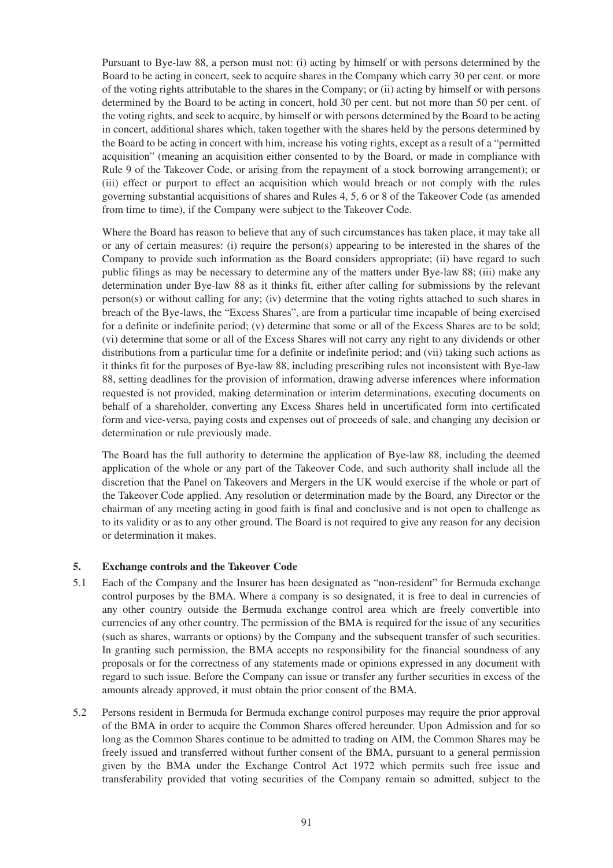Pursuant to Bye-law 88, a person must not: (i) acting by himself or with persons determined by the Board to be acting in concert, seek to acquire shares in the Company which carry 30 per cent. or more of the voting rights attributable to the shares in the Company; or (ii) acting by himself or with persons determined by the Board to be acting in concert, hold 30 per cent. but not more than 50 per cent. of the voting rights, and seek to acquire, by himself or with persons determined by the Board to be acting in concert, additional shares which, taken together with the shares held by the persons determined by the Board to be acting in concert with him, increase his voting rights, except as a result of a "permitted acquisition" (meaning an acquisition either consented to by the Board, or made in compliance with Rule 9 of the Takeover Code, or arising from the repayment of a stock borrowing arrangement); or (iii) effect or purport to effect an acquisition which would breach or not comply with the rules governing substantial acquisitions of shares and Rules 4, 5, 6 or 8 of the Takeover Code (as amended from time to time), if the Company were subject to the Takeover Code.

Where the Board has reason to believe that any of such circumstances has taken place, it may take all or any of certain measures: (i) require the person(s) appearing to be interested in the shares of the Company to provide such information as the Board considers appropriate; (ii) have regard to such public filings as may be necessary to determine any of the matters under Bye-law 88; (iii) make any determination under Bye-law 88 as it thinks fit, either after calling for submissions by the relevant person(s) or without calling for any; (iv) determine that the voting rights attached to such shares in breach of the Bye-laws, the "Excess Shares", are from a particular time incapable of being exercised for a definite or indefinite period; (v) determine that some or all of the Excess Shares are to be sold; (vi) determine that some or all of the Excess Shares will not carry any right to any dividends or other distributions from a particular time for a definite or indefinite period; and (vii) taking such actions as it thinks fit for the purposes of Bye-law 88, including prescribing rules not inconsistent with Bye-law 88, setting deadlines for the provision of information, drawing adverse inferences where information requested is not provided, making determination or interim determinations, executing documents on behalf of a shareholder, converting any Excess Shares held in uncertificated form into certificated form and vice-versa, paying costs and expenses out of proceeds of sale, and changing any decision or determination or rule previously made.

The Board has the full authority to determine the application of Bye-law 88, including the deemed application of the whole or any part of the Takeover Code, and such authority shall include all the discretion that the Panel on Takeovers and Mergers in the UK would exercise if the whole or part of the Takeover Code applied. Any resolution or determination made by the Board, any Director or the chairman of any meeting acting in good faith is final and conclusive and is not open to challenge as to its validity or as to any other ground. The Board is not required to give any reason for any decision or determination it makes.

# **5. Exchange controls and the Takeover Code**

- 5.1 Each of the Company and the Insurer has been designated as "non-resident" for Bermuda exchange control purposes by the BMA. Where a company is so designated, it is free to deal in currencies of any other country outside the Bermuda exchange control area which are freely convertible into currencies of any other country. The permission of the BMA is required for the issue of any securities (such as shares, warrants or options) by the Company and the subsequent transfer of such securities. In granting such permission, the BMA accepts no responsibility for the financial soundness of any proposals or for the correctness of any statements made or opinions expressed in any document with regard to such issue. Before the Company can issue or transfer any further securities in excess of the amounts already approved, it must obtain the prior consent of the BMA.
- 5.2 Persons resident in Bermuda for Bermuda exchange control purposes may require the prior approval of the BMA in order to acquire the Common Shares offered hereunder. Upon Admission and for so long as the Common Shares continue to be admitted to trading on AIM, the Common Shares may be freely issued and transferred without further consent of the BMA, pursuant to a general permission given by the BMA under the Exchange Control Act 1972 which permits such free issue and transferability provided that voting securities of the Company remain so admitted, subject to the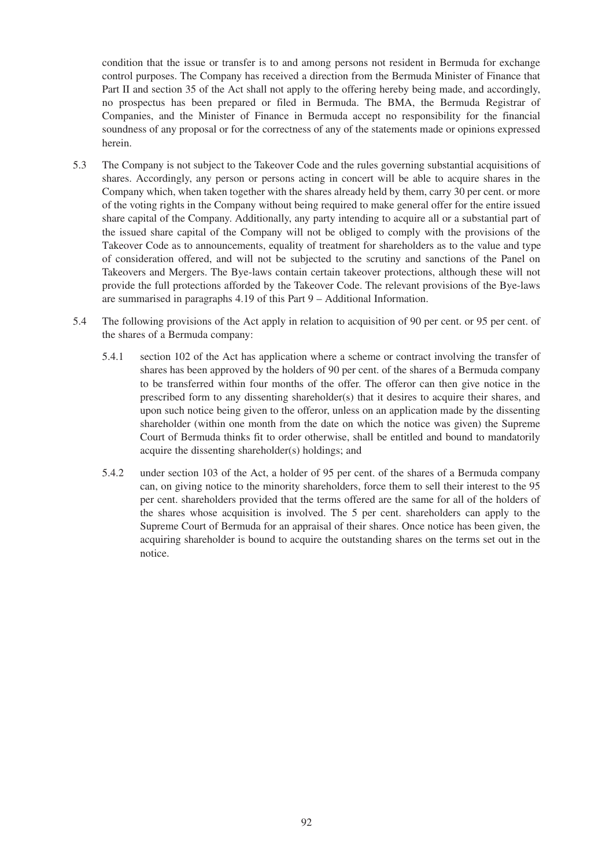condition that the issue or transfer is to and among persons not resident in Bermuda for exchange control purposes. The Company has received a direction from the Bermuda Minister of Finance that Part II and section 35 of the Act shall not apply to the offering hereby being made, and accordingly, no prospectus has been prepared or filed in Bermuda. The BMA, the Bermuda Registrar of Companies, and the Minister of Finance in Bermuda accept no responsibility for the financial soundness of any proposal or for the correctness of any of the statements made or opinions expressed herein.

- 5.3 The Company is not subject to the Takeover Code and the rules governing substantial acquisitions of shares. Accordingly, any person or persons acting in concert will be able to acquire shares in the Company which, when taken together with the shares already held by them, carry 30 per cent. or more of the voting rights in the Company without being required to make general offer for the entire issued share capital of the Company. Additionally, any party intending to acquire all or a substantial part of the issued share capital of the Company will not be obliged to comply with the provisions of the Takeover Code as to announcements, equality of treatment for shareholders as to the value and type of consideration offered, and will not be subjected to the scrutiny and sanctions of the Panel on Takeovers and Mergers. The Bye-laws contain certain takeover protections, although these will not provide the full protections afforded by the Takeover Code. The relevant provisions of the Bye-laws are summarised in paragraphs 4.19 of this Part 9 – Additional Information.
- 5.4 The following provisions of the Act apply in relation to acquisition of 90 per cent. or 95 per cent. of the shares of a Bermuda company:
	- 5.4.1 section 102 of the Act has application where a scheme or contract involving the transfer of shares has been approved by the holders of 90 per cent. of the shares of a Bermuda company to be transferred within four months of the offer. The offeror can then give notice in the prescribed form to any dissenting shareholder(s) that it desires to acquire their shares, and upon such notice being given to the offeror, unless on an application made by the dissenting shareholder (within one month from the date on which the notice was given) the Supreme Court of Bermuda thinks fit to order otherwise, shall be entitled and bound to mandatorily acquire the dissenting shareholder(s) holdings; and
	- 5.4.2 under section 103 of the Act, a holder of 95 per cent. of the shares of a Bermuda company can, on giving notice to the minority shareholders, force them to sell their interest to the 95 per cent. shareholders provided that the terms offered are the same for all of the holders of the shares whose acquisition is involved. The 5 per cent. shareholders can apply to the Supreme Court of Bermuda for an appraisal of their shares. Once notice has been given, the acquiring shareholder is bound to acquire the outstanding shares on the terms set out in the notice.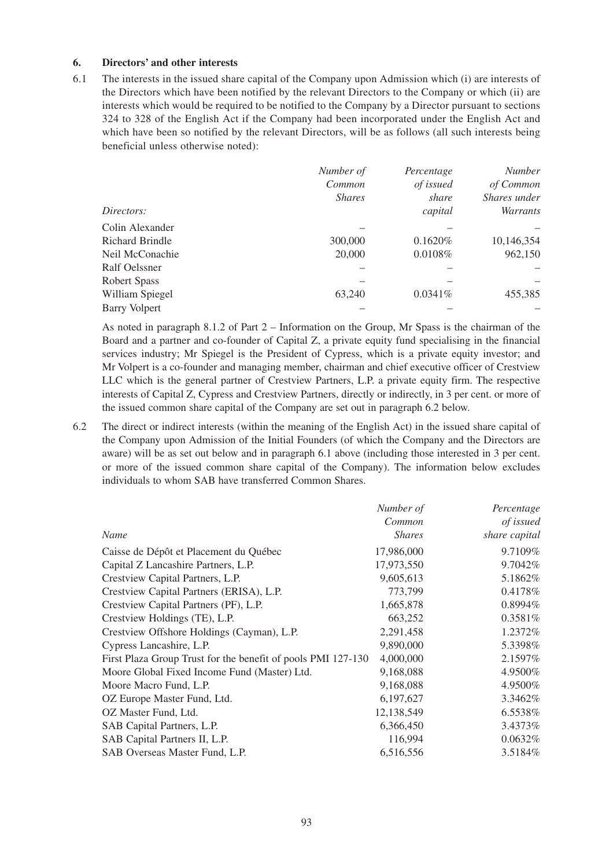# **6. Directors' and other interests**

6.1 The interests in the issued share capital of the Company upon Admission which (i) are interests of the Directors which have been notified by the relevant Directors to the Company or which (ii) are interests which would be required to be notified to the Company by a Director pursuant to sections 324 to 328 of the English Act if the Company had been incorporated under the English Act and which have been so notified by the relevant Directors, will be as follows (all such interests being beneficial unless otherwise noted):

|                        | Number of     | Percentage | <b>Number</b> |
|------------------------|---------------|------------|---------------|
|                        | Common        | of issued  | of Common     |
|                        | <b>Shares</b> | share      | Shares under  |
| Directors:             |               | capital    | Warrants      |
| Colin Alexander        |               |            |               |
| <b>Richard Brindle</b> | 300,000       | 0.1620%    | 10,146,354    |
| Neil McConachie        | 20,000        | 0.0108%    | 962,150       |
| Ralf Oelssner          |               |            |               |
| <b>Robert Spass</b>    |               |            |               |
| William Spiegel        | 63,240        | $0.0341\%$ | 455,385       |
| <b>Barry Volpert</b>   |               |            |               |

As noted in paragraph 8.1.2 of Part 2 – Information on the Group, Mr Spass is the chairman of the Board and a partner and co-founder of Capital Z, a private equity fund specialising in the financial services industry; Mr Spiegel is the President of Cypress, which is a private equity investor; and Mr Volpert is a co-founder and managing member, chairman and chief executive officer of Crestview LLC which is the general partner of Crestview Partners, L.P. a private equity firm. The respective interests of Capital Z, Cypress and Crestview Partners, directly or indirectly, in 3 per cent. or more of the issued common share capital of the Company are set out in paragraph 6.2 below.

6.2 The direct or indirect interests (within the meaning of the English Act) in the issued share capital of the Company upon Admission of the Initial Founders (of which the Company and the Directors are aware) will be as set out below and in paragraph 6.1 above (including those interested in 3 per cent. or more of the issued common share capital of the Company). The information below excludes individuals to whom SAB have transferred Common Shares.

|                                                              | Number of     | Percentage    |
|--------------------------------------------------------------|---------------|---------------|
|                                                              | Common        | of issued     |
| Name                                                         | <b>Shares</b> | share capital |
| Caisse de Dépôt et Placement du Québec                       | 17,986,000    | 9.7109%       |
| Capital Z Lancashire Partners, L.P.                          | 17,973,550    | 9.7042\%      |
| Crestview Capital Partners, L.P.                             | 9,605,613     | 5.1862%       |
| Crestview Capital Partners (ERISA), L.P.                     | 773,799       | 0.4178%       |
| Crestview Capital Partners (PF), L.P.                        | 1,665,878     | $0.8994\%$    |
| Crestview Holdings (TE), L.P.                                | 663,252       | $0.3581\%$    |
| Crestview Offshore Holdings (Cayman), L.P.                   | 2,291,458     | 1.2372\%      |
| Cypress Lancashire, L.P.                                     | 9,890,000     | 5.3398%       |
| First Plaza Group Trust for the benefit of pools PMI 127-130 | 4,000,000     | 2.1597%       |
| Moore Global Fixed Income Fund (Master) Ltd.                 | 9,168,088     | 4.9500%       |
| Moore Macro Fund, L.P.                                       | 9,168,088     | 4.9500%       |
| OZ Europe Master Fund, Ltd.                                  | 6,197,627     | 3.3462%       |
| OZ Master Fund, Ltd.                                         | 12,138,549    | 6.5538%       |
| SAB Capital Partners, L.P.                                   | 6,366,450     | 3.4373%       |
| SAB Capital Partners II, L.P.                                | 116,994       | $0.0632\%$    |
| SAB Overseas Master Fund, L.P.                               | 6,516,556     | 3.5184%       |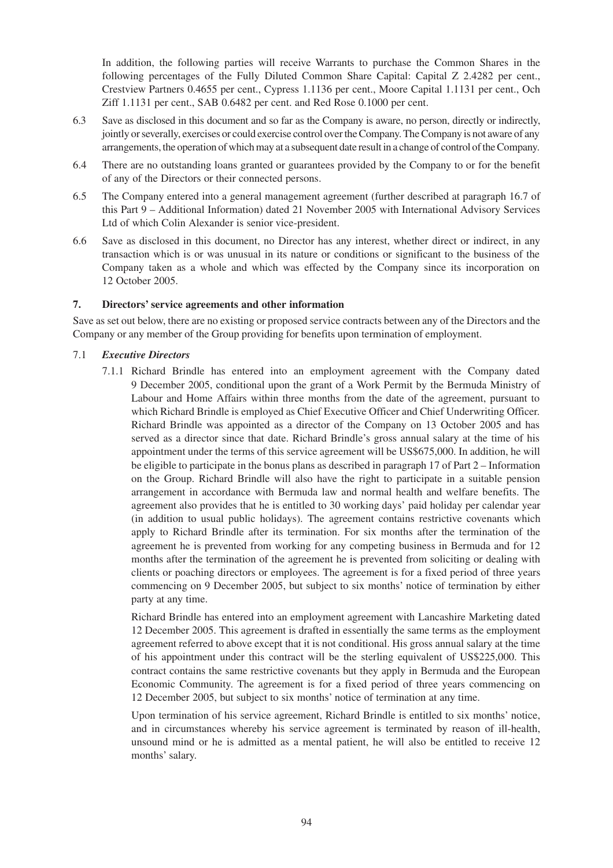In addition, the following parties will receive Warrants to purchase the Common Shares in the following percentages of the Fully Diluted Common Share Capital: Capital Z 2.4282 per cent., Crestview Partners 0.4655 per cent., Cypress 1.1136 per cent., Moore Capital 1.1131 per cent., Och Ziff 1.1131 per cent., SAB 0.6482 per cent. and Red Rose 0.1000 per cent.

- 6.3 Save as disclosed in this document and so far as the Company is aware, no person, directly or indirectly, jointly or severally, exercises or could exercise control over the Company. The Company is not aware of any arrangements, the operation of which may at a subsequent date result in a change of control of the Company.
- 6.4 There are no outstanding loans granted or guarantees provided by the Company to or for the benefit of any of the Directors or their connected persons.
- 6.5 The Company entered into a general management agreement (further described at paragraph 16.7 of this Part 9 – Additional Information) dated 21 November 2005 with International Advisory Services Ltd of which Colin Alexander is senior vice-president.
- 6.6 Save as disclosed in this document, no Director has any interest, whether direct or indirect, in any transaction which is or was unusual in its nature or conditions or significant to the business of the Company taken as a whole and which was effected by the Company since its incorporation on 12 October 2005.

# **7. Directors' service agreements and other information**

Save as set out below, there are no existing or proposed service contracts between any of the Directors and the Company or any member of the Group providing for benefits upon termination of employment.

# 7.1 *Executive Directors*

7.1.1 Richard Brindle has entered into an employment agreement with the Company dated 9 December 2005, conditional upon the grant of a Work Permit by the Bermuda Ministry of Labour and Home Affairs within three months from the date of the agreement, pursuant to which Richard Brindle is employed as Chief Executive Officer and Chief Underwriting Officer. Richard Brindle was appointed as a director of the Company on 13 October 2005 and has served as a director since that date. Richard Brindle's gross annual salary at the time of his appointment under the terms of this service agreement will be US\$675,000. In addition, he will be eligible to participate in the bonus plans as described in paragraph 17 of Part 2 – Information on the Group. Richard Brindle will also have the right to participate in a suitable pension arrangement in accordance with Bermuda law and normal health and welfare benefits. The agreement also provides that he is entitled to 30 working days' paid holiday per calendar year (in addition to usual public holidays). The agreement contains restrictive covenants which apply to Richard Brindle after its termination. For six months after the termination of the agreement he is prevented from working for any competing business in Bermuda and for 12 months after the termination of the agreement he is prevented from soliciting or dealing with clients or poaching directors or employees. The agreement is for a fixed period of three years commencing on 9 December 2005, but subject to six months' notice of termination by either party at any time.

Richard Brindle has entered into an employment agreement with Lancashire Marketing dated 12 December 2005. This agreement is drafted in essentially the same terms as the employment agreement referred to above except that it is not conditional. His gross annual salary at the time of his appointment under this contract will be the sterling equivalent of US\$225,000. This contract contains the same restrictive covenants but they apply in Bermuda and the European Economic Community. The agreement is for a fixed period of three years commencing on 12 December 2005, but subject to six months' notice of termination at any time.

Upon termination of his service agreement, Richard Brindle is entitled to six months' notice, and in circumstances whereby his service agreement is terminated by reason of ill-health, unsound mind or he is admitted as a mental patient, he will also be entitled to receive 12 months' salary.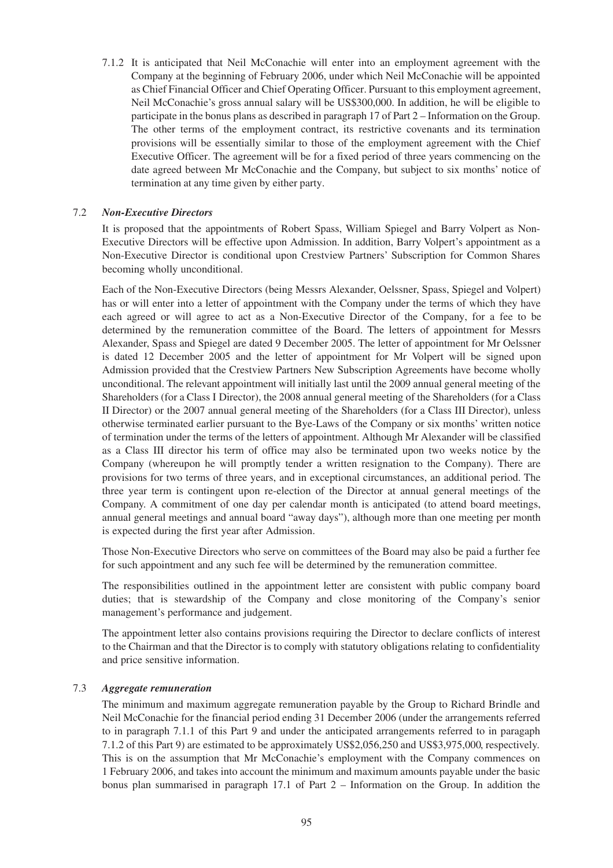7.1.2 It is anticipated that Neil McConachie will enter into an employment agreement with the Company at the beginning of February 2006, under which Neil McConachie will be appointed as Chief Financial Officer and Chief Operating Officer. Pursuant to this employment agreement, Neil McConachie's gross annual salary will be US\$300,000. In addition, he will be eligible to participate in the bonus plans as described in paragraph 17 of Part 2 – Information on the Group. The other terms of the employment contract, its restrictive covenants and its termination provisions will be essentially similar to those of the employment agreement with the Chief Executive Officer. The agreement will be for a fixed period of three years commencing on the date agreed between Mr McConachie and the Company, but subject to six months' notice of termination at any time given by either party.

# 7.2 *Non-Executive Directors*

It is proposed that the appointments of Robert Spass, William Spiegel and Barry Volpert as Non-Executive Directors will be effective upon Admission. In addition, Barry Volpert's appointment as a Non-Executive Director is conditional upon Crestview Partners' Subscription for Common Shares becoming wholly unconditional.

Each of the Non-Executive Directors (being Messrs Alexander, Oelssner, Spass, Spiegel and Volpert) has or will enter into a letter of appointment with the Company under the terms of which they have each agreed or will agree to act as a Non-Executive Director of the Company, for a fee to be determined by the remuneration committee of the Board. The letters of appointment for Messrs Alexander, Spass and Spiegel are dated 9 December 2005. The letter of appointment for Mr Oelssner is dated 12 December 2005 and the letter of appointment for Mr Volpert will be signed upon Admission provided that the Crestview Partners New Subscription Agreements have become wholly unconditional. The relevant appointment will initially last until the 2009 annual general meeting of the Shareholders (for a Class I Director), the 2008 annual general meeting of the Shareholders (for a Class II Director) or the 2007 annual general meeting of the Shareholders (for a Class III Director), unless otherwise terminated earlier pursuant to the Bye-Laws of the Company or six months' written notice of termination under the terms of the letters of appointment. Although Mr Alexander will be classified as a Class III director his term of office may also be terminated upon two weeks notice by the Company (whereupon he will promptly tender a written resignation to the Company). There are provisions for two terms of three years, and in exceptional circumstances, an additional period. The three year term is contingent upon re-election of the Director at annual general meetings of the Company. A commitment of one day per calendar month is anticipated (to attend board meetings, annual general meetings and annual board "away days"), although more than one meeting per month is expected during the first year after Admission.

Those Non-Executive Directors who serve on committees of the Board may also be paid a further fee for such appointment and any such fee will be determined by the remuneration committee.

The responsibilities outlined in the appointment letter are consistent with public company board duties; that is stewardship of the Company and close monitoring of the Company's senior management's performance and judgement.

The appointment letter also contains provisions requiring the Director to declare conflicts of interest to the Chairman and that the Director is to comply with statutory obligations relating to confidentiality and price sensitive information.

### 7.3 *Aggregate remuneration*

The minimum and maximum aggregate remuneration payable by the Group to Richard Brindle and Neil McConachie for the financial period ending 31 December 2006 (under the arrangements referred to in paragraph 7.1.1 of this Part 9 and under the anticipated arrangements referred to in paragaph 7.1.2 of this Part 9) are estimated to be approximately US\$2,056,250 and US\$3,975,000, respectively. This is on the assumption that Mr McConachie's employment with the Company commences on 1 February 2006, and takes into account the minimum and maximum amounts payable under the basic bonus plan summarised in paragraph 17.1 of Part 2 – Information on the Group. In addition the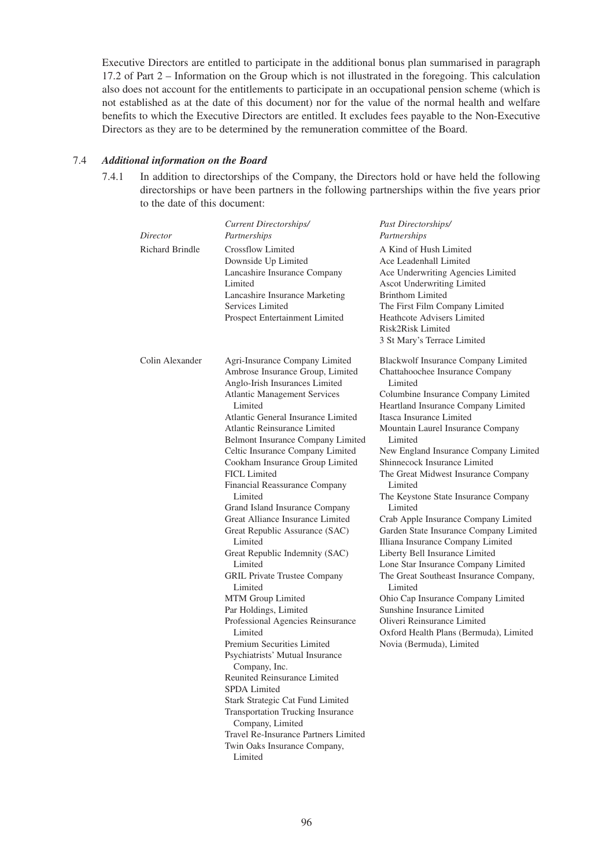Executive Directors are entitled to participate in the additional bonus plan summarised in paragraph 17.2 of Part 2 – Information on the Group which is not illustrated in the foregoing. This calculation also does not account for the entitlements to participate in an occupational pension scheme (which is not established as at the date of this document) nor for the value of the normal health and welfare benefits to which the Executive Directors are entitled. It excludes fees payable to the Non-Executive Directors as they are to be determined by the remuneration committee of the Board.

# 7.4 *Additional information on the Board*

7.4.1 In addition to directorships of the Company, the Directors hold or have held the following directorships or have been partners in the following partnerships within the five years prior to the date of this document:

| Director               | Current Directorships/<br>Partnerships                                                                                                                                                                                                                                                                                                                                                                                                                                                                                                                                                                                                                                                                                                                                                                                                                                                                                                                                                                                                               | Past Directorships/<br>Partnerships                                                                                                                                                                                                                                                                                                                                                                                                                                                                                                                                                                                                                                                                                                                                                                                                                     |
|------------------------|------------------------------------------------------------------------------------------------------------------------------------------------------------------------------------------------------------------------------------------------------------------------------------------------------------------------------------------------------------------------------------------------------------------------------------------------------------------------------------------------------------------------------------------------------------------------------------------------------------------------------------------------------------------------------------------------------------------------------------------------------------------------------------------------------------------------------------------------------------------------------------------------------------------------------------------------------------------------------------------------------------------------------------------------------|---------------------------------------------------------------------------------------------------------------------------------------------------------------------------------------------------------------------------------------------------------------------------------------------------------------------------------------------------------------------------------------------------------------------------------------------------------------------------------------------------------------------------------------------------------------------------------------------------------------------------------------------------------------------------------------------------------------------------------------------------------------------------------------------------------------------------------------------------------|
| <b>Richard Brindle</b> | <b>Crossflow Limited</b><br>Downside Up Limited<br>Lancashire Insurance Company<br>Limited<br>Lancashire Insurance Marketing<br>Services Limited<br>Prospect Entertainment Limited                                                                                                                                                                                                                                                                                                                                                                                                                                                                                                                                                                                                                                                                                                                                                                                                                                                                   | A Kind of Hush Limited<br>Ace Leadenhall Limited<br>Ace Underwriting Agencies Limited<br>Ascot Underwriting Limited<br><b>Brinthom Limited</b><br>The First Film Company Limited<br><b>Heathcote Advisers Limited</b><br>Risk2Risk Limited<br>3 St Mary's Terrace Limited                                                                                                                                                                                                                                                                                                                                                                                                                                                                                                                                                                               |
| Colin Alexander        | Agri-Insurance Company Limited<br>Ambrose Insurance Group, Limited<br>Anglo-Irish Insurances Limited<br><b>Atlantic Management Services</b><br>Limited<br>Atlantic General Insurance Limited<br>Atlantic Reinsurance Limited<br>Belmont Insurance Company Limited<br>Celtic Insurance Company Limited<br>Cookham Insurance Group Limited<br><b>FICL Limited</b><br>Financial Reassurance Company<br>Limited<br>Grand Island Insurance Company<br>Great Alliance Insurance Limited<br>Great Republic Assurance (SAC)<br>Limited<br>Great Republic Indemnity (SAC)<br>Limited<br><b>GRIL Private Trustee Company</b><br>Limited<br>MTM Group Limited<br>Par Holdings, Limited<br>Professional Agencies Reinsurance<br>Limited<br>Premium Securities Limited<br>Psychiatrists' Mutual Insurance<br>Company, Inc.<br>Reunited Reinsurance Limited<br>SPDA Limited<br>Stark Strategic Cat Fund Limited<br><b>Transportation Trucking Insurance</b><br>Company, Limited<br>Travel Re-Insurance Partners Limited<br>Twin Oaks Insurance Company,<br>Limited | Blackwolf Insurance Company Limited<br>Chattahoochee Insurance Company<br>Limited<br>Columbine Insurance Company Limited<br>Heartland Insurance Company Limited<br>Itasca Insurance Limited<br>Mountain Laurel Insurance Company<br>Limited<br>New England Insurance Company Limited<br>Shinnecock Insurance Limited<br>The Great Midwest Insurance Company<br>Limited<br>The Keystone State Insurance Company<br>Limited<br>Crab Apple Insurance Company Limited<br>Garden State Insurance Company Limited<br>Illiana Insurance Company Limited<br>Liberty Bell Insurance Limited<br>Lone Star Insurance Company Limited<br>The Great Southeast Insurance Company,<br>Limited<br>Ohio Cap Insurance Company Limited<br>Sunshine Insurance Limited<br>Oliveri Reinsurance Limited<br>Oxford Health Plans (Bermuda), Limited<br>Novia (Bermuda), Limited |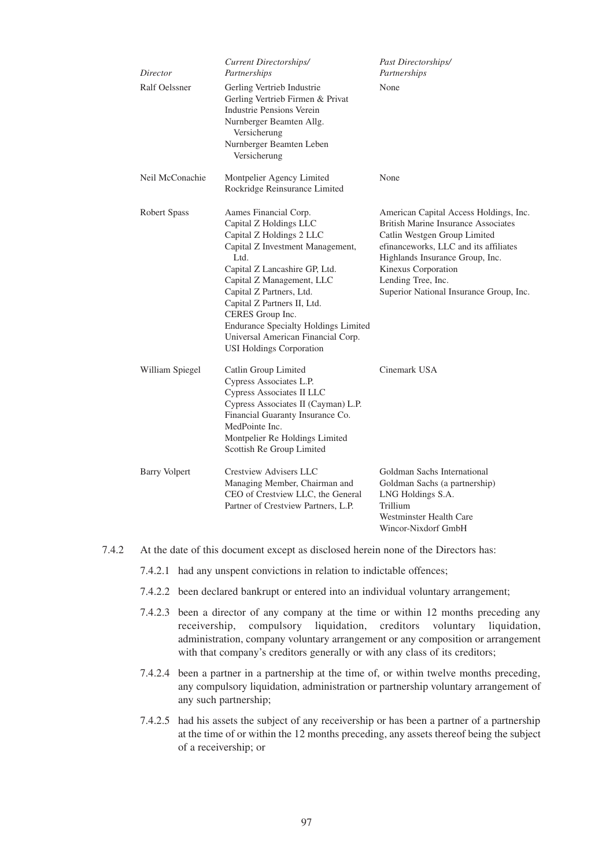| Director             | <b>Current Directorships/</b><br>Partnerships                                                                                                                                                                                                                                                                                                                                                | Past Directorships/<br>Partnerships                                                                                                                                                                                                                                                      |
|----------------------|----------------------------------------------------------------------------------------------------------------------------------------------------------------------------------------------------------------------------------------------------------------------------------------------------------------------------------------------------------------------------------------------|------------------------------------------------------------------------------------------------------------------------------------------------------------------------------------------------------------------------------------------------------------------------------------------|
| Ralf Oelssner        | Gerling Vertrieb Industrie<br>Gerling Vertrieb Firmen & Privat<br>Industrie Pensions Verein<br>Nurnberger Beamten Allg.<br>Versicherung<br>Nurnberger Beamten Leben<br>Versicherung                                                                                                                                                                                                          | None                                                                                                                                                                                                                                                                                     |
| Neil McConachie      | Montpelier Agency Limited<br>Rockridge Reinsurance Limited                                                                                                                                                                                                                                                                                                                                   | None                                                                                                                                                                                                                                                                                     |
| Robert Spass         | Aames Financial Corp.<br>Capital Z Holdings LLC<br>Capital Z Holdings 2 LLC<br>Capital Z Investment Management,<br>Ltd.<br>Capital Z Lancashire GP, Ltd.<br>Capital Z Management, LLC<br>Capital Z Partners, Ltd.<br>Capital Z Partners II, Ltd.<br>CERES Group Inc.<br><b>Endurance Specialty Holdings Limited</b><br>Universal American Financial Corp.<br><b>USI Holdings Corporation</b> | American Capital Access Holdings, Inc.<br><b>British Marine Insurance Associates</b><br>Catlin Westgen Group Limited<br>efinanceworks, LLC and its affiliates<br>Highlands Insurance Group, Inc.<br>Kinexus Corporation<br>Lending Tree, Inc.<br>Superior National Insurance Group, Inc. |
| William Spiegel      | Catlin Group Limited<br>Cypress Associates L.P.<br>Cypress Associates II LLC<br>Cypress Associates II (Cayman) L.P.<br>Financial Guaranty Insurance Co.<br>MedPointe Inc.<br>Montpelier Re Holdings Limited<br>Scottish Re Group Limited                                                                                                                                                     | Cinemark USA                                                                                                                                                                                                                                                                             |
| <b>Barry Volpert</b> | Crestview Advisers LLC<br>Managing Member, Chairman and<br>CEO of Crestview LLC, the General<br>Partner of Crestview Partners, L.P.                                                                                                                                                                                                                                                          | Goldman Sachs International<br>Goldman Sachs (a partnership)<br>LNG Holdings S.A.<br>Trillium<br>Westminster Health Care<br>Wincor-Nixdorf GmbH                                                                                                                                          |

7.4.2 At the date of this document except as disclosed herein none of the Directors has:

7.4.2.1 had any unspent convictions in relation to indictable offences;

- 7.4.2.2 been declared bankrupt or entered into an individual voluntary arrangement;
- 7.4.2.3 been a director of any company at the time or within 12 months preceding any receivership, compulsory liquidation, creditors voluntary liquidation, administration, company voluntary arrangement or any composition or arrangement with that company's creditors generally or with any class of its creditors;
- 7.4.2.4 been a partner in a partnership at the time of, or within twelve months preceding, any compulsory liquidation, administration or partnership voluntary arrangement of any such partnership;
- 7.4.2.5 had his assets the subject of any receivership or has been a partner of a partnership at the time of or within the 12 months preceding, any assets thereof being the subject of a receivership; or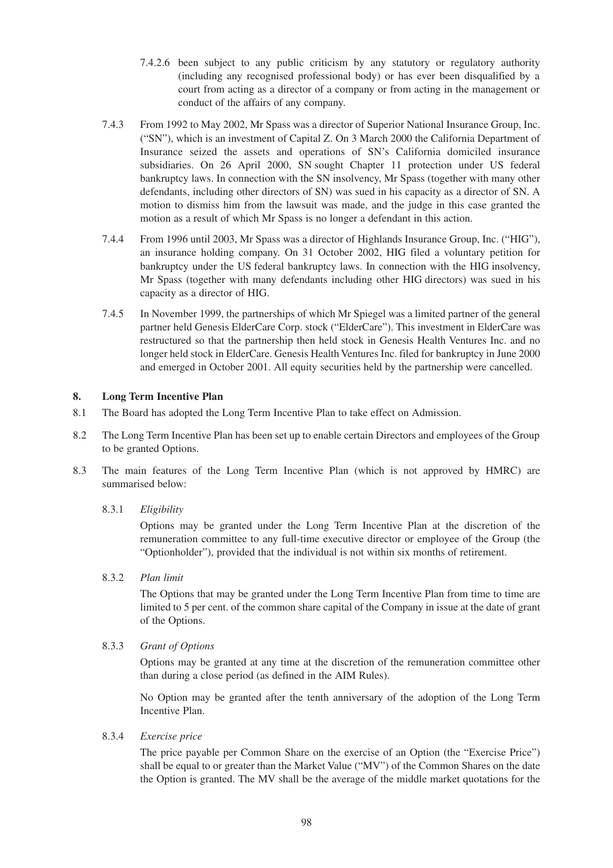- 7.4.2.6 been subject to any public criticism by any statutory or regulatory authority (including any recognised professional body) or has ever been disqualified by a court from acting as a director of a company or from acting in the management or conduct of the affairs of any company.
- 7.4.3 From 1992 to May 2002, Mr Spass was a director of Superior National Insurance Group, Inc. ("SN"), which is an investment of Capital Z. On 3 March 2000 the California Department of Insurance seized the assets and operations of SN's California domiciled insurance subsidiaries. On 26 April 2000, SN sought Chapter 11 protection under US federal bankruptcy laws. In connection with the SN insolvency, Mr Spass (together with many other defendants, including other directors of SN) was sued in his capacity as a director of SN. A motion to dismiss him from the lawsuit was made, and the judge in this case granted the motion as a result of which Mr Spass is no longer a defendant in this action.
- 7.4.4 From 1996 until 2003, Mr Spass was a director of Highlands Insurance Group, Inc. ("HIG"), an insurance holding company. On 31 October 2002, HIG filed a voluntary petition for bankruptcy under the US federal bankruptcy laws. In connection with the HIG insolvency, Mr Spass (together with many defendants including other HIG directors) was sued in his capacity as a director of HIG.
- 7.4.5 In November 1999, the partnerships of which Mr Spiegel was a limited partner of the general partner held Genesis ElderCare Corp. stock ("ElderCare"). This investment in ElderCare was restructured so that the partnership then held stock in Genesis Health Ventures Inc. and no longer held stock in ElderCare. Genesis Health Ventures Inc. filed for bankruptcy in June 2000 and emerged in October 2001. All equity securities held by the partnership were cancelled.

# **8. Long Term Incentive Plan**

- 8.1 The Board has adopted the Long Term Incentive Plan to take effect on Admission.
- 8.2 The Long Term Incentive Plan has been set up to enable certain Directors and employees of the Group to be granted Options.
- 8.3 The main features of the Long Term Incentive Plan (which is not approved by HMRC) are summarised below:
	- 8.3.1 *Eligibility*

Options may be granted under the Long Term Incentive Plan at the discretion of the remuneration committee to any full-time executive director or employee of the Group (the "Optionholder"), provided that the individual is not within six months of retirement.

8.3.2 *Plan limit*

The Options that may be granted under the Long Term Incentive Plan from time to time are limited to 5 per cent. of the common share capital of the Company in issue at the date of grant of the Options.

8.3.3 *Grant of Options*

Options may be granted at any time at the discretion of the remuneration committee other than during a close period (as defined in the AIM Rules).

No Option may be granted after the tenth anniversary of the adoption of the Long Term Incentive Plan.

8.3.4 *Exercise price*

The price payable per Common Share on the exercise of an Option (the "Exercise Price") shall be equal to or greater than the Market Value ("MV") of the Common Shares on the date the Option is granted. The MV shall be the average of the middle market quotations for the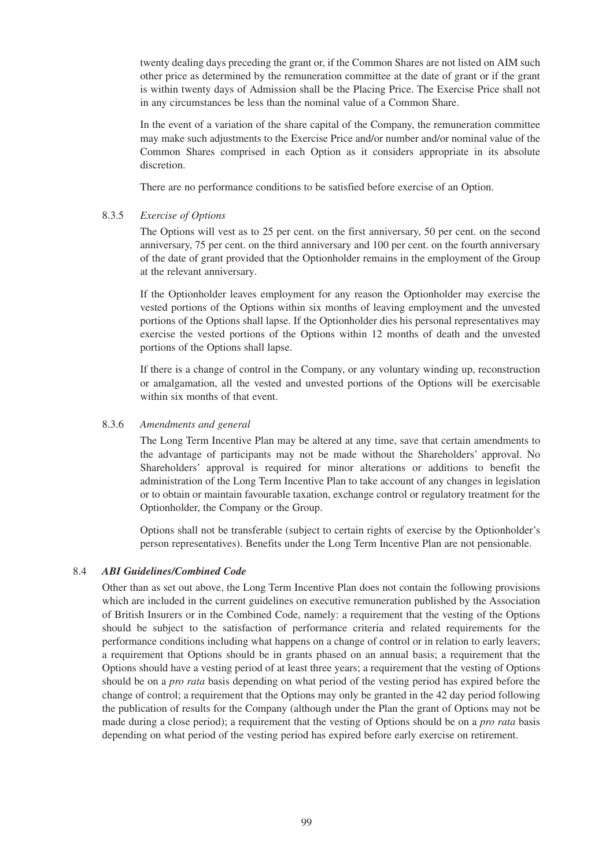twenty dealing days preceding the grant or, if the Common Shares are not listed on AIM such other price as determined by the remuneration committee at the date of grant or if the grant is within twenty days of Admission shall be the Placing Price. The Exercise Price shall not in any circumstances be less than the nominal value of a Common Share.

In the event of a variation of the share capital of the Company, the remuneration committee may make such adjustments to the Exercise Price and/or number and/or nominal value of the Common Shares comprised in each Option as it considers appropriate in its absolute discretion.

There are no performance conditions to be satisfied before exercise of an Option.

# 8.3.5 *Exercise of Options*

The Options will vest as to 25 per cent. on the first anniversary, 50 per cent. on the second anniversary, 75 per cent. on the third anniversary and 100 per cent. on the fourth anniversary of the date of grant provided that the Optionholder remains in the employment of the Group at the relevant anniversary.

If the Optionholder leaves employment for any reason the Optionholder may exercise the vested portions of the Options within six months of leaving employment and the unvested portions of the Options shall lapse. If the Optionholder dies his personal representatives may exercise the vested portions of the Options within 12 months of death and the unvested portions of the Options shall lapse.

If there is a change of control in the Company, or any voluntary winding up, reconstruction or amalgamation, all the vested and unvested portions of the Options will be exercisable within six months of that event.

# 8.3.6 *Amendments and general*

The Long Term Incentive Plan may be altered at any time, save that certain amendments to the advantage of participants may not be made without the Shareholders' approval. No Shareholders' approval is required for minor alterations or additions to benefit the administration of the Long Term Incentive Plan to take account of any changes in legislation or to obtain or maintain favourable taxation, exchange control or regulatory treatment for the Optionholder, the Company or the Group.

Options shall not be transferable (subject to certain rights of exercise by the Optionholder's person representatives). Benefits under the Long Term Incentive Plan are not pensionable.

# 8.4 *ABI Guidelines/Combined Code*

Other than as set out above, the Long Term Incentive Plan does not contain the following provisions which are included in the current guidelines on executive remuneration published by the Association of British Insurers or in the Combined Code, namely: a requirement that the vesting of the Options should be subject to the satisfaction of performance criteria and related requirements for the performance conditions including what happens on a change of control or in relation to early leavers; a requirement that Options should be in grants phased on an annual basis; a requirement that the Options should have a vesting period of at least three years; a requirement that the vesting of Options should be on a *pro rata* basis depending on what period of the vesting period has expired before the change of control; a requirement that the Options may only be granted in the 42 day period following the publication of results for the Company (although under the Plan the grant of Options may not be made during a close period); a requirement that the vesting of Options should be on a *pro rata* basis depending on what period of the vesting period has expired before early exercise on retirement.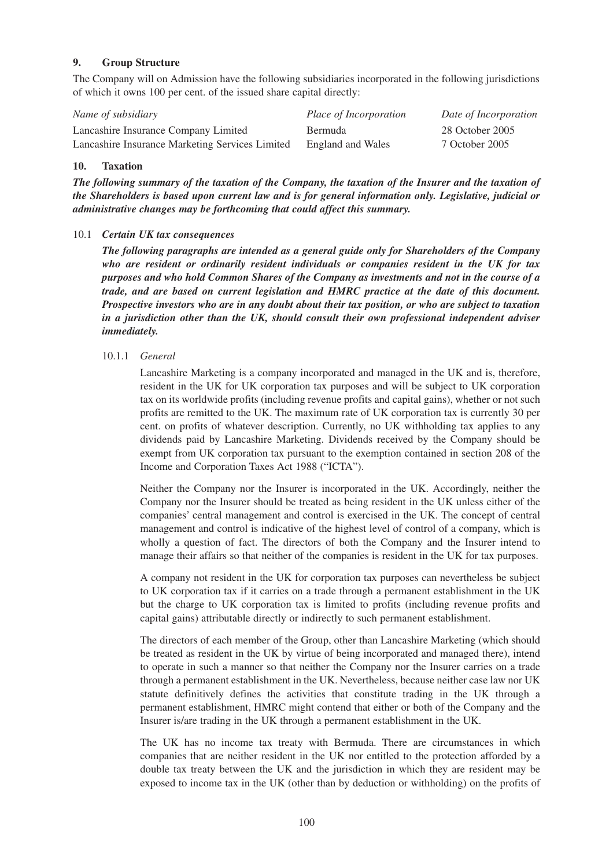# **9. Group Structure**

The Company will on Admission have the following subsidiaries incorporated in the following jurisdictions of which it owns 100 per cent. of the issued share capital directly:

| Name of subsidiary                              | <i>Place of Incorporation</i> | Date of Incorporation |
|-------------------------------------------------|-------------------------------|-----------------------|
| Lancashire Insurance Company Limited            | <b>Bermuda</b>                | 28 October 2005       |
| Lancashire Insurance Marketing Services Limited | England and Wales             | 7 October 2005        |

# **10. Taxation**

*The following summary of the taxation of the Company, the taxation of the Insurer and the taxation of the Shareholders is based upon current law and is for general information only. Legislative, judicial or administrative changes may be forthcoming that could affect this summary.*

### 10.1 *Certain UK tax consequences*

*The following paragraphs are intended as a general guide only for Shareholders of the Company who are resident or ordinarily resident individuals or companies resident in the UK for tax purposes and who hold Common Shares of the Company as investments and not in the course of a trade, and are based on current legislation and HMRC practice at the date of this document. Prospective investors who are in any doubt about their tax position, or who are subject to taxation in a jurisdiction other than the UK, should consult their own professional independent adviser immediately.*

### 10.1.1 *General*

Lancashire Marketing is a company incorporated and managed in the UK and is, therefore, resident in the UK for UK corporation tax purposes and will be subject to UK corporation tax on its worldwide profits (including revenue profits and capital gains), whether or not such profits are remitted to the UK. The maximum rate of UK corporation tax is currently 30 per cent. on profits of whatever description. Currently, no UK withholding tax applies to any dividends paid by Lancashire Marketing. Dividends received by the Company should be exempt from UK corporation tax pursuant to the exemption contained in section 208 of the Income and Corporation Taxes Act 1988 ("ICTA").

Neither the Company nor the Insurer is incorporated in the UK. Accordingly, neither the Company nor the Insurer should be treated as being resident in the UK unless either of the companies' central management and control is exercised in the UK. The concept of central management and control is indicative of the highest level of control of a company, which is wholly a question of fact. The directors of both the Company and the Insurer intend to manage their affairs so that neither of the companies is resident in the UK for tax purposes.

A company not resident in the UK for corporation tax purposes can nevertheless be subject to UK corporation tax if it carries on a trade through a permanent establishment in the UK but the charge to UK corporation tax is limited to profits (including revenue profits and capital gains) attributable directly or indirectly to such permanent establishment.

The directors of each member of the Group, other than Lancashire Marketing (which should be treated as resident in the UK by virtue of being incorporated and managed there), intend to operate in such a manner so that neither the Company nor the Insurer carries on a trade through a permanent establishment in the UK. Nevertheless, because neither case law nor UK statute definitively defines the activities that constitute trading in the UK through a permanent establishment, HMRC might contend that either or both of the Company and the Insurer is/are trading in the UK through a permanent establishment in the UK.

The UK has no income tax treaty with Bermuda. There are circumstances in which companies that are neither resident in the UK nor entitled to the protection afforded by a double tax treaty between the UK and the jurisdiction in which they are resident may be exposed to income tax in the UK (other than by deduction or withholding) on the profits of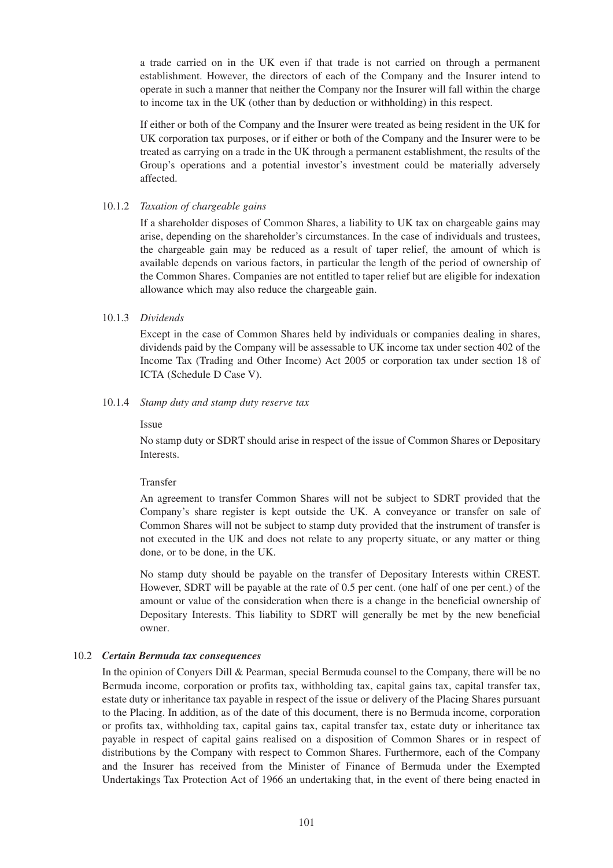a trade carried on in the UK even if that trade is not carried on through a permanent establishment. However, the directors of each of the Company and the Insurer intend to operate in such a manner that neither the Company nor the Insurer will fall within the charge to income tax in the UK (other than by deduction or withholding) in this respect.

If either or both of the Company and the Insurer were treated as being resident in the UK for UK corporation tax purposes, or if either or both of the Company and the Insurer were to be treated as carrying on a trade in the UK through a permanent establishment, the results of the Group's operations and a potential investor's investment could be materially adversely affected.

### 10.1.2 *Taxation of chargeable gains*

If a shareholder disposes of Common Shares, a liability to UK tax on chargeable gains may arise, depending on the shareholder's circumstances. In the case of individuals and trustees, the chargeable gain may be reduced as a result of taper relief, the amount of which is available depends on various factors, in particular the length of the period of ownership of the Common Shares. Companies are not entitled to taper relief but are eligible for indexation allowance which may also reduce the chargeable gain.

# 10.1.3 *Dividends*

Except in the case of Common Shares held by individuals or companies dealing in shares, dividends paid by the Company will be assessable to UK income tax under section 402 of the Income Tax (Trading and Other Income) Act 2005 or corporation tax under section 18 of ICTA (Schedule D Case V).

# 10.1.4 *Stamp duty and stamp duty reserve tax*

# **Issue**

No stamp duty or SDRT should arise in respect of the issue of Common Shares or Depositary Interests.

# Transfer

An agreement to transfer Common Shares will not be subject to SDRT provided that the Company's share register is kept outside the UK. A conveyance or transfer on sale of Common Shares will not be subject to stamp duty provided that the instrument of transfer is not executed in the UK and does not relate to any property situate, or any matter or thing done, or to be done, in the UK.

No stamp duty should be payable on the transfer of Depositary Interests within CREST. However, SDRT will be payable at the rate of 0.5 per cent. (one half of one per cent.) of the amount or value of the consideration when there is a change in the beneficial ownership of Depositary Interests. This liability to SDRT will generally be met by the new beneficial owner.

# 10.2 *Certain Bermuda tax consequences*

In the opinion of Conyers Dill & Pearman, special Bermuda counsel to the Company, there will be no Bermuda income, corporation or profits tax, withholding tax, capital gains tax, capital transfer tax, estate duty or inheritance tax payable in respect of the issue or delivery of the Placing Shares pursuant to the Placing. In addition, as of the date of this document, there is no Bermuda income, corporation or profits tax, withholding tax, capital gains tax, capital transfer tax, estate duty or inheritance tax payable in respect of capital gains realised on a disposition of Common Shares or in respect of distributions by the Company with respect to Common Shares. Furthermore, each of the Company and the Insurer has received from the Minister of Finance of Bermuda under the Exempted Undertakings Tax Protection Act of 1966 an undertaking that, in the event of there being enacted in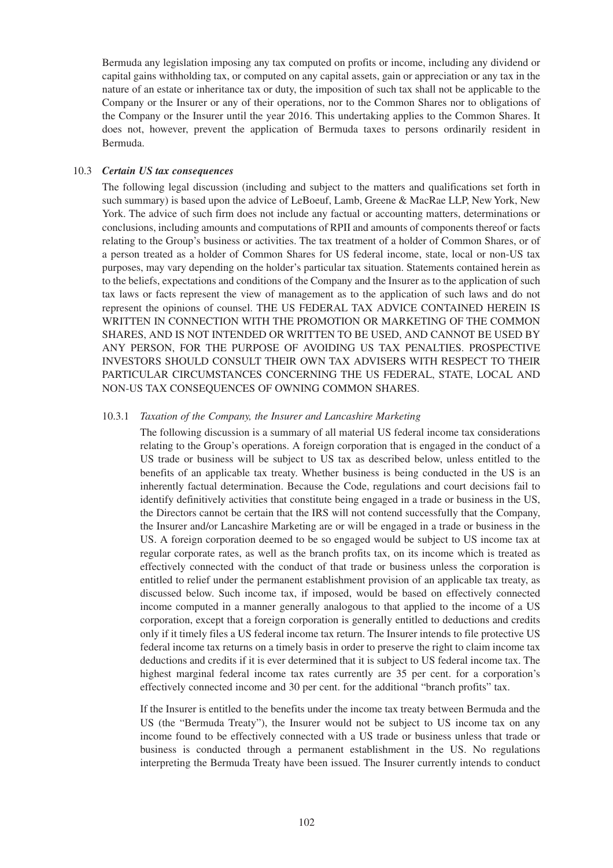Bermuda any legislation imposing any tax computed on profits or income, including any dividend or capital gains withholding tax, or computed on any capital assets, gain or appreciation or any tax in the nature of an estate or inheritance tax or duty, the imposition of such tax shall not be applicable to the Company or the Insurer or any of their operations, nor to the Common Shares nor to obligations of the Company or the Insurer until the year 2016. This undertaking applies to the Common Shares. It does not, however, prevent the application of Bermuda taxes to persons ordinarily resident in Bermuda.

### 10.3 *Certain US tax consequences*

The following legal discussion (including and subject to the matters and qualifications set forth in such summary) is based upon the advice of LeBoeuf, Lamb, Greene & MacRae LLP, New York, New York. The advice of such firm does not include any factual or accounting matters, determinations or conclusions, including amounts and computations of RPII and amounts of components thereof or facts relating to the Group's business or activities. The tax treatment of a holder of Common Shares, or of a person treated as a holder of Common Shares for US federal income, state, local or non-US tax purposes, may vary depending on the holder's particular tax situation. Statements contained herein as to the beliefs, expectations and conditions of the Company and the Insurer as to the application of such tax laws or facts represent the view of management as to the application of such laws and do not represent the opinions of counsel. THE US FEDERAL TAX ADVICE CONTAINED HEREIN IS WRITTEN IN CONNECTION WITH THE PROMOTION OR MARKETING OF THE COMMON SHARES, AND IS NOT INTENDED OR WRITTEN TO BE USED, AND CANNOT BE USED BY ANY PERSON, FOR THE PURPOSE OF AVOIDING US TAX PENALTIES. PROSPECTIVE INVESTORS SHOULD CONSULT THEIR OWN TAX ADVISERS WITH RESPECT TO THEIR PARTICULAR CIRCUMSTANCES CONCERNING THE US FEDERAL, STATE, LOCAL AND NON-US TAX CONSEQUENCES OF OWNING COMMON SHARES.

# 10.3.1 *Taxation of the Company, the Insurer and Lancashire Marketing*

The following discussion is a summary of all material US federal income tax considerations relating to the Group's operations. A foreign corporation that is engaged in the conduct of a US trade or business will be subject to US tax as described below, unless entitled to the benefits of an applicable tax treaty. Whether business is being conducted in the US is an inherently factual determination. Because the Code, regulations and court decisions fail to identify definitively activities that constitute being engaged in a trade or business in the US, the Directors cannot be certain that the IRS will not contend successfully that the Company, the Insurer and/or Lancashire Marketing are or will be engaged in a trade or business in the US. A foreign corporation deemed to be so engaged would be subject to US income tax at regular corporate rates, as well as the branch profits tax, on its income which is treated as effectively connected with the conduct of that trade or business unless the corporation is entitled to relief under the permanent establishment provision of an applicable tax treaty, as discussed below. Such income tax, if imposed, would be based on effectively connected income computed in a manner generally analogous to that applied to the income of a US corporation, except that a foreign corporation is generally entitled to deductions and credits only if it timely files a US federal income tax return. The Insurer intends to file protective US federal income tax returns on a timely basis in order to preserve the right to claim income tax deductions and credits if it is ever determined that it is subject to US federal income tax. The highest marginal federal income tax rates currently are 35 per cent. for a corporation's effectively connected income and 30 per cent. for the additional "branch profits" tax.

If the Insurer is entitled to the benefits under the income tax treaty between Bermuda and the US (the "Bermuda Treaty"), the Insurer would not be subject to US income tax on any income found to be effectively connected with a US trade or business unless that trade or business is conducted through a permanent establishment in the US. No regulations interpreting the Bermuda Treaty have been issued. The Insurer currently intends to conduct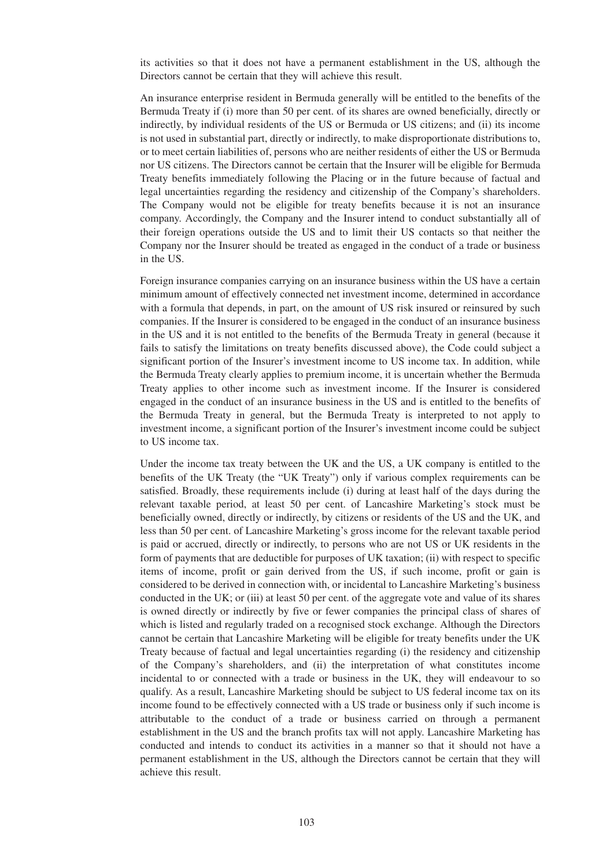its activities so that it does not have a permanent establishment in the US, although the Directors cannot be certain that they will achieve this result.

An insurance enterprise resident in Bermuda generally will be entitled to the benefits of the Bermuda Treaty if (i) more than 50 per cent. of its shares are owned beneficially, directly or indirectly, by individual residents of the US or Bermuda or US citizens; and (ii) its income is not used in substantial part, directly or indirectly, to make disproportionate distributions to, or to meet certain liabilities of, persons who are neither residents of either the US or Bermuda nor US citizens. The Directors cannot be certain that the Insurer will be eligible for Bermuda Treaty benefits immediately following the Placing or in the future because of factual and legal uncertainties regarding the residency and citizenship of the Company's shareholders. The Company would not be eligible for treaty benefits because it is not an insurance company. Accordingly, the Company and the Insurer intend to conduct substantially all of their foreign operations outside the US and to limit their US contacts so that neither the Company nor the Insurer should be treated as engaged in the conduct of a trade or business in the US.

Foreign insurance companies carrying on an insurance business within the US have a certain minimum amount of effectively connected net investment income, determined in accordance with a formula that depends, in part, on the amount of US risk insured or reinsured by such companies. If the Insurer is considered to be engaged in the conduct of an insurance business in the US and it is not entitled to the benefits of the Bermuda Treaty in general (because it fails to satisfy the limitations on treaty benefits discussed above), the Code could subject a significant portion of the Insurer's investment income to US income tax. In addition, while the Bermuda Treaty clearly applies to premium income, it is uncertain whether the Bermuda Treaty applies to other income such as investment income. If the Insurer is considered engaged in the conduct of an insurance business in the US and is entitled to the benefits of the Bermuda Treaty in general, but the Bermuda Treaty is interpreted to not apply to investment income, a significant portion of the Insurer's investment income could be subject to US income tax.

Under the income tax treaty between the UK and the US, a UK company is entitled to the benefits of the UK Treaty (the "UK Treaty") only if various complex requirements can be satisfied. Broadly, these requirements include (i) during at least half of the days during the relevant taxable period, at least 50 per cent. of Lancashire Marketing's stock must be beneficially owned, directly or indirectly, by citizens or residents of the US and the UK, and less than 50 per cent. of Lancashire Marketing's gross income for the relevant taxable period is paid or accrued, directly or indirectly, to persons who are not US or UK residents in the form of payments that are deductible for purposes of UK taxation; (ii) with respect to specific items of income, profit or gain derived from the US, if such income, profit or gain is considered to be derived in connection with, or incidental to Lancashire Marketing's business conducted in the UK; or (iii) at least 50 per cent. of the aggregate vote and value of its shares is owned directly or indirectly by five or fewer companies the principal class of shares of which is listed and regularly traded on a recognised stock exchange. Although the Directors cannot be certain that Lancashire Marketing will be eligible for treaty benefits under the UK Treaty because of factual and legal uncertainties regarding (i) the residency and citizenship of the Company's shareholders, and (ii) the interpretation of what constitutes income incidental to or connected with a trade or business in the UK, they will endeavour to so qualify. As a result, Lancashire Marketing should be subject to US federal income tax on its income found to be effectively connected with a US trade or business only if such income is attributable to the conduct of a trade or business carried on through a permanent establishment in the US and the branch profits tax will not apply. Lancashire Marketing has conducted and intends to conduct its activities in a manner so that it should not have a permanent establishment in the US, although the Directors cannot be certain that they will achieve this result.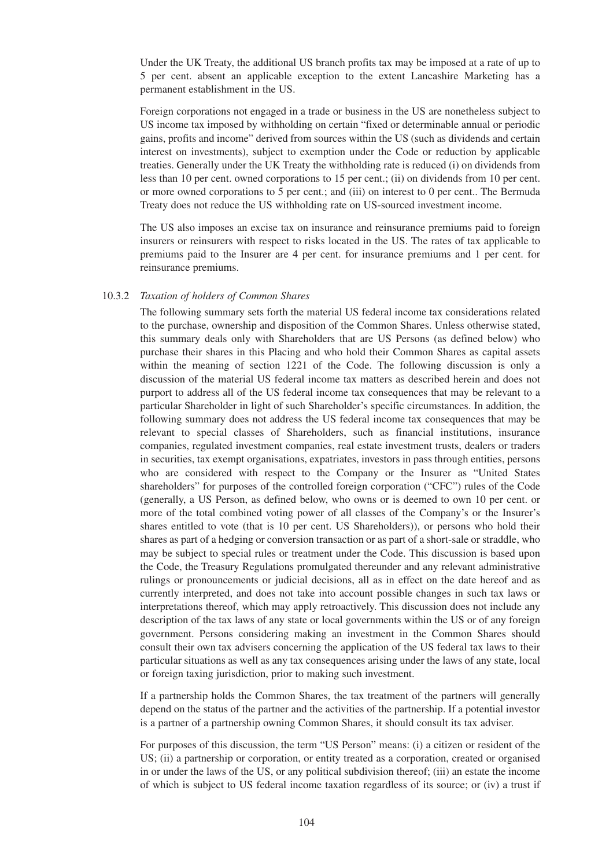Under the UK Treaty, the additional US branch profits tax may be imposed at a rate of up to 5 per cent. absent an applicable exception to the extent Lancashire Marketing has a permanent establishment in the US.

Foreign corporations not engaged in a trade or business in the US are nonetheless subject to US income tax imposed by withholding on certain "fixed or determinable annual or periodic gains, profits and income" derived from sources within the US (such as dividends and certain interest on investments), subject to exemption under the Code or reduction by applicable treaties. Generally under the UK Treaty the withholding rate is reduced (i) on dividends from less than 10 per cent. owned corporations to 15 per cent.; (ii) on dividends from 10 per cent. or more owned corporations to 5 per cent.; and (iii) on interest to 0 per cent.. The Bermuda Treaty does not reduce the US withholding rate on US-sourced investment income.

The US also imposes an excise tax on insurance and reinsurance premiums paid to foreign insurers or reinsurers with respect to risks located in the US. The rates of tax applicable to premiums paid to the Insurer are 4 per cent. for insurance premiums and 1 per cent. for reinsurance premiums.

# 10.3.2 *Taxation of holders of Common Shares*

The following summary sets forth the material US federal income tax considerations related to the purchase, ownership and disposition of the Common Shares. Unless otherwise stated, this summary deals only with Shareholders that are US Persons (as defined below) who purchase their shares in this Placing and who hold their Common Shares as capital assets within the meaning of section 1221 of the Code. The following discussion is only a discussion of the material US federal income tax matters as described herein and does not purport to address all of the US federal income tax consequences that may be relevant to a particular Shareholder in light of such Shareholder's specific circumstances. In addition, the following summary does not address the US federal income tax consequences that may be relevant to special classes of Shareholders, such as financial institutions, insurance companies, regulated investment companies, real estate investment trusts, dealers or traders in securities, tax exempt organisations, expatriates, investors in pass through entities, persons who are considered with respect to the Company or the Insurer as "United States shareholders" for purposes of the controlled foreign corporation ("CFC") rules of the Code (generally, a US Person, as defined below, who owns or is deemed to own 10 per cent. or more of the total combined voting power of all classes of the Company's or the Insurer's shares entitled to vote (that is 10 per cent. US Shareholders)), or persons who hold their shares as part of a hedging or conversion transaction or as part of a short-sale or straddle, who may be subject to special rules or treatment under the Code. This discussion is based upon the Code, the Treasury Regulations promulgated thereunder and any relevant administrative rulings or pronouncements or judicial decisions, all as in effect on the date hereof and as currently interpreted, and does not take into account possible changes in such tax laws or interpretations thereof, which may apply retroactively. This discussion does not include any description of the tax laws of any state or local governments within the US or of any foreign government. Persons considering making an investment in the Common Shares should consult their own tax advisers concerning the application of the US federal tax laws to their particular situations as well as any tax consequences arising under the laws of any state, local or foreign taxing jurisdiction, prior to making such investment.

If a partnership holds the Common Shares, the tax treatment of the partners will generally depend on the status of the partner and the activities of the partnership. If a potential investor is a partner of a partnership owning Common Shares, it should consult its tax adviser.

For purposes of this discussion, the term "US Person" means: (i) a citizen or resident of the US; (ii) a partnership or corporation, or entity treated as a corporation, created or organised in or under the laws of the US, or any political subdivision thereof; (iii) an estate the income of which is subject to US federal income taxation regardless of its source; or (iv) a trust if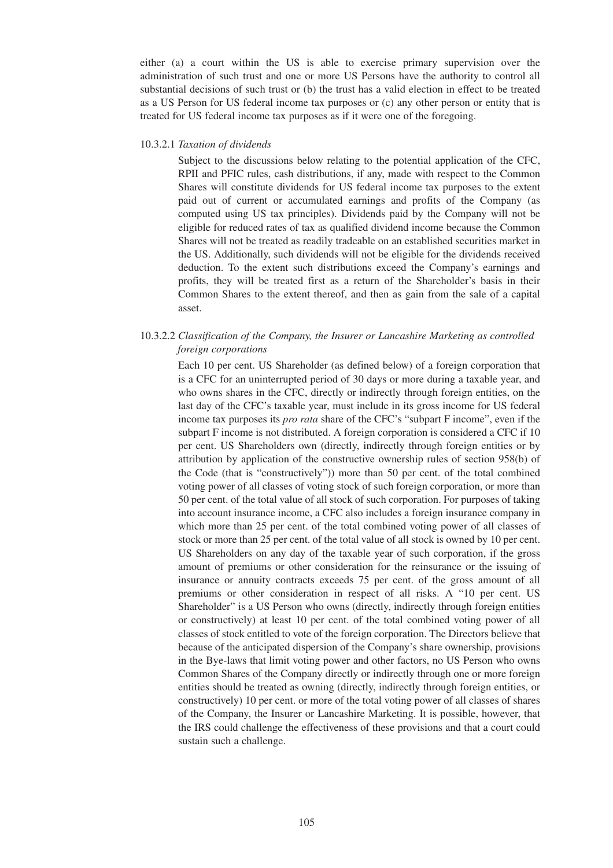either (a) a court within the US is able to exercise primary supervision over the administration of such trust and one or more US Persons have the authority to control all substantial decisions of such trust or (b) the trust has a valid election in effect to be treated as a US Person for US federal income tax purposes or (c) any other person or entity that is treated for US federal income tax purposes as if it were one of the foregoing.

#### 10.3.2.1 *Taxation of dividends*

Subject to the discussions below relating to the potential application of the CFC, RPII and PFIC rules, cash distributions, if any, made with respect to the Common Shares will constitute dividends for US federal income tax purposes to the extent paid out of current or accumulated earnings and profits of the Company (as computed using US tax principles). Dividends paid by the Company will not be eligible for reduced rates of tax as qualified dividend income because the Common Shares will not be treated as readily tradeable on an established securities market in the US. Additionally, such dividends will not be eligible for the dividends received deduction. To the extent such distributions exceed the Company's earnings and profits, they will be treated first as a return of the Shareholder's basis in their Common Shares to the extent thereof, and then as gain from the sale of a capital asset.

# 10.3.2.2 *Classification of the Company, the Insurer or Lancashire Marketing as controlled foreign corporations*

Each 10 per cent. US Shareholder (as defined below) of a foreign corporation that is a CFC for an uninterrupted period of 30 days or more during a taxable year, and who owns shares in the CFC, directly or indirectly through foreign entities, on the last day of the CFC's taxable year, must include in its gross income for US federal income tax purposes its *pro rata* share of the CFC's "subpart F income", even if the subpart F income is not distributed. A foreign corporation is considered a CFC if 10 per cent. US Shareholders own (directly, indirectly through foreign entities or by attribution by application of the constructive ownership rules of section 958(b) of the Code (that is "constructively")) more than 50 per cent. of the total combined voting power of all classes of voting stock of such foreign corporation, or more than 50 per cent. of the total value of all stock of such corporation. For purposes of taking into account insurance income, a CFC also includes a foreign insurance company in which more than 25 per cent. of the total combined voting power of all classes of stock or more than 25 per cent. of the total value of all stock is owned by 10 per cent. US Shareholders on any day of the taxable year of such corporation, if the gross amount of premiums or other consideration for the reinsurance or the issuing of insurance or annuity contracts exceeds 75 per cent. of the gross amount of all premiums or other consideration in respect of all risks. A "10 per cent. US Shareholder" is a US Person who owns (directly, indirectly through foreign entities or constructively) at least 10 per cent. of the total combined voting power of all classes of stock entitled to vote of the foreign corporation. The Directors believe that because of the anticipated dispersion of the Company's share ownership, provisions in the Bye-laws that limit voting power and other factors, no US Person who owns Common Shares of the Company directly or indirectly through one or more foreign entities should be treated as owning (directly, indirectly through foreign entities, or constructively) 10 per cent. or more of the total voting power of all classes of shares of the Company, the Insurer or Lancashire Marketing. It is possible, however, that the IRS could challenge the effectiveness of these provisions and that a court could sustain such a challenge.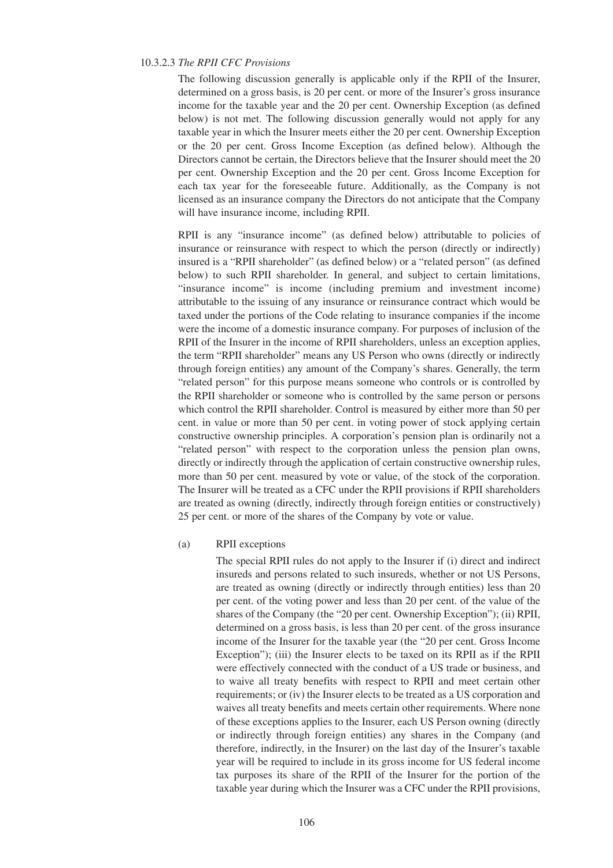#### 10.3.2.3 *The RPII CFC Provisions*

The following discussion generally is applicable only if the RPII of the Insurer, determined on a gross basis, is 20 per cent. or more of the Insurer's gross insurance income for the taxable year and the 20 per cent. Ownership Exception (as defined below) is not met. The following discussion generally would not apply for any taxable year in which the Insurer meets either the 20 per cent. Ownership Exception or the 20 per cent. Gross Income Exception (as defined below). Although the Directors cannot be certain, the Directors believe that the Insurer should meet the 20 per cent. Ownership Exception and the 20 per cent. Gross Income Exception for each tax year for the foreseeable future. Additionally, as the Company is not licensed as an insurance company the Directors do not anticipate that the Company will have insurance income, including RPII.

RPII is any "insurance income" (as defined below) attributable to policies of insurance or reinsurance with respect to which the person (directly or indirectly) insured is a "RPII shareholder" (as defined below) or a "related person" (as defined below) to such RPII shareholder. In general, and subject to certain limitations, "insurance income" is income (including premium and investment income) attributable to the issuing of any insurance or reinsurance contract which would be taxed under the portions of the Code relating to insurance companies if the income were the income of a domestic insurance company. For purposes of inclusion of the RPII of the Insurer in the income of RPII shareholders, unless an exception applies, the term "RPII shareholder" means any US Person who owns (directly or indirectly through foreign entities) any amount of the Company's shares. Generally, the term "related person" for this purpose means someone who controls or is controlled by the RPII shareholder or someone who is controlled by the same person or persons which control the RPII shareholder. Control is measured by either more than 50 per cent. in value or more than 50 per cent. in voting power of stock applying certain constructive ownership principles. A corporation's pension plan is ordinarily not a "related person" with respect to the corporation unless the pension plan owns, directly or indirectly through the application of certain constructive ownership rules, more than 50 per cent. measured by vote or value, of the stock of the corporation. The Insurer will be treated as a CFC under the RPII provisions if RPII shareholders are treated as owning (directly, indirectly through foreign entities or constructively) 25 per cent. or more of the shares of the Company by vote or value.

#### (a) RPII exceptions

The special RPII rules do not apply to the Insurer if (i) direct and indirect insureds and persons related to such insureds, whether or not US Persons, are treated as owning (directly or indirectly through entities) less than 20 per cent. of the voting power and less than 20 per cent. of the value of the shares of the Company (the "20 per cent. Ownership Exception"); (ii) RPII, determined on a gross basis, is less than 20 per cent. of the gross insurance income of the Insurer for the taxable year (the "20 per cent. Gross Income Exception"); (iii) the Insurer elects to be taxed on its RPII as if the RPII were effectively connected with the conduct of a US trade or business, and to waive all treaty benefits with respect to RPII and meet certain other requirements; or (iv) the Insurer elects to be treated as a US corporation and waives all treaty benefits and meets certain other requirements. Where none of these exceptions applies to the Insurer, each US Person owning (directly or indirectly through foreign entities) any shares in the Company (and therefore, indirectly, in the Insurer) on the last day of the Insurer's taxable year will be required to include in its gross income for US federal income tax purposes its share of the RPII of the Insurer for the portion of the taxable year during which the Insurer was a CFC under the RPII provisions,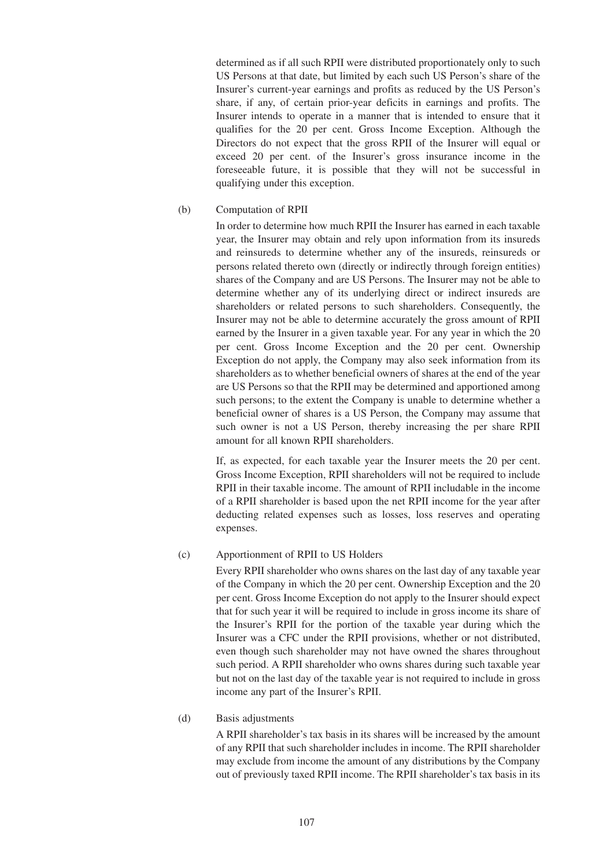determined as if all such RPII were distributed proportionately only to such US Persons at that date, but limited by each such US Person's share of the Insurer's current-year earnings and profits as reduced by the US Person's share, if any, of certain prior-year deficits in earnings and profits. The Insurer intends to operate in a manner that is intended to ensure that it qualifies for the 20 per cent. Gross Income Exception. Although the Directors do not expect that the gross RPII of the Insurer will equal or exceed 20 per cent. of the Insurer's gross insurance income in the foreseeable future, it is possible that they will not be successful in qualifying under this exception.

### (b) Computation of RPII

In order to determine how much RPII the Insurer has earned in each taxable year, the Insurer may obtain and rely upon information from its insureds and reinsureds to determine whether any of the insureds, reinsureds or persons related thereto own (directly or indirectly through foreign entities) shares of the Company and are US Persons. The Insurer may not be able to determine whether any of its underlying direct or indirect insureds are shareholders or related persons to such shareholders. Consequently, the Insurer may not be able to determine accurately the gross amount of RPII earned by the Insurer in a given taxable year. For any year in which the 20 per cent. Gross Income Exception and the 20 per cent. Ownership Exception do not apply, the Company may also seek information from its shareholders as to whether beneficial owners of shares at the end of the year are US Persons so that the RPII may be determined and apportioned among such persons; to the extent the Company is unable to determine whether a beneficial owner of shares is a US Person, the Company may assume that such owner is not a US Person, thereby increasing the per share RPII amount for all known RPII shareholders.

If, as expected, for each taxable year the Insurer meets the 20 per cent. Gross Income Exception, RPII shareholders will not be required to include RPII in their taxable income. The amount of RPII includable in the income of a RPII shareholder is based upon the net RPII income for the year after deducting related expenses such as losses, loss reserves and operating expenses.

# (c) Apportionment of RPII to US Holders

Every RPII shareholder who owns shares on the last day of any taxable year of the Company in which the 20 per cent. Ownership Exception and the 20 per cent. Gross Income Exception do not apply to the Insurer should expect that for such year it will be required to include in gross income its share of the Insurer's RPII for the portion of the taxable year during which the Insurer was a CFC under the RPII provisions, whether or not distributed, even though such shareholder may not have owned the shares throughout such period. A RPII shareholder who owns shares during such taxable year but not on the last day of the taxable year is not required to include in gross income any part of the Insurer's RPII.

# (d) Basis adjustments

A RPII shareholder's tax basis in its shares will be increased by the amount of any RPII that such shareholder includes in income. The RPII shareholder may exclude from income the amount of any distributions by the Company out of previously taxed RPII income. The RPII shareholder's tax basis in its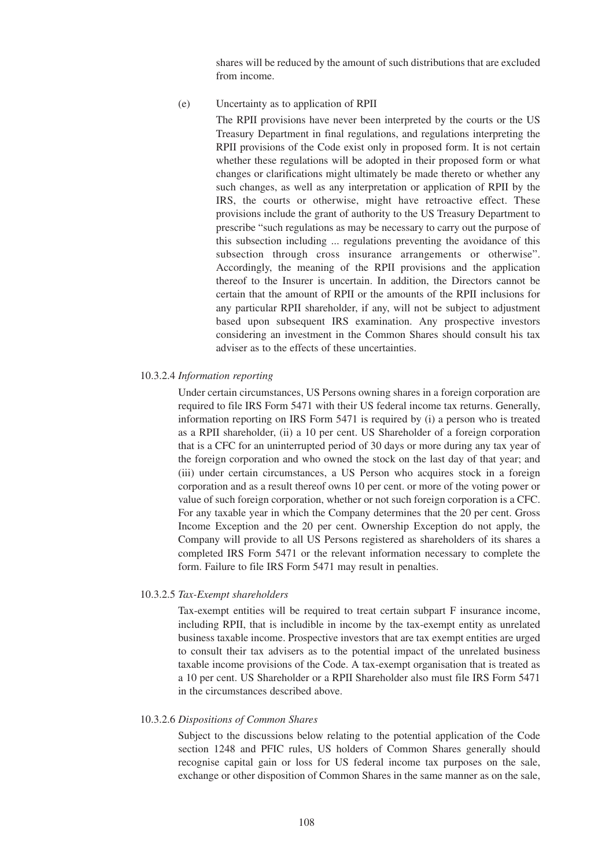shares will be reduced by the amount of such distributions that are excluded from income.

(e) Uncertainty as to application of RPII

The RPII provisions have never been interpreted by the courts or the US Treasury Department in final regulations, and regulations interpreting the RPII provisions of the Code exist only in proposed form. It is not certain whether these regulations will be adopted in their proposed form or what changes or clarifications might ultimately be made thereto or whether any such changes, as well as any interpretation or application of RPII by the IRS, the courts or otherwise, might have retroactive effect. These provisions include the grant of authority to the US Treasury Department to prescribe "such regulations as may be necessary to carry out the purpose of this subsection including ... regulations preventing the avoidance of this subsection through cross insurance arrangements or otherwise". Accordingly, the meaning of the RPII provisions and the application thereof to the Insurer is uncertain. In addition, the Directors cannot be certain that the amount of RPII or the amounts of the RPII inclusions for any particular RPII shareholder, if any, will not be subject to adjustment based upon subsequent IRS examination. Any prospective investors considering an investment in the Common Shares should consult his tax adviser as to the effects of these uncertainties.

10.3.2.4 *Information reporting*

Under certain circumstances, US Persons owning shares in a foreign corporation are required to file IRS Form 5471 with their US federal income tax returns. Generally, information reporting on IRS Form 5471 is required by (i) a person who is treated as a RPII shareholder, (ii) a 10 per cent. US Shareholder of a foreign corporation that is a CFC for an uninterrupted period of 30 days or more during any tax year of the foreign corporation and who owned the stock on the last day of that year; and (iii) under certain circumstances, a US Person who acquires stock in a foreign corporation and as a result thereof owns 10 per cent. or more of the voting power or value of such foreign corporation, whether or not such foreign corporation is a CFC. For any taxable year in which the Company determines that the 20 per cent. Gross Income Exception and the 20 per cent. Ownership Exception do not apply, the Company will provide to all US Persons registered as shareholders of its shares a completed IRS Form 5471 or the relevant information necessary to complete the form. Failure to file IRS Form 5471 may result in penalties.

#### 10.3.2.5 *Tax-Exempt shareholders*

Tax-exempt entities will be required to treat certain subpart F insurance income, including RPII, that is includible in income by the tax-exempt entity as unrelated business taxable income. Prospective investors that are tax exempt entities are urged to consult their tax advisers as to the potential impact of the unrelated business taxable income provisions of the Code. A tax-exempt organisation that is treated as a 10 per cent. US Shareholder or a RPII Shareholder also must file IRS Form 5471 in the circumstances described above.

#### 10.3.2.6 *Dispositions of Common Shares*

Subject to the discussions below relating to the potential application of the Code section 1248 and PFIC rules, US holders of Common Shares generally should recognise capital gain or loss for US federal income tax purposes on the sale, exchange or other disposition of Common Shares in the same manner as on the sale,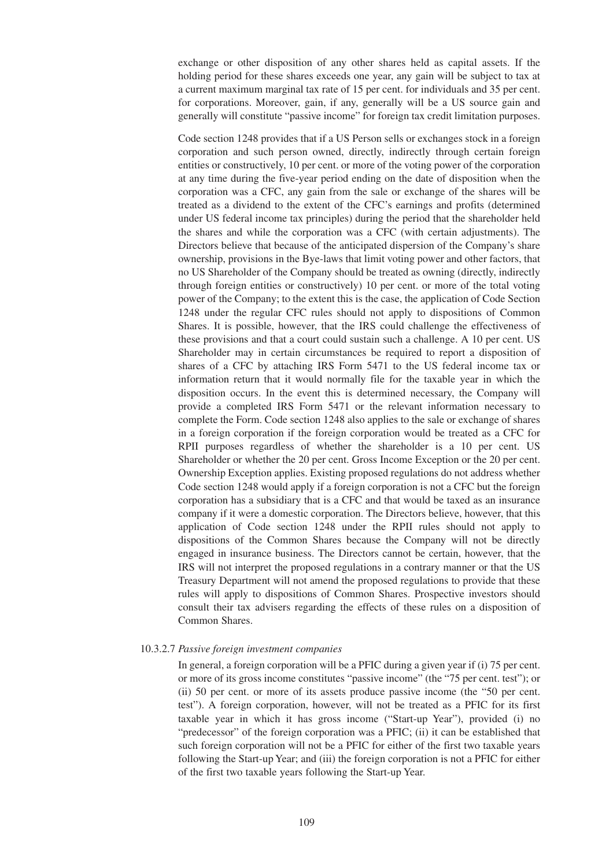exchange or other disposition of any other shares held as capital assets. If the holding period for these shares exceeds one year, any gain will be subject to tax at a current maximum marginal tax rate of 15 per cent. for individuals and 35 per cent. for corporations. Moreover, gain, if any, generally will be a US source gain and generally will constitute "passive income" for foreign tax credit limitation purposes.

Code section 1248 provides that if a US Person sells or exchanges stock in a foreign corporation and such person owned, directly, indirectly through certain foreign entities or constructively, 10 per cent. or more of the voting power of the corporation at any time during the five-year period ending on the date of disposition when the corporation was a CFC, any gain from the sale or exchange of the shares will be treated as a dividend to the extent of the CFC's earnings and profits (determined under US federal income tax principles) during the period that the shareholder held the shares and while the corporation was a CFC (with certain adjustments). The Directors believe that because of the anticipated dispersion of the Company's share ownership, provisions in the Bye-laws that limit voting power and other factors, that no US Shareholder of the Company should be treated as owning (directly, indirectly through foreign entities or constructively) 10 per cent. or more of the total voting power of the Company; to the extent this is the case, the application of Code Section 1248 under the regular CFC rules should not apply to dispositions of Common Shares. It is possible, however, that the IRS could challenge the effectiveness of these provisions and that a court could sustain such a challenge. A 10 per cent. US Shareholder may in certain circumstances be required to report a disposition of shares of a CFC by attaching IRS Form 5471 to the US federal income tax or information return that it would normally file for the taxable year in which the disposition occurs. In the event this is determined necessary, the Company will provide a completed IRS Form 5471 or the relevant information necessary to complete the Form. Code section 1248 also applies to the sale or exchange of shares in a foreign corporation if the foreign corporation would be treated as a CFC for RPII purposes regardless of whether the shareholder is a 10 per cent. US Shareholder or whether the 20 per cent. Gross Income Exception or the 20 per cent. Ownership Exception applies. Existing proposed regulations do not address whether Code section 1248 would apply if a foreign corporation is not a CFC but the foreign corporation has a subsidiary that is a CFC and that would be taxed as an insurance company if it were a domestic corporation. The Directors believe, however, that this application of Code section 1248 under the RPII rules should not apply to dispositions of the Common Shares because the Company will not be directly engaged in insurance business. The Directors cannot be certain, however, that the IRS will not interpret the proposed regulations in a contrary manner or that the US Treasury Department will not amend the proposed regulations to provide that these rules will apply to dispositions of Common Shares. Prospective investors should consult their tax advisers regarding the effects of these rules on a disposition of Common Shares.

#### 10.3.2.7 *Passive foreign investment companies*

In general, a foreign corporation will be a PFIC during a given year if (i) 75 per cent. or more of its gross income constitutes "passive income" (the "75 per cent. test"); or (ii) 50 per cent. or more of its assets produce passive income (the "50 per cent. test"). A foreign corporation, however, will not be treated as a PFIC for its first taxable year in which it has gross income ("Start-up Year"), provided (i) no "predecessor" of the foreign corporation was a PFIC; (ii) it can be established that such foreign corporation will not be a PFIC for either of the first two taxable years following the Start-up Year; and (iii) the foreign corporation is not a PFIC for either of the first two taxable years following the Start-up Year.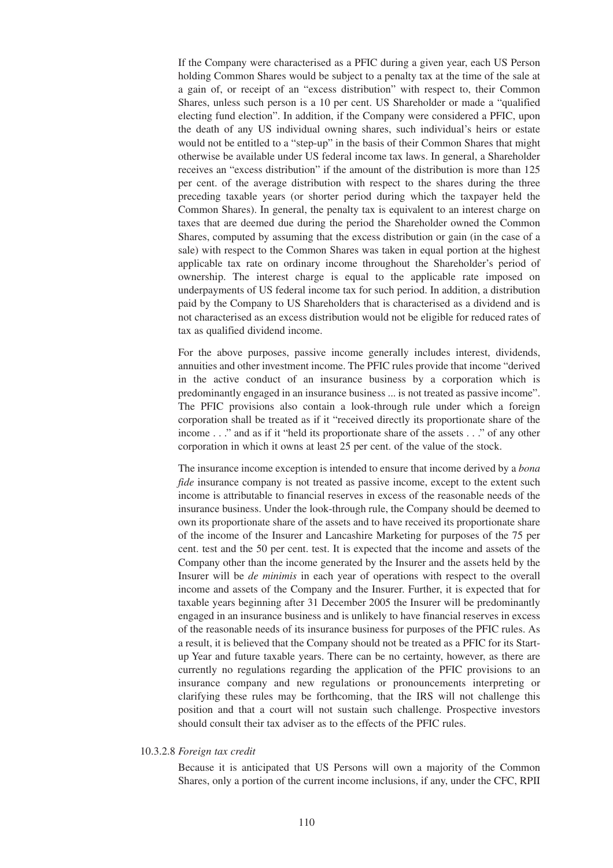If the Company were characterised as a PFIC during a given year, each US Person holding Common Shares would be subject to a penalty tax at the time of the sale at a gain of, or receipt of an "excess distribution" with respect to, their Common Shares, unless such person is a 10 per cent. US Shareholder or made a "qualified electing fund election". In addition, if the Company were considered a PFIC, upon the death of any US individual owning shares, such individual's heirs or estate would not be entitled to a "step-up" in the basis of their Common Shares that might otherwise be available under US federal income tax laws. In general, a Shareholder receives an "excess distribution" if the amount of the distribution is more than 125 per cent. of the average distribution with respect to the shares during the three preceding taxable years (or shorter period during which the taxpayer held the Common Shares). In general, the penalty tax is equivalent to an interest charge on taxes that are deemed due during the period the Shareholder owned the Common Shares, computed by assuming that the excess distribution or gain (in the case of a sale) with respect to the Common Shares was taken in equal portion at the highest applicable tax rate on ordinary income throughout the Shareholder's period of ownership. The interest charge is equal to the applicable rate imposed on underpayments of US federal income tax for such period. In addition, a distribution paid by the Company to US Shareholders that is characterised as a dividend and is not characterised as an excess distribution would not be eligible for reduced rates of tax as qualified dividend income.

For the above purposes, passive income generally includes interest, dividends, annuities and other investment income. The PFIC rules provide that income "derived in the active conduct of an insurance business by a corporation which is predominantly engaged in an insurance business ... is not treated as passive income". The PFIC provisions also contain a look-through rule under which a foreign corporation shall be treated as if it "received directly its proportionate share of the income . . ." and as if it "held its proportionate share of the assets . . ." of any other corporation in which it owns at least 25 per cent. of the value of the stock.

The insurance income exception is intended to ensure that income derived by a *bona fide* insurance company is not treated as passive income, except to the extent such income is attributable to financial reserves in excess of the reasonable needs of the insurance business. Under the look-through rule, the Company should be deemed to own its proportionate share of the assets and to have received its proportionate share of the income of the Insurer and Lancashire Marketing for purposes of the 75 per cent. test and the 50 per cent. test. It is expected that the income and assets of the Company other than the income generated by the Insurer and the assets held by the Insurer will be *de minimis* in each year of operations with respect to the overall income and assets of the Company and the Insurer. Further, it is expected that for taxable years beginning after 31 December 2005 the Insurer will be predominantly engaged in an insurance business and is unlikely to have financial reserves in excess of the reasonable needs of its insurance business for purposes of the PFIC rules. As a result, it is believed that the Company should not be treated as a PFIC for its Startup Year and future taxable years. There can be no certainty, however, as there are currently no regulations regarding the application of the PFIC provisions to an insurance company and new regulations or pronouncements interpreting or clarifying these rules may be forthcoming, that the IRS will not challenge this position and that a court will not sustain such challenge. Prospective investors should consult their tax adviser as to the effects of the PFIC rules.

#### 10.3.2.8 *Foreign tax credit*

Because it is anticipated that US Persons will own a majority of the Common Shares, only a portion of the current income inclusions, if any, under the CFC, RPII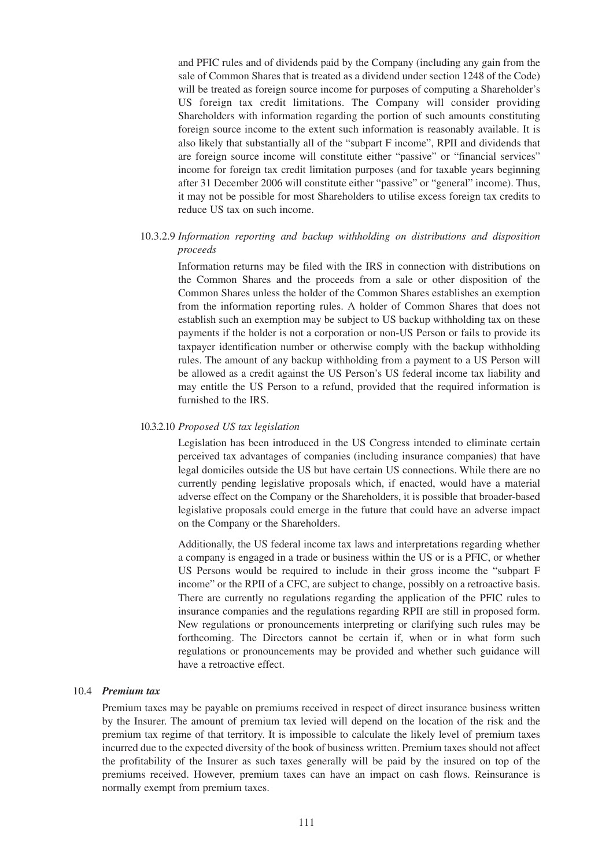and PFIC rules and of dividends paid by the Company (including any gain from the sale of Common Shares that is treated as a dividend under section 1248 of the Code) will be treated as foreign source income for purposes of computing a Shareholder's US foreign tax credit limitations. The Company will consider providing Shareholders with information regarding the portion of such amounts constituting foreign source income to the extent such information is reasonably available. It is also likely that substantially all of the "subpart F income", RPII and dividends that are foreign source income will constitute either "passive" or "financial services" income for foreign tax credit limitation purposes (and for taxable years beginning after 31 December 2006 will constitute either "passive" or "general" income). Thus, it may not be possible for most Shareholders to utilise excess foreign tax credits to reduce US tax on such income.

### 10.3.2.9 *Information reporting and backup withholding on distributions and disposition proceeds*

Information returns may be filed with the IRS in connection with distributions on the Common Shares and the proceeds from a sale or other disposition of the Common Shares unless the holder of the Common Shares establishes an exemption from the information reporting rules. A holder of Common Shares that does not establish such an exemption may be subject to US backup withholding tax on these payments if the holder is not a corporation or non-US Person or fails to provide its taxpayer identification number or otherwise comply with the backup withholding rules. The amount of any backup withholding from a payment to a US Person will be allowed as a credit against the US Person's US federal income tax liability and may entitle the US Person to a refund, provided that the required information is furnished to the IRS.

#### 10.3.2.10 *Proposed US tax legislation*

Legislation has been introduced in the US Congress intended to eliminate certain perceived tax advantages of companies (including insurance companies) that have legal domiciles outside the US but have certain US connections. While there are no currently pending legislative proposals which, if enacted, would have a material adverse effect on the Company or the Shareholders, it is possible that broader-based legislative proposals could emerge in the future that could have an adverse impact on the Company or the Shareholders.

Additionally, the US federal income tax laws and interpretations regarding whether a company is engaged in a trade or business within the US or is a PFIC, or whether US Persons would be required to include in their gross income the "subpart F income" or the RPII of a CFC, are subject to change, possibly on a retroactive basis. There are currently no regulations regarding the application of the PFIC rules to insurance companies and the regulations regarding RPII are still in proposed form. New regulations or pronouncements interpreting or clarifying such rules may be forthcoming. The Directors cannot be certain if, when or in what form such regulations or pronouncements may be provided and whether such guidance will have a retroactive effect.

#### 10.4 *Premium tax*

Premium taxes may be payable on premiums received in respect of direct insurance business written by the Insurer. The amount of premium tax levied will depend on the location of the risk and the premium tax regime of that territory. It is impossible to calculate the likely level of premium taxes incurred due to the expected diversity of the book of business written. Premium taxes should not affect the profitability of the Insurer as such taxes generally will be paid by the insured on top of the premiums received. However, premium taxes can have an impact on cash flows. Reinsurance is normally exempt from premium taxes.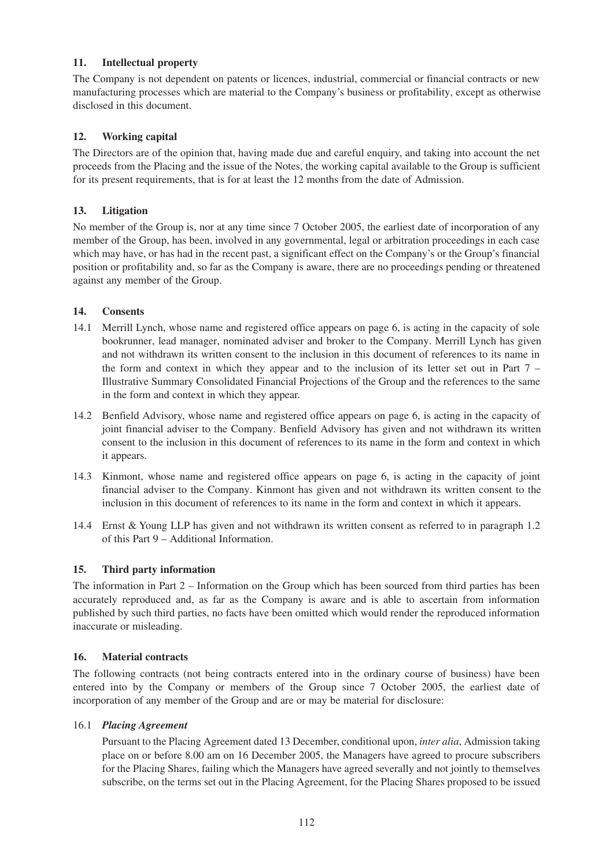# **11. Intellectual property**

The Company is not dependent on patents or licences, industrial, commercial or financial contracts or new manufacturing processes which are material to the Company's business or profitability, except as otherwise disclosed in this document.

# **12. Working capital**

The Directors are of the opinion that, having made due and careful enquiry, and taking into account the net proceeds from the Placing and the issue of the Notes, the working capital available to the Group is sufficient for its present requirements, that is for at least the 12 months from the date of Admission.

# **13. Litigation**

No member of the Group is, nor at any time since 7 October 2005, the earliest date of incorporation of any member of the Group, has been, involved in any governmental, legal or arbitration proceedings in each case which may have, or has had in the recent past, a significant effect on the Company's or the Group's financial position or profitability and, so far as the Company is aware, there are no proceedings pending or threatened against any member of the Group.

# **14. Consents**

- 14.1 Merrill Lynch, whose name and registered office appears on page 6, is acting in the capacity of sole bookrunner, lead manager, nominated adviser and broker to the Company. Merrill Lynch has given and not withdrawn its written consent to the inclusion in this document of references to its name in the form and context in which they appear and to the inclusion of its letter set out in Part 7 – Illustrative Summary Consolidated Financial Projections of the Group and the references to the same in the form and context in which they appear.
- 14.2 Benfield Advisory, whose name and registered office appears on page 6, is acting in the capacity of joint financial adviser to the Company. Benfield Advisory has given and not withdrawn its written consent to the inclusion in this document of references to its name in the form and context in which it appears.
- 14.3 Kinmont, whose name and registered office appears on page 6, is acting in the capacity of joint financial adviser to the Company. Kinmont has given and not withdrawn its written consent to the inclusion in this document of references to its name in the form and context in which it appears.
- 14.4 Ernst & Young LLP has given and not withdrawn its written consent as referred to in paragraph 1.2 of this Part 9 – Additional Information.

# **15. Third party information**

The information in Part 2 – Information on the Group which has been sourced from third parties has been accurately reproduced and, as far as the Company is aware and is able to ascertain from information published by such third parties, no facts have been omitted which would render the reproduced information inaccurate or misleading.

### **16. Material contracts**

The following contracts (not being contracts entered into in the ordinary course of business) have been entered into by the Company or members of the Group since 7 October 2005, the earliest date of incorporation of any member of the Group and are or may be material for disclosure:

### 16.1 *Placing Agreement*

Pursuant to the Placing Agreement dated 13 December, conditional upon, *inter alia*, Admission taking place on or before 8.00 am on 16 December 2005, the Managers have agreed to procure subscribers for the Placing Shares, failing which the Managers have agreed severally and not jointly to themselves subscribe, on the terms set out in the Placing Agreement, for the Placing Shares proposed to be issued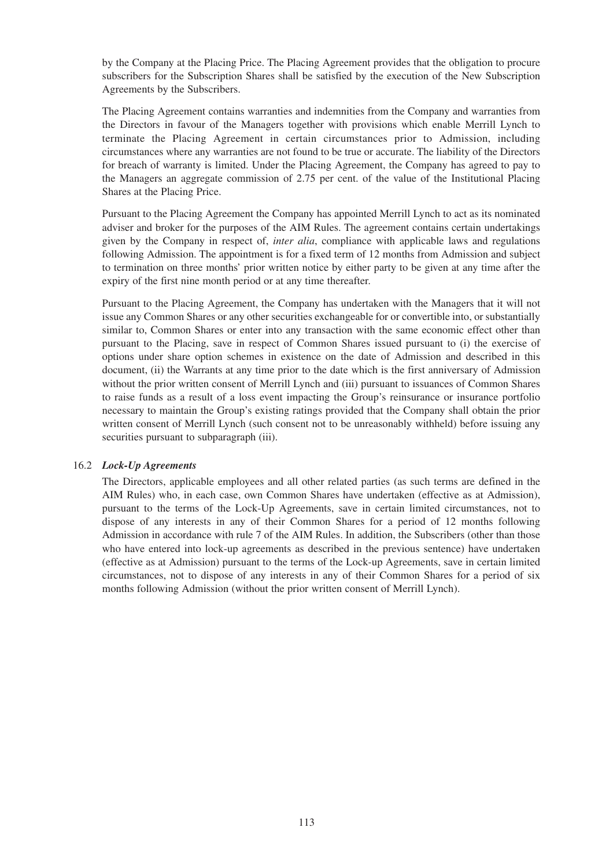by the Company at the Placing Price. The Placing Agreement provides that the obligation to procure subscribers for the Subscription Shares shall be satisfied by the execution of the New Subscription Agreements by the Subscribers.

The Placing Agreement contains warranties and indemnities from the Company and warranties from the Directors in favour of the Managers together with provisions which enable Merrill Lynch to terminate the Placing Agreement in certain circumstances prior to Admission, including circumstances where any warranties are not found to be true or accurate. The liability of the Directors for breach of warranty is limited. Under the Placing Agreement, the Company has agreed to pay to the Managers an aggregate commission of 2.75 per cent. of the value of the Institutional Placing Shares at the Placing Price.

Pursuant to the Placing Agreement the Company has appointed Merrill Lynch to act as its nominated adviser and broker for the purposes of the AIM Rules. The agreement contains certain undertakings given by the Company in respect of, *inter alia*, compliance with applicable laws and regulations following Admission. The appointment is for a fixed term of 12 months from Admission and subject to termination on three months' prior written notice by either party to be given at any time after the expiry of the first nine month period or at any time thereafter.

Pursuant to the Placing Agreement, the Company has undertaken with the Managers that it will not issue any Common Shares or any other securities exchangeable for or convertible into, or substantially similar to, Common Shares or enter into any transaction with the same economic effect other than pursuant to the Placing, save in respect of Common Shares issued pursuant to (i) the exercise of options under share option schemes in existence on the date of Admission and described in this document, (ii) the Warrants at any time prior to the date which is the first anniversary of Admission without the prior written consent of Merrill Lynch and (iii) pursuant to issuances of Common Shares to raise funds as a result of a loss event impacting the Group's reinsurance or insurance portfolio necessary to maintain the Group's existing ratings provided that the Company shall obtain the prior written consent of Merrill Lynch (such consent not to be unreasonably withheld) before issuing any securities pursuant to subparagraph (iii).

### 16.2 *Lock-Up Agreements*

The Directors, applicable employees and all other related parties (as such terms are defined in the AIM Rules) who, in each case, own Common Shares have undertaken (effective as at Admission), pursuant to the terms of the Lock-Up Agreements, save in certain limited circumstances, not to dispose of any interests in any of their Common Shares for a period of 12 months following Admission in accordance with rule 7 of the AIM Rules. In addition, the Subscribers (other than those who have entered into lock-up agreements as described in the previous sentence) have undertaken (effective as at Admission) pursuant to the terms of the Lock-up Agreements, save in certain limited circumstances, not to dispose of any interests in any of their Common Shares for a period of six months following Admission (without the prior written consent of Merrill Lynch).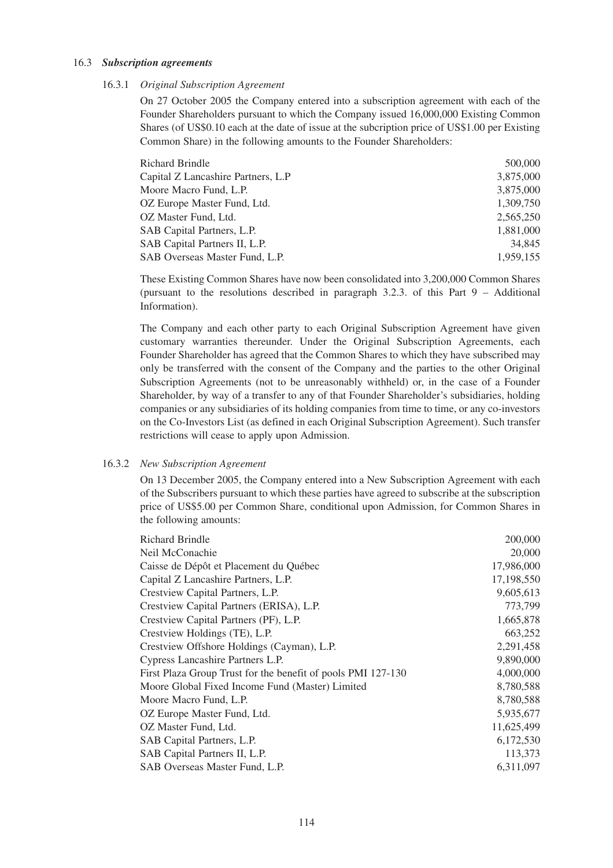#### 16.3 *Subscription agreements*

#### 16.3.1 *Original Subscription Agreement*

On 27 October 2005 the Company entered into a subscription agreement with each of the Founder Shareholders pursuant to which the Company issued 16,000,000 Existing Common Shares (of US\$0.10 each at the date of issue at the subcription price of US\$1.00 per Existing Common Share) in the following amounts to the Founder Shareholders:

| <b>Richard Brindle</b>             | 500,000   |
|------------------------------------|-----------|
| Capital Z Lancashire Partners, L.P | 3,875,000 |
| Moore Macro Fund, L.P.             | 3,875,000 |
| OZ Europe Master Fund, Ltd.        | 1.309.750 |
| OZ Master Fund, Ltd.               | 2,565,250 |
| SAB Capital Partners, L.P.         | 1,881,000 |
| SAB Capital Partners II, L.P.      | 34,845    |
| SAB Overseas Master Fund, L.P.     | 1,959,155 |

These Existing Common Shares have now been consolidated into 3,200,000 Common Shares (pursuant to the resolutions described in paragraph 3.2.3. of this Part 9 – Additional Information).

The Company and each other party to each Original Subscription Agreement have given customary warranties thereunder. Under the Original Subscription Agreements, each Founder Shareholder has agreed that the Common Shares to which they have subscribed may only be transferred with the consent of the Company and the parties to the other Original Subscription Agreements (not to be unreasonably withheld) or, in the case of a Founder Shareholder, by way of a transfer to any of that Founder Shareholder's subsidiaries, holding companies or any subsidiaries of its holding companies from time to time, or any co-investors on the Co-Investors List (as defined in each Original Subscription Agreement). Such transfer restrictions will cease to apply upon Admission.

#### 16.3.2 *New Subscription Agreement*

On 13 December 2005, the Company entered into a New Subscription Agreement with each of the Subscribers pursuant to which these parties have agreed to subscribe at the subscription price of US\$5.00 per Common Share, conditional upon Admission, for Common Shares in the following amounts:

| <b>Richard Brindle</b>                                       | 200,000    |
|--------------------------------------------------------------|------------|
| Neil McConachie                                              | 20,000     |
| Caisse de Dépôt et Placement du Québec                       | 17,986,000 |
| Capital Z Lancashire Partners, L.P.                          | 17,198,550 |
| Crestview Capital Partners, L.P.                             | 9,605,613  |
| Crestview Capital Partners (ERISA), L.P.                     | 773,799    |
| Crestview Capital Partners (PF), L.P.                        | 1,665,878  |
| Crestview Holdings (TE), L.P.                                | 663,252    |
| Crestview Offshore Holdings (Cayman), L.P.                   | 2,291,458  |
| Cypress Lancashire Partners L.P.                             | 9,890,000  |
| First Plaza Group Trust for the benefit of pools PMI 127-130 | 4,000,000  |
| Moore Global Fixed Income Fund (Master) Limited              | 8,780,588  |
| Moore Macro Fund, L.P.                                       | 8,780,588  |
| OZ Europe Master Fund, Ltd.                                  | 5,935,677  |
| OZ Master Fund, Ltd.                                         | 11,625,499 |
| SAB Capital Partners, L.P.                                   | 6,172,530  |
| SAB Capital Partners II, L.P.                                | 113,373    |
| SAB Overseas Master Fund, L.P.                               | 6,311,097  |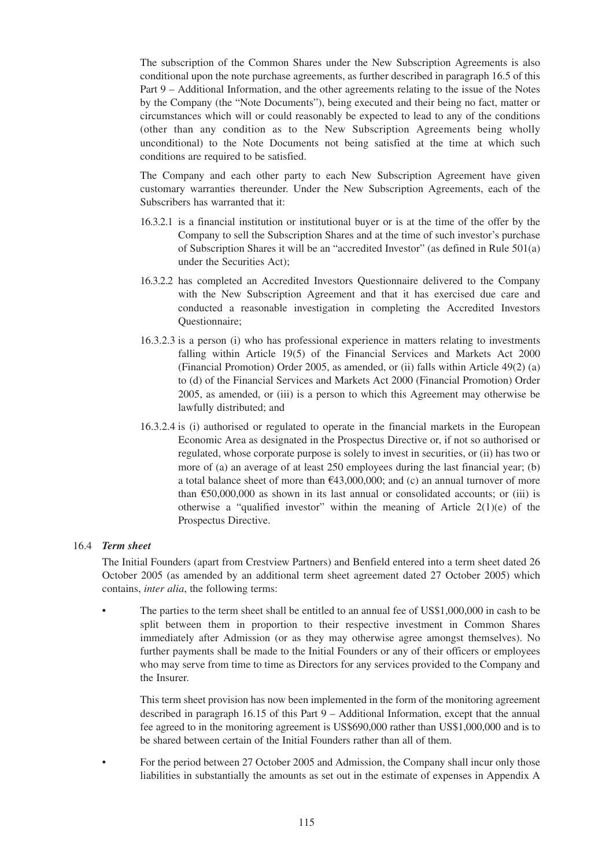The subscription of the Common Shares under the New Subscription Agreements is also conditional upon the note purchase agreements, as further described in paragraph 16.5 of this Part 9 – Additional Information, and the other agreements relating to the issue of the Notes by the Company (the "Note Documents"), being executed and their being no fact, matter or circumstances which will or could reasonably be expected to lead to any of the conditions (other than any condition as to the New Subscription Agreements being wholly unconditional) to the Note Documents not being satisfied at the time at which such conditions are required to be satisfied.

The Company and each other party to each New Subscription Agreement have given customary warranties thereunder. Under the New Subscription Agreements, each of the Subscribers has warranted that it:

- 16.3.2.1 is a financial institution or institutional buyer or is at the time of the offer by the Company to sell the Subscription Shares and at the time of such investor's purchase of Subscription Shares it will be an "accredited Investor" (as defined in Rule 501(a) under the Securities Act);
- 16.3.2.2 has completed an Accredited Investors Questionnaire delivered to the Company with the New Subscription Agreement and that it has exercised due care and conducted a reasonable investigation in completing the Accredited Investors Questionnaire;
- 16.3.2.3 is a person (i) who has professional experience in matters relating to investments falling within Article 19(5) of the Financial Services and Markets Act 2000 (Financial Promotion) Order 2005, as amended, or (ii) falls within Article 49(2) (a) to (d) of the Financial Services and Markets Act 2000 (Financial Promotion) Order 2005, as amended, or (iii) is a person to which this Agreement may otherwise be lawfully distributed; and
- 16.3.2.4 is (i) authorised or regulated to operate in the financial markets in the European Economic Area as designated in the Prospectus Directive or, if not so authorised or regulated, whose corporate purpose is solely to invest in securities, or (ii) has two or more of (a) an average of at least 250 employees during the last financial year; (b) a total balance sheet of more than  $\epsilon$ 43,000,000; and (c) an annual turnover of more than  $\epsilon$ 50,000,000 as shown in its last annual or consolidated accounts; or (iii) is otherwise a "qualified investor" within the meaning of Article  $2(1)(e)$  of the Prospectus Directive.

### 16.4 *Term sheet*

The Initial Founders (apart from Crestview Partners) and Benfield entered into a term sheet dated 26 October 2005 (as amended by an additional term sheet agreement dated 27 October 2005) which contains, *inter alia*, the following terms:

• The parties to the term sheet shall be entitled to an annual fee of US\$1,000,000 in cash to be split between them in proportion to their respective investment in Common Shares immediately after Admission (or as they may otherwise agree amongst themselves). No further payments shall be made to the Initial Founders or any of their officers or employees who may serve from time to time as Directors for any services provided to the Company and the Insurer.

This term sheet provision has now been implemented in the form of the monitoring agreement described in paragraph 16.15 of this Part 9 – Additional Information, except that the annual fee agreed to in the monitoring agreement is US\$690,000 rather than US\$1,000,000 and is to be shared between certain of the Initial Founders rather than all of them.

• For the period between 27 October 2005 and Admission, the Company shall incur only those liabilities in substantially the amounts as set out in the estimate of expenses in Appendix A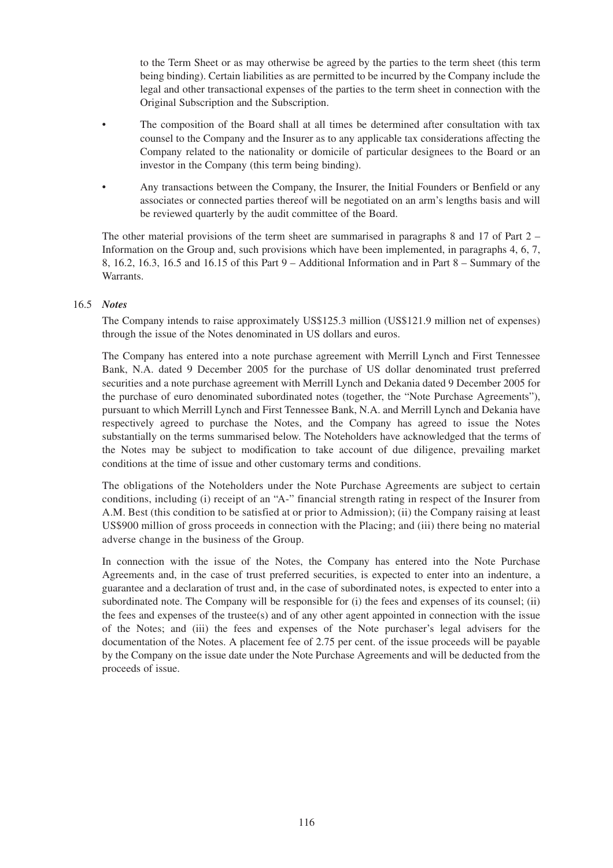to the Term Sheet or as may otherwise be agreed by the parties to the term sheet (this term being binding). Certain liabilities as are permitted to be incurred by the Company include the legal and other transactional expenses of the parties to the term sheet in connection with the Original Subscription and the Subscription.

- The composition of the Board shall at all times be determined after consultation with tax counsel to the Company and the Insurer as to any applicable tax considerations affecting the Company related to the nationality or domicile of particular designees to the Board or an investor in the Company (this term being binding).
- Any transactions between the Company, the Insurer, the Initial Founders or Benfield or any associates or connected parties thereof will be negotiated on an arm's lengths basis and will be reviewed quarterly by the audit committee of the Board.

The other material provisions of the term sheet are summarised in paragraphs 8 and 17 of Part 2 – Information on the Group and, such provisions which have been implemented, in paragraphs 4, 6, 7, 8, 16.2, 16.3, 16.5 and 16.15 of this Part 9 – Additional Information and in Part 8 – Summary of the Warrants.

### 16.5 *Notes*

The Company intends to raise approximately US\$125.3 million (US\$121.9 million net of expenses) through the issue of the Notes denominated in US dollars and euros.

The Company has entered into a note purchase agreement with Merrill Lynch and First Tennessee Bank, N.A. dated 9 December 2005 for the purchase of US dollar denominated trust preferred securities and a note purchase agreement with Merrill Lynch and Dekania dated 9 December 2005 for the purchase of euro denominated subordinated notes (together, the "Note Purchase Agreements"), pursuant to which Merrill Lynch and First Tennessee Bank, N.A. and Merrill Lynch and Dekania have respectively agreed to purchase the Notes, and the Company has agreed to issue the Notes substantially on the terms summarised below. The Noteholders have acknowledged that the terms of the Notes may be subject to modification to take account of due diligence, prevailing market conditions at the time of issue and other customary terms and conditions.

The obligations of the Noteholders under the Note Purchase Agreements are subject to certain conditions, including (i) receipt of an "A-" financial strength rating in respect of the Insurer from A.M. Best (this condition to be satisfied at or prior to Admission); (ii) the Company raising at least US\$900 million of gross proceeds in connection with the Placing; and (iii) there being no material adverse change in the business of the Group.

In connection with the issue of the Notes, the Company has entered into the Note Purchase Agreements and, in the case of trust preferred securities, is expected to enter into an indenture, a guarantee and a declaration of trust and, in the case of subordinated notes, is expected to enter into a subordinated note. The Company will be responsible for (i) the fees and expenses of its counsel; (ii) the fees and expenses of the trustee(s) and of any other agent appointed in connection with the issue of the Notes; and (iii) the fees and expenses of the Note purchaser's legal advisers for the documentation of the Notes. A placement fee of 2.75 per cent. of the issue proceeds will be payable by the Company on the issue date under the Note Purchase Agreements and will be deducted from the proceeds of issue.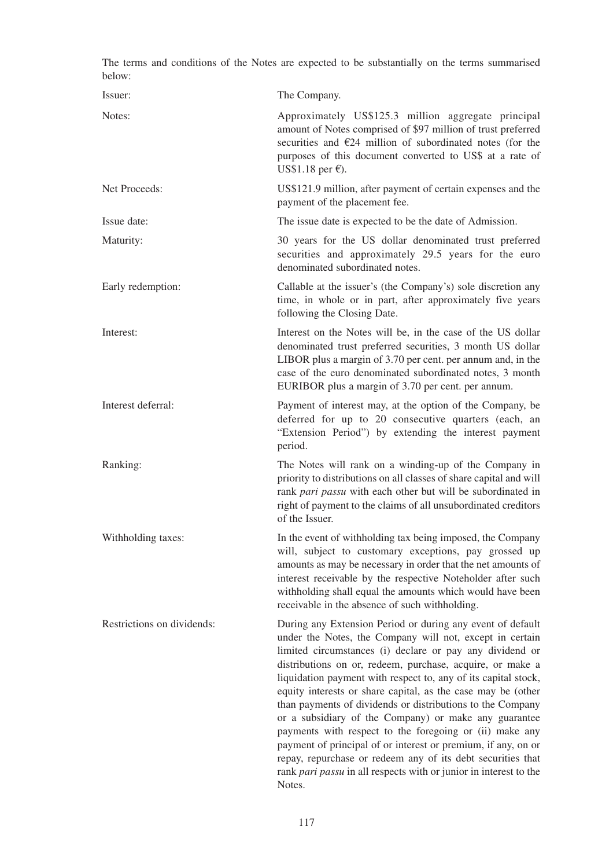| below:                     | The terms and conditions of the Notes are expected to be substantially on the terms summarised                                                                                                                                                                                                                                                                                                                                                                                                                                                                                                                                                                                                                                                                                     |
|----------------------------|------------------------------------------------------------------------------------------------------------------------------------------------------------------------------------------------------------------------------------------------------------------------------------------------------------------------------------------------------------------------------------------------------------------------------------------------------------------------------------------------------------------------------------------------------------------------------------------------------------------------------------------------------------------------------------------------------------------------------------------------------------------------------------|
| Issuer:                    | The Company.                                                                                                                                                                                                                                                                                                                                                                                                                                                                                                                                                                                                                                                                                                                                                                       |
| Notes:                     | Approximately US\$125.3 million aggregate principal<br>amount of Notes comprised of \$97 million of trust preferred<br>securities and $\epsilon$ 24 million of subordinated notes (for the<br>purposes of this document converted to US\$ at a rate of<br>US\$1.18 per $\epsilon$ ).                                                                                                                                                                                                                                                                                                                                                                                                                                                                                               |
| Net Proceeds:              | US\$121.9 million, after payment of certain expenses and the<br>payment of the placement fee.                                                                                                                                                                                                                                                                                                                                                                                                                                                                                                                                                                                                                                                                                      |
| Issue date:                | The issue date is expected to be the date of Admission.                                                                                                                                                                                                                                                                                                                                                                                                                                                                                                                                                                                                                                                                                                                            |
| Maturity:                  | 30 years for the US dollar denominated trust preferred<br>securities and approximately 29.5 years for the euro<br>denominated subordinated notes.                                                                                                                                                                                                                                                                                                                                                                                                                                                                                                                                                                                                                                  |
| Early redemption:          | Callable at the issuer's (the Company's) sole discretion any<br>time, in whole or in part, after approximately five years<br>following the Closing Date.                                                                                                                                                                                                                                                                                                                                                                                                                                                                                                                                                                                                                           |
| Interest:                  | Interest on the Notes will be, in the case of the US dollar<br>denominated trust preferred securities, 3 month US dollar<br>LIBOR plus a margin of 3.70 per cent. per annum and, in the<br>case of the euro denominated subordinated notes, 3 month<br>EURIBOR plus a margin of 3.70 per cent. per annum.                                                                                                                                                                                                                                                                                                                                                                                                                                                                          |
| Interest deferral:         | Payment of interest may, at the option of the Company, be<br>deferred for up to 20 consecutive quarters (each, an<br>"Extension Period") by extending the interest payment<br>period.                                                                                                                                                                                                                                                                                                                                                                                                                                                                                                                                                                                              |
| Ranking:                   | The Notes will rank on a winding-up of the Company in<br>priority to distributions on all classes of share capital and will<br>rank pari passu with each other but will be subordinated in<br>right of payment to the claims of all unsubordinated creditors<br>of the Issuer.                                                                                                                                                                                                                                                                                                                                                                                                                                                                                                     |
| Withholding taxes:         | In the event of withholding tax being imposed, the Company<br>will, subject to customary exceptions, pay grossed up<br>amounts as may be necessary in order that the net amounts of<br>interest receivable by the respective Noteholder after such<br>withholding shall equal the amounts which would have been<br>receivable in the absence of such withholding.                                                                                                                                                                                                                                                                                                                                                                                                                  |
| Restrictions on dividends: | During any Extension Period or during any event of default<br>under the Notes, the Company will not, except in certain<br>limited circumstances (i) declare or pay any dividend or<br>distributions on or, redeem, purchase, acquire, or make a<br>liquidation payment with respect to, any of its capital stock,<br>equity interests or share capital, as the case may be (other<br>than payments of dividends or distributions to the Company<br>or a subsidiary of the Company) or make any guarantee<br>payments with respect to the foregoing or (ii) make any<br>payment of principal of or interest or premium, if any, on or<br>repay, repurchase or redeem any of its debt securities that<br>rank pari passu in all respects with or junior in interest to the<br>Notes. |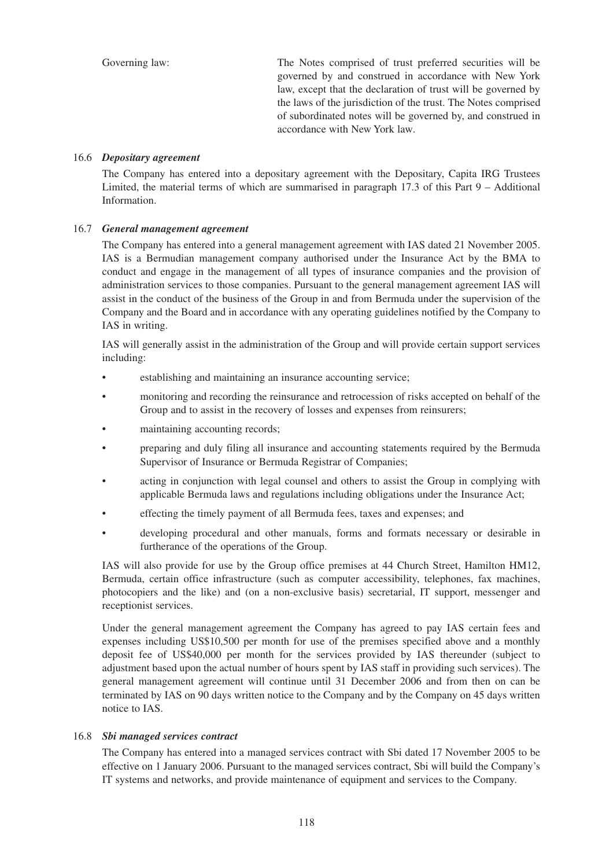Governing law: The Notes comprised of trust preferred securities will be governed by and construed in accordance with New York law, except that the declaration of trust will be governed by the laws of the jurisdiction of the trust. The Notes comprised of subordinated notes will be governed by, and construed in accordance with New York law.

### 16.6 *Depositary agreement*

The Company has entered into a depositary agreement with the Depositary, Capita IRG Trustees Limited, the material terms of which are summarised in paragraph 17.3 of this Part 9 – Additional Information.

# 16.7 *General management agreement*

The Company has entered into a general management agreement with IAS dated 21 November 2005. IAS is a Bermudian management company authorised under the Insurance Act by the BMA to conduct and engage in the management of all types of insurance companies and the provision of administration services to those companies. Pursuant to the general management agreement IAS will assist in the conduct of the business of the Group in and from Bermuda under the supervision of the Company and the Board and in accordance with any operating guidelines notified by the Company to IAS in writing.

IAS will generally assist in the administration of the Group and will provide certain support services including:

- establishing and maintaining an insurance accounting service;
- monitoring and recording the reinsurance and retrocession of risks accepted on behalf of the Group and to assist in the recovery of losses and expenses from reinsurers;
- maintaining accounting records;
- preparing and duly filing all insurance and accounting statements required by the Bermuda Supervisor of Insurance or Bermuda Registrar of Companies;
- acting in conjunction with legal counsel and others to assist the Group in complying with applicable Bermuda laws and regulations including obligations under the Insurance Act;
- effecting the timely payment of all Bermuda fees, taxes and expenses; and
- developing procedural and other manuals, forms and formats necessary or desirable in furtherance of the operations of the Group.

IAS will also provide for use by the Group office premises at 44 Church Street, Hamilton HM12, Bermuda, certain office infrastructure (such as computer accessibility, telephones, fax machines, photocopiers and the like) and (on a non-exclusive basis) secretarial, IT support, messenger and receptionist services.

Under the general management agreement the Company has agreed to pay IAS certain fees and expenses including US\$10,500 per month for use of the premises specified above and a monthly deposit fee of US\$40,000 per month for the services provided by IAS thereunder (subject to adjustment based upon the actual number of hours spent by IAS staff in providing such services). The general management agreement will continue until 31 December 2006 and from then on can be terminated by IAS on 90 days written notice to the Company and by the Company on 45 days written notice to IAS.

### 16.8 *Sbi managed services contract*

The Company has entered into a managed services contract with Sbi dated 17 November 2005 to be effective on 1 January 2006. Pursuant to the managed services contract, Sbi will build the Company's IT systems and networks, and provide maintenance of equipment and services to the Company.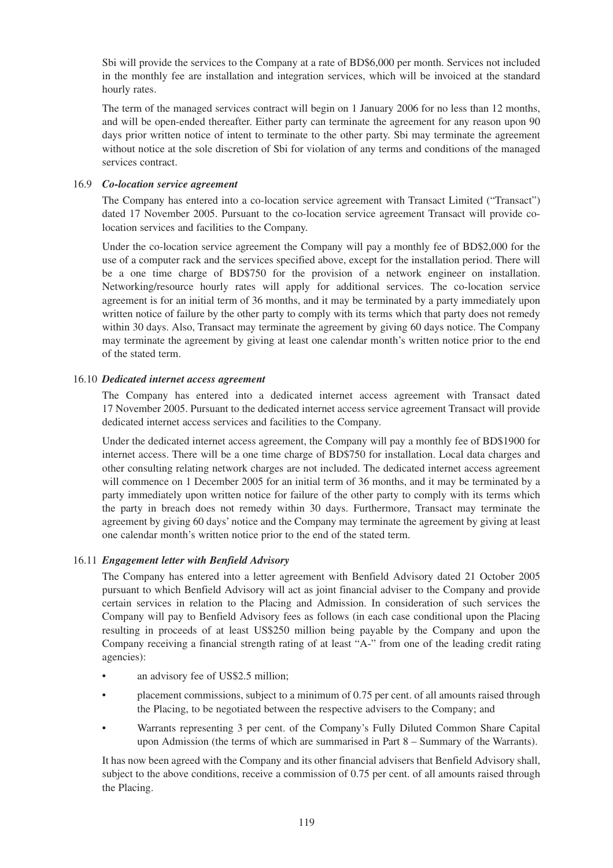Sbi will provide the services to the Company at a rate of BD\$6,000 per month. Services not included in the monthly fee are installation and integration services, which will be invoiced at the standard hourly rates.

The term of the managed services contract will begin on 1 January 2006 for no less than 12 months, and will be open-ended thereafter. Either party can terminate the agreement for any reason upon 90 days prior written notice of intent to terminate to the other party. Sbi may terminate the agreement without notice at the sole discretion of Sbi for violation of any terms and conditions of the managed services contract.

### 16.9 *Co-location service agreement*

The Company has entered into a co-location service agreement with Transact Limited ("Transact") dated 17 November 2005. Pursuant to the co-location service agreement Transact will provide colocation services and facilities to the Company.

Under the co-location service agreement the Company will pay a monthly fee of BD\$2,000 for the use of a computer rack and the services specified above, except for the installation period. There will be a one time charge of BD\$750 for the provision of a network engineer on installation. Networking/resource hourly rates will apply for additional services. The co-location service agreement is for an initial term of 36 months, and it may be terminated by a party immediately upon written notice of failure by the other party to comply with its terms which that party does not remedy within 30 days. Also, Transact may terminate the agreement by giving 60 days notice. The Company may terminate the agreement by giving at least one calendar month's written notice prior to the end of the stated term.

### 16.10 *Dedicated internet access agreement*

The Company has entered into a dedicated internet access agreement with Transact dated 17 November 2005. Pursuant to the dedicated internet access service agreement Transact will provide dedicated internet access services and facilities to the Company.

Under the dedicated internet access agreement, the Company will pay a monthly fee of BD\$1900 for internet access. There will be a one time charge of BD\$750 for installation. Local data charges and other consulting relating network charges are not included. The dedicated internet access agreement will commence on 1 December 2005 for an initial term of 36 months, and it may be terminated by a party immediately upon written notice for failure of the other party to comply with its terms which the party in breach does not remedy within 30 days. Furthermore, Transact may terminate the agreement by giving 60 days' notice and the Company may terminate the agreement by giving at least one calendar month's written notice prior to the end of the stated term.

### 16.11 *Engagement letter with Benfield Advisory*

The Company has entered into a letter agreement with Benfield Advisory dated 21 October 2005 pursuant to which Benfield Advisory will act as joint financial adviser to the Company and provide certain services in relation to the Placing and Admission. In consideration of such services the Company will pay to Benfield Advisory fees as follows (in each case conditional upon the Placing resulting in proceeds of at least US\$250 million being payable by the Company and upon the Company receiving a financial strength rating of at least "A-" from one of the leading credit rating agencies):

- an advisory fee of US\$2.5 million;
- placement commissions, subject to a minimum of 0.75 per cent. of all amounts raised through the Placing, to be negotiated between the respective advisers to the Company; and
- Warrants representing 3 per cent. of the Company's Fully Diluted Common Share Capital upon Admission (the terms of which are summarised in Part 8 – Summary of the Warrants).

It has now been agreed with the Company and its other financial advisers that Benfield Advisory shall, subject to the above conditions, receive a commission of 0.75 per cent. of all amounts raised through the Placing.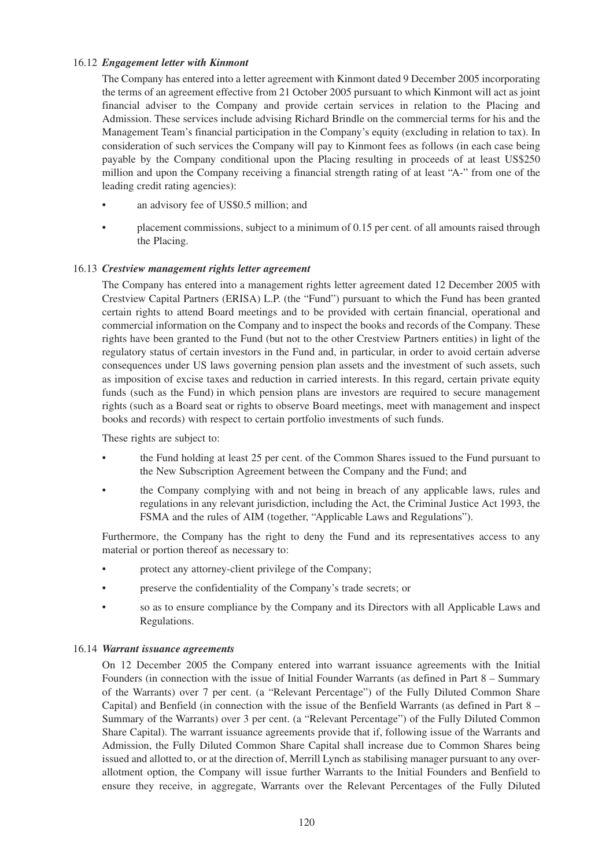### 16.12 *Engagement letter with Kinmont*

The Company has entered into a letter agreement with Kinmont dated 9 December 2005 incorporating the terms of an agreement effective from 21 October 2005 pursuant to which Kinmont will act as joint financial adviser to the Company and provide certain services in relation to the Placing and Admission. These services include advising Richard Brindle on the commercial terms for his and the Management Team's financial participation in the Company's equity (excluding in relation to tax). In consideration of such services the Company will pay to Kinmont fees as follows (in each case being payable by the Company conditional upon the Placing resulting in proceeds of at least US\$250 million and upon the Company receiving a financial strength rating of at least "A-" from one of the leading credit rating agencies):

- an advisory fee of US\$0.5 million; and
- placement commissions, subject to a minimum of 0.15 per cent. of all amounts raised through the Placing.

### 16.13 *Crestview management rights letter agreement*

The Company has entered into a management rights letter agreement dated 12 December 2005 with Crestview Capital Partners (ERISA) L.P. (the "Fund") pursuant to which the Fund has been granted certain rights to attend Board meetings and to be provided with certain financial, operational and commercial information on the Company and to inspect the books and records of the Company. These rights have been granted to the Fund (but not to the other Crestview Partners entities) in light of the regulatory status of certain investors in the Fund and, in particular, in order to avoid certain adverse consequences under US laws governing pension plan assets and the investment of such assets, such as imposition of excise taxes and reduction in carried interests. In this regard, certain private equity funds (such as the Fund) in which pension plans are investors are required to secure management rights (such as a Board seat or rights to observe Board meetings, meet with management and inspect books and records) with respect to certain portfolio investments of such funds.

These rights are subject to:

- the Fund holding at least 25 per cent. of the Common Shares issued to the Fund pursuant to the New Subscription Agreement between the Company and the Fund; and
- the Company complying with and not being in breach of any applicable laws, rules and regulations in any relevant jurisdiction, including the Act, the Criminal Justice Act 1993, the FSMA and the rules of AIM (together, "Applicable Laws and Regulations").

Furthermore, the Company has the right to deny the Fund and its representatives access to any material or portion thereof as necessary to:

- protect any attorney-client privilege of the Company;
- preserve the confidentiality of the Company's trade secrets; or
- so as to ensure compliance by the Company and its Directors with all Applicable Laws and Regulations.

#### 16.14 *Warrant issuance agreements*

On 12 December 2005 the Company entered into warrant issuance agreements with the Initial Founders (in connection with the issue of Initial Founder Warrants (as defined in Part 8 – Summary of the Warrants) over 7 per cent. (a "Relevant Percentage") of the Fully Diluted Common Share Capital) and Benfield (in connection with the issue of the Benfield Warrants (as defined in Part  $8 -$ Summary of the Warrants) over 3 per cent. (a "Relevant Percentage") of the Fully Diluted Common Share Capital). The warrant issuance agreements provide that if, following issue of the Warrants and Admission, the Fully Diluted Common Share Capital shall increase due to Common Shares being issued and allotted to, or at the direction of, Merrill Lynch as stabilising manager pursuant to any overallotment option, the Company will issue further Warrants to the Initial Founders and Benfield to ensure they receive, in aggregate, Warrants over the Relevant Percentages of the Fully Diluted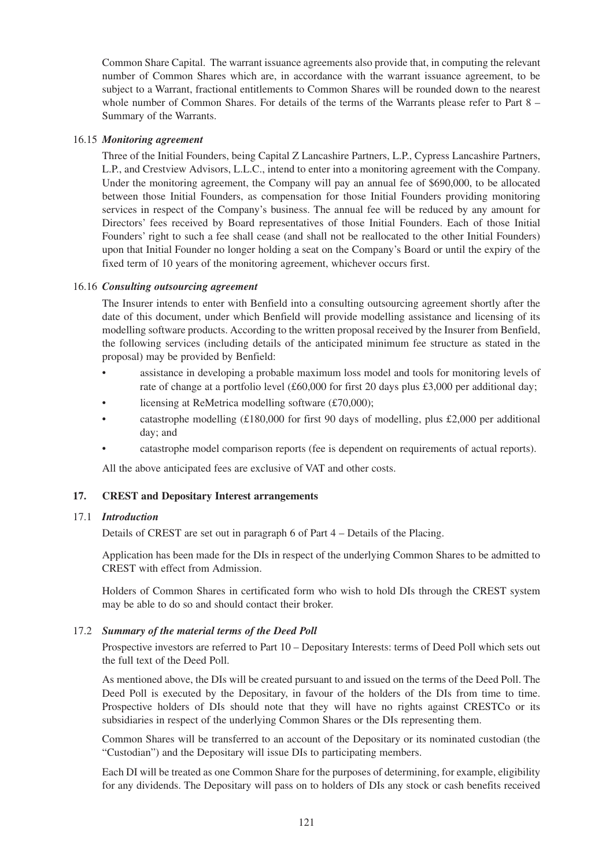Common Share Capital. The warrant issuance agreements also provide that, in computing the relevant number of Common Shares which are, in accordance with the warrant issuance agreement, to be subject to a Warrant, fractional entitlements to Common Shares will be rounded down to the nearest whole number of Common Shares. For details of the terms of the Warrants please refer to Part 8 – Summary of the Warrants.

#### 16.15 *Monitoring agreement*

Three of the Initial Founders, being Capital Z Lancashire Partners, L.P., Cypress Lancashire Partners, L.P., and Crestview Advisors, L.L.C., intend to enter into a monitoring agreement with the Company. Under the monitoring agreement, the Company will pay an annual fee of \$690,000, to be allocated between those Initial Founders, as compensation for those Initial Founders providing monitoring services in respect of the Company's business. The annual fee will be reduced by any amount for Directors' fees received by Board representatives of those Initial Founders. Each of those Initial Founders' right to such a fee shall cease (and shall not be reallocated to the other Initial Founders) upon that Initial Founder no longer holding a seat on the Company's Board or until the expiry of the fixed term of 10 years of the monitoring agreement, whichever occurs first.

### 16.16 *Consulting outsourcing agreement*

The Insurer intends to enter with Benfield into a consulting outsourcing agreement shortly after the date of this document, under which Benfield will provide modelling assistance and licensing of its modelling software products. According to the written proposal received by the Insurer from Benfield, the following services (including details of the anticipated minimum fee structure as stated in the proposal) may be provided by Benfield:

- assistance in developing a probable maximum loss model and tools for monitoring levels of rate of change at a portfolio level (£60,000 for first 20 days plus £3,000 per additional day;
- licensing at ReMetrica modelling software  $(f70,000)$ ;
- catastrophe modelling (£180,000 for first 90 days of modelling, plus £2,000 per additional day; and
- catastrophe model comparison reports (fee is dependent on requirements of actual reports).

All the above anticipated fees are exclusive of VAT and other costs.

### **17. CREST and Depositary Interest arrangements**

### 17.1 *Introduction*

Details of CREST are set out in paragraph 6 of Part 4 – Details of the Placing.

Application has been made for the DIs in respect of the underlying Common Shares to be admitted to CREST with effect from Admission.

Holders of Common Shares in certificated form who wish to hold DIs through the CREST system may be able to do so and should contact their broker.

#### 17.2 *Summary of the material terms of the Deed Poll*

Prospective investors are referred to Part 10 – Depositary Interests: terms of Deed Poll which sets out the full text of the Deed Poll.

As mentioned above, the DIs will be created pursuant to and issued on the terms of the Deed Poll. The Deed Poll is executed by the Depositary, in favour of the holders of the DIs from time to time. Prospective holders of DIs should note that they will have no rights against CRESTCo or its subsidiaries in respect of the underlying Common Shares or the DIs representing them.

Common Shares will be transferred to an account of the Depositary or its nominated custodian (the "Custodian") and the Depositary will issue DIs to participating members.

Each DI will be treated as one Common Share for the purposes of determining, for example, eligibility for any dividends. The Depositary will pass on to holders of DIs any stock or cash benefits received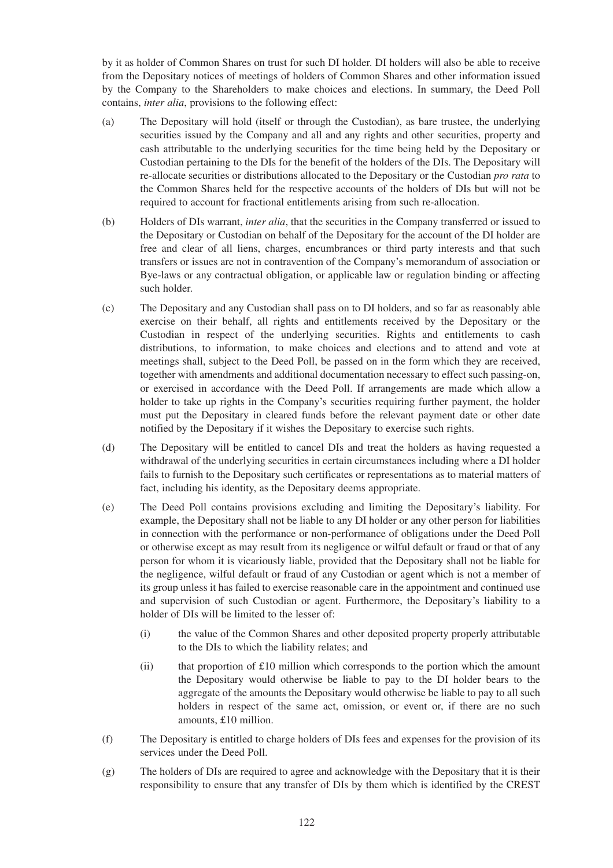by it as holder of Common Shares on trust for such DI holder. DI holders will also be able to receive from the Depositary notices of meetings of holders of Common Shares and other information issued by the Company to the Shareholders to make choices and elections. In summary, the Deed Poll contains, *inter alia*, provisions to the following effect:

- (a) The Depositary will hold (itself or through the Custodian), as bare trustee, the underlying securities issued by the Company and all and any rights and other securities, property and cash attributable to the underlying securities for the time being held by the Depositary or Custodian pertaining to the DIs for the benefit of the holders of the DIs. The Depositary will re-allocate securities or distributions allocated to the Depositary or the Custodian *pro rata* to the Common Shares held for the respective accounts of the holders of DIs but will not be required to account for fractional entitlements arising from such re-allocation.
- (b) Holders of DIs warrant, *inter alia*, that the securities in the Company transferred or issued to the Depositary or Custodian on behalf of the Depositary for the account of the DI holder are free and clear of all liens, charges, encumbrances or third party interests and that such transfers or issues are not in contravention of the Company's memorandum of association or Bye-laws or any contractual obligation, or applicable law or regulation binding or affecting such holder.
- (c) The Depositary and any Custodian shall pass on to DI holders, and so far as reasonably able exercise on their behalf, all rights and entitlements received by the Depositary or the Custodian in respect of the underlying securities. Rights and entitlements to cash distributions, to information, to make choices and elections and to attend and vote at meetings shall, subject to the Deed Poll, be passed on in the form which they are received, together with amendments and additional documentation necessary to effect such passing-on, or exercised in accordance with the Deed Poll. If arrangements are made which allow a holder to take up rights in the Company's securities requiring further payment, the holder must put the Depositary in cleared funds before the relevant payment date or other date notified by the Depositary if it wishes the Depositary to exercise such rights.
- (d) The Depositary will be entitled to cancel DIs and treat the holders as having requested a withdrawal of the underlying securities in certain circumstances including where a DI holder fails to furnish to the Depositary such certificates or representations as to material matters of fact, including his identity, as the Depositary deems appropriate.
- (e) The Deed Poll contains provisions excluding and limiting the Depositary's liability. For example, the Depositary shall not be liable to any DI holder or any other person for liabilities in connection with the performance or non-performance of obligations under the Deed Poll or otherwise except as may result from its negligence or wilful default or fraud or that of any person for whom it is vicariously liable, provided that the Depositary shall not be liable for the negligence, wilful default or fraud of any Custodian or agent which is not a member of its group unless it has failed to exercise reasonable care in the appointment and continued use and supervision of such Custodian or agent. Furthermore, the Depositary's liability to a holder of DIs will be limited to the lesser of:
	- (i) the value of the Common Shares and other deposited property properly attributable to the DIs to which the liability relates; and
	- (ii) that proportion of  $£10$  million which corresponds to the portion which the amount the Depositary would otherwise be liable to pay to the DI holder bears to the aggregate of the amounts the Depositary would otherwise be liable to pay to all such holders in respect of the same act, omission, or event or, if there are no such amounts, £10 million.
- (f) The Depositary is entitled to charge holders of DIs fees and expenses for the provision of its services under the Deed Poll.
- (g) The holders of DIs are required to agree and acknowledge with the Depositary that it is their responsibility to ensure that any transfer of DIs by them which is identified by the CREST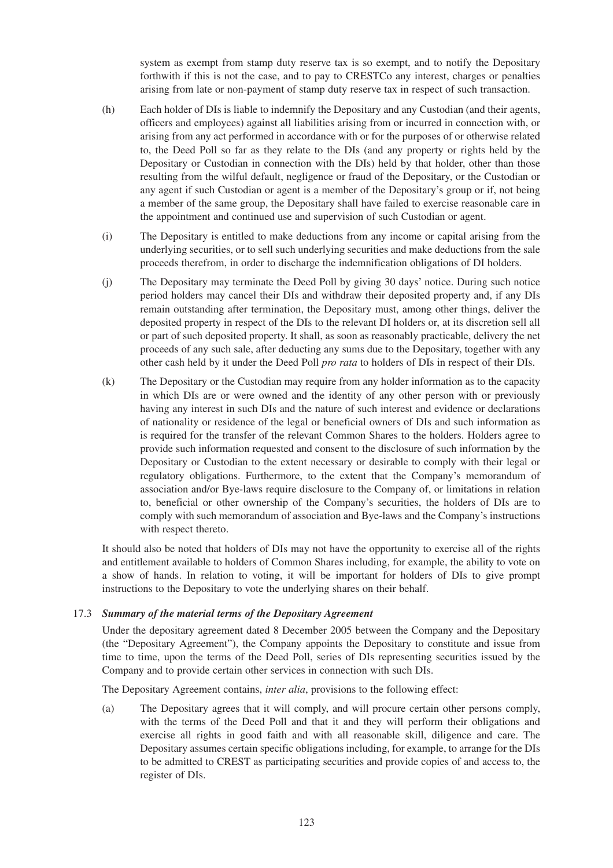system as exempt from stamp duty reserve tax is so exempt, and to notify the Depositary forthwith if this is not the case, and to pay to CRESTCo any interest, charges or penalties arising from late or non-payment of stamp duty reserve tax in respect of such transaction.

- (h) Each holder of DIs is liable to indemnify the Depositary and any Custodian (and their agents, officers and employees) against all liabilities arising from or incurred in connection with, or arising from any act performed in accordance with or for the purposes of or otherwise related to, the Deed Poll so far as they relate to the DIs (and any property or rights held by the Depositary or Custodian in connection with the DIs) held by that holder, other than those resulting from the wilful default, negligence or fraud of the Depositary, or the Custodian or any agent if such Custodian or agent is a member of the Depositary's group or if, not being a member of the same group, the Depositary shall have failed to exercise reasonable care in the appointment and continued use and supervision of such Custodian or agent.
- (i) The Depositary is entitled to make deductions from any income or capital arising from the underlying securities, or to sell such underlying securities and make deductions from the sale proceeds therefrom, in order to discharge the indemnification obligations of DI holders.
- (j) The Depositary may terminate the Deed Poll by giving 30 days' notice. During such notice period holders may cancel their DIs and withdraw their deposited property and, if any DIs remain outstanding after termination, the Depositary must, among other things, deliver the deposited property in respect of the DIs to the relevant DI holders or, at its discretion sell all or part of such deposited property. It shall, as soon as reasonably practicable, delivery the net proceeds of any such sale, after deducting any sums due to the Depositary, together with any other cash held by it under the Deed Poll *pro rata* to holders of DIs in respect of their DIs.
- (k) The Depositary or the Custodian may require from any holder information as to the capacity in which DIs are or were owned and the identity of any other person with or previously having any interest in such DIs and the nature of such interest and evidence or declarations of nationality or residence of the legal or beneficial owners of DIs and such information as is required for the transfer of the relevant Common Shares to the holders. Holders agree to provide such information requested and consent to the disclosure of such information by the Depositary or Custodian to the extent necessary or desirable to comply with their legal or regulatory obligations. Furthermore, to the extent that the Company's memorandum of association and/or Bye-laws require disclosure to the Company of, or limitations in relation to, beneficial or other ownership of the Company's securities, the holders of DIs are to comply with such memorandum of association and Bye-laws and the Company's instructions with respect thereto.

It should also be noted that holders of DIs may not have the opportunity to exercise all of the rights and entitlement available to holders of Common Shares including, for example, the ability to vote on a show of hands. In relation to voting, it will be important for holders of DIs to give prompt instructions to the Depositary to vote the underlying shares on their behalf.

### 17.3 *Summary of the material terms of the Depositary Agreement*

Under the depositary agreement dated 8 December 2005 between the Company and the Depositary (the "Depositary Agreement"), the Company appoints the Depositary to constitute and issue from time to time, upon the terms of the Deed Poll, series of DIs representing securities issued by the Company and to provide certain other services in connection with such DIs.

The Depositary Agreement contains, *inter alia*, provisions to the following effect:

(a) The Depositary agrees that it will comply, and will procure certain other persons comply, with the terms of the Deed Poll and that it and they will perform their obligations and exercise all rights in good faith and with all reasonable skill, diligence and care. The Depositary assumes certain specific obligations including, for example, to arrange for the DIs to be admitted to CREST as participating securities and provide copies of and access to, the register of DIs.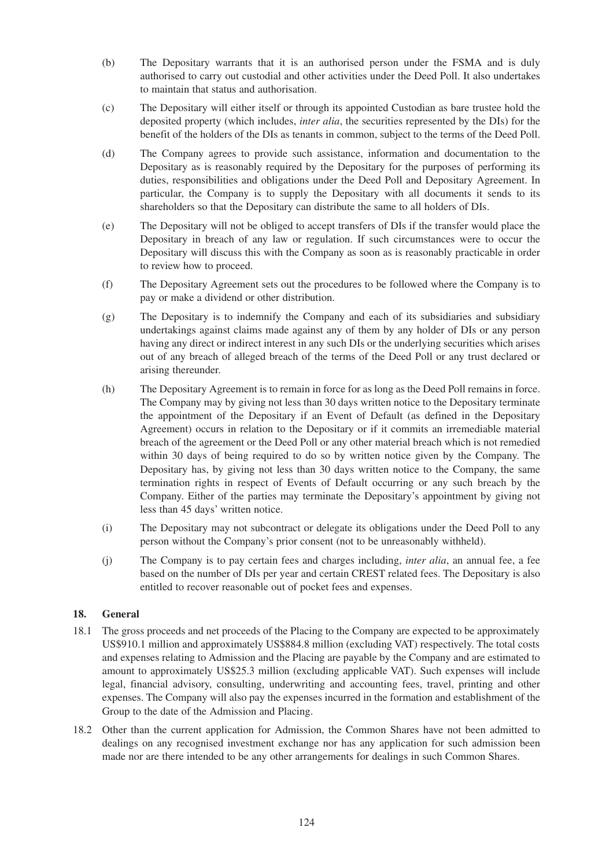- (b) The Depositary warrants that it is an authorised person under the FSMA and is duly authorised to carry out custodial and other activities under the Deed Poll. It also undertakes to maintain that status and authorisation.
- (c) The Depositary will either itself or through its appointed Custodian as bare trustee hold the deposited property (which includes, *inter alia*, the securities represented by the DIs) for the benefit of the holders of the DIs as tenants in common, subject to the terms of the Deed Poll.
- (d) The Company agrees to provide such assistance, information and documentation to the Depositary as is reasonably required by the Depositary for the purposes of performing its duties, responsibilities and obligations under the Deed Poll and Depositary Agreement. In particular, the Company is to supply the Depositary with all documents it sends to its shareholders so that the Depositary can distribute the same to all holders of DIs.
- (e) The Depositary will not be obliged to accept transfers of DIs if the transfer would place the Depositary in breach of any law or regulation. If such circumstances were to occur the Depositary will discuss this with the Company as soon as is reasonably practicable in order to review how to proceed.
- (f) The Depositary Agreement sets out the procedures to be followed where the Company is to pay or make a dividend or other distribution.
- (g) The Depositary is to indemnify the Company and each of its subsidiaries and subsidiary undertakings against claims made against any of them by any holder of DIs or any person having any direct or indirect interest in any such DIs or the underlying securities which arises out of any breach of alleged breach of the terms of the Deed Poll or any trust declared or arising thereunder.
- (h) The Depositary Agreement is to remain in force for as long as the Deed Poll remains in force. The Company may by giving not less than 30 days written notice to the Depositary terminate the appointment of the Depositary if an Event of Default (as defined in the Depositary Agreement) occurs in relation to the Depositary or if it commits an irremediable material breach of the agreement or the Deed Poll or any other material breach which is not remedied within 30 days of being required to do so by written notice given by the Company. The Depositary has, by giving not less than 30 days written notice to the Company, the same termination rights in respect of Events of Default occurring or any such breach by the Company. Either of the parties may terminate the Depositary's appointment by giving not less than 45 days' written notice.
- (i) The Depositary may not subcontract or delegate its obligations under the Deed Poll to any person without the Company's prior consent (not to be unreasonably withheld).
- (j) The Company is to pay certain fees and charges including, *inter alia*, an annual fee, a fee based on the number of DIs per year and certain CREST related fees. The Depositary is also entitled to recover reasonable out of pocket fees and expenses.

# **18. General**

- 18.1 The gross proceeds and net proceeds of the Placing to the Company are expected to be approximately US\$910.1 million and approximately US\$884.8 million (excluding VAT) respectively. The total costs and expenses relating to Admission and the Placing are payable by the Company and are estimated to amount to approximately US\$25.3 million (excluding applicable VAT). Such expenses will include legal, financial advisory, consulting, underwriting and accounting fees, travel, printing and other expenses. The Company will also pay the expenses incurred in the formation and establishment of the Group to the date of the Admission and Placing.
- 18.2 Other than the current application for Admission, the Common Shares have not been admitted to dealings on any recognised investment exchange nor has any application for such admission been made nor are there intended to be any other arrangements for dealings in such Common Shares.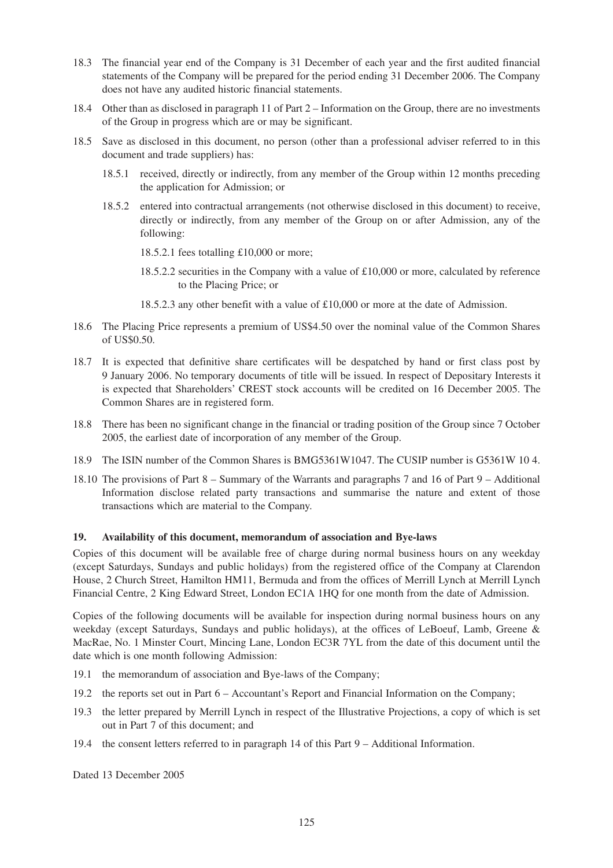- 18.3 The financial year end of the Company is 31 December of each year and the first audited financial statements of the Company will be prepared for the period ending 31 December 2006. The Company does not have any audited historic financial statements.
- 18.4 Other than as disclosed in paragraph 11 of Part 2 Information on the Group, there are no investments of the Group in progress which are or may be significant.
- 18.5 Save as disclosed in this document, no person (other than a professional adviser referred to in this document and trade suppliers) has:
	- 18.5.1 received, directly or indirectly, from any member of the Group within 12 months preceding the application for Admission; or
	- 18.5.2 entered into contractual arrangements (not otherwise disclosed in this document) to receive, directly or indirectly, from any member of the Group on or after Admission, any of the following:

18.5.2.1 fees totalling £10,000 or more;

- 18.5.2.2 securities in the Company with a value of £10,000 or more, calculated by reference to the Placing Price; or
- 18.5.2.3 any other benefit with a value of £10,000 or more at the date of Admission.
- 18.6 The Placing Price represents a premium of US\$4.50 over the nominal value of the Common Shares of US\$0.50.
- 18.7 It is expected that definitive share certificates will be despatched by hand or first class post by 9 January 2006. No temporary documents of title will be issued. In respect of Depositary Interests it is expected that Shareholders' CREST stock accounts will be credited on 16 December 2005. The Common Shares are in registered form.
- 18.8 There has been no significant change in the financial or trading position of the Group since 7 October 2005, the earliest date of incorporation of any member of the Group.
- 18.9 The ISIN number of the Common Shares is BMG5361W1047. The CUSIP number is G5361W 10 4.
- 18.10 The provisions of Part 8 Summary of the Warrants and paragraphs 7 and 16 of Part 9 Additional Information disclose related party transactions and summarise the nature and extent of those transactions which are material to the Company.

### **19. Availability of this document, memorandum of association and Bye-laws**

Copies of this document will be available free of charge during normal business hours on any weekday (except Saturdays, Sundays and public holidays) from the registered office of the Company at Clarendon House, 2 Church Street, Hamilton HM11, Bermuda and from the offices of Merrill Lynch at Merrill Lynch Financial Centre, 2 King Edward Street, London EC1A 1HQ for one month from the date of Admission.

Copies of the following documents will be available for inspection during normal business hours on any weekday (except Saturdays, Sundays and public holidays), at the offices of LeBoeuf, Lamb, Greene & MacRae, No. 1 Minster Court, Mincing Lane, London EC3R 7YL from the date of this document until the date which is one month following Admission:

- 19.1 the memorandum of association and Bye-laws of the Company;
- 19.2 the reports set out in Part 6 Accountant's Report and Financial Information on the Company;
- 19.3 the letter prepared by Merrill Lynch in respect of the Illustrative Projections, a copy of which is set out in Part 7 of this document; and
- 19.4 the consent letters referred to in paragraph 14 of this Part 9 Additional Information.

Dated 13 December 2005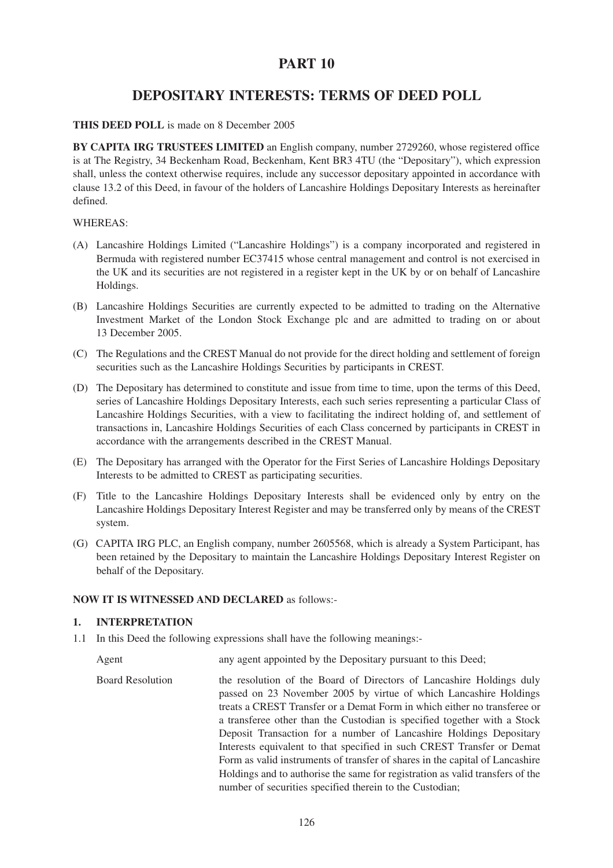# **PART 10**

# **DEPOSITARY INTERESTS: TERMS OF DEED POLL**

### **THIS DEED POLL** is made on 8 December 2005

**BY CAPITA IRG TRUSTEES LIMITED** an English company, number 2729260, whose registered office is at The Registry, 34 Beckenham Road, Beckenham, Kent BR3 4TU (the "Depositary"), which expression shall, unless the context otherwise requires, include any successor depositary appointed in accordance with clause 13.2 of this Deed, in favour of the holders of Lancashire Holdings Depositary Interests as hereinafter defined.

### WHEREAS:

- (A) Lancashire Holdings Limited ("Lancashire Holdings") is a company incorporated and registered in Bermuda with registered number EC37415 whose central management and control is not exercised in the UK and its securities are not registered in a register kept in the UK by or on behalf of Lancashire Holdings.
- (B) Lancashire Holdings Securities are currently expected to be admitted to trading on the Alternative Investment Market of the London Stock Exchange plc and are admitted to trading on or about 13 December 2005.
- (C) The Regulations and the CREST Manual do not provide for the direct holding and settlement of foreign securities such as the Lancashire Holdings Securities by participants in CREST.
- (D) The Depositary has determined to constitute and issue from time to time, upon the terms of this Deed, series of Lancashire Holdings Depositary Interests, each such series representing a particular Class of Lancashire Holdings Securities, with a view to facilitating the indirect holding of, and settlement of transactions in, Lancashire Holdings Securities of each Class concerned by participants in CREST in accordance with the arrangements described in the CREST Manual.
- (E) The Depositary has arranged with the Operator for the First Series of Lancashire Holdings Depositary Interests to be admitted to CREST as participating securities.
- (F) Title to the Lancashire Holdings Depositary Interests shall be evidenced only by entry on the Lancashire Holdings Depositary Interest Register and may be transferred only by means of the CREST system.
- (G) CAPITA IRG PLC, an English company, number 2605568, which is already a System Participant, has been retained by the Depositary to maintain the Lancashire Holdings Depositary Interest Register on behalf of the Depositary.

### **NOW IT IS WITNESSED AND DECLARED** as follows:-

### **1. INTERPRETATION**

1.1 In this Deed the following expressions shall have the following meanings:-

Agent any agent appointed by the Depositary pursuant to this Deed;

Board Resolution the resolution of the Board of Directors of Lancashire Holdings duly passed on 23 November 2005 by virtue of which Lancashire Holdings treats a CREST Transfer or a Demat Form in which either no transferee or a transferee other than the Custodian is specified together with a Stock Deposit Transaction for a number of Lancashire Holdings Depositary Interests equivalent to that specified in such CREST Transfer or Demat Form as valid instruments of transfer of shares in the capital of Lancashire Holdings and to authorise the same for registration as valid transfers of the number of securities specified therein to the Custodian;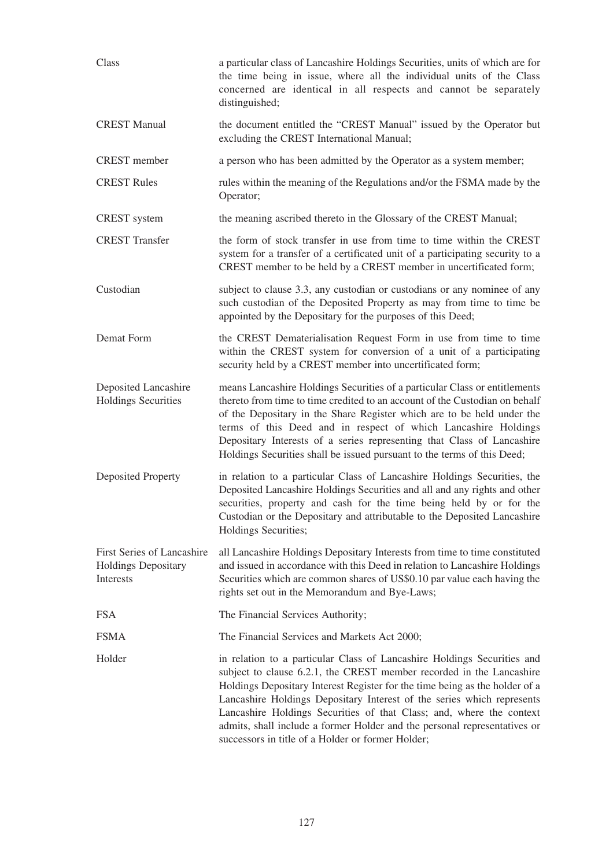| Class                                                                 | a particular class of Lancashire Holdings Securities, units of which are for<br>the time being in issue, where all the individual units of the Class<br>concerned are identical in all respects and cannot be separately<br>distinguished;                                                                                                                                                                                                                                                                         |
|-----------------------------------------------------------------------|--------------------------------------------------------------------------------------------------------------------------------------------------------------------------------------------------------------------------------------------------------------------------------------------------------------------------------------------------------------------------------------------------------------------------------------------------------------------------------------------------------------------|
| <b>CREST Manual</b>                                                   | the document entitled the "CREST Manual" issued by the Operator but<br>excluding the CREST International Manual;                                                                                                                                                                                                                                                                                                                                                                                                   |
| <b>CREST</b> member                                                   | a person who has been admitted by the Operator as a system member;                                                                                                                                                                                                                                                                                                                                                                                                                                                 |
| <b>CREST Rules</b>                                                    | rules within the meaning of the Regulations and/or the FSMA made by the<br>Operator;                                                                                                                                                                                                                                                                                                                                                                                                                               |
| <b>CREST</b> system                                                   | the meaning ascribed thereto in the Glossary of the CREST Manual;                                                                                                                                                                                                                                                                                                                                                                                                                                                  |
| <b>CREST</b> Transfer                                                 | the form of stock transfer in use from time to time within the CREST<br>system for a transfer of a certificated unit of a participating security to a<br>CREST member to be held by a CREST member in uncertificated form;                                                                                                                                                                                                                                                                                         |
| Custodian                                                             | subject to clause 3.3, any custodian or custodians or any nominee of any<br>such custodian of the Deposited Property as may from time to time be<br>appointed by the Depositary for the purposes of this Deed;                                                                                                                                                                                                                                                                                                     |
| Demat Form                                                            | the CREST Dematerialisation Request Form in use from time to time<br>within the CREST system for conversion of a unit of a participating<br>security held by a CREST member into uncertificated form;                                                                                                                                                                                                                                                                                                              |
| Deposited Lancashire<br><b>Holdings Securities</b>                    | means Lancashire Holdings Securities of a particular Class or entitlements<br>thereto from time to time credited to an account of the Custodian on behalf<br>of the Depositary in the Share Register which are to be held under the<br>terms of this Deed and in respect of which Lancashire Holdings<br>Depositary Interests of a series representing that Class of Lancashire<br>Holdings Securities shall be issued pursuant to the terms of this Deed;                                                         |
| <b>Deposited Property</b>                                             | in relation to a particular Class of Lancashire Holdings Securities, the<br>Deposited Lancashire Holdings Securities and all and any rights and other<br>securities, property and cash for the time being held by or for the<br>Custodian or the Depositary and attributable to the Deposited Lancashire<br>Holdings Securities;                                                                                                                                                                                   |
| First Series of Lancashire<br><b>Holdings Depositary</b><br>Interests | all Lancashire Holdings Depositary Interests from time to time constituted<br>and issued in accordance with this Deed in relation to Lancashire Holdings<br>Securities which are common shares of US\$0.10 par value each having the<br>rights set out in the Memorandum and Bye-Laws;                                                                                                                                                                                                                             |
| <b>FSA</b>                                                            | The Financial Services Authority;                                                                                                                                                                                                                                                                                                                                                                                                                                                                                  |
| <b>FSMA</b>                                                           | The Financial Services and Markets Act 2000;                                                                                                                                                                                                                                                                                                                                                                                                                                                                       |
| Holder                                                                | in relation to a particular Class of Lancashire Holdings Securities and<br>subject to clause 6.2.1, the CREST member recorded in the Lancashire<br>Holdings Depositary Interest Register for the time being as the holder of a<br>Lancashire Holdings Depositary Interest of the series which represents<br>Lancashire Holdings Securities of that Class; and, where the context<br>admits, shall include a former Holder and the personal representatives or<br>successors in title of a Holder or former Holder; |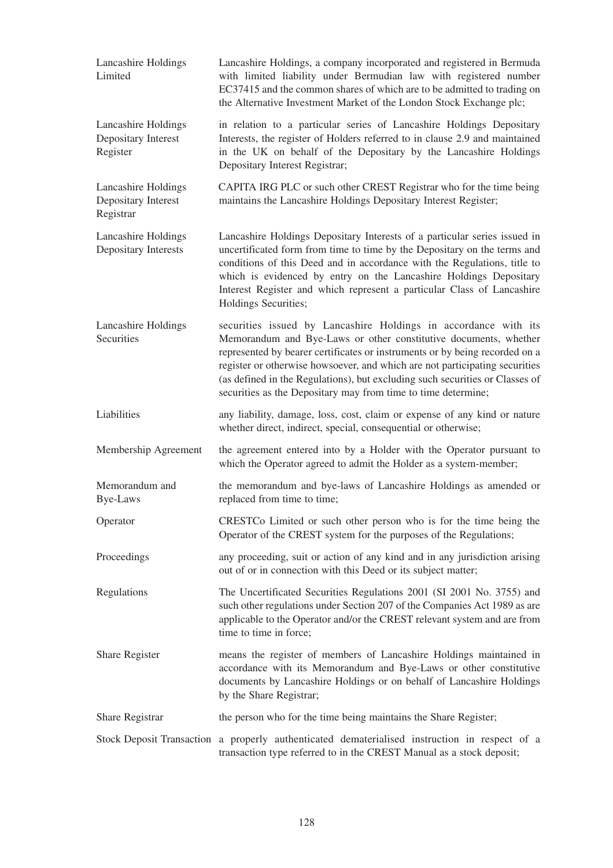| Lancashire Holdings<br>Limited                          | Lancashire Holdings, a company incorporated and registered in Bermuda<br>with limited liability under Bermudian law with registered number<br>EC37415 and the common shares of which are to be admitted to trading on<br>the Alternative Investment Market of the London Stock Exchange plc;                                                                                                                                                       |
|---------------------------------------------------------|----------------------------------------------------------------------------------------------------------------------------------------------------------------------------------------------------------------------------------------------------------------------------------------------------------------------------------------------------------------------------------------------------------------------------------------------------|
| Lancashire Holdings<br>Depositary Interest<br>Register  | in relation to a particular series of Lancashire Holdings Depositary<br>Interests, the register of Holders referred to in clause 2.9 and maintained<br>in the UK on behalf of the Depositary by the Lancashire Holdings<br>Depositary Interest Registrar;                                                                                                                                                                                          |
| Lancashire Holdings<br>Depositary Interest<br>Registrar | CAPITA IRG PLC or such other CREST Registrar who for the time being<br>maintains the Lancashire Holdings Depositary Interest Register;                                                                                                                                                                                                                                                                                                             |
| Lancashire Holdings<br>Depositary Interests             | Lancashire Holdings Depositary Interests of a particular series issued in<br>uncertificated form from time to time by the Depositary on the terms and<br>conditions of this Deed and in accordance with the Regulations, title to<br>which is evidenced by entry on the Lancashire Holdings Depositary<br>Interest Register and which represent a particular Class of Lancashire<br>Holdings Securities;                                           |
| Lancashire Holdings<br>Securities                       | securities issued by Lancashire Holdings in accordance with its<br>Memorandum and Bye-Laws or other constitutive documents, whether<br>represented by bearer certificates or instruments or by being recorded on a<br>register or otherwise howsoever, and which are not participating securities<br>(as defined in the Regulations), but excluding such securities or Classes of<br>securities as the Depositary may from time to time determine; |
| Liabilities                                             | any liability, damage, loss, cost, claim or expense of any kind or nature<br>whether direct, indirect, special, consequential or otherwise;                                                                                                                                                                                                                                                                                                        |
| Membership Agreement                                    | the agreement entered into by a Holder with the Operator pursuant to<br>which the Operator agreed to admit the Holder as a system-member;                                                                                                                                                                                                                                                                                                          |
| Memorandum and<br><b>Bye-Laws</b>                       | the memorandum and bye-laws of Lancashire Holdings as amended or<br>replaced from time to time;                                                                                                                                                                                                                                                                                                                                                    |
| Operator                                                | CRESTCo Limited or such other person who is for the time being the<br>Operator of the CREST system for the purposes of the Regulations;                                                                                                                                                                                                                                                                                                            |
| Proceedings                                             | any proceeding, suit or action of any kind and in any jurisdiction arising<br>out of or in connection with this Deed or its subject matter;                                                                                                                                                                                                                                                                                                        |
| Regulations                                             | The Uncertificated Securities Regulations 2001 (SI 2001 No. 3755) and<br>such other regulations under Section 207 of the Companies Act 1989 as are<br>applicable to the Operator and/or the CREST relevant system and are from<br>time to time in force;                                                                                                                                                                                           |
| Share Register                                          | means the register of members of Lancashire Holdings maintained in<br>accordance with its Memorandum and Bye-Laws or other constitutive<br>documents by Lancashire Holdings or on behalf of Lancashire Holdings<br>by the Share Registrar;                                                                                                                                                                                                         |
| Share Registrar                                         | the person who for the time being maintains the Share Register;                                                                                                                                                                                                                                                                                                                                                                                    |
|                                                         | Stock Deposit Transaction a properly authenticated dematerialised instruction in respect of a<br>transaction type referred to in the CREST Manual as a stock deposit;                                                                                                                                                                                                                                                                              |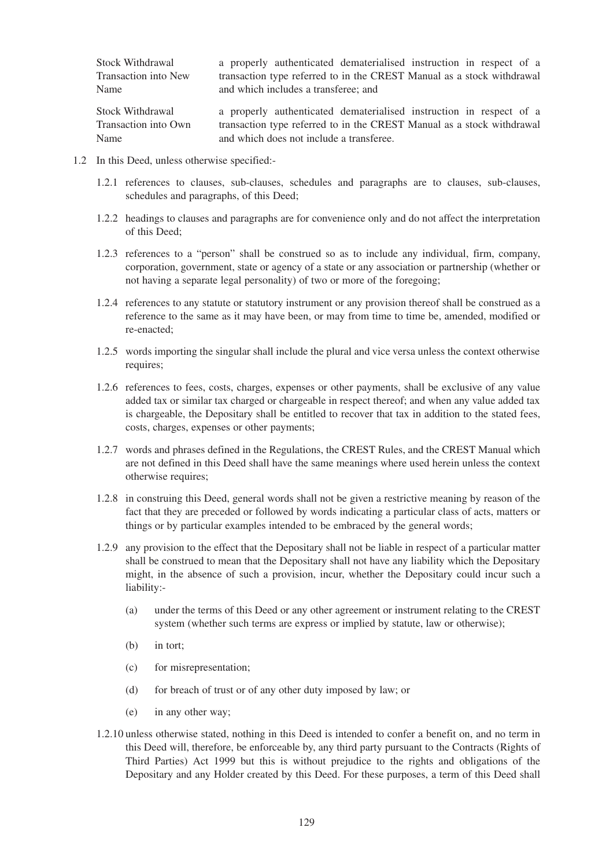| Stock Withdrawal     | a properly authenticated dematerialised instruction in respect of a    |
|----------------------|------------------------------------------------------------------------|
| Transaction into New | transaction type referred to in the CREST Manual as a stock withdrawal |
| Name                 | and which includes a transferee; and                                   |
| Stock Withdrawal     | a properly authenticated dematerialised instruction in respect of a    |
| Transaction into Own | transaction type referred to in the CREST Manual as a stock withdrawal |

1.2 In this Deed, unless otherwise specified:-

Name

1.2.1 references to clauses, sub-clauses, schedules and paragraphs are to clauses, sub-clauses, schedules and paragraphs, of this Deed;

and which does not include a transferee.

- 1.2.2 headings to clauses and paragraphs are for convenience only and do not affect the interpretation of this Deed;
- 1.2.3 references to a "person" shall be construed so as to include any individual, firm, company, corporation, government, state or agency of a state or any association or partnership (whether or not having a separate legal personality) of two or more of the foregoing;
- 1.2.4 references to any statute or statutory instrument or any provision thereof shall be construed as a reference to the same as it may have been, or may from time to time be, amended, modified or re-enacted;
- 1.2.5 words importing the singular shall include the plural and vice versa unless the context otherwise requires;
- 1.2.6 references to fees, costs, charges, expenses or other payments, shall be exclusive of any value added tax or similar tax charged or chargeable in respect thereof; and when any value added tax is chargeable, the Depositary shall be entitled to recover that tax in addition to the stated fees, costs, charges, expenses or other payments;
- 1.2.7 words and phrases defined in the Regulations, the CREST Rules, and the CREST Manual which are not defined in this Deed shall have the same meanings where used herein unless the context otherwise requires;
- 1.2.8 in construing this Deed, general words shall not be given a restrictive meaning by reason of the fact that they are preceded or followed by words indicating a particular class of acts, matters or things or by particular examples intended to be embraced by the general words;
- 1.2.9 any provision to the effect that the Depositary shall not be liable in respect of a particular matter shall be construed to mean that the Depositary shall not have any liability which the Depositary might, in the absence of such a provision, incur, whether the Depositary could incur such a liability:-
	- (a) under the terms of this Deed or any other agreement or instrument relating to the CREST system (whether such terms are express or implied by statute, law or otherwise);
	- (b) in tort;
	- (c) for misrepresentation;
	- (d) for breach of trust or of any other duty imposed by law; or
	- (e) in any other way;
- 1.2.10 unless otherwise stated, nothing in this Deed is intended to confer a benefit on, and no term in this Deed will, therefore, be enforceable by, any third party pursuant to the Contracts (Rights of Third Parties) Act 1999 but this is without prejudice to the rights and obligations of the Depositary and any Holder created by this Deed. For these purposes, a term of this Deed shall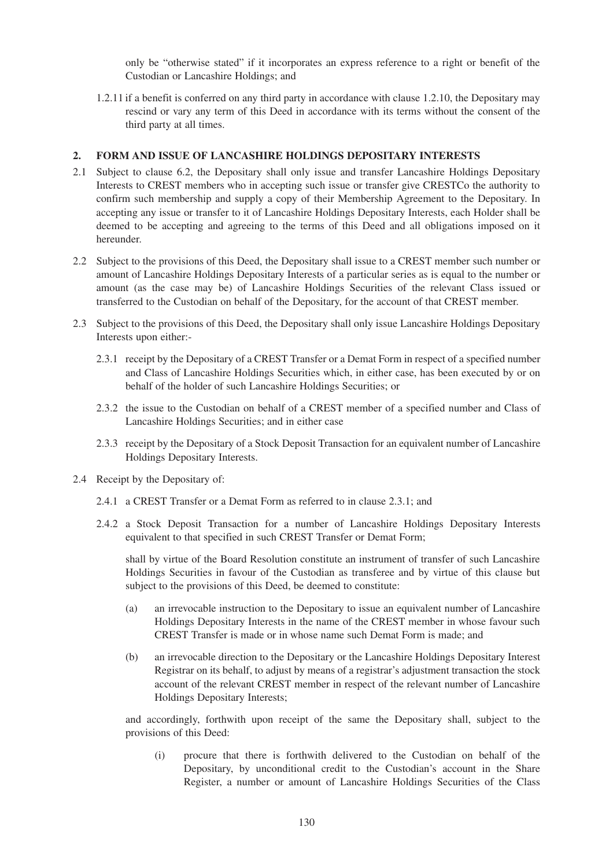only be "otherwise stated" if it incorporates an express reference to a right or benefit of the Custodian or Lancashire Holdings; and

1.2.11 if a benefit is conferred on any third party in accordance with clause 1.2.10, the Depositary may rescind or vary any term of this Deed in accordance with its terms without the consent of the third party at all times.

### **2. FORM AND ISSUE OF LANCASHIRE HOLDINGS DEPOSITARY INTERESTS**

- 2.1 Subject to clause 6.2, the Depositary shall only issue and transfer Lancashire Holdings Depositary Interests to CREST members who in accepting such issue or transfer give CRESTCo the authority to confirm such membership and supply a copy of their Membership Agreement to the Depositary. In accepting any issue or transfer to it of Lancashire Holdings Depositary Interests, each Holder shall be deemed to be accepting and agreeing to the terms of this Deed and all obligations imposed on it hereunder.
- 2.2 Subject to the provisions of this Deed, the Depositary shall issue to a CREST member such number or amount of Lancashire Holdings Depositary Interests of a particular series as is equal to the number or amount (as the case may be) of Lancashire Holdings Securities of the relevant Class issued or transferred to the Custodian on behalf of the Depositary, for the account of that CREST member.
- 2.3 Subject to the provisions of this Deed, the Depositary shall only issue Lancashire Holdings Depositary Interests upon either:-
	- 2.3.1 receipt by the Depositary of a CREST Transfer or a Demat Form in respect of a specified number and Class of Lancashire Holdings Securities which, in either case, has been executed by or on behalf of the holder of such Lancashire Holdings Securities; or
	- 2.3.2 the issue to the Custodian on behalf of a CREST member of a specified number and Class of Lancashire Holdings Securities; and in either case
	- 2.3.3 receipt by the Depositary of a Stock Deposit Transaction for an equivalent number of Lancashire Holdings Depositary Interests.
- 2.4 Receipt by the Depositary of:
	- 2.4.1 a CREST Transfer or a Demat Form as referred to in clause 2.3.1; and
	- 2.4.2 a Stock Deposit Transaction for a number of Lancashire Holdings Depositary Interests equivalent to that specified in such CREST Transfer or Demat Form;

shall by virtue of the Board Resolution constitute an instrument of transfer of such Lancashire Holdings Securities in favour of the Custodian as transferee and by virtue of this clause but subject to the provisions of this Deed, be deemed to constitute:

- (a) an irrevocable instruction to the Depositary to issue an equivalent number of Lancashire Holdings Depositary Interests in the name of the CREST member in whose favour such CREST Transfer is made or in whose name such Demat Form is made; and
- (b) an irrevocable direction to the Depositary or the Lancashire Holdings Depositary Interest Registrar on its behalf, to adjust by means of a registrar's adjustment transaction the stock account of the relevant CREST member in respect of the relevant number of Lancashire Holdings Depositary Interests;

and accordingly, forthwith upon receipt of the same the Depositary shall, subject to the provisions of this Deed:

(i) procure that there is forthwith delivered to the Custodian on behalf of the Depositary, by unconditional credit to the Custodian's account in the Share Register, a number or amount of Lancashire Holdings Securities of the Class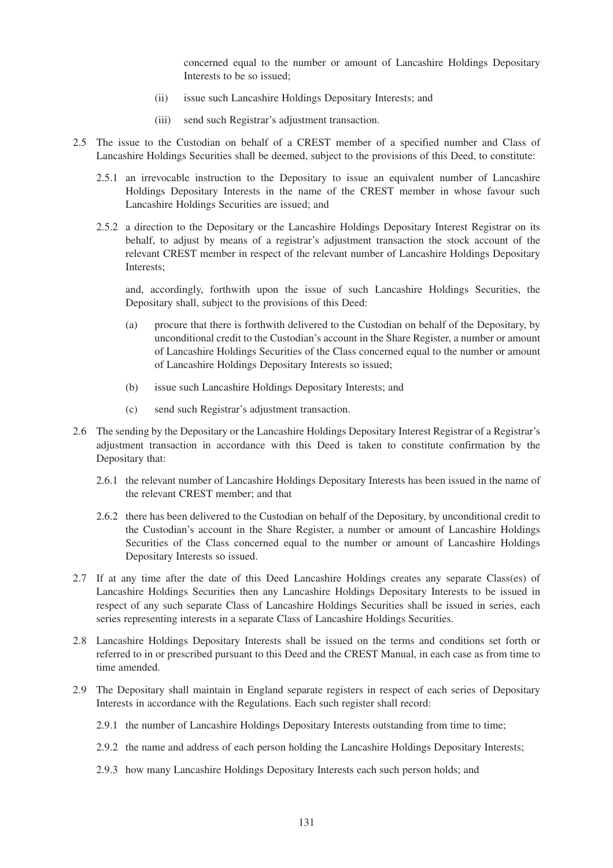concerned equal to the number or amount of Lancashire Holdings Depositary Interests to be so issued;

- (ii) issue such Lancashire Holdings Depositary Interests; and
- (iii) send such Registrar's adjustment transaction.
- 2.5 The issue to the Custodian on behalf of a CREST member of a specified number and Class of Lancashire Holdings Securities shall be deemed, subject to the provisions of this Deed, to constitute:
	- 2.5.1 an irrevocable instruction to the Depositary to issue an equivalent number of Lancashire Holdings Depositary Interests in the name of the CREST member in whose favour such Lancashire Holdings Securities are issued; and
	- 2.5.2 a direction to the Depositary or the Lancashire Holdings Depositary Interest Registrar on its behalf, to adjust by means of a registrar's adjustment transaction the stock account of the relevant CREST member in respect of the relevant number of Lancashire Holdings Depositary Interests;

and, accordingly, forthwith upon the issue of such Lancashire Holdings Securities, the Depositary shall, subject to the provisions of this Deed:

- (a) procure that there is forthwith delivered to the Custodian on behalf of the Depositary, by unconditional credit to the Custodian's account in the Share Register, a number or amount of Lancashire Holdings Securities of the Class concerned equal to the number or amount of Lancashire Holdings Depositary Interests so issued;
- (b) issue such Lancashire Holdings Depositary Interests; and
- (c) send such Registrar's adjustment transaction.
- 2.6 The sending by the Depositary or the Lancashire Holdings Depositary Interest Registrar of a Registrar's adjustment transaction in accordance with this Deed is taken to constitute confirmation by the Depositary that:
	- 2.6.1 the relevant number of Lancashire Holdings Depositary Interests has been issued in the name of the relevant CREST member; and that
	- 2.6.2 there has been delivered to the Custodian on behalf of the Depositary, by unconditional credit to the Custodian's account in the Share Register, a number or amount of Lancashire Holdings Securities of the Class concerned equal to the number or amount of Lancashire Holdings Depositary Interests so issued.
- 2.7 If at any time after the date of this Deed Lancashire Holdings creates any separate Class(es) of Lancashire Holdings Securities then any Lancashire Holdings Depositary Interests to be issued in respect of any such separate Class of Lancashire Holdings Securities shall be issued in series, each series representing interests in a separate Class of Lancashire Holdings Securities.
- 2.8 Lancashire Holdings Depositary Interests shall be issued on the terms and conditions set forth or referred to in or prescribed pursuant to this Deed and the CREST Manual, in each case as from time to time amended.
- 2.9 The Depositary shall maintain in England separate registers in respect of each series of Depositary Interests in accordance with the Regulations. Each such register shall record:
	- 2.9.1 the number of Lancashire Holdings Depositary Interests outstanding from time to time;
	- 2.9.2 the name and address of each person holding the Lancashire Holdings Depositary Interests;
	- 2.9.3 how many Lancashire Holdings Depositary Interests each such person holds; and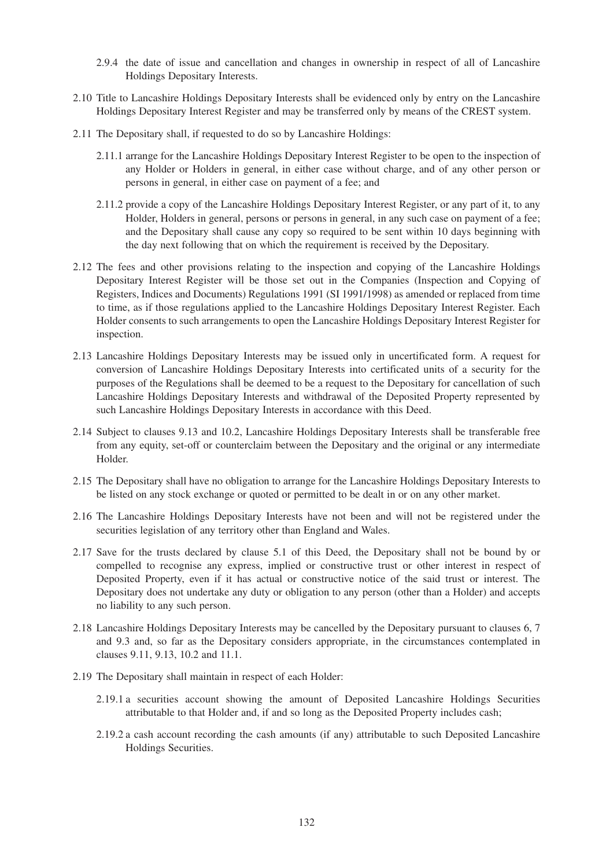- 2.9.4 the date of issue and cancellation and changes in ownership in respect of all of Lancashire Holdings Depositary Interests.
- 2.10 Title to Lancashire Holdings Depositary Interests shall be evidenced only by entry on the Lancashire Holdings Depositary Interest Register and may be transferred only by means of the CREST system.
- 2.11 The Depositary shall, if requested to do so by Lancashire Holdings:
	- 2.11.1 arrange for the Lancashire Holdings Depositary Interest Register to be open to the inspection of any Holder or Holders in general, in either case without charge, and of any other person or persons in general, in either case on payment of a fee; and
	- 2.11.2 provide a copy of the Lancashire Holdings Depositary Interest Register, or any part of it, to any Holder, Holders in general, persons or persons in general, in any such case on payment of a fee; and the Depositary shall cause any copy so required to be sent within 10 days beginning with the day next following that on which the requirement is received by the Depositary.
- 2.12 The fees and other provisions relating to the inspection and copying of the Lancashire Holdings Depositary Interest Register will be those set out in the Companies (Inspection and Copying of Registers, Indices and Documents) Regulations 1991 (SI 1991/1998) as amended or replaced from time to time, as if those regulations applied to the Lancashire Holdings Depositary Interest Register. Each Holder consents to such arrangements to open the Lancashire Holdings Depositary Interest Register for inspection.
- 2.13 Lancashire Holdings Depositary Interests may be issued only in uncertificated form. A request for conversion of Lancashire Holdings Depositary Interests into certificated units of a security for the purposes of the Regulations shall be deemed to be a request to the Depositary for cancellation of such Lancashire Holdings Depositary Interests and withdrawal of the Deposited Property represented by such Lancashire Holdings Depositary Interests in accordance with this Deed.
- 2.14 Subject to clauses 9.13 and 10.2, Lancashire Holdings Depositary Interests shall be transferable free from any equity, set-off or counterclaim between the Depositary and the original or any intermediate Holder.
- 2.15 The Depositary shall have no obligation to arrange for the Lancashire Holdings Depositary Interests to be listed on any stock exchange or quoted or permitted to be dealt in or on any other market.
- 2.16 The Lancashire Holdings Depositary Interests have not been and will not be registered under the securities legislation of any territory other than England and Wales.
- 2.17 Save for the trusts declared by clause 5.1 of this Deed, the Depositary shall not be bound by or compelled to recognise any express, implied or constructive trust or other interest in respect of Deposited Property, even if it has actual or constructive notice of the said trust or interest. The Depositary does not undertake any duty or obligation to any person (other than a Holder) and accepts no liability to any such person.
- 2.18 Lancashire Holdings Depositary Interests may be cancelled by the Depositary pursuant to clauses 6, 7 and 9.3 and, so far as the Depositary considers appropriate, in the circumstances contemplated in clauses 9.11, 9.13, 10.2 and 11.1.
- 2.19 The Depositary shall maintain in respect of each Holder:
	- 2.19.1 a securities account showing the amount of Deposited Lancashire Holdings Securities attributable to that Holder and, if and so long as the Deposited Property includes cash;
	- 2.19.2 a cash account recording the cash amounts (if any) attributable to such Deposited Lancashire Holdings Securities.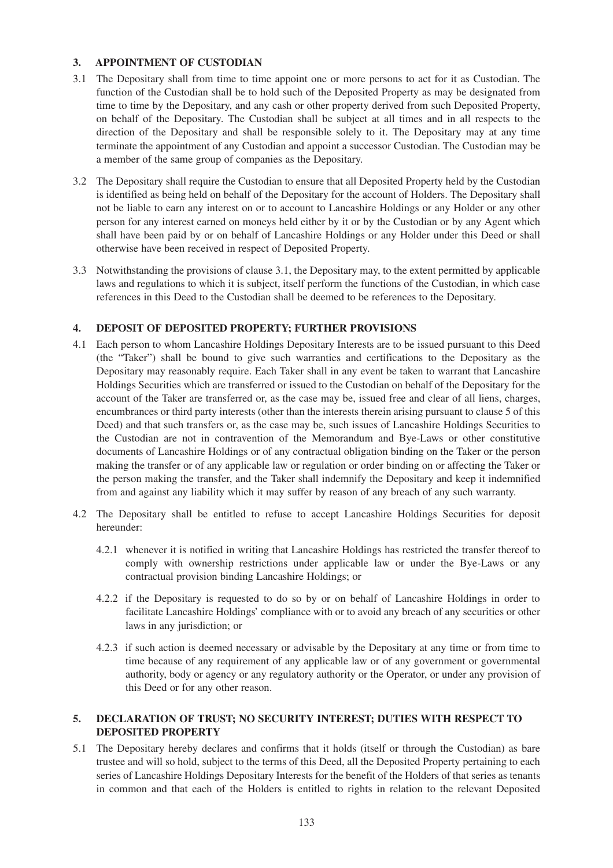### **3. APPOINTMENT OF CUSTODIAN**

- 3.1 The Depositary shall from time to time appoint one or more persons to act for it as Custodian. The function of the Custodian shall be to hold such of the Deposited Property as may be designated from time to time by the Depositary, and any cash or other property derived from such Deposited Property, on behalf of the Depositary. The Custodian shall be subject at all times and in all respects to the direction of the Depositary and shall be responsible solely to it. The Depositary may at any time terminate the appointment of any Custodian and appoint a successor Custodian. The Custodian may be a member of the same group of companies as the Depositary.
- 3.2 The Depositary shall require the Custodian to ensure that all Deposited Property held by the Custodian is identified as being held on behalf of the Depositary for the account of Holders. The Depositary shall not be liable to earn any interest on or to account to Lancashire Holdings or any Holder or any other person for any interest earned on moneys held either by it or by the Custodian or by any Agent which shall have been paid by or on behalf of Lancashire Holdings or any Holder under this Deed or shall otherwise have been received in respect of Deposited Property.
- 3.3 Notwithstanding the provisions of clause 3.1, the Depositary may, to the extent permitted by applicable laws and regulations to which it is subject, itself perform the functions of the Custodian, in which case references in this Deed to the Custodian shall be deemed to be references to the Depositary.

# **4. DEPOSIT OF DEPOSITED PROPERTY; FURTHER PROVISIONS**

- 4.1 Each person to whom Lancashire Holdings Depositary Interests are to be issued pursuant to this Deed (the "Taker") shall be bound to give such warranties and certifications to the Depositary as the Depositary may reasonably require. Each Taker shall in any event be taken to warrant that Lancashire Holdings Securities which are transferred or issued to the Custodian on behalf of the Depositary for the account of the Taker are transferred or, as the case may be, issued free and clear of all liens, charges, encumbrances or third party interests (other than the interests therein arising pursuant to clause 5 of this Deed) and that such transfers or, as the case may be, such issues of Lancashire Holdings Securities to the Custodian are not in contravention of the Memorandum and Bye-Laws or other constitutive documents of Lancashire Holdings or of any contractual obligation binding on the Taker or the person making the transfer or of any applicable law or regulation or order binding on or affecting the Taker or the person making the transfer, and the Taker shall indemnify the Depositary and keep it indemnified from and against any liability which it may suffer by reason of any breach of any such warranty.
- 4.2 The Depositary shall be entitled to refuse to accept Lancashire Holdings Securities for deposit hereunder:
	- 4.2.1 whenever it is notified in writing that Lancashire Holdings has restricted the transfer thereof to comply with ownership restrictions under applicable law or under the Bye-Laws or any contractual provision binding Lancashire Holdings; or
	- 4.2.2 if the Depositary is requested to do so by or on behalf of Lancashire Holdings in order to facilitate Lancashire Holdings' compliance with or to avoid any breach of any securities or other laws in any jurisdiction; or
	- 4.2.3 if such action is deemed necessary or advisable by the Depositary at any time or from time to time because of any requirement of any applicable law or of any government or governmental authority, body or agency or any regulatory authority or the Operator, or under any provision of this Deed or for any other reason.

# **5. DECLARATION OF TRUST; NO SECURITY INTEREST; DUTIES WITH RESPECT TO DEPOSITED PROPERTY**

5.1 The Depositary hereby declares and confirms that it holds (itself or through the Custodian) as bare trustee and will so hold, subject to the terms of this Deed, all the Deposited Property pertaining to each series of Lancashire Holdings Depositary Interests for the benefit of the Holders of that series as tenants in common and that each of the Holders is entitled to rights in relation to the relevant Deposited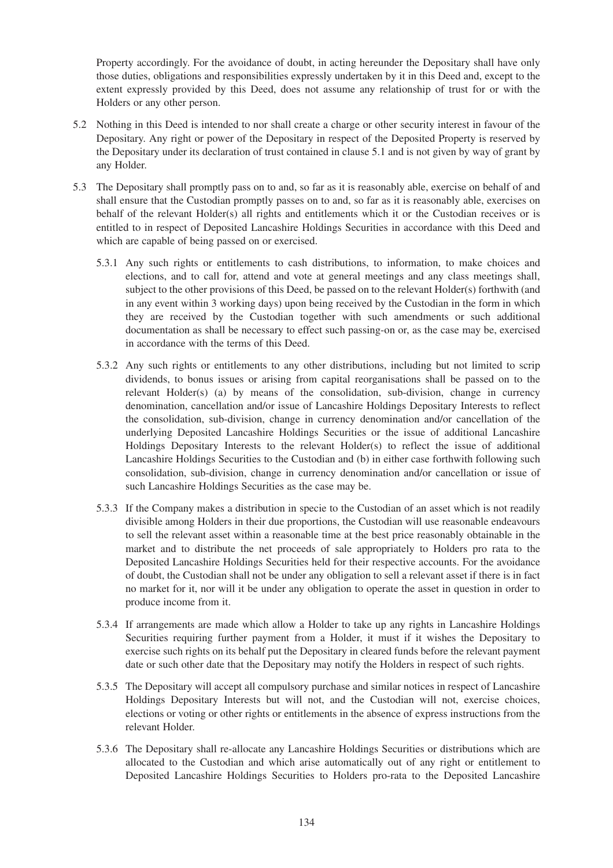Property accordingly. For the avoidance of doubt, in acting hereunder the Depositary shall have only those duties, obligations and responsibilities expressly undertaken by it in this Deed and, except to the extent expressly provided by this Deed, does not assume any relationship of trust for or with the Holders or any other person.

- 5.2 Nothing in this Deed is intended to nor shall create a charge or other security interest in favour of the Depositary. Any right or power of the Depositary in respect of the Deposited Property is reserved by the Depositary under its declaration of trust contained in clause 5.1 and is not given by way of grant by any Holder.
- 5.3 The Depositary shall promptly pass on to and, so far as it is reasonably able, exercise on behalf of and shall ensure that the Custodian promptly passes on to and, so far as it is reasonably able, exercises on behalf of the relevant Holder(s) all rights and entitlements which it or the Custodian receives or is entitled to in respect of Deposited Lancashire Holdings Securities in accordance with this Deed and which are capable of being passed on or exercised.
	- 5.3.1 Any such rights or entitlements to cash distributions, to information, to make choices and elections, and to call for, attend and vote at general meetings and any class meetings shall, subject to the other provisions of this Deed, be passed on to the relevant Holder(s) forthwith (and in any event within 3 working days) upon being received by the Custodian in the form in which they are received by the Custodian together with such amendments or such additional documentation as shall be necessary to effect such passing-on or, as the case may be, exercised in accordance with the terms of this Deed.
	- 5.3.2 Any such rights or entitlements to any other distributions, including but not limited to scrip dividends, to bonus issues or arising from capital reorganisations shall be passed on to the relevant Holder(s) (a) by means of the consolidation, sub-division, change in currency denomination, cancellation and/or issue of Lancashire Holdings Depositary Interests to reflect the consolidation, sub-division, change in currency denomination and/or cancellation of the underlying Deposited Lancashire Holdings Securities or the issue of additional Lancashire Holdings Depositary Interests to the relevant Holder(s) to reflect the issue of additional Lancashire Holdings Securities to the Custodian and (b) in either case forthwith following such consolidation, sub-division, change in currency denomination and/or cancellation or issue of such Lancashire Holdings Securities as the case may be.
	- 5.3.3 If the Company makes a distribution in specie to the Custodian of an asset which is not readily divisible among Holders in their due proportions, the Custodian will use reasonable endeavours to sell the relevant asset within a reasonable time at the best price reasonably obtainable in the market and to distribute the net proceeds of sale appropriately to Holders pro rata to the Deposited Lancashire Holdings Securities held for their respective accounts. For the avoidance of doubt, the Custodian shall not be under any obligation to sell a relevant asset if there is in fact no market for it, nor will it be under any obligation to operate the asset in question in order to produce income from it.
	- 5.3.4 If arrangements are made which allow a Holder to take up any rights in Lancashire Holdings Securities requiring further payment from a Holder, it must if it wishes the Depositary to exercise such rights on its behalf put the Depositary in cleared funds before the relevant payment date or such other date that the Depositary may notify the Holders in respect of such rights.
	- 5.3.5 The Depositary will accept all compulsory purchase and similar notices in respect of Lancashire Holdings Depositary Interests but will not, and the Custodian will not, exercise choices, elections or voting or other rights or entitlements in the absence of express instructions from the relevant Holder.
	- 5.3.6 The Depositary shall re-allocate any Lancashire Holdings Securities or distributions which are allocated to the Custodian and which arise automatically out of any right or entitlement to Deposited Lancashire Holdings Securities to Holders pro-rata to the Deposited Lancashire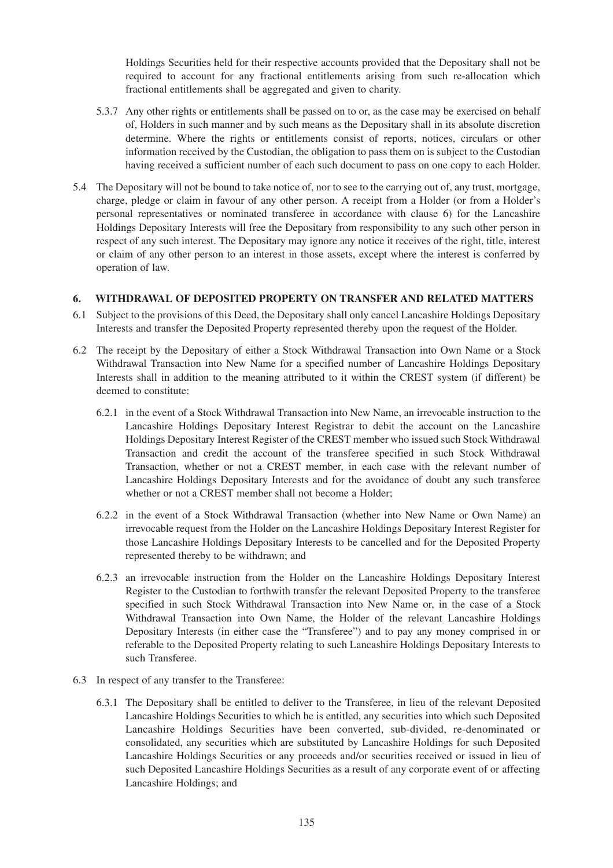Holdings Securities held for their respective accounts provided that the Depositary shall not be required to account for any fractional entitlements arising from such re-allocation which fractional entitlements shall be aggregated and given to charity.

- 5.3.7 Any other rights or entitlements shall be passed on to or, as the case may be exercised on behalf of, Holders in such manner and by such means as the Depositary shall in its absolute discretion determine. Where the rights or entitlements consist of reports, notices, circulars or other information received by the Custodian, the obligation to pass them on is subject to the Custodian having received a sufficient number of each such document to pass on one copy to each Holder.
- 5.4 The Depositary will not be bound to take notice of, nor to see to the carrying out of, any trust, mortgage, charge, pledge or claim in favour of any other person. A receipt from a Holder (or from a Holder's personal representatives or nominated transferee in accordance with clause 6) for the Lancashire Holdings Depositary Interests will free the Depositary from responsibility to any such other person in respect of any such interest. The Depositary may ignore any notice it receives of the right, title, interest or claim of any other person to an interest in those assets, except where the interest is conferred by operation of law.

### **6. WITHDRAWAL OF DEPOSITED PROPERTY ON TRANSFER AND RELATED MATTERS**

- 6.1 Subject to the provisions of this Deed, the Depositary shall only cancel Lancashire Holdings Depositary Interests and transfer the Deposited Property represented thereby upon the request of the Holder.
- 6.2 The receipt by the Depositary of either a Stock Withdrawal Transaction into Own Name or a Stock Withdrawal Transaction into New Name for a specified number of Lancashire Holdings Depositary Interests shall in addition to the meaning attributed to it within the CREST system (if different) be deemed to constitute:
	- 6.2.1 in the event of a Stock Withdrawal Transaction into New Name, an irrevocable instruction to the Lancashire Holdings Depositary Interest Registrar to debit the account on the Lancashire Holdings Depositary Interest Register of the CREST member who issued such Stock Withdrawal Transaction and credit the account of the transferee specified in such Stock Withdrawal Transaction, whether or not a CREST member, in each case with the relevant number of Lancashire Holdings Depositary Interests and for the avoidance of doubt any such transferee whether or not a CREST member shall not become a Holder;
	- 6.2.2 in the event of a Stock Withdrawal Transaction (whether into New Name or Own Name) an irrevocable request from the Holder on the Lancashire Holdings Depositary Interest Register for those Lancashire Holdings Depositary Interests to be cancelled and for the Deposited Property represented thereby to be withdrawn; and
	- 6.2.3 an irrevocable instruction from the Holder on the Lancashire Holdings Depositary Interest Register to the Custodian to forthwith transfer the relevant Deposited Property to the transferee specified in such Stock Withdrawal Transaction into New Name or, in the case of a Stock Withdrawal Transaction into Own Name, the Holder of the relevant Lancashire Holdings Depositary Interests (in either case the "Transferee") and to pay any money comprised in or referable to the Deposited Property relating to such Lancashire Holdings Depositary Interests to such Transferee.
- 6.3 In respect of any transfer to the Transferee:
	- 6.3.1 The Depositary shall be entitled to deliver to the Transferee, in lieu of the relevant Deposited Lancashire Holdings Securities to which he is entitled, any securities into which such Deposited Lancashire Holdings Securities have been converted, sub-divided, re-denominated or consolidated, any securities which are substituted by Lancashire Holdings for such Deposited Lancashire Holdings Securities or any proceeds and/or securities received or issued in lieu of such Deposited Lancashire Holdings Securities as a result of any corporate event of or affecting Lancashire Holdings; and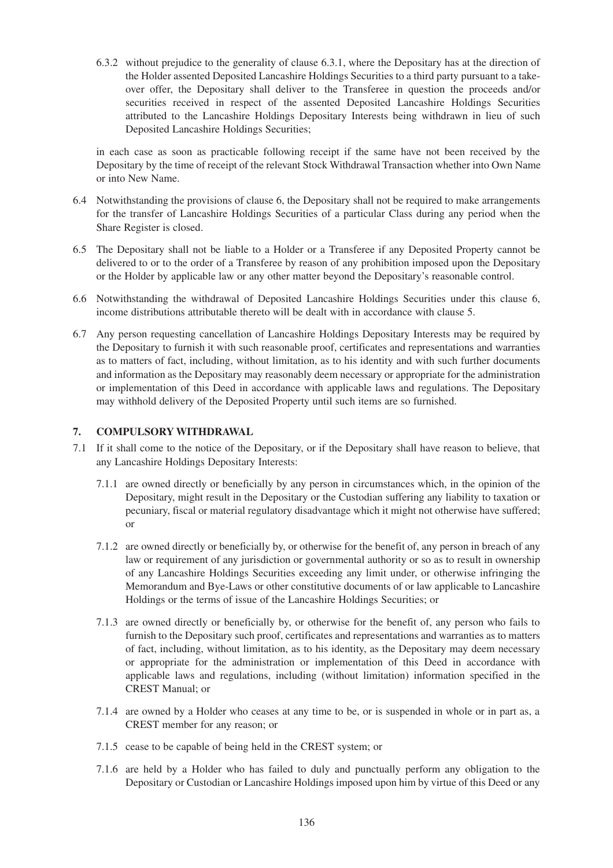6.3.2 without prejudice to the generality of clause 6.3.1, where the Depositary has at the direction of the Holder assented Deposited Lancashire Holdings Securities to a third party pursuant to a takeover offer, the Depositary shall deliver to the Transferee in question the proceeds and/or securities received in respect of the assented Deposited Lancashire Holdings Securities attributed to the Lancashire Holdings Depositary Interests being withdrawn in lieu of such Deposited Lancashire Holdings Securities;

in each case as soon as practicable following receipt if the same have not been received by the Depositary by the time of receipt of the relevant Stock Withdrawal Transaction whether into Own Name or into New Name.

- 6.4 Notwithstanding the provisions of clause 6, the Depositary shall not be required to make arrangements for the transfer of Lancashire Holdings Securities of a particular Class during any period when the Share Register is closed.
- 6.5 The Depositary shall not be liable to a Holder or a Transferee if any Deposited Property cannot be delivered to or to the order of a Transferee by reason of any prohibition imposed upon the Depositary or the Holder by applicable law or any other matter beyond the Depositary's reasonable control.
- 6.6 Notwithstanding the withdrawal of Deposited Lancashire Holdings Securities under this clause 6, income distributions attributable thereto will be dealt with in accordance with clause 5.
- 6.7 Any person requesting cancellation of Lancashire Holdings Depositary Interests may be required by the Depositary to furnish it with such reasonable proof, certificates and representations and warranties as to matters of fact, including, without limitation, as to his identity and with such further documents and information as the Depositary may reasonably deem necessary or appropriate for the administration or implementation of this Deed in accordance with applicable laws and regulations. The Depositary may withhold delivery of the Deposited Property until such items are so furnished.

### **7. COMPULSORY WITHDRAWAL**

- 7.1 If it shall come to the notice of the Depositary, or if the Depositary shall have reason to believe, that any Lancashire Holdings Depositary Interests:
	- 7.1.1 are owned directly or beneficially by any person in circumstances which, in the opinion of the Depositary, might result in the Depositary or the Custodian suffering any liability to taxation or pecuniary, fiscal or material regulatory disadvantage which it might not otherwise have suffered; or
	- 7.1.2 are owned directly or beneficially by, or otherwise for the benefit of, any person in breach of any law or requirement of any jurisdiction or governmental authority or so as to result in ownership of any Lancashire Holdings Securities exceeding any limit under, or otherwise infringing the Memorandum and Bye-Laws or other constitutive documents of or law applicable to Lancashire Holdings or the terms of issue of the Lancashire Holdings Securities; or
	- 7.1.3 are owned directly or beneficially by, or otherwise for the benefit of, any person who fails to furnish to the Depositary such proof, certificates and representations and warranties as to matters of fact, including, without limitation, as to his identity, as the Depositary may deem necessary or appropriate for the administration or implementation of this Deed in accordance with applicable laws and regulations, including (without limitation) information specified in the CREST Manual; or
	- 7.1.4 are owned by a Holder who ceases at any time to be, or is suspended in whole or in part as, a CREST member for any reason; or
	- 7.1.5 cease to be capable of being held in the CREST system; or
	- 7.1.6 are held by a Holder who has failed to duly and punctually perform any obligation to the Depositary or Custodian or Lancashire Holdings imposed upon him by virtue of this Deed or any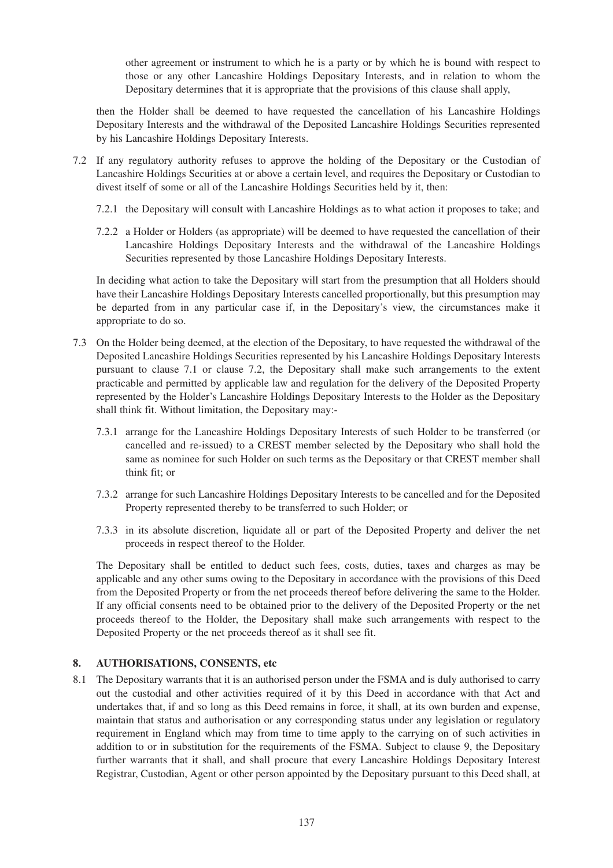other agreement or instrument to which he is a party or by which he is bound with respect to those or any other Lancashire Holdings Depositary Interests, and in relation to whom the Depositary determines that it is appropriate that the provisions of this clause shall apply,

then the Holder shall be deemed to have requested the cancellation of his Lancashire Holdings Depositary Interests and the withdrawal of the Deposited Lancashire Holdings Securities represented by his Lancashire Holdings Depositary Interests.

- 7.2 If any regulatory authority refuses to approve the holding of the Depositary or the Custodian of Lancashire Holdings Securities at or above a certain level, and requires the Depositary or Custodian to divest itself of some or all of the Lancashire Holdings Securities held by it, then:
	- 7.2.1 the Depositary will consult with Lancashire Holdings as to what action it proposes to take; and
	- 7.2.2 a Holder or Holders (as appropriate) will be deemed to have requested the cancellation of their Lancashire Holdings Depositary Interests and the withdrawal of the Lancashire Holdings Securities represented by those Lancashire Holdings Depositary Interests.

In deciding what action to take the Depositary will start from the presumption that all Holders should have their Lancashire Holdings Depositary Interests cancelled proportionally, but this presumption may be departed from in any particular case if, in the Depositary's view, the circumstances make it appropriate to do so.

- 7.3 On the Holder being deemed, at the election of the Depositary, to have requested the withdrawal of the Deposited Lancashire Holdings Securities represented by his Lancashire Holdings Depositary Interests pursuant to clause 7.1 or clause 7.2, the Depositary shall make such arrangements to the extent practicable and permitted by applicable law and regulation for the delivery of the Deposited Property represented by the Holder's Lancashire Holdings Depositary Interests to the Holder as the Depositary shall think fit. Without limitation, the Depositary may:-
	- 7.3.1 arrange for the Lancashire Holdings Depositary Interests of such Holder to be transferred (or cancelled and re-issued) to a CREST member selected by the Depositary who shall hold the same as nominee for such Holder on such terms as the Depositary or that CREST member shall think fit; or
	- 7.3.2 arrange for such Lancashire Holdings Depositary Interests to be cancelled and for the Deposited Property represented thereby to be transferred to such Holder; or
	- 7.3.3 in its absolute discretion, liquidate all or part of the Deposited Property and deliver the net proceeds in respect thereof to the Holder.

The Depositary shall be entitled to deduct such fees, costs, duties, taxes and charges as may be applicable and any other sums owing to the Depositary in accordance with the provisions of this Deed from the Deposited Property or from the net proceeds thereof before delivering the same to the Holder. If any official consents need to be obtained prior to the delivery of the Deposited Property or the net proceeds thereof to the Holder, the Depositary shall make such arrangements with respect to the Deposited Property or the net proceeds thereof as it shall see fit.

# **8. AUTHORISATIONS, CONSENTS, etc**

8.1 The Depositary warrants that it is an authorised person under the FSMA and is duly authorised to carry out the custodial and other activities required of it by this Deed in accordance with that Act and undertakes that, if and so long as this Deed remains in force, it shall, at its own burden and expense, maintain that status and authorisation or any corresponding status under any legislation or regulatory requirement in England which may from time to time apply to the carrying on of such activities in addition to or in substitution for the requirements of the FSMA. Subject to clause 9, the Depositary further warrants that it shall, and shall procure that every Lancashire Holdings Depositary Interest Registrar, Custodian, Agent or other person appointed by the Depositary pursuant to this Deed shall, at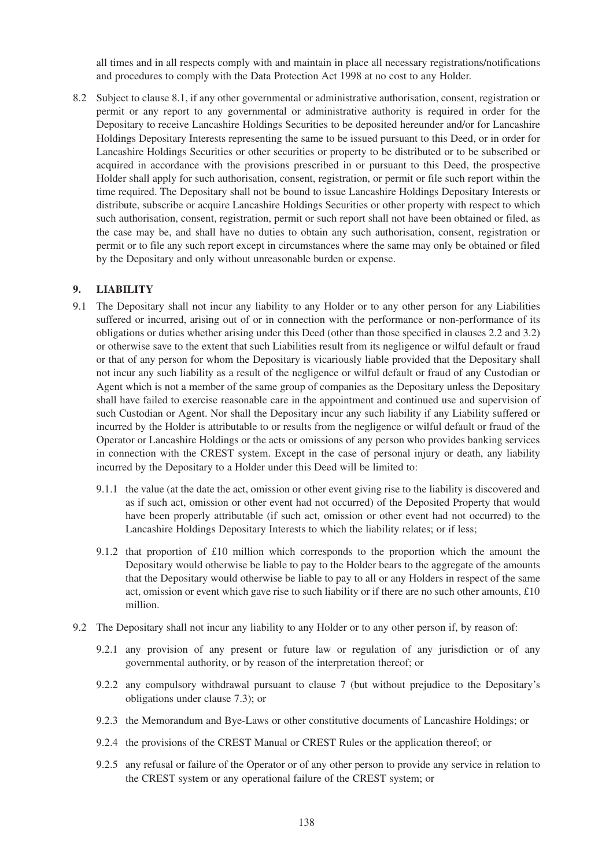all times and in all respects comply with and maintain in place all necessary registrations/notifications and procedures to comply with the Data Protection Act 1998 at no cost to any Holder.

8.2 Subject to clause 8.1, if any other governmental or administrative authorisation, consent, registration or permit or any report to any governmental or administrative authority is required in order for the Depositary to receive Lancashire Holdings Securities to be deposited hereunder and/or for Lancashire Holdings Depositary Interests representing the same to be issued pursuant to this Deed, or in order for Lancashire Holdings Securities or other securities or property to be distributed or to be subscribed or acquired in accordance with the provisions prescribed in or pursuant to this Deed, the prospective Holder shall apply for such authorisation, consent, registration, or permit or file such report within the time required. The Depositary shall not be bound to issue Lancashire Holdings Depositary Interests or distribute, subscribe or acquire Lancashire Holdings Securities or other property with respect to which such authorisation, consent, registration, permit or such report shall not have been obtained or filed, as the case may be, and shall have no duties to obtain any such authorisation, consent, registration or permit or to file any such report except in circumstances where the same may only be obtained or filed by the Depositary and only without unreasonable burden or expense.

### **9. LIABILITY**

- 9.1 The Depositary shall not incur any liability to any Holder or to any other person for any Liabilities suffered or incurred, arising out of or in connection with the performance or non-performance of its obligations or duties whether arising under this Deed (other than those specified in clauses 2.2 and 3.2) or otherwise save to the extent that such Liabilities result from its negligence or wilful default or fraud or that of any person for whom the Depositary is vicariously liable provided that the Depositary shall not incur any such liability as a result of the negligence or wilful default or fraud of any Custodian or Agent which is not a member of the same group of companies as the Depositary unless the Depositary shall have failed to exercise reasonable care in the appointment and continued use and supervision of such Custodian or Agent. Nor shall the Depositary incur any such liability if any Liability suffered or incurred by the Holder is attributable to or results from the negligence or wilful default or fraud of the Operator or Lancashire Holdings or the acts or omissions of any person who provides banking services in connection with the CREST system. Except in the case of personal injury or death, any liability incurred by the Depositary to a Holder under this Deed will be limited to:
	- 9.1.1 the value (at the date the act, omission or other event giving rise to the liability is discovered and as if such act, omission or other event had not occurred) of the Deposited Property that would have been properly attributable (if such act, omission or other event had not occurred) to the Lancashire Holdings Depositary Interests to which the liability relates; or if less;
	- 9.1.2 that proportion of £10 million which corresponds to the proportion which the amount the Depositary would otherwise be liable to pay to the Holder bears to the aggregate of the amounts that the Depositary would otherwise be liable to pay to all or any Holders in respect of the same act, omission or event which gave rise to such liability or if there are no such other amounts, £10 million.
- 9.2 The Depositary shall not incur any liability to any Holder or to any other person if, by reason of:
	- 9.2.1 any provision of any present or future law or regulation of any jurisdiction or of any governmental authority, or by reason of the interpretation thereof; or
	- 9.2.2 any compulsory withdrawal pursuant to clause 7 (but without prejudice to the Depositary's obligations under clause 7.3); or
	- 9.2.3 the Memorandum and Bye-Laws or other constitutive documents of Lancashire Holdings; or
	- 9.2.4 the provisions of the CREST Manual or CREST Rules or the application thereof; or
	- 9.2.5 any refusal or failure of the Operator or of any other person to provide any service in relation to the CREST system or any operational failure of the CREST system; or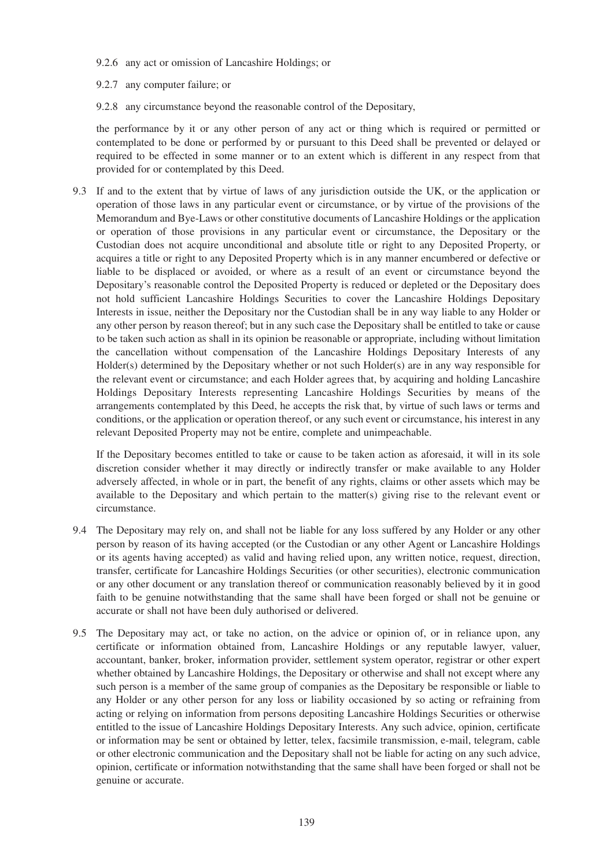- 9.2.6 any act or omission of Lancashire Holdings; or
- 9.2.7 any computer failure; or
- 9.2.8 any circumstance beyond the reasonable control of the Depositary,

the performance by it or any other person of any act or thing which is required or permitted or contemplated to be done or performed by or pursuant to this Deed shall be prevented or delayed or required to be effected in some manner or to an extent which is different in any respect from that provided for or contemplated by this Deed.

9.3 If and to the extent that by virtue of laws of any jurisdiction outside the UK, or the application or operation of those laws in any particular event or circumstance, or by virtue of the provisions of the Memorandum and Bye-Laws or other constitutive documents of Lancashire Holdings or the application or operation of those provisions in any particular event or circumstance, the Depositary or the Custodian does not acquire unconditional and absolute title or right to any Deposited Property, or acquires a title or right to any Deposited Property which is in any manner encumbered or defective or liable to be displaced or avoided, or where as a result of an event or circumstance beyond the Depositary's reasonable control the Deposited Property is reduced or depleted or the Depositary does not hold sufficient Lancashire Holdings Securities to cover the Lancashire Holdings Depositary Interests in issue, neither the Depositary nor the Custodian shall be in any way liable to any Holder or any other person by reason thereof; but in any such case the Depositary shall be entitled to take or cause to be taken such action as shall in its opinion be reasonable or appropriate, including without limitation the cancellation without compensation of the Lancashire Holdings Depositary Interests of any Holder(s) determined by the Depositary whether or not such Holder(s) are in any way responsible for the relevant event or circumstance; and each Holder agrees that, by acquiring and holding Lancashire Holdings Depositary Interests representing Lancashire Holdings Securities by means of the arrangements contemplated by this Deed, he accepts the risk that, by virtue of such laws or terms and conditions, or the application or operation thereof, or any such event or circumstance, his interest in any relevant Deposited Property may not be entire, complete and unimpeachable.

If the Depositary becomes entitled to take or cause to be taken action as aforesaid, it will in its sole discretion consider whether it may directly or indirectly transfer or make available to any Holder adversely affected, in whole or in part, the benefit of any rights, claims or other assets which may be available to the Depositary and which pertain to the matter(s) giving rise to the relevant event or circumstance.

- 9.4 The Depositary may rely on, and shall not be liable for any loss suffered by any Holder or any other person by reason of its having accepted (or the Custodian or any other Agent or Lancashire Holdings or its agents having accepted) as valid and having relied upon, any written notice, request, direction, transfer, certificate for Lancashire Holdings Securities (or other securities), electronic communication or any other document or any translation thereof or communication reasonably believed by it in good faith to be genuine notwithstanding that the same shall have been forged or shall not be genuine or accurate or shall not have been duly authorised or delivered.
- 9.5 The Depositary may act, or take no action, on the advice or opinion of, or in reliance upon, any certificate or information obtained from, Lancashire Holdings or any reputable lawyer, valuer, accountant, banker, broker, information provider, settlement system operator, registrar or other expert whether obtained by Lancashire Holdings, the Depositary or otherwise and shall not except where any such person is a member of the same group of companies as the Depositary be responsible or liable to any Holder or any other person for any loss or liability occasioned by so acting or refraining from acting or relying on information from persons depositing Lancashire Holdings Securities or otherwise entitled to the issue of Lancashire Holdings Depositary Interests. Any such advice, opinion, certificate or information may be sent or obtained by letter, telex, facsimile transmission, e-mail, telegram, cable or other electronic communication and the Depositary shall not be liable for acting on any such advice, opinion, certificate or information notwithstanding that the same shall have been forged or shall not be genuine or accurate.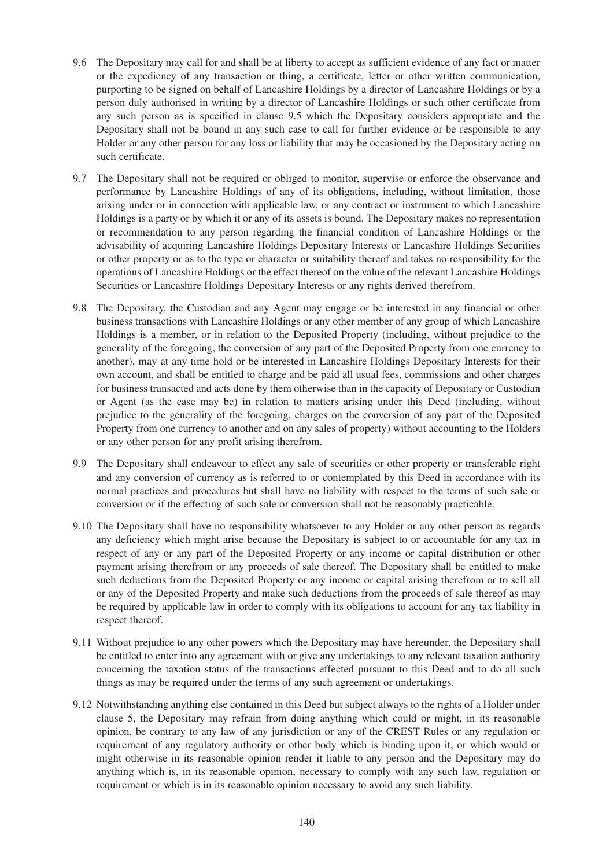- 9.6 The Depositary may call for and shall be at liberty to accept as sufficient evidence of any fact or matter or the expediency of any transaction or thing, a certificate, letter or other written communication, purporting to be signed on behalf of Lancashire Holdings by a director of Lancashire Holdings or by a person duly authorised in writing by a director of Lancashire Holdings or such other certificate from any such person as is specified in clause 9.5 which the Depositary considers appropriate and the Depositary shall not be bound in any such case to call for further evidence or be responsible to any Holder or any other person for any loss or liability that may be occasioned by the Depositary acting on such certificate.
- 9.7 The Depositary shall not be required or obliged to monitor, supervise or enforce the observance and performance by Lancashire Holdings of any of its obligations, including, without limitation, those arising under or in connection with applicable law, or any contract or instrument to which Lancashire Holdings is a party or by which it or any of its assets is bound. The Depositary makes no representation or recommendation to any person regarding the financial condition of Lancashire Holdings or the advisability of acquiring Lancashire Holdings Depositary Interests or Lancashire Holdings Securities or other property or as to the type or character or suitability thereof and takes no responsibility for the operations of Lancashire Holdings or the effect thereof on the value of the relevant Lancashire Holdings Securities or Lancashire Holdings Depositary Interests or any rights derived therefrom.
- 9.8 The Depositary, the Custodian and any Agent may engage or be interested in any financial or other business transactions with Lancashire Holdings or any other member of any group of which Lancashire Holdings is a member, or in relation to the Deposited Property (including, without prejudice to the generality of the foregoing, the conversion of any part of the Deposited Property from one currency to another), may at any time hold or be interested in Lancashire Holdings Depositary Interests for their own account, and shall be entitled to charge and be paid all usual fees, commissions and other charges for business transacted and acts done by them otherwise than in the capacity of Depositary or Custodian or Agent (as the case may be) in relation to matters arising under this Deed (including, without prejudice to the generality of the foregoing, charges on the conversion of any part of the Deposited Property from one currency to another and on any sales of property) without accounting to the Holders or any other person for any profit arising therefrom.
- 9.9 The Depositary shall endeavour to effect any sale of securities or other property or transferable right and any conversion of currency as is referred to or contemplated by this Deed in accordance with its normal practices and procedures but shall have no liability with respect to the terms of such sale or conversion or if the effecting of such sale or conversion shall not be reasonably practicable.
- 9.10 The Depositary shall have no responsibility whatsoever to any Holder or any other person as regards any deficiency which might arise because the Depositary is subject to or accountable for any tax in respect of any or any part of the Deposited Property or any income or capital distribution or other payment arising therefrom or any proceeds of sale thereof. The Depositary shall be entitled to make such deductions from the Deposited Property or any income or capital arising therefrom or to sell all or any of the Deposited Property and make such deductions from the proceeds of sale thereof as may be required by applicable law in order to comply with its obligations to account for any tax liability in respect thereof.
- 9.11 Without prejudice to any other powers which the Depositary may have hereunder, the Depositary shall be entitled to enter into any agreement with or give any undertakings to any relevant taxation authority concerning the taxation status of the transactions effected pursuant to this Deed and to do all such things as may be required under the terms of any such agreement or undertakings.
- 9.12 Notwithstanding anything else contained in this Deed but subject always to the rights of a Holder under clause 5, the Depositary may refrain from doing anything which could or might, in its reasonable opinion, be contrary to any law of any jurisdiction or any of the CREST Rules or any regulation or requirement of any regulatory authority or other body which is binding upon it, or which would or might otherwise in its reasonable opinion render it liable to any person and the Depositary may do anything which is, in its reasonable opinion, necessary to comply with any such law, regulation or requirement or which is in its reasonable opinion necessary to avoid any such liability.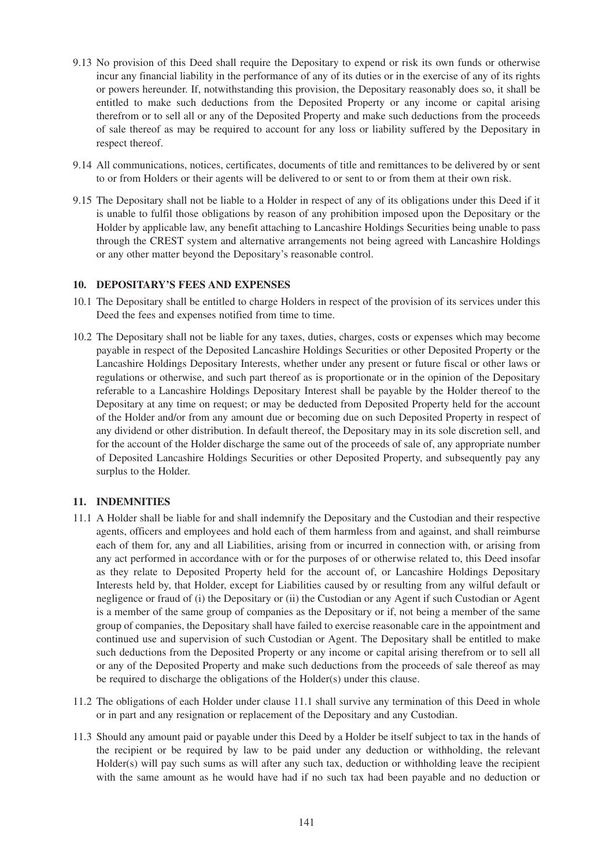- 9.13 No provision of this Deed shall require the Depositary to expend or risk its own funds or otherwise incur any financial liability in the performance of any of its duties or in the exercise of any of its rights or powers hereunder. If, notwithstanding this provision, the Depositary reasonably does so, it shall be entitled to make such deductions from the Deposited Property or any income or capital arising therefrom or to sell all or any of the Deposited Property and make such deductions from the proceeds of sale thereof as may be required to account for any loss or liability suffered by the Depositary in respect thereof.
- 9.14 All communications, notices, certificates, documents of title and remittances to be delivered by or sent to or from Holders or their agents will be delivered to or sent to or from them at their own risk.
- 9.15 The Depositary shall not be liable to a Holder in respect of any of its obligations under this Deed if it is unable to fulfil those obligations by reason of any prohibition imposed upon the Depositary or the Holder by applicable law, any benefit attaching to Lancashire Holdings Securities being unable to pass through the CREST system and alternative arrangements not being agreed with Lancashire Holdings or any other matter beyond the Depositary's reasonable control.

### **10. DEPOSITARY'S FEES AND EXPENSES**

- 10.1 The Depositary shall be entitled to charge Holders in respect of the provision of its services under this Deed the fees and expenses notified from time to time.
- 10.2 The Depositary shall not be liable for any taxes, duties, charges, costs or expenses which may become payable in respect of the Deposited Lancashire Holdings Securities or other Deposited Property or the Lancashire Holdings Depositary Interests, whether under any present or future fiscal or other laws or regulations or otherwise, and such part thereof as is proportionate or in the opinion of the Depositary referable to a Lancashire Holdings Depositary Interest shall be payable by the Holder thereof to the Depositary at any time on request; or may be deducted from Deposited Property held for the account of the Holder and/or from any amount due or becoming due on such Deposited Property in respect of any dividend or other distribution. In default thereof, the Depositary may in its sole discretion sell, and for the account of the Holder discharge the same out of the proceeds of sale of, any appropriate number of Deposited Lancashire Holdings Securities or other Deposited Property, and subsequently pay any surplus to the Holder.

# **11. INDEMNITIES**

- 11.1 A Holder shall be liable for and shall indemnify the Depositary and the Custodian and their respective agents, officers and employees and hold each of them harmless from and against, and shall reimburse each of them for, any and all Liabilities, arising from or incurred in connection with, or arising from any act performed in accordance with or for the purposes of or otherwise related to, this Deed insofar as they relate to Deposited Property held for the account of, or Lancashire Holdings Depositary Interests held by, that Holder, except for Liabilities caused by or resulting from any wilful default or negligence or fraud of (i) the Depositary or (ii) the Custodian or any Agent if such Custodian or Agent is a member of the same group of companies as the Depositary or if, not being a member of the same group of companies, the Depositary shall have failed to exercise reasonable care in the appointment and continued use and supervision of such Custodian or Agent. The Depositary shall be entitled to make such deductions from the Deposited Property or any income or capital arising therefrom or to sell all or any of the Deposited Property and make such deductions from the proceeds of sale thereof as may be required to discharge the obligations of the Holder(s) under this clause.
- 11.2 The obligations of each Holder under clause 11.1 shall survive any termination of this Deed in whole or in part and any resignation or replacement of the Depositary and any Custodian.
- 11.3 Should any amount paid or payable under this Deed by a Holder be itself subject to tax in the hands of the recipient or be required by law to be paid under any deduction or withholding, the relevant Holder(s) will pay such sums as will after any such tax, deduction or withholding leave the recipient with the same amount as he would have had if no such tax had been payable and no deduction or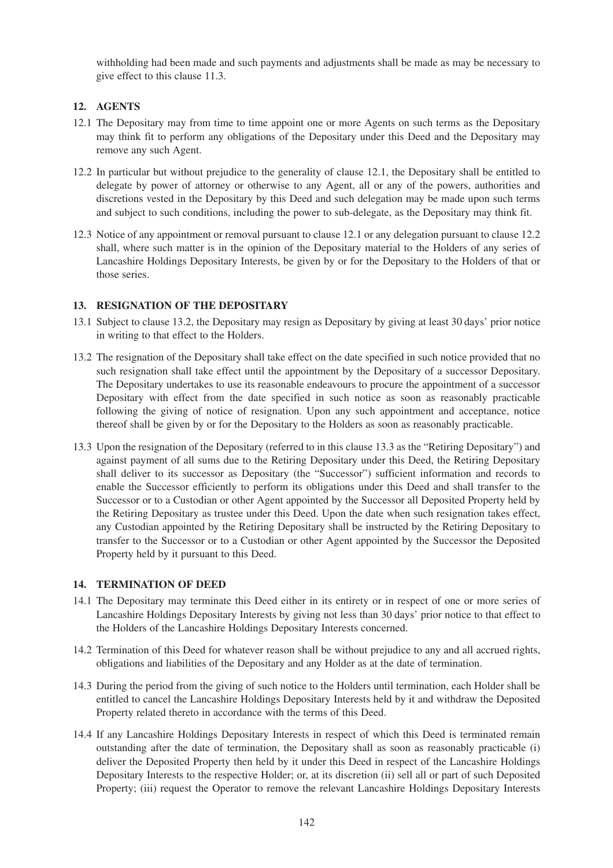withholding had been made and such payments and adjustments shall be made as may be necessary to give effect to this clause 11.3.

# **12. AGENTS**

- 12.1 The Depositary may from time to time appoint one or more Agents on such terms as the Depositary may think fit to perform any obligations of the Depositary under this Deed and the Depositary may remove any such Agent.
- 12.2 In particular but without prejudice to the generality of clause 12.1, the Depositary shall be entitled to delegate by power of attorney or otherwise to any Agent, all or any of the powers, authorities and discretions vested in the Depositary by this Deed and such delegation may be made upon such terms and subject to such conditions, including the power to sub-delegate, as the Depositary may think fit.
- 12.3 Notice of any appointment or removal pursuant to clause 12.1 or any delegation pursuant to clause 12.2 shall, where such matter is in the opinion of the Depositary material to the Holders of any series of Lancashire Holdings Depositary Interests, be given by or for the Depositary to the Holders of that or those series.

# **13. RESIGNATION OF THE DEPOSITARY**

- 13.1 Subject to clause 13.2, the Depositary may resign as Depositary by giving at least 30 days' prior notice in writing to that effect to the Holders.
- 13.2 The resignation of the Depositary shall take effect on the date specified in such notice provided that no such resignation shall take effect until the appointment by the Depositary of a successor Depositary. The Depositary undertakes to use its reasonable endeavours to procure the appointment of a successor Depositary with effect from the date specified in such notice as soon as reasonably practicable following the giving of notice of resignation. Upon any such appointment and acceptance, notice thereof shall be given by or for the Depositary to the Holders as soon as reasonably practicable.
- 13.3 Upon the resignation of the Depositary (referred to in this clause 13.3 as the "Retiring Depositary") and against payment of all sums due to the Retiring Depositary under this Deed, the Retiring Depositary shall deliver to its successor as Depositary (the "Successor") sufficient information and records to enable the Successor efficiently to perform its obligations under this Deed and shall transfer to the Successor or to a Custodian or other Agent appointed by the Successor all Deposited Property held by the Retiring Depositary as trustee under this Deed. Upon the date when such resignation takes effect, any Custodian appointed by the Retiring Depositary shall be instructed by the Retiring Depositary to transfer to the Successor or to a Custodian or other Agent appointed by the Successor the Deposited Property held by it pursuant to this Deed.

### **14. TERMINATION OF DEED**

- 14.1 The Depositary may terminate this Deed either in its entirety or in respect of one or more series of Lancashire Holdings Depositary Interests by giving not less than 30 days' prior notice to that effect to the Holders of the Lancashire Holdings Depositary Interests concerned.
- 14.2 Termination of this Deed for whatever reason shall be without prejudice to any and all accrued rights, obligations and liabilities of the Depositary and any Holder as at the date of termination.
- 14.3 During the period from the giving of such notice to the Holders until termination, each Holder shall be entitled to cancel the Lancashire Holdings Depositary Interests held by it and withdraw the Deposited Property related thereto in accordance with the terms of this Deed.
- 14.4 If any Lancashire Holdings Depositary Interests in respect of which this Deed is terminated remain outstanding after the date of termination, the Depositary shall as soon as reasonably practicable (i) deliver the Deposited Property then held by it under this Deed in respect of the Lancashire Holdings Depositary Interests to the respective Holder; or, at its discretion (ii) sell all or part of such Deposited Property; (iii) request the Operator to remove the relevant Lancashire Holdings Depositary Interests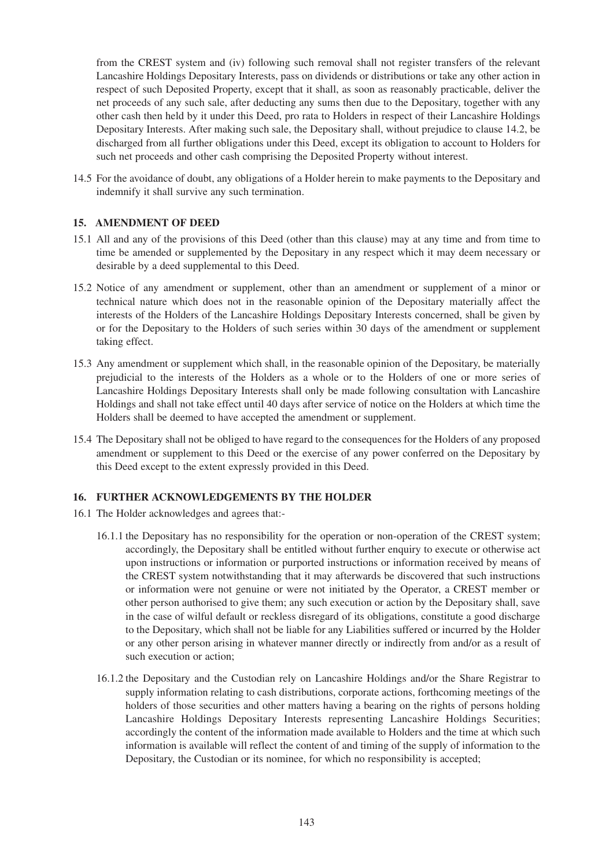from the CREST system and (iv) following such removal shall not register transfers of the relevant Lancashire Holdings Depositary Interests, pass on dividends or distributions or take any other action in respect of such Deposited Property, except that it shall, as soon as reasonably practicable, deliver the net proceeds of any such sale, after deducting any sums then due to the Depositary, together with any other cash then held by it under this Deed, pro rata to Holders in respect of their Lancashire Holdings Depositary Interests. After making such sale, the Depositary shall, without prejudice to clause 14.2, be discharged from all further obligations under this Deed, except its obligation to account to Holders for such net proceeds and other cash comprising the Deposited Property without interest.

14.5 For the avoidance of doubt, any obligations of a Holder herein to make payments to the Depositary and indemnify it shall survive any such termination.

### **15. AMENDMENT OF DEED**

- 15.1 All and any of the provisions of this Deed (other than this clause) may at any time and from time to time be amended or supplemented by the Depositary in any respect which it may deem necessary or desirable by a deed supplemental to this Deed.
- 15.2 Notice of any amendment or supplement, other than an amendment or supplement of a minor or technical nature which does not in the reasonable opinion of the Depositary materially affect the interests of the Holders of the Lancashire Holdings Depositary Interests concerned, shall be given by or for the Depositary to the Holders of such series within 30 days of the amendment or supplement taking effect.
- 15.3 Any amendment or supplement which shall, in the reasonable opinion of the Depositary, be materially prejudicial to the interests of the Holders as a whole or to the Holders of one or more series of Lancashire Holdings Depositary Interests shall only be made following consultation with Lancashire Holdings and shall not take effect until 40 days after service of notice on the Holders at which time the Holders shall be deemed to have accepted the amendment or supplement.
- 15.4 The Depositary shall not be obliged to have regard to the consequences for the Holders of any proposed amendment or supplement to this Deed or the exercise of any power conferred on the Depositary by this Deed except to the extent expressly provided in this Deed.

### **16. FURTHER ACKNOWLEDGEMENTS BY THE HOLDER**

- 16.1 The Holder acknowledges and agrees that:-
	- 16.1.1 the Depositary has no responsibility for the operation or non-operation of the CREST system; accordingly, the Depositary shall be entitled without further enquiry to execute or otherwise act upon instructions or information or purported instructions or information received by means of the CREST system notwithstanding that it may afterwards be discovered that such instructions or information were not genuine or were not initiated by the Operator, a CREST member or other person authorised to give them; any such execution or action by the Depositary shall, save in the case of wilful default or reckless disregard of its obligations, constitute a good discharge to the Depositary, which shall not be liable for any Liabilities suffered or incurred by the Holder or any other person arising in whatever manner directly or indirectly from and/or as a result of such execution or action;
	- 16.1.2 the Depositary and the Custodian rely on Lancashire Holdings and/or the Share Registrar to supply information relating to cash distributions, corporate actions, forthcoming meetings of the holders of those securities and other matters having a bearing on the rights of persons holding Lancashire Holdings Depositary Interests representing Lancashire Holdings Securities; accordingly the content of the information made available to Holders and the time at which such information is available will reflect the content of and timing of the supply of information to the Depositary, the Custodian or its nominee, for which no responsibility is accepted;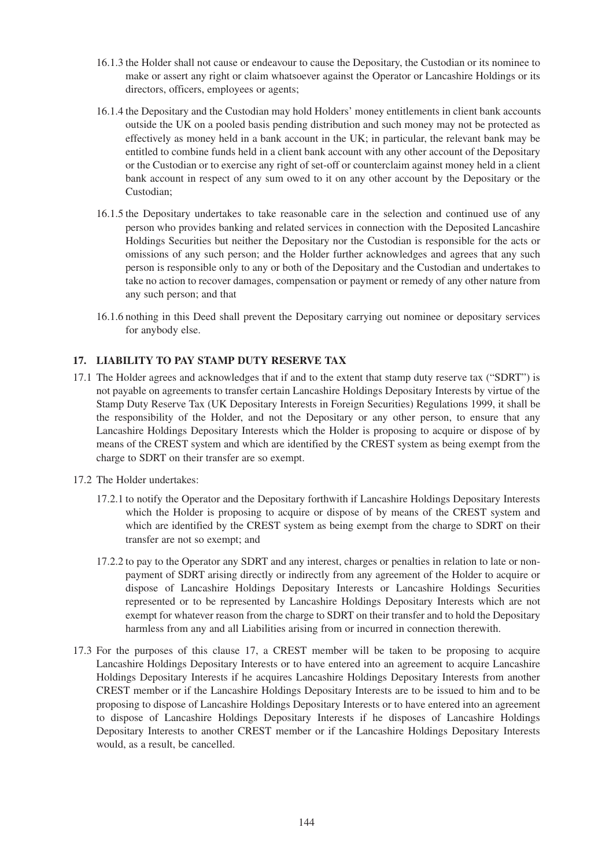- 16.1.3 the Holder shall not cause or endeavour to cause the Depositary, the Custodian or its nominee to make or assert any right or claim whatsoever against the Operator or Lancashire Holdings or its directors, officers, employees or agents;
- 16.1.4 the Depositary and the Custodian may hold Holders' money entitlements in client bank accounts outside the UK on a pooled basis pending distribution and such money may not be protected as effectively as money held in a bank account in the UK; in particular, the relevant bank may be entitled to combine funds held in a client bank account with any other account of the Depositary or the Custodian or to exercise any right of set-off or counterclaim against money held in a client bank account in respect of any sum owed to it on any other account by the Depositary or the Custodian;
- 16.1.5 the Depositary undertakes to take reasonable care in the selection and continued use of any person who provides banking and related services in connection with the Deposited Lancashire Holdings Securities but neither the Depositary nor the Custodian is responsible for the acts or omissions of any such person; and the Holder further acknowledges and agrees that any such person is responsible only to any or both of the Depositary and the Custodian and undertakes to take no action to recover damages, compensation or payment or remedy of any other nature from any such person; and that
- 16.1.6 nothing in this Deed shall prevent the Depositary carrying out nominee or depositary services for anybody else.

# **17. LIABILITY TO PAY STAMP DUTY RESERVE TAX**

17.1 The Holder agrees and acknowledges that if and to the extent that stamp duty reserve tax ("SDRT") is not payable on agreements to transfer certain Lancashire Holdings Depositary Interests by virtue of the Stamp Duty Reserve Tax (UK Depositary Interests in Foreign Securities) Regulations 1999, it shall be the responsibility of the Holder, and not the Depositary or any other person, to ensure that any Lancashire Holdings Depositary Interests which the Holder is proposing to acquire or dispose of by means of the CREST system and which are identified by the CREST system as being exempt from the charge to SDRT on their transfer are so exempt.

### 17.2 The Holder undertakes:

- 17.2.1 to notify the Operator and the Depositary forthwith if Lancashire Holdings Depositary Interests which the Holder is proposing to acquire or dispose of by means of the CREST system and which are identified by the CREST system as being exempt from the charge to SDRT on their transfer are not so exempt; and
- 17.2.2 to pay to the Operator any SDRT and any interest, charges or penalties in relation to late or nonpayment of SDRT arising directly or indirectly from any agreement of the Holder to acquire or dispose of Lancashire Holdings Depositary Interests or Lancashire Holdings Securities represented or to be represented by Lancashire Holdings Depositary Interests which are not exempt for whatever reason from the charge to SDRT on their transfer and to hold the Depositary harmless from any and all Liabilities arising from or incurred in connection therewith.
- 17.3 For the purposes of this clause 17, a CREST member will be taken to be proposing to acquire Lancashire Holdings Depositary Interests or to have entered into an agreement to acquire Lancashire Holdings Depositary Interests if he acquires Lancashire Holdings Depositary Interests from another CREST member or if the Lancashire Holdings Depositary Interests are to be issued to him and to be proposing to dispose of Lancashire Holdings Depositary Interests or to have entered into an agreement to dispose of Lancashire Holdings Depositary Interests if he disposes of Lancashire Holdings Depositary Interests to another CREST member or if the Lancashire Holdings Depositary Interests would, as a result, be cancelled.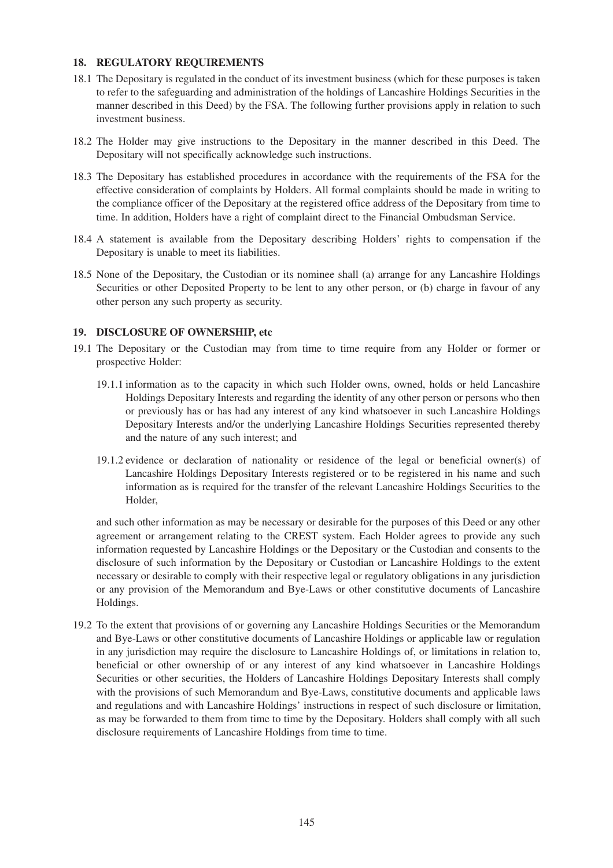#### **18. REGULATORY REQUIREMENTS**

- 18.1 The Depositary is regulated in the conduct of its investment business (which for these purposes is taken to refer to the safeguarding and administration of the holdings of Lancashire Holdings Securities in the manner described in this Deed) by the FSA. The following further provisions apply in relation to such investment business.
- 18.2 The Holder may give instructions to the Depositary in the manner described in this Deed. The Depositary will not specifically acknowledge such instructions.
- 18.3 The Depositary has established procedures in accordance with the requirements of the FSA for the effective consideration of complaints by Holders. All formal complaints should be made in writing to the compliance officer of the Depositary at the registered office address of the Depositary from time to time. In addition, Holders have a right of complaint direct to the Financial Ombudsman Service.
- 18.4 A statement is available from the Depositary describing Holders' rights to compensation if the Depositary is unable to meet its liabilities.
- 18.5 None of the Depositary, the Custodian or its nominee shall (a) arrange for any Lancashire Holdings Securities or other Deposited Property to be lent to any other person, or (b) charge in favour of any other person any such property as security.

#### **19. DISCLOSURE OF OWNERSHIP, etc**

- 19.1 The Depositary or the Custodian may from time to time require from any Holder or former or prospective Holder:
	- 19.1.1 information as to the capacity in which such Holder owns, owned, holds or held Lancashire Holdings Depositary Interests and regarding the identity of any other person or persons who then or previously has or has had any interest of any kind whatsoever in such Lancashire Holdings Depositary Interests and/or the underlying Lancashire Holdings Securities represented thereby and the nature of any such interest; and
	- 19.1.2 evidence or declaration of nationality or residence of the legal or beneficial owner(s) of Lancashire Holdings Depositary Interests registered or to be registered in his name and such information as is required for the transfer of the relevant Lancashire Holdings Securities to the Holder,

and such other information as may be necessary or desirable for the purposes of this Deed or any other agreement or arrangement relating to the CREST system. Each Holder agrees to provide any such information requested by Lancashire Holdings or the Depositary or the Custodian and consents to the disclosure of such information by the Depositary or Custodian or Lancashire Holdings to the extent necessary or desirable to comply with their respective legal or regulatory obligations in any jurisdiction or any provision of the Memorandum and Bye-Laws or other constitutive documents of Lancashire Holdings.

19.2 To the extent that provisions of or governing any Lancashire Holdings Securities or the Memorandum and Bye-Laws or other constitutive documents of Lancashire Holdings or applicable law or regulation in any jurisdiction may require the disclosure to Lancashire Holdings of, or limitations in relation to, beneficial or other ownership of or any interest of any kind whatsoever in Lancashire Holdings Securities or other securities, the Holders of Lancashire Holdings Depositary Interests shall comply with the provisions of such Memorandum and Bye-Laws, constitutive documents and applicable laws and regulations and with Lancashire Holdings' instructions in respect of such disclosure or limitation, as may be forwarded to them from time to time by the Depositary. Holders shall comply with all such disclosure requirements of Lancashire Holdings from time to time.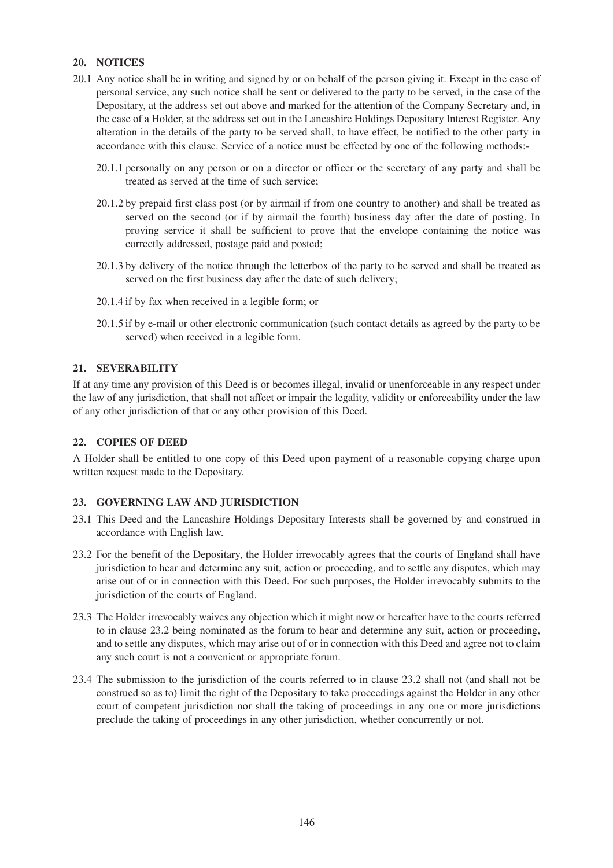#### **20. NOTICES**

- 20.1 Any notice shall be in writing and signed by or on behalf of the person giving it. Except in the case of personal service, any such notice shall be sent or delivered to the party to be served, in the case of the Depositary, at the address set out above and marked for the attention of the Company Secretary and, in the case of a Holder, at the address set out in the Lancashire Holdings Depositary Interest Register. Any alteration in the details of the party to be served shall, to have effect, be notified to the other party in accordance with this clause. Service of a notice must be effected by one of the following methods:-
	- 20.1.1 personally on any person or on a director or officer or the secretary of any party and shall be treated as served at the time of such service;
	- 20.1.2 by prepaid first class post (or by airmail if from one country to another) and shall be treated as served on the second (or if by airmail the fourth) business day after the date of posting. In proving service it shall be sufficient to prove that the envelope containing the notice was correctly addressed, postage paid and posted;
	- 20.1.3 by delivery of the notice through the letterbox of the party to be served and shall be treated as served on the first business day after the date of such delivery;
	- 20.1.4 if by fax when received in a legible form; or
	- 20.1.5 if by e-mail or other electronic communication (such contact details as agreed by the party to be served) when received in a legible form.

#### **21. SEVERABILITY**

If at any time any provision of this Deed is or becomes illegal, invalid or unenforceable in any respect under the law of any jurisdiction, that shall not affect or impair the legality, validity or enforceability under the law of any other jurisdiction of that or any other provision of this Deed.

#### **22. COPIES OF DEED**

A Holder shall be entitled to one copy of this Deed upon payment of a reasonable copying charge upon written request made to the Depositary.

#### **23. GOVERNING LAW AND JURISDICTION**

- 23.1 This Deed and the Lancashire Holdings Depositary Interests shall be governed by and construed in accordance with English law.
- 23.2 For the benefit of the Depositary, the Holder irrevocably agrees that the courts of England shall have jurisdiction to hear and determine any suit, action or proceeding, and to settle any disputes, which may arise out of or in connection with this Deed. For such purposes, the Holder irrevocably submits to the jurisdiction of the courts of England.
- 23.3 The Holder irrevocably waives any objection which it might now or hereafter have to the courts referred to in clause 23.2 being nominated as the forum to hear and determine any suit, action or proceeding, and to settle any disputes, which may arise out of or in connection with this Deed and agree not to claim any such court is not a convenient or appropriate forum.
- 23.4 The submission to the jurisdiction of the courts referred to in clause 23.2 shall not (and shall not be construed so as to) limit the right of the Depositary to take proceedings against the Holder in any other court of competent jurisdiction nor shall the taking of proceedings in any one or more jurisdictions preclude the taking of proceedings in any other jurisdiction, whether concurrently or not.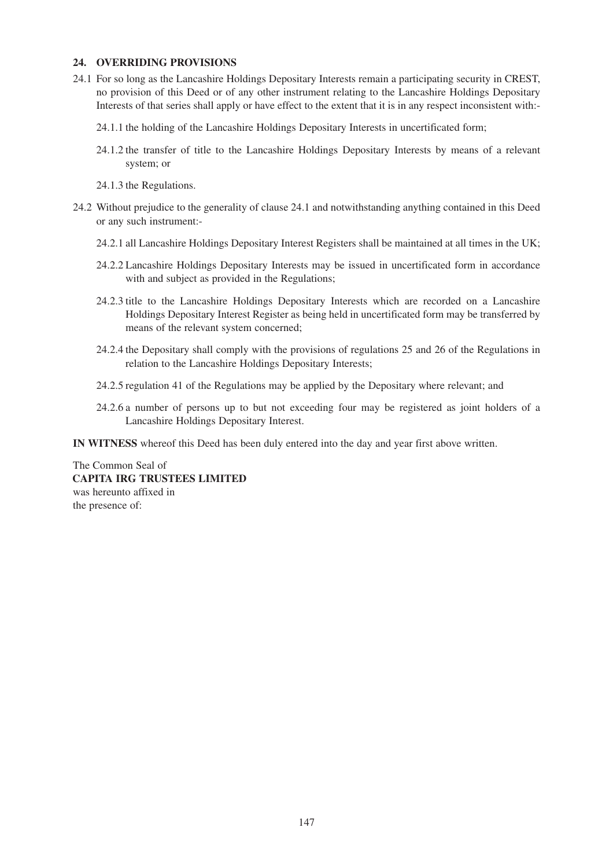#### **24. OVERRIDING PROVISIONS**

- 24.1 For so long as the Lancashire Holdings Depositary Interests remain a participating security in CREST, no provision of this Deed or of any other instrument relating to the Lancashire Holdings Depositary Interests of that series shall apply or have effect to the extent that it is in any respect inconsistent with:-
	- 24.1.1 the holding of the Lancashire Holdings Depositary Interests in uncertificated form;
	- 24.1.2 the transfer of title to the Lancashire Holdings Depositary Interests by means of a relevant system; or
	- 24.1.3 the Regulations.
- 24.2 Without prejudice to the generality of clause 24.1 and notwithstanding anything contained in this Deed or any such instrument:-
	- 24.2.1 all Lancashire Holdings Depositary Interest Registers shall be maintained at all times in the UK;
	- 24.2.2 Lancashire Holdings Depositary Interests may be issued in uncertificated form in accordance with and subject as provided in the Regulations;
	- 24.2.3 title to the Lancashire Holdings Depositary Interests which are recorded on a Lancashire Holdings Depositary Interest Register as being held in uncertificated form may be transferred by means of the relevant system concerned;
	- 24.2.4 the Depositary shall comply with the provisions of regulations 25 and 26 of the Regulations in relation to the Lancashire Holdings Depositary Interests;
	- 24.2.5 regulation 41 of the Regulations may be applied by the Depositary where relevant; and
	- 24.2.6 a number of persons up to but not exceeding four may be registered as joint holders of a Lancashire Holdings Depositary Interest.

**IN WITNESS** whereof this Deed has been duly entered into the day and year first above written.

The Common Seal of **CAPITA IRG TRUSTEES LIMITED** was hereunto affixed in the presence of: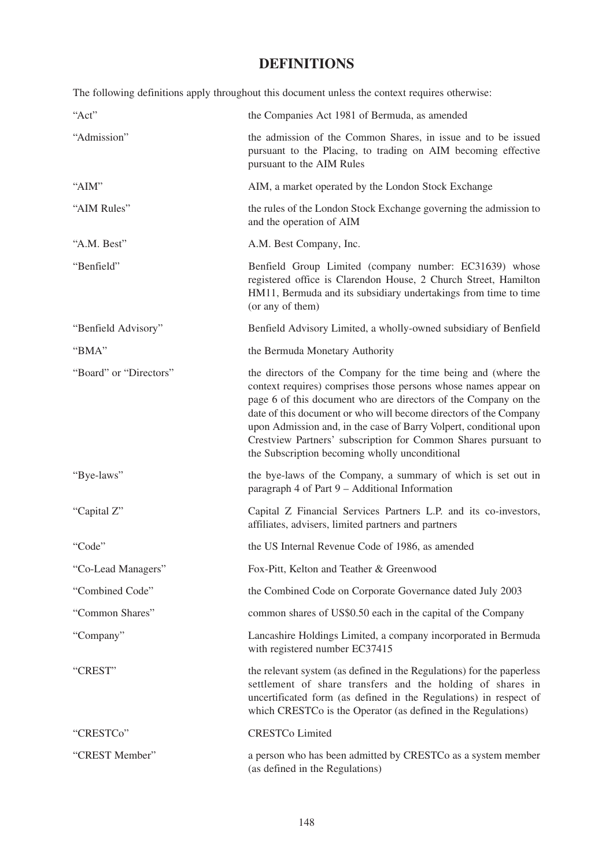# **DEFINITIONS**

The following definitions apply throughout this document unless the context requires otherwise:

| "Act"                  | the Companies Act 1981 of Bermuda, as amended                                                                                                                                                                                                                                                                                                                                                                                                                       |
|------------------------|---------------------------------------------------------------------------------------------------------------------------------------------------------------------------------------------------------------------------------------------------------------------------------------------------------------------------------------------------------------------------------------------------------------------------------------------------------------------|
| "Admission"            | the admission of the Common Shares, in issue and to be issued<br>pursuant to the Placing, to trading on AIM becoming effective<br>pursuant to the AIM Rules                                                                                                                                                                                                                                                                                                         |
| "AIM"                  | AIM, a market operated by the London Stock Exchange                                                                                                                                                                                                                                                                                                                                                                                                                 |
| "AIM Rules"            | the rules of the London Stock Exchange governing the admission to<br>and the operation of AIM                                                                                                                                                                                                                                                                                                                                                                       |
| "A.M. Best"            | A.M. Best Company, Inc.                                                                                                                                                                                                                                                                                                                                                                                                                                             |
| "Benfield"             | Benfield Group Limited (company number: EC31639) whose<br>registered office is Clarendon House, 2 Church Street, Hamilton<br>HM11, Bermuda and its subsidiary undertakings from time to time<br>(or any of them)                                                                                                                                                                                                                                                    |
| "Benfield Advisory"    | Benfield Advisory Limited, a wholly-owned subsidiary of Benfield                                                                                                                                                                                                                                                                                                                                                                                                    |
| "BMA"                  | the Bermuda Monetary Authority                                                                                                                                                                                                                                                                                                                                                                                                                                      |
| "Board" or "Directors" | the directors of the Company for the time being and (where the<br>context requires) comprises those persons whose names appear on<br>page 6 of this document who are directors of the Company on the<br>date of this document or who will become directors of the Company<br>upon Admission and, in the case of Barry Volpert, conditional upon<br>Crestview Partners' subscription for Common Shares pursuant to<br>the Subscription becoming wholly unconditional |
| "Bye-laws"             | the bye-laws of the Company, a summary of which is set out in<br>paragraph 4 of Part 9 - Additional Information                                                                                                                                                                                                                                                                                                                                                     |
| "Capital Z"            | Capital Z Financial Services Partners L.P. and its co-investors,<br>affiliates, advisers, limited partners and partners                                                                                                                                                                                                                                                                                                                                             |
| "Code"                 | the US Internal Revenue Code of 1986, as amended                                                                                                                                                                                                                                                                                                                                                                                                                    |
| "Co-Lead Managers"     | Fox-Pitt, Kelton and Teather & Greenwood                                                                                                                                                                                                                                                                                                                                                                                                                            |
| "Combined Code"        | the Combined Code on Corporate Governance dated July 2003                                                                                                                                                                                                                                                                                                                                                                                                           |
| "Common Shares"        | common shares of US\$0.50 each in the capital of the Company                                                                                                                                                                                                                                                                                                                                                                                                        |
| "Company"              | Lancashire Holdings Limited, a company incorporated in Bermuda<br>with registered number EC37415                                                                                                                                                                                                                                                                                                                                                                    |
| "CREST"                | the relevant system (as defined in the Regulations) for the paperless<br>settlement of share transfers and the holding of shares in<br>uncertificated form (as defined in the Regulations) in respect of<br>which CRESTCo is the Operator (as defined in the Regulations)                                                                                                                                                                                           |
| "CRESTCo"              | <b>CRESTCo Limited</b>                                                                                                                                                                                                                                                                                                                                                                                                                                              |
| "CREST Member"         | a person who has been admitted by CRESTCo as a system member<br>(as defined in the Regulations)                                                                                                                                                                                                                                                                                                                                                                     |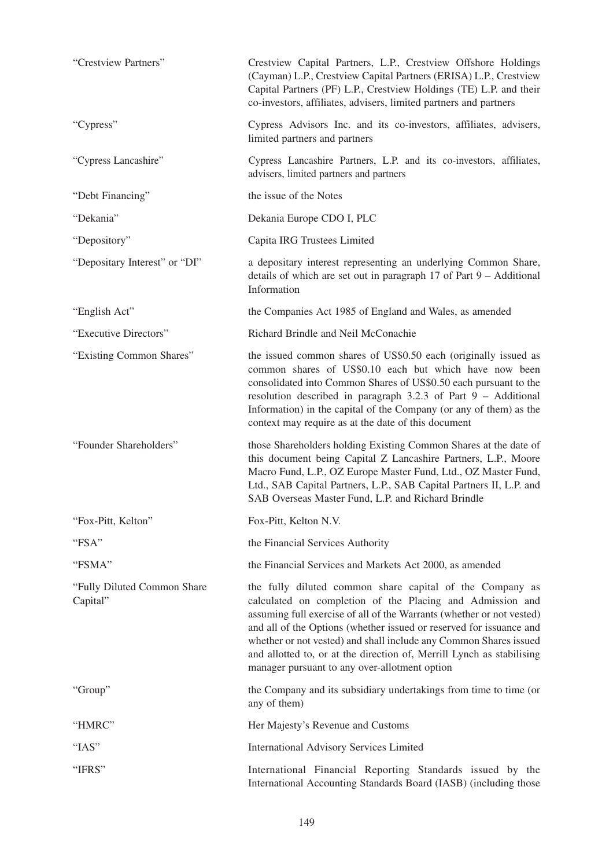| "Crestview Partners"                     | Crestview Capital Partners, L.P., Crestview Offshore Holdings<br>(Cayman) L.P., Crestview Capital Partners (ERISA) L.P., Crestview<br>Capital Partners (PF) L.P., Crestview Holdings (TE) L.P. and their<br>co-investors, affiliates, advisers, limited partners and partners                                                                                                                                                                                        |
|------------------------------------------|----------------------------------------------------------------------------------------------------------------------------------------------------------------------------------------------------------------------------------------------------------------------------------------------------------------------------------------------------------------------------------------------------------------------------------------------------------------------|
| "Cypress"                                | Cypress Advisors Inc. and its co-investors, affiliates, advisers,<br>limited partners and partners                                                                                                                                                                                                                                                                                                                                                                   |
| "Cypress Lancashire"                     | Cypress Lancashire Partners, L.P. and its co-investors, affiliates,<br>advisers, limited partners and partners                                                                                                                                                                                                                                                                                                                                                       |
| "Debt Financing"                         | the issue of the Notes                                                                                                                                                                                                                                                                                                                                                                                                                                               |
| "Dekania"                                | Dekania Europe CDO I, PLC                                                                                                                                                                                                                                                                                                                                                                                                                                            |
| "Depository"                             | Capita IRG Trustees Limited                                                                                                                                                                                                                                                                                                                                                                                                                                          |
| "Depositary Interest" or "DI"            | a depositary interest representing an underlying Common Share,<br>details of which are set out in paragraph $17$ of Part $9 -$ Additional<br>Information                                                                                                                                                                                                                                                                                                             |
| "English Act"                            | the Companies Act 1985 of England and Wales, as amended                                                                                                                                                                                                                                                                                                                                                                                                              |
| "Executive Directors"                    | Richard Brindle and Neil McConachie                                                                                                                                                                                                                                                                                                                                                                                                                                  |
| "Existing Common Shares"                 | the issued common shares of US\$0.50 each (originally issued as<br>common shares of US\$0.10 each but which have now been<br>consolidated into Common Shares of US\$0.50 each pursuant to the<br>resolution described in paragraph $3.2.3$ of Part $9 -$ Additional<br>Information) in the capital of the Company (or any of them) as the<br>context may require as at the date of this document                                                                     |
| "Founder Shareholders"                   | those Shareholders holding Existing Common Shares at the date of<br>this document being Capital Z Lancashire Partners, L.P., Moore<br>Macro Fund, L.P., OZ Europe Master Fund, Ltd., OZ Master Fund,<br>Ltd., SAB Capital Partners, L.P., SAB Capital Partners II, L.P. and<br>SAB Overseas Master Fund, L.P. and Richard Brindle                                                                                                                                    |
| "Fox-Pitt, Kelton"                       | Fox-Pitt, Kelton N.V.                                                                                                                                                                                                                                                                                                                                                                                                                                                |
| "FSA"                                    | the Financial Services Authority                                                                                                                                                                                                                                                                                                                                                                                                                                     |
| "FSMA"                                   | the Financial Services and Markets Act 2000, as amended                                                                                                                                                                                                                                                                                                                                                                                                              |
| "Fully Diluted Common Share"<br>Capital" | the fully diluted common share capital of the Company as<br>calculated on completion of the Placing and Admission and<br>assuming full exercise of all of the Warrants (whether or not vested)<br>and all of the Options (whether issued or reserved for issuance and<br>whether or not vested) and shall include any Common Shares issued<br>and allotted to, or at the direction of, Merrill Lynch as stabilising<br>manager pursuant to any over-allotment option |
| "Group"                                  | the Company and its subsidiary undertakings from time to time (or<br>any of them)                                                                                                                                                                                                                                                                                                                                                                                    |
| "HMRC"                                   | Her Majesty's Revenue and Customs                                                                                                                                                                                                                                                                                                                                                                                                                                    |
| "IAS"                                    | <b>International Advisory Services Limited</b>                                                                                                                                                                                                                                                                                                                                                                                                                       |
| "IFRS"                                   | International Financial Reporting Standards issued by the<br>International Accounting Standards Board (IASB) (including those                                                                                                                                                                                                                                                                                                                                        |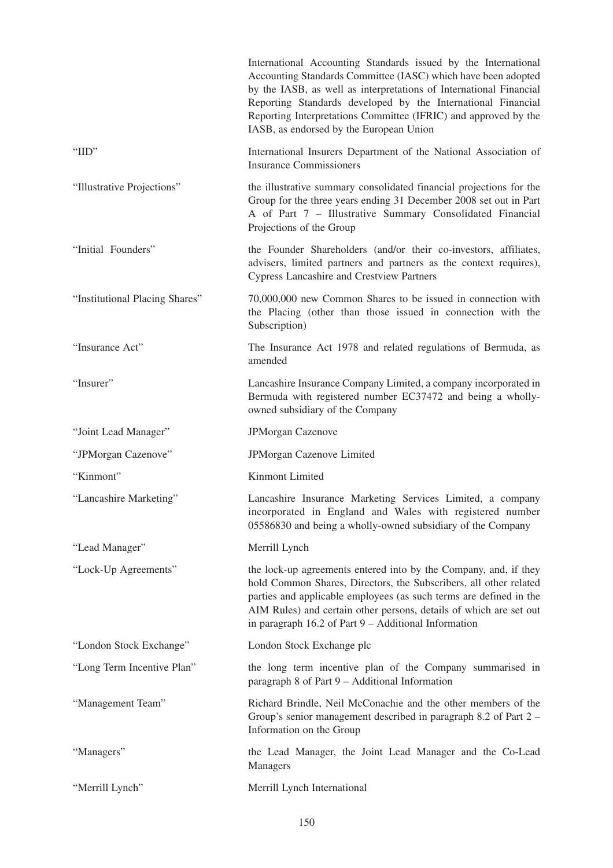|                                | International Accounting Standards issued by the International<br>Accounting Standards Committee (IASC) which have been adopted<br>by the IASB, as well as interpretations of International Financial<br>Reporting Standards developed by the International Financial<br>Reporting Interpretations Committee (IFRIC) and approved by the<br>IASB, as endorsed by the European Union |
|--------------------------------|-------------------------------------------------------------------------------------------------------------------------------------------------------------------------------------------------------------------------------------------------------------------------------------------------------------------------------------------------------------------------------------|
| " $IID$ "                      | International Insurers Department of the National Association of<br><b>Insurance Commissioners</b>                                                                                                                                                                                                                                                                                  |
| "Illustrative Projections"     | the illustrative summary consolidated financial projections for the<br>Group for the three years ending 31 December 2008 set out in Part<br>A of Part 7 - Illustrative Summary Consolidated Financial<br>Projections of the Group                                                                                                                                                   |
| "Initial Founders"             | the Founder Shareholders (and/or their co-investors, affiliates,<br>advisers, limited partners and partners as the context requires),<br><b>Cypress Lancashire and Crestview Partners</b>                                                                                                                                                                                           |
| "Institutional Placing Shares" | 70,000,000 new Common Shares to be issued in connection with<br>the Placing (other than those issued in connection with the<br>Subscription)                                                                                                                                                                                                                                        |
| "Insurance Act"                | The Insurance Act 1978 and related regulations of Bermuda, as<br>amended                                                                                                                                                                                                                                                                                                            |
| "Insurer"                      | Lancashire Insurance Company Limited, a company incorporated in<br>Bermuda with registered number EC37472 and being a wholly-<br>owned subsidiary of the Company                                                                                                                                                                                                                    |
| "Joint Lead Manager"           | <b>JPMorgan Cazenove</b>                                                                                                                                                                                                                                                                                                                                                            |
|                                |                                                                                                                                                                                                                                                                                                                                                                                     |
| "JPMorgan Cazenove"            | <b>JPMorgan Cazenove Limited</b>                                                                                                                                                                                                                                                                                                                                                    |
| "Kinmont"                      | Kinmont Limited                                                                                                                                                                                                                                                                                                                                                                     |
| "Lancashire Marketing"         | Lancashire Insurance Marketing Services Limited, a company<br>incorporated in England and Wales with registered number<br>05586830 and being a wholly-owned subsidiary of the Company                                                                                                                                                                                               |
| "Lead Manager"                 | Merrill Lynch                                                                                                                                                                                                                                                                                                                                                                       |
| "Lock-Up Agreements"           | the lock-up agreements entered into by the Company, and, if they<br>hold Common Shares, Directors, the Subscribers, all other related<br>parties and applicable employees (as such terms are defined in the<br>AIM Rules) and certain other persons, details of which are set out<br>in paragraph 16.2 of Part 9 - Additional Information                                           |
| "London Stock Exchange"        | London Stock Exchange plc                                                                                                                                                                                                                                                                                                                                                           |
| "Long Term Incentive Plan"     | the long term incentive plan of the Company summarised in<br>paragraph 8 of Part 9 - Additional Information                                                                                                                                                                                                                                                                         |
| "Management Team"              | Richard Brindle, Neil McConachie and the other members of the<br>Group's senior management described in paragraph 8.2 of Part 2 –<br>Information on the Group                                                                                                                                                                                                                       |
| "Managers"                     | the Lead Manager, the Joint Lead Manager and the Co-Lead<br>Managers                                                                                                                                                                                                                                                                                                                |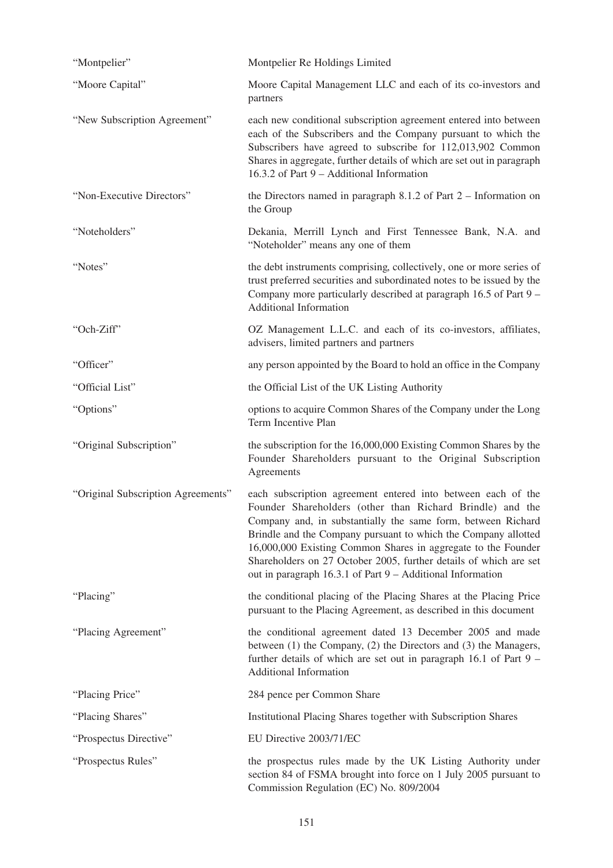| "Montpelier"                       | Montpelier Re Holdings Limited                                                                                                                                                                                                                                                                                                                                                                                                                                  |
|------------------------------------|-----------------------------------------------------------------------------------------------------------------------------------------------------------------------------------------------------------------------------------------------------------------------------------------------------------------------------------------------------------------------------------------------------------------------------------------------------------------|
| "Moore Capital"                    | Moore Capital Management LLC and each of its co-investors and<br>partners                                                                                                                                                                                                                                                                                                                                                                                       |
| "New Subscription Agreement"       | each new conditional subscription agreement entered into between<br>each of the Subscribers and the Company pursuant to which the<br>Subscribers have agreed to subscribe for 112,013,902 Common<br>Shares in aggregate, further details of which are set out in paragraph<br>16.3.2 of Part 9 - Additional Information                                                                                                                                         |
| "Non-Executive Directors"          | the Directors named in paragraph $8.1.2$ of Part $2 -$ Information on<br>the Group                                                                                                                                                                                                                                                                                                                                                                              |
| "Noteholders"                      | Dekania, Merrill Lynch and First Tennessee Bank, N.A. and<br>"Noteholder" means any one of them                                                                                                                                                                                                                                                                                                                                                                 |
| "Notes"                            | the debt instruments comprising, collectively, one or more series of<br>trust preferred securities and subordinated notes to be issued by the<br>Company more particularly described at paragraph 16.5 of Part 9 –<br><b>Additional Information</b>                                                                                                                                                                                                             |
| "Och-Ziff"                         | OZ Management L.L.C. and each of its co-investors, affiliates,<br>advisers, limited partners and partners                                                                                                                                                                                                                                                                                                                                                       |
| "Officer"                          | any person appointed by the Board to hold an office in the Company                                                                                                                                                                                                                                                                                                                                                                                              |
| "Official List"                    | the Official List of the UK Listing Authority                                                                                                                                                                                                                                                                                                                                                                                                                   |
| "Options"                          | options to acquire Common Shares of the Company under the Long<br>Term Incentive Plan                                                                                                                                                                                                                                                                                                                                                                           |
| "Original Subscription"            | the subscription for the 16,000,000 Existing Common Shares by the<br>Founder Shareholders pursuant to the Original Subscription<br>Agreements                                                                                                                                                                                                                                                                                                                   |
| "Original Subscription Agreements" | each subscription agreement entered into between each of the<br>Founder Shareholders (other than Richard Brindle) and the<br>Company and, in substantially the same form, between Richard<br>Brindle and the Company pursuant to which the Company allotted<br>16,000,000 Existing Common Shares in aggregate to the Founder<br>Shareholders on 27 October 2005, further details of which are set<br>out in paragraph 16.3.1 of Part 9 - Additional Information |
| "Placing"                          | the conditional placing of the Placing Shares at the Placing Price<br>pursuant to the Placing Agreement, as described in this document                                                                                                                                                                                                                                                                                                                          |
| "Placing Agreement"                | the conditional agreement dated 13 December 2005 and made<br>between (1) the Company, (2) the Directors and (3) the Managers,<br>further details of which are set out in paragraph 16.1 of Part 9 –<br><b>Additional Information</b>                                                                                                                                                                                                                            |
| "Placing Price"                    | 284 pence per Common Share                                                                                                                                                                                                                                                                                                                                                                                                                                      |
| "Placing Shares"                   | Institutional Placing Shares together with Subscription Shares                                                                                                                                                                                                                                                                                                                                                                                                  |
| "Prospectus Directive"             | EU Directive 2003/71/EC                                                                                                                                                                                                                                                                                                                                                                                                                                         |
| "Prospectus Rules"                 | the prospectus rules made by the UK Listing Authority under<br>section 84 of FSMA brought into force on 1 July 2005 pursuant to<br>Commission Regulation (EC) No. 809/2004                                                                                                                                                                                                                                                                                      |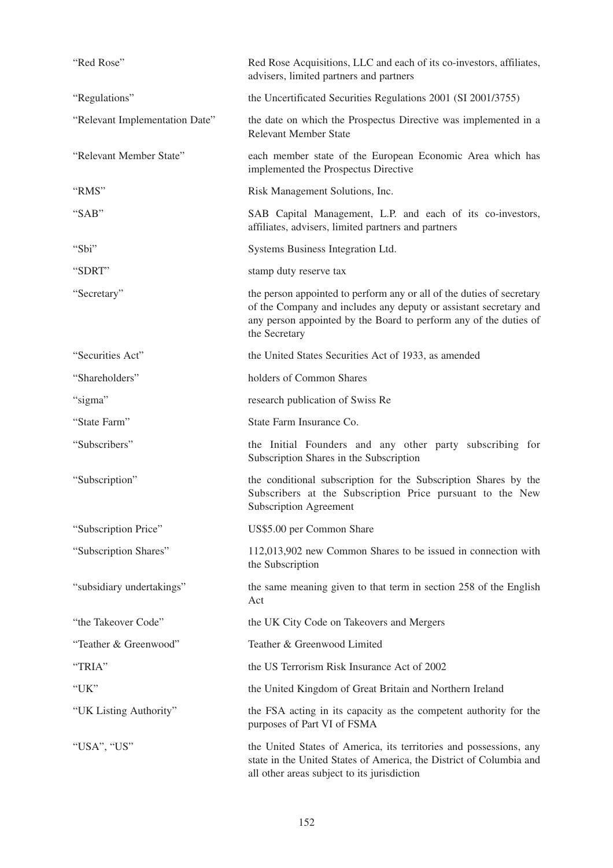| "Red Rose"                     | Red Rose Acquisitions, LLC and each of its co-investors, affiliates,<br>advisers, limited partners and partners                                                                                                                  |
|--------------------------------|----------------------------------------------------------------------------------------------------------------------------------------------------------------------------------------------------------------------------------|
| "Regulations"                  | the Uncertificated Securities Regulations 2001 (SI 2001/3755)                                                                                                                                                                    |
| "Relevant Implementation Date" | the date on which the Prospectus Directive was implemented in a<br><b>Relevant Member State</b>                                                                                                                                  |
| "Relevant Member State"        | each member state of the European Economic Area which has<br>implemented the Prospectus Directive                                                                                                                                |
| "RMS"                          | Risk Management Solutions, Inc.                                                                                                                                                                                                  |
| "SAB"                          | SAB Capital Management, L.P. and each of its co-investors,<br>affiliates, advisers, limited partners and partners                                                                                                                |
| "Sbi"                          | Systems Business Integration Ltd.                                                                                                                                                                                                |
| "SDRT"                         | stamp duty reserve tax                                                                                                                                                                                                           |
| "Secretary"                    | the person appointed to perform any or all of the duties of secretary<br>of the Company and includes any deputy or assistant secretary and<br>any person appointed by the Board to perform any of the duties of<br>the Secretary |
| "Securities Act"               | the United States Securities Act of 1933, as amended                                                                                                                                                                             |
| "Shareholders"                 | holders of Common Shares                                                                                                                                                                                                         |
| "sigma"                        | research publication of Swiss Re                                                                                                                                                                                                 |
| "State Farm"                   | State Farm Insurance Co.                                                                                                                                                                                                         |
| "Subscribers"                  | the Initial Founders and any other party subscribing for<br>Subscription Shares in the Subscription                                                                                                                              |
| "Subscription"                 | the conditional subscription for the Subscription Shares by the<br>Subscribers at the Subscription Price pursuant to the New<br><b>Subscription Agreement</b>                                                                    |
| "Subscription Price"           | US\$5.00 per Common Share                                                                                                                                                                                                        |
| "Subscription Shares"          | 112,013,902 new Common Shares to be issued in connection with<br>the Subscription                                                                                                                                                |
| "subsidiary undertakings"      | the same meaning given to that term in section 258 of the English<br>Act                                                                                                                                                         |
| "the Takeover Code"            | the UK City Code on Takeovers and Mergers                                                                                                                                                                                        |
| "Teather & Greenwood"          | Teather & Greenwood Limited                                                                                                                                                                                                      |
| "TRIA"                         | the US Terrorism Risk Insurance Act of 2002                                                                                                                                                                                      |
| "UK"                           | the United Kingdom of Great Britain and Northern Ireland                                                                                                                                                                         |
| "UK Listing Authority"         | the FSA acting in its capacity as the competent authority for the<br>purposes of Part VI of FSMA                                                                                                                                 |
| "USA", "US"                    | the United States of America, its territories and possessions, any<br>state in the United States of America, the District of Columbia and<br>all other areas subject to its jurisdiction                                         |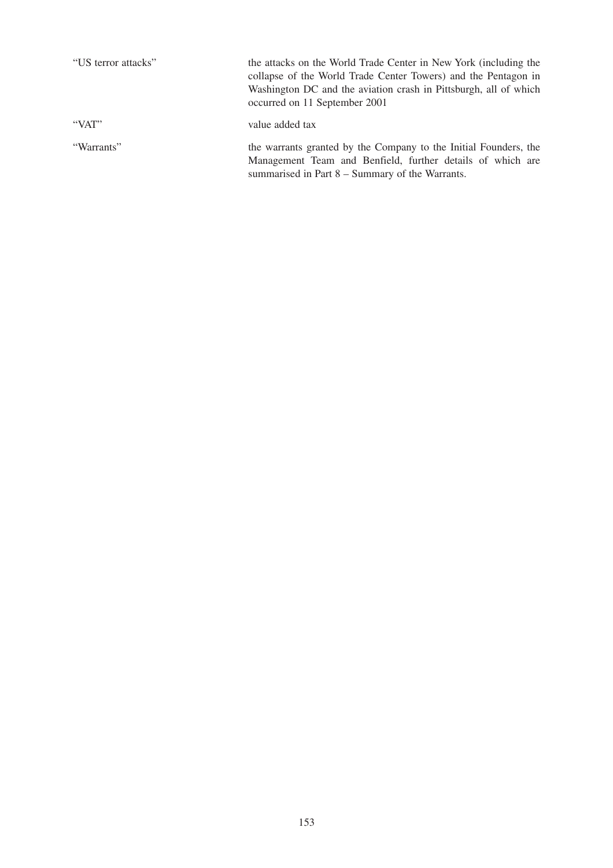| "US terror attacks" | the attacks on the World Trade Center in New York (including the<br>collapse of the World Trade Center Towers) and the Pentagon in<br>Washington DC and the aviation crash in Pittsburgh, all of which<br>occurred on 11 September 2001 |
|---------------------|-----------------------------------------------------------------------------------------------------------------------------------------------------------------------------------------------------------------------------------------|
| "VAT"               | value added tax                                                                                                                                                                                                                         |
| "Warrants"          | the warrants granted by the Company to the Initial Founders, the<br>Management Team and Benfield, further details of which are<br>summarised in Part 8 – Summary of the Warrants.                                                       |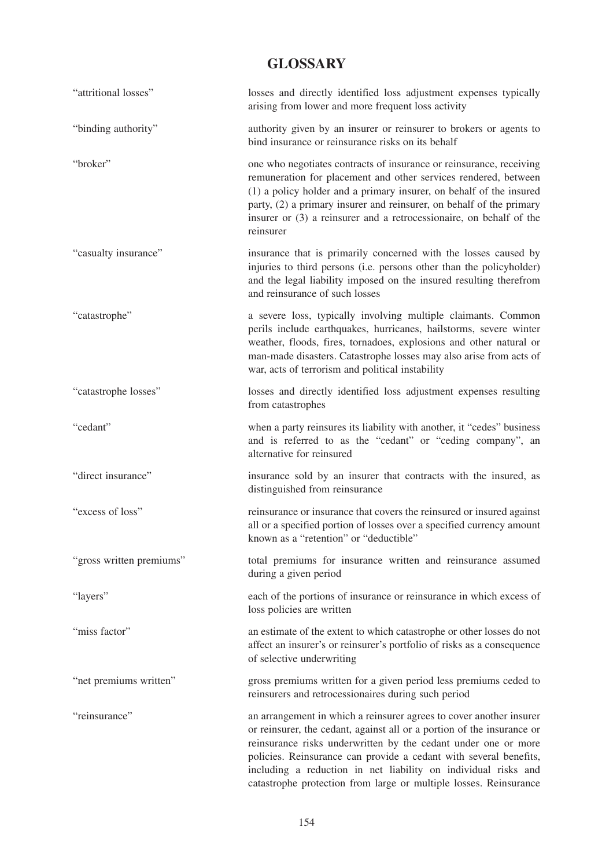## **GLOSSARY**

| "attritional losses"     | losses and directly identified loss adjustment expenses typically<br>arising from lower and more frequent loss activity                                                                                                                                                                                                                                                                                                     |
|--------------------------|-----------------------------------------------------------------------------------------------------------------------------------------------------------------------------------------------------------------------------------------------------------------------------------------------------------------------------------------------------------------------------------------------------------------------------|
| "binding authority"      | authority given by an insurer or reinsurer to brokers or agents to<br>bind insurance or reinsurance risks on its behalf                                                                                                                                                                                                                                                                                                     |
| "broker"                 | one who negotiates contracts of insurance or reinsurance, receiving<br>remuneration for placement and other services rendered, between<br>(1) a policy holder and a primary insurer, on behalf of the insured<br>party, (2) a primary insurer and reinsurer, on behalf of the primary<br>insurer or (3) a reinsurer and a retrocessionaire, on behalf of the<br>reinsurer                                                   |
| "casualty insurance"     | insurance that is primarily concerned with the losses caused by<br>injuries to third persons (i.e. persons other than the policyholder)<br>and the legal liability imposed on the insured resulting therefrom<br>and reinsurance of such losses                                                                                                                                                                             |
| "catastrophe"            | a severe loss, typically involving multiple claimants. Common<br>perils include earthquakes, hurricanes, hailstorms, severe winter<br>weather, floods, fires, tornadoes, explosions and other natural or<br>man-made disasters. Catastrophe losses may also arise from acts of<br>war, acts of terrorism and political instability                                                                                          |
| "catastrophe losses"     | losses and directly identified loss adjustment expenses resulting<br>from catastrophes                                                                                                                                                                                                                                                                                                                                      |
| "cedant"                 | when a party reinsures its liability with another, it "cedes" business<br>and is referred to as the "cedant" or "ceding company", an<br>alternative for reinsured                                                                                                                                                                                                                                                           |
| "direct insurance"       | insurance sold by an insurer that contracts with the insured, as<br>distinguished from reinsurance                                                                                                                                                                                                                                                                                                                          |
| "excess of loss"         | reinsurance or insurance that covers the reinsured or insured against<br>all or a specified portion of losses over a specified currency amount<br>known as a "retention" or "deductible"                                                                                                                                                                                                                                    |
| "gross written premiums" | total premiums for insurance written and reinsurance assumed<br>during a given period                                                                                                                                                                                                                                                                                                                                       |
| "layers"                 | each of the portions of insurance or reinsurance in which excess of<br>loss policies are written                                                                                                                                                                                                                                                                                                                            |
| "miss factor"            | an estimate of the extent to which catastrophe or other losses do not<br>affect an insurer's or reinsurer's portfolio of risks as a consequence<br>of selective underwriting                                                                                                                                                                                                                                                |
| "net premiums written"   | gross premiums written for a given period less premiums ceded to<br>reinsurers and retrocessionaires during such period                                                                                                                                                                                                                                                                                                     |
| "reinsurance"            | an arrangement in which a reinsurer agrees to cover another insurer<br>or reinsurer, the cedant, against all or a portion of the insurance or<br>reinsurance risks underwritten by the cedant under one or more<br>policies. Reinsurance can provide a cedant with several benefits,<br>including a reduction in net liability on individual risks and<br>catastrophe protection from large or multiple losses. Reinsurance |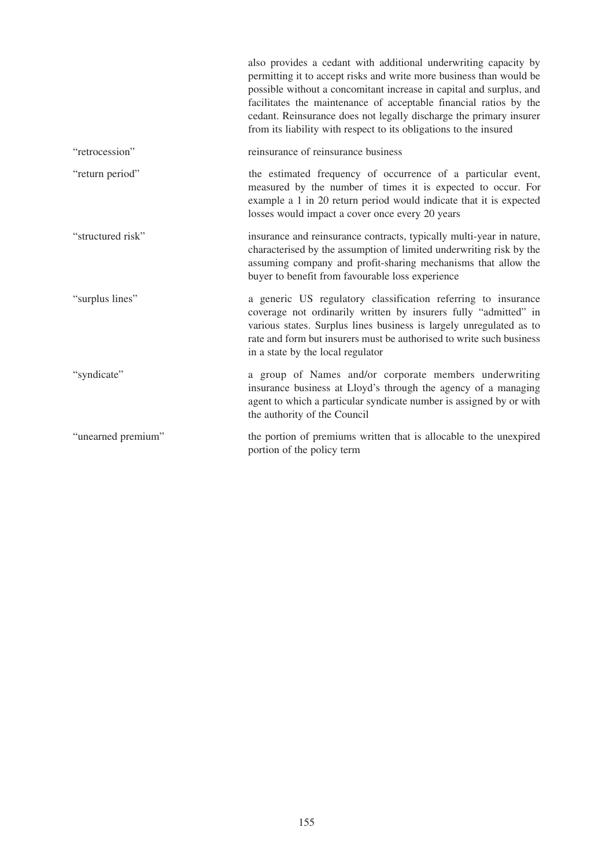|                    | also provides a cedant with additional underwriting capacity by<br>permitting it to accept risks and write more business than would be<br>possible without a concomitant increase in capital and surplus, and<br>facilitates the maintenance of acceptable financial ratios by the<br>cedant. Reinsurance does not legally discharge the primary insurer<br>from its liability with respect to its obligations to the insured |
|--------------------|-------------------------------------------------------------------------------------------------------------------------------------------------------------------------------------------------------------------------------------------------------------------------------------------------------------------------------------------------------------------------------------------------------------------------------|
| "retrocession"     | reinsurance of reinsurance business                                                                                                                                                                                                                                                                                                                                                                                           |
| "return period"    | the estimated frequency of occurrence of a particular event,<br>measured by the number of times it is expected to occur. For<br>example a 1 in 20 return period would indicate that it is expected<br>losses would impact a cover once every 20 years                                                                                                                                                                         |
| "structured risk"  | insurance and reinsurance contracts, typically multi-year in nature,<br>characterised by the assumption of limited underwriting risk by the<br>assuming company and profit-sharing mechanisms that allow the<br>buyer to benefit from favourable loss experience                                                                                                                                                              |
| "surplus lines"    | a generic US regulatory classification referring to insurance<br>coverage not ordinarily written by insurers fully "admitted" in<br>various states. Surplus lines business is largely unregulated as to<br>rate and form but insurers must be authorised to write such business<br>in a state by the local regulator                                                                                                          |
| "syndicate"        | a group of Names and/or corporate members underwriting<br>insurance business at Lloyd's through the agency of a managing<br>agent to which a particular syndicate number is assigned by or with<br>the authority of the Council                                                                                                                                                                                               |
| "unearned premium" | the portion of premiums written that is allocable to the unexpired<br>portion of the policy term                                                                                                                                                                                                                                                                                                                              |